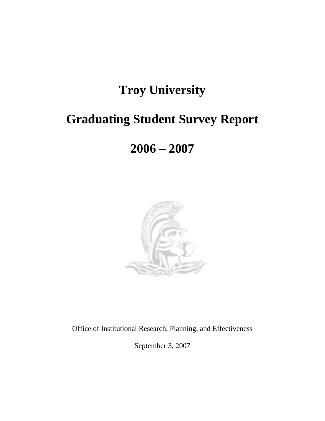# **Troy University**

# **Graduating Student Survey Report**

# **2006 – 2007**



Office of Institutional Research, Planning, and Effectiveness

September 3, 2007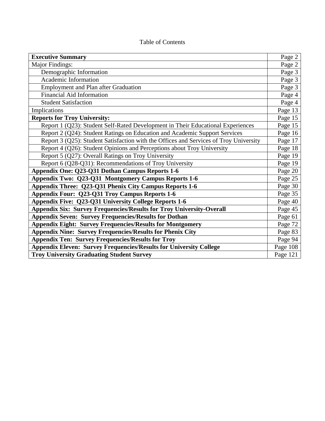# Table of Contents

| <b>Executive Summary</b>                                                              | Page 2   |
|---------------------------------------------------------------------------------------|----------|
| Major Findings:                                                                       | Page 2   |
| Demographic Information                                                               | Page 3   |
| <b>Academic Information</b>                                                           | Page 3   |
| <b>Employment and Plan after Graduation</b>                                           | Page 3   |
| <b>Financial Aid Information</b>                                                      | Page 4   |
| <b>Student Satisfaction</b>                                                           | Page 4   |
| Implications                                                                          | Page 13  |
| <b>Reports for Troy University:</b>                                                   | Page 15  |
| Report 1 (Q23): Student Self-Rated Development in Their Educational Experiences       | Page 15  |
| Report 2 (Q24): Student Ratings on Education and Academic Support Services            | Page 16  |
| Report 3 (Q25): Student Satisfaction with the Offices and Services of Troy University | Page 17  |
| Report 4 (Q26): Student Opinions and Perceptions about Troy University                | Page 18  |
| Report 5 (Q27): Overall Ratings on Troy University                                    | Page 19  |
| Report 6 (Q28-Q31): Recommendations of Troy University                                | Page 19  |
| Appendix One: Q23-Q31 Dothan Campus Reports 1-6                                       | Page 20  |
| Appendix Two: Q23-Q31 Montgomery Campus Reports 1-6                                   | Page 25  |
| Appendix Three: Q23-Q31 Phenix City Campus Reports 1-6                                | Page 30  |
| Appendix Four: Q23-Q31 Troy Campus Reports 1-6                                        | Page 35  |
| Appendix Five: Q23-Q31 University College Reports 1-6                                 | Page 40  |
| <b>Appendix Six: Survey Frequencies/Results for Troy University-Overall</b>           | Page 45  |
| <b>Appendix Seven: Survey Frequencies/Results for Dothan</b>                          | Page 61  |
| <b>Appendix Eight: Survey Frequencies/Results for Montgomery</b>                      | Page 72  |
| <b>Appendix Nine: Survey Frequencies/Results for Phenix City</b>                      | Page 83  |
| <b>Appendix Ten: Survey Frequencies/Results for Troy</b>                              | Page 94  |
| Appendix Eleven: Survey Frequencies/Results for University College                    | Page 108 |
| <b>Troy University Graduating Student Survey</b>                                      | Page 121 |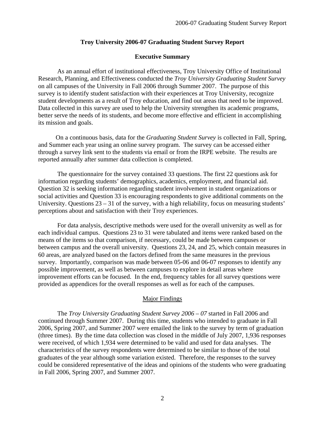## **Troy University 2006-07 Graduating Student Survey Report**

### **Executive Summary**

 As an annual effort of institutional effectiveness, Troy University Office of Institutional Research, Planning, and Effectiveness conducted the *Troy University Graduating Student Survey* on all campuses of the University in Fall 2006 through Summer 2007. The purpose of this survey is to identify student satisfaction with their experiences at Troy University, recognize student developments as a result of Troy education, and find out areas that need to be improved. Data collected in this survey are used to help the University strengthen its academic programs, better serve the needs of its students, and become more effective and efficient in accomplishing its mission and goals.

 On a continuous basis, data for the *Graduating Student Survey* is collected in Fall, Spring, and Summer each year using an online survey program. The survey can be accessed either through a survey link sent to the students via email or from the IRPE website. The results are reported annually after summer data collection is completed.

 The questionnaire for the survey contained 33 questions. The first 22 questions ask for information regarding students' demographics, academics, employment, and financial aid. Question 32 is seeking information regarding student involvement in student organizations or social activities and Question 33 is encouraging respondents to give additional comments on the University. Questions 23 – 31 of the survey, with a high reliability, focus on measuring students' perceptions about and satisfaction with their Troy experiences.

 For data analysis, descriptive methods were used for the overall university as well as for each individual campus. Questions 23 to 31 were tabulated and items were ranked based on the means of the items so that comparison, if necessary, could be made between campuses or between campus and the overall university. Questions 23, 24, and 25, which contain measures in 60 areas, are analyzed based on the factors defined from the same measures in the previous survey. Importantly, comparison was made between 05-06 and 06-07 responses to identify any possible improvement, as well as between campuses to explore in detail areas where improvement efforts can be focused. In the end, frequency tables for all survey questions were provided as appendices for the overall responses as well as for each of the campuses.

### Major Findings

 The *Troy University Graduating Student Survey 2006 – 07* started in Fall 2006 and continued through Summer 2007. During this time, students who intended to graduate in Fall 2006, Spring 2007, and Summer 2007 were emailed the link to the survey by term of graduation (three times). By the time data collection was closed in the middle of July 2007, 1,936 responses were received, of which 1,934 were determined to be valid and used for data analyses. The characteristics of the survey respondents were determined to be similar to those of the total graduates of the year although some variation existed. Therefore, the responses to the survey could be considered representative of the ideas and opinions of the students who were graduating in Fall 2006, Spring 2007, and Summer 2007.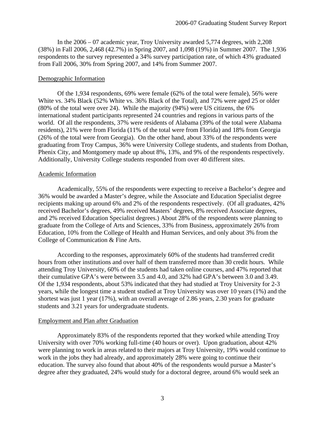In the 2006 – 07 academic year, Troy University awarded 5,774 degrees, with 2,208 (38%) in Fall 2006, 2,468 (42.7%) in Spring 2007, and 1,098 (19%) in Summer 2007. The 1,936 respondents to the survey represented a 34% survey participation rate, of which 43% graduated from Fall 2006, 30% from Spring 2007, and 14% from Summer 2007.

#### Demographic Information

 Of the 1,934 respondents, 69% were female (62% of the total were female), 56% were White vs. 34% Black (52% White vs. 36% Black of the Total), and 72% were aged 25 or older (80% of the total were over 24). While the majority (94%) were US citizens, the 6% international student participants represented 24 countries and regions in various parts of the world. Of all the respondents, 37% were residents of Alabama (39% of the total were Alabama residents), 21% were from Florida (11% of the total were from Florida) and 18% from Georgia (26% of the total were from Georgia). On the other hand, about 33% of the respondents were graduating from Troy Campus, 36% were University College students, and students from Dothan, Phenix City, and Montgomery made up about 8%, 13%, and 9% of the respondents respectively. Additionally, University College students responded from over 40 different sites.

#### Academic Information

 Academically, 55% of the respondents were expecting to receive a Bachelor's degree and 36% would be awarded a Master's degree, while the Associate and Education Specialist degree recipients making up around 6% and 2% of the respondents respectively. (Of all graduates, 42% received Bachelor's degrees, 49% received Masters' degrees, 8% received Associate degrees, and 2% received Education Specialist degrees.) About 28% of the respondents were planning to graduate from the College of Arts and Sciences, 33% from Business, approximately 26% from Education, 10% from the College of Health and Human Services, and only about 3% from the College of Communication & Fine Arts.

 According to the responses, approximately 60% of the students had transferred credit hours from other institutions and over half of them transferred more than 30 credit hours. While attending Troy University, 60% of the students had taken online courses, and 47% reported that their cumulative GPA's were between 3.5 and 4.0, and 32% had GPA's between 3.0 and 3.49. Of the 1,934 respondents, about 53% indicated that they had studied at Troy University for 2-3 years, while the longest time a student studied at Troy University was over 10 years (1%) and the shortest was just 1 year (17%), with an overall average of 2.86 years, 2.30 years for graduate students and 3.21 years for undergraduate students.

### Employment and Plan after Graduation

 Approximately 83% of the respondents reported that they worked while attending Troy University with over 70% working full-time (40 hours or over). Upon graduation, about 42% were planning to work in areas related to their majors at Troy University, 19% would continue to work in the jobs they had already, and approximately 28% were going to continue their education. The survey also found that about 40% of the respondents would pursue a Master's degree after they graduated, 24% would study for a doctoral degree, around 6% would seek an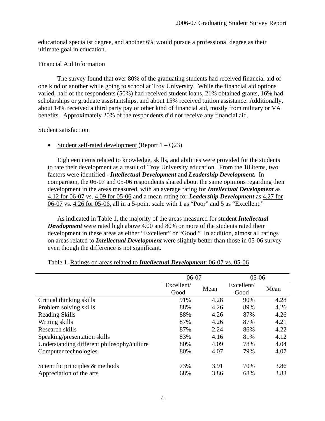educational specialist degree, and another 6% would pursue a professional degree as their ultimate goal in education.

## Financial Aid Information

 The survey found that over 80% of the graduating students had received financial aid of one kind or another while going to school at Troy University. While the financial aid options varied, half of the respondents (50%) had received student loans, 21% obtained grants, 16% had scholarships or graduate assistantships, and about 15% received tuition assistance. Additionally, about 14% received a third party pay or other kind of financial aid, mostly from military or VA benefits. Approximately 20% of the respondents did not receive any financial aid.

## Student satisfaction

• Student self-rated development (Report  $1 - Q23$ )

 Eighteen items related to knowledge, skills, and abilities were provided for the students to rate their development as a result of Troy University education. From the 18 items, two factors were identified - *Intellectual Development* and *Leadership Development.* In comparison, the 06-07 and 05-06 respondents shared about the same opinions regarding their development in the areas measured, with an average rating for *Intellectual Development* as 4.12 for 06-07 vs. 4.09 for 05-06 and a mean rating for *Leadership Development* as 4.27 for 06-07 vs. 4.26 for 05-06, all in a 5-point scale with 1 as "Poor" and 5 as "Excellent."

 As indicated in Table 1, the majority of the areas measured for student *Intellectual Development* were rated high above 4.00 and 80% or more of the students rated their development in these areas as either "Excellent" or "Good." In addition, almost all ratings on areas related to *Intellectual Development* were slightly better than those in 05-06 survey even though the difference is not significant.

|                                            | $06-07$            |      | $05-06$            |      |  |
|--------------------------------------------|--------------------|------|--------------------|------|--|
|                                            | Excellent/<br>Good | Mean | Excellent/<br>Good | Mean |  |
| Critical thinking skills                   | 91%                | 4.28 | 90%                | 4.28 |  |
| Problem solving skills                     | 88%                | 4.26 | 89%                | 4.26 |  |
| <b>Reading Skills</b>                      | 88%                | 4.26 | 87%                | 4.26 |  |
| Writing skills                             | 87%                | 4.26 | 87%                | 4.21 |  |
| Research skills                            | 87%                | 2.24 | 86%                | 4.22 |  |
| Speaking/presentation skills               | 83%                | 4.16 | 81%                | 4.12 |  |
| Understanding different philosophy/culture | 80%                | 4.09 | 78%                | 4.04 |  |
| Computer technologies                      | 80%                | 4.07 | 79%                | 4.07 |  |
| Scientific principles $\&$ methods         | 73%                | 3.91 | 70%                | 3.86 |  |
| Appreciation of the arts                   | 68%                | 3.86 | 68%                | 3.83 |  |

Table 1. Ratings on areas related to *Intellectual Development*: 06-07 vs. 05-06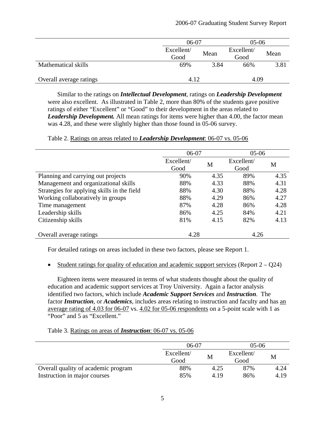|                         | 06-07              |      | $05-06$            |      |  |  |
|-------------------------|--------------------|------|--------------------|------|--|--|
|                         | Excellent/<br>Good | Mean | Excellent/<br>Good | Mean |  |  |
| Mathematical skills     | 69%                | 3.84 | 66%                | 3.81 |  |  |
| Overall average ratings |                    | 4.12 |                    | 4.09 |  |  |

 Similar to the ratings on *Intellectual Development*, ratings on *Leadership Development* were also excellent. As illustrated in Table 2, more than 80% of the students gave positive ratings of either "Excellent" or "Good" to their development in the areas related to *Leadership Development.* All mean ratings for items were higher than 4.00, the factor mean was 4.28, and these were slightly higher than those found in 05-06 survey.

Table 2. Ratings on areas related to *Leadership Development*: 06-07 vs. 05-06

|                                             | $06-07$    |      | $05-06$    |      |  |
|---------------------------------------------|------------|------|------------|------|--|
|                                             | Excellent/ |      | Excellent/ |      |  |
|                                             | Good       | М    | Good       | M    |  |
| Planning and carrying out projects          | 90%        | 4.35 | 89%        | 4.35 |  |
| Management and organizational skills        | 88%        | 4.33 | 88%        | 4.31 |  |
| Strategies for applying skills in the field | 88%        | 4.30 | 88%        | 4.28 |  |
| Working collaboratively in groups           | 88%        | 4.29 | 86%        | 4.27 |  |
| Time management                             | 87%        | 4.28 | 86%        | 4.28 |  |
| Leadership skills                           | 86%        | 4.25 | 84%        | 4.21 |  |
| Citizenship skills                          | 81%        | 4.15 | 82%        | 4.13 |  |
| Overall average ratings                     | 4.28       |      | 4.26       |      |  |

For detailed ratings on areas included in these two factors, please see Report 1.

• Student ratings for quality of education and academic support services (Report  $2 - Q24$ )

 Eighteen items were measured in terms of what students thought about the quality of education and academic support services at Troy University. Again a factor analysis identified two factors, which include *Academic Support Services* and *Instruction*. The factor *Instruction*, or *Academics*, includes areas relating to instruction and faculty and has an average rating of 4.03 for 06-07 vs. 4.02 for 05-06 respondents on a 5-point scale with 1 as "Poor" and 5 as "Excellent."

|  |  | Table 3. Ratings on areas of <i>Instruction</i> : 06-07 vs. 05-06 |  |  |
|--|--|-------------------------------------------------------------------|--|--|
|  |  |                                                                   |  |  |

|                                     | $06-07$    |      | $05-06$ |      |  |
|-------------------------------------|------------|------|---------|------|--|
|                                     | Excellent/ | M    |         | M    |  |
|                                     | Good       |      | Good    |      |  |
| Overall quality of academic program | 88%        | 4.25 | 87%     | 4.24 |  |
| Instruction in major courses        | 85%        | 4.19 | 86%     | 4.19 |  |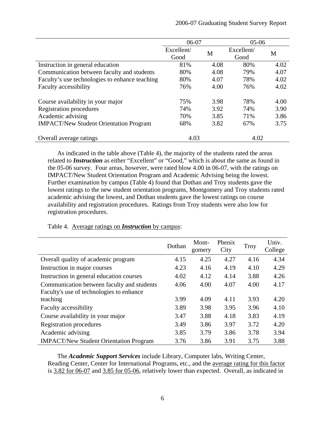|                                                | 06-07      |      | $05-06$    |      |  |
|------------------------------------------------|------------|------|------------|------|--|
|                                                | Excellent/ | M    | Excellent/ | M    |  |
|                                                | Good       |      | Good       |      |  |
| Instruction in general education               | 81%        | 4.08 | 80%        | 4.02 |  |
| Communication between faculty and students     | 80%        | 4.08 | 79%        | 4.07 |  |
| Faculty's use technologies to enhance teaching | 80%        | 4.07 | 78%        | 4.02 |  |
| <b>Faculty accessibility</b>                   | 76%        | 4.00 | 76%        | 4.02 |  |
| Course availability in your major              | 75%        | 3.98 | 78%        | 4.00 |  |
| <b>Registration procedures</b>                 | 74%        | 3.92 | 74%        | 3.90 |  |
| Academic advising                              | 70%        | 3.85 | 71%        | 3.86 |  |
| <b>IMPACT/New Student Orientation Program</b>  | 68%        | 3.82 | 67%        | 3.75 |  |
| Overall average ratings                        | 4.03       |      | 4.02       |      |  |

 As indicated in the table above (Table 4), the majority of the students rated the areas related to *Instruction* as either "Excellent" or "Good," which is about the same as found in the 05-06 survey. Four areas, however, were rated blow 4.00 in 06-07, with the ratings on IMPACT/New Student Orientation Program and Academic Advising being the lowest. Further examination by campus (Table 4) found that Dothan and Troy students gave the lowest ratings to the new student orientation programs, Montgomery and Troy students rated academic advising the lowest, and Dothan students gave the lowest ratings on course availability and registration procedures. Ratings from Troy students were also low for registration procedures.

|                                               | Dothan | Mont-<br>gomery | Phenix<br>City | <b>Troy</b> | Univ.<br>College |
|-----------------------------------------------|--------|-----------------|----------------|-------------|------------------|
| Overall quality of academic program           | 4.15   | 4.25            | 4.27           | 4.16        | 4.34             |
| Instruction in major courses                  | 4.23   | 4.16            | 4.19           | 4.10        | 4.29             |
| Instruction in general education courses      | 4.02   | 4.12            | 4.14           | 3.88        | 4.26             |
| Communication between faculty and students    | 4.06   | 4.00            | 4.07           | 4.00        | 4.17             |
| Faculty's use of technologies to enhance      |        |                 |                |             |                  |
| teaching                                      | 3.99   | 4.09            | 4.11           | 3.93        | 4.20             |
| <b>Faculty accessibility</b>                  | 3.89   | 3.98            | 3.95           | 3.96        | 4.10             |
| Course availability in your major             | 3.47   | 3.88            | 4.18           | 3.83        | 4.19             |
| <b>Registration procedures</b>                | 3.49   | 3.86            | 3.97           | 3.72        | 4.20             |
| Academic advising                             | 3.85   | 3.79            | 3.86           | 3.78        | 3.94             |
| <b>IMPACT/New Student Orientation Program</b> | 3.76   | 3.86            | 3.91           | 3.75        | 3.88             |

## Table 4. Average ratings on *Instruction* by campus:

 The *Academic Support Services* include Library, Computer labs, Writing Center, Reading Center, Center for International Programs, etc., and the average rating for this factor is 3.82 for 06-07 and 3.85 for 05-06, relatively lower than expected. Overall, as indicated in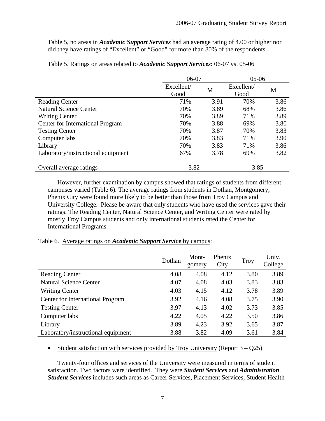Table 5, no areas in *Academic Support Services* had an average rating of 4.00 or higher nor did they have ratings of "Excellent" or "Good" for more than 80% of the respondents.

|                                    | 06-07      |      | $05-06$    |      |  |
|------------------------------------|------------|------|------------|------|--|
|                                    | Excellent/ | M    | Excellent/ | M    |  |
|                                    | Good       |      | Good       |      |  |
| <b>Reading Center</b>              | 71%        | 3.91 | 70%        | 3.86 |  |
| <b>Natural Science Center</b>      | 70%        | 3.89 | 68%        | 3.86 |  |
| <b>Writing Center</b>              | 70%        | 3.89 | 71%        | 3.89 |  |
| Center for International Program   | 70%        | 3.88 | 69%        | 3.80 |  |
| <b>Testing Center</b>              | 70%        | 3.87 | 70%        | 3.83 |  |
| Computer labs                      | 70%        | 3.83 | 71%        | 3.90 |  |
| Library                            | 70%        | 3.83 | 71%        | 3.86 |  |
| Laboratory/instructional equipment | 67%        | 3.78 | 69%        | 3.82 |  |
| Overall average ratings            | 3.82       |      | 3.85       |      |  |

Table 5. Ratings on areas related to *Academic Support Services*: 06-07 vs. 05-06

 However, further examination by campus showed that ratings of students from different campuses varied (Table 6). The average ratings from students in Dothan, Montgomery, Phenix City were found more likely to be better than those from Troy Campus and University College. Please be aware that only students who have used the services gave their ratings. The Reading Center, Natural Science Center, and Writing Center were rated by mostly Troy Campus students and only international students rated the Center for International Programs.

| Table 6. Average ratings on <i>Academic Support Service</i> by campus: |
|------------------------------------------------------------------------|
|                                                                        |

|                                    | Dothan | Mont-<br>gomery | Phenix<br>City | <b>Troy</b> | Univ.<br>College |
|------------------------------------|--------|-----------------|----------------|-------------|------------------|
| <b>Reading Center</b>              | 4.08   | 4.08            | 4.12           | 3.80        | 3.89             |
| <b>Natural Science Center</b>      | 4.07   | 4.08            | 4.03           | 3.83        | 3.83             |
| <b>Writing Center</b>              | 4.03   | 4.15            | 4.12           | 3.78        | 3.89             |
| Center for International Program   | 3.92   | 4.16            | 4.08           | 3.75        | 3.90             |
| <b>Testing Center</b>              | 3.97   | 4.13            | 4.02           | 3.73        | 3.85             |
| Computer labs                      | 4.22   | 4.05            | 4.22           | 3.50        | 3.86             |
| Library                            | 3.89   | 4.23            | 3.92           | 3.65        | 3.87             |
| Laboratory/instructional equipment | 3.88   | 3.82            | 4.09           | 3.61        | 3.84             |

• Student satisfaction with services provided by Troy University (Report  $3 - Q25$ )

 Twenty-four offices and services of the University were measured in terms of student satisfaction. Two factors were identified. They were *Student Services* and *Administration*. *Student Services* includes such areas as Career Services, Placement Services, Student Health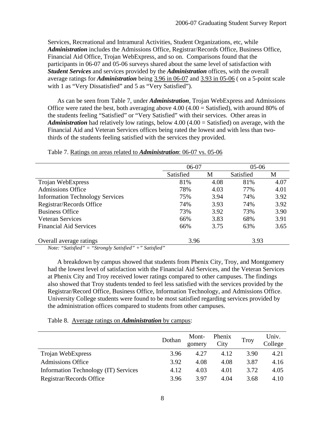Services, Recreational and Intramural Activities, Student Organizations, etc, while *Administration* includes the Admissions Office, Registrar/Records Office, Business Office, Financial Aid Office, Trojan WebExpress, and so on. Comparisons found that the participants in 06-07 and 05-06 surveys shared about the same level of satisfaction with *Student Services* and services provided by the *Administration* offices, with the overall average ratings for *Administration* being 3.96 in 06-07 and 3.93 in 05-06 ( on a 5-point scale with 1 as "Very Dissatisfied" and 5 as "Very Satisfied").

 As can be seen from Table 7, under *Administration*, Trojan WebExpress and Admissions Office were rated the best, both averaging above  $4.00$  ( $4.00 =$  Satisfied), with around 80% of the students feeling "Satisfied" or "Very Satisfied" with their services. Other areas in *Administration* had relatively low ratings, below 4.00 (4.00 = Satisfied) on average, with the Financial Aid and Veteran Services offices being rated the lowest and with less than twothirds of the students feeling satisfied with the services they provided.

|                                        | 06-07     | $05-06$ |           |      |
|----------------------------------------|-----------|---------|-----------|------|
|                                        | Satisfied | М       | Satisfied | M    |
| Trojan WebExpress                      | 81%       | 4.08    | 81%       | 4.07 |
| <b>Admissions Office</b>               | 78%       | 4.03    | 77%       | 4.01 |
| <b>Information Technology Services</b> | 75%       | 3.94    | 74%       | 3.92 |
| Registrar/Records Office               | 74%       | 3.93    | 74%       | 3.92 |
| <b>Business Office</b>                 | 73%       | 3.92    | 73%       | 3.90 |
| <b>Veteran Services</b>                | 66%       | 3.83    | 68%       | 3.91 |
| <b>Financial Aid Services</b>          | 66%       | 3.75    | 63%       | 3.65 |
| Overall average ratings                | 3.96      |         | 3.93      |      |

## Table 7. Ratings on areas related to *Administration*: 06-07 vs. 05-06

*Note: "Satisfied" = "Strongly Satisfied" +" Satisfied"* 

 A breakdown by campus showed that students from Phenix City, Troy, and Montgomery had the lowest level of satisfaction with the Financial Aid Services, and the Veteran Services at Phenix City and Troy received lower ratings compared to other campuses. The findings also showed that Troy students tended to feel less satisfied with the services provided by the Registrar/Record Office, Business Office, Information Technology, and Admissions Office. University College students were found to be most satisfied regarding services provided by the administration offices compared to students from other campuses.

### Table 8. Average ratings on *Administration* by campus:

|                                      | Dothan | Mont-<br>gomery | Phenix<br>City | Troy | Univ.<br>College |
|--------------------------------------|--------|-----------------|----------------|------|------------------|
| Trojan WebExpress                    | 3.96   | 4.27            | 4.12           | 3.90 | 4.21             |
| <b>Admissions Office</b>             | 3.92   | 4.08            | 4.08           | 3.87 | 4.16             |
| Information Technology (IT) Services | 4.12   | 4.03            | 4.01           | 3.72 | 4.05             |
| Registrar/Records Office             | 3.96   | 397             | 4.04           | 3.68 | 4.10             |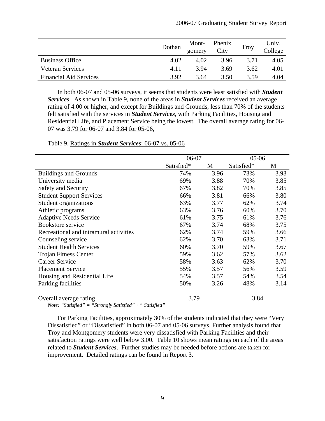|                               | Dothan | Mont-<br>gomery | Phenix<br>City | <b>Troy</b> | Univ.<br>College |
|-------------------------------|--------|-----------------|----------------|-------------|------------------|
| <b>Business Office</b>        | 4.02   | 4.02            | 3.96           | 3.71        | 4.05             |
| <b>Veteran Services</b>       | 4.11   | 3.94            | 3.69           | 3.62        | 4.01             |
| <b>Financial Aid Services</b> | 3.92   | 3.64            | 3.50           | 3.59        | 4.04             |

 In both 06-07 and 05-06 surveys, it seems that students were least satisfied with *Student Services*. As shown in Table 9, none of the areas in *Student Services* received an average rating of 4.00 or higher, and except for Buildings and Grounds, less than 70% of the students felt satisfied with the services in *Student Services*, with Parking Facilities, Housing and Residential Life, and Placement Service being the lowest. The overall average rating for 06- 07 was  $3.79$  for 06-07 and 3.84 for 05-06,

|                                        | 06-07      |      | $05-06$    |      |
|----------------------------------------|------------|------|------------|------|
|                                        | Satisfied* | М    | Satisfied* | M    |
| <b>Buildings and Grounds</b>           | 74%        | 3.96 | 73%        | 3.93 |
| University media                       | 69%        | 3.88 | 70%        | 3.85 |
| Safety and Security                    | 67%        | 3.82 | 70%        | 3.85 |
| <b>Student Support Services</b>        | 66%        | 3.81 | 66%        | 3.80 |
| Student organizations                  | 63%        | 3.77 | 62%        | 3.74 |
| Athletic programs                      | 63%        | 3.76 | 60%        | 3.70 |
| <b>Adaptive Needs Service</b>          | 61%        | 3.75 | 61%        | 3.76 |
| Bookstore service                      | 67%        | 3.74 | 68%        | 3.75 |
| Recreational and intramural activities | 62%        | 3.74 | 59%        | 3.66 |
| Counseling service                     | 62%        | 3.70 | 63%        | 3.71 |
| <b>Student Health Services</b>         | 60%        | 3.70 | 59%        | 3.67 |
| <b>Trojan Fitness Center</b>           | 59%        | 3.62 | 57%        | 3.62 |
| <b>Career Service</b>                  | 58%        | 3.63 | 62%        | 3.70 |
| <b>Placement Service</b>               | 55%        | 3.57 | 56%        | 3.59 |
| Housing and Residential Life           | 54%        | 3.57 | 54%        | 3.54 |
| Parking facilities                     | 50%        | 3.26 | 48%        | 3.14 |
| Overall average rating                 | 3.79       |      | 3.84       |      |

#### Table 9. Ratings in *Student Services*: 06-07 vs. 05-06

*Note: "Satisfied" = "Strongly Satisfied" +" Satisfied"* 

 For Parking Facilities, approximately 30% of the students indicated that they were "Very Dissatisfied" or "Dissatisfied" in both 06-07 and 05-06 surveys. Further analysis found that Troy and Montgomery students were very dissatisfied with Parking Facilities and their satisfaction ratings were well below 3.00. Table 10 shows mean ratings on each of the areas related to *Student Services*. Further studies may be needed before actions are taken for improvement. Detailed ratings can be found in Report 3.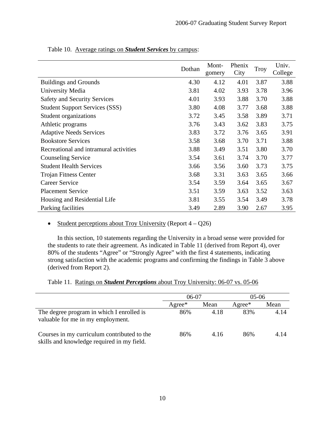|                                        | Dothan | Mont-<br>gomery | Phenix<br>City | Troy | Univ.<br>College |
|----------------------------------------|--------|-----------------|----------------|------|------------------|
| <b>Buildings and Grounds</b>           | 4.30   | 4.12            | 4.01           | 3.87 | 3.88             |
| <b>University Media</b>                | 3.81   | 4.02            | 3.93           | 3.78 | 3.96             |
| <b>Safety and Security Services</b>    | 4.01   | 3.93            | 3.88           | 3.70 | 3.88             |
| <b>Student Support Services (SSS)</b>  | 3.80   | 4.08            | 3.77           | 3.68 | 3.88             |
| Student organizations                  | 3.72   | 3.45            | 3.58           | 3.89 | 3.71             |
| Athletic programs                      | 3.76   | 3.43            | 3.62           | 3.83 | 3.75             |
| <b>Adaptive Needs Services</b>         | 3.83   | 3.72            | 3.76           | 3.65 | 3.91             |
| <b>Bookstore Services</b>              | 3.58   | 3.68            | 3.70           | 3.71 | 3.88             |
| Recreational and intramural activities | 3.88   | 3.49            | 3.51           | 3.80 | 3.70             |
| <b>Counseling Service</b>              | 3.54   | 3.61            | 3.74           | 3.70 | 3.77             |
| <b>Student Health Services</b>         | 3.66   | 3.56            | 3.60           | 3.73 | 3.75             |
| <b>Trojan Fitness Center</b>           | 3.68   | 3.31            | 3.63           | 3.65 | 3.66             |
| <b>Career Service</b>                  | 3.54   | 3.59            | 3.64           | 3.65 | 3.67             |
| <b>Placement Service</b>               | 3.51   | 3.59            | 3.63           | 3.52 | 3.63             |
| Housing and Residential Life           | 3.81   | 3.55            | 3.54           | 3.49 | 3.78             |
| Parking facilities                     | 3.49   | 2.89            | 3.90           | 2.67 | 3.95             |

Table 10. Average ratings on *Student Services* by campus:

• Student perceptions about Troy University (Report  $4 - Q26$ )

 In this section, 10 statements regarding the University in a broad sense were provided for the students to rate their agreement. As indicated in Table 11 (derived from Report 4), over 80% of the students "Agree" or "Strongly Agree" with the first 4 statements, indicating strong satisfaction with the academic programs and confirming the findings in Table 3 above (derived from Report 2).

|  |  |  |  |  |  | Table 11. Ratings on <i>Student Perceptions</i> about Troy University: 06-07 vs. 05-06 |
|--|--|--|--|--|--|----------------------------------------------------------------------------------------|
|--|--|--|--|--|--|----------------------------------------------------------------------------------------|

|                                                                                           | $06-07$      |      | 05-06     |      |  |  |
|-------------------------------------------------------------------------------------------|--------------|------|-----------|------|--|--|
|                                                                                           | $A$ gree $*$ | Mean | Agree $*$ | Mean |  |  |
| The degree program in which I enrolled is<br>valuable for me in my employment.            | 86%          | 4.18 | 83%       | 4.14 |  |  |
| Courses in my curriculum contributed to the<br>skills and knowledge required in my field. | 86%          | 4.16 | 86%       | 4.14 |  |  |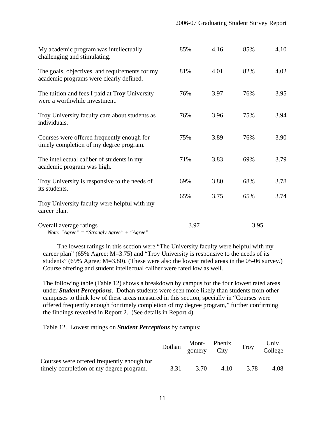| My academic program was intellectually<br>challenging and stimulating.                    | 85%  | 4.16 | 85%  | 4.10 |
|-------------------------------------------------------------------------------------------|------|------|------|------|
| The goals, objectives, and requirements for my<br>academic programs were clearly defined. | 81%  | 4.01 | 82%  | 4.02 |
| The tuition and fees I paid at Troy University<br>were a worthwhile investment.           | 76%  | 3.97 | 76%  | 3.95 |
| Troy University faculty care about students as<br>individuals.                            | 76%  | 3.96 | 75%  | 3.94 |
| Courses were offered frequently enough for<br>timely completion of my degree program.     | 75%  | 3.89 | 76%  | 3.90 |
| The intellectual caliber of students in my<br>academic program was high.                  | 71%  | 3.83 | 69%  | 3.79 |
| Troy University is responsive to the needs of<br>its students.                            | 69%  | 3.80 | 68%  | 3.78 |
| Troy University faculty were helpful with my<br>career plan.                              | 65%  | 3.75 | 65%  | 3.74 |
| Overall average ratings<br>Note: "Agree" = "Strongly Agree" + "Agree"                     | 3.97 |      | 3.95 |      |
|                                                                                           |      |      |      |      |

The lowest ratings in this section were "The University faculty were helpful with my career plan" (65% Agree; M=3.75) and "Troy University is responsive to the needs of its students" (69% Agree; M=3.80). (These were also the lowest rated areas in the 05-06 survey.) Course offering and student intellectual caliber were rated low as well.

The following table (Table 12) shows a breakdown by campus for the four lowest rated areas under *Student Perceptions*. Dothan students were seen more likely than students from other campuses to think low of these areas measured in this section, specially in "Courses were offered frequently enough for timely completion of my degree program," further confirming the findings revealed in Report 2. (See details in Report 4)

## Table 12. Lowest ratings on *Student Perceptions* by campus:

|                                                                                       | Dothan | Mont-<br>gomery | Phenix<br>City | Troy | Univ.<br>College |  |
|---------------------------------------------------------------------------------------|--------|-----------------|----------------|------|------------------|--|
| Courses were offered frequently enough for<br>timely completion of my degree program. | 3.31   | 3.70            | 4.10           | 3.78 | 4.08             |  |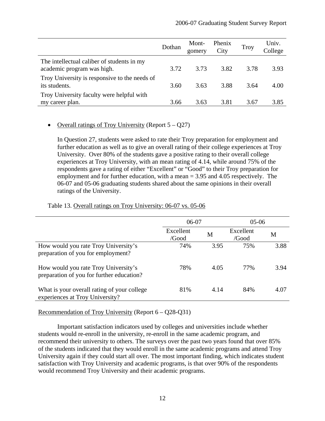|                                                                          | Dothan | Mont-<br>gomery | Phenix<br>City | <b>Troy</b> | Univ.<br>College |
|--------------------------------------------------------------------------|--------|-----------------|----------------|-------------|------------------|
| The intellectual caliber of students in my<br>academic program was high. | 3.72   | 3.73            | 3.82           | 3.78        | 3.93             |
| Troy University is responsive to the needs of<br>its students.           | 3.60   | 3.63            | 3.88           | 3.64        | 4.00             |
| Troy University faculty were helpful with<br>my career plan.             | 3.66   | 3.63            | 3.81           | 3.67        | 3.85             |

## • Overall ratings of Troy University (Report  $5 - Q27$ )

In Question 27, students were asked to rate their Troy preparation for employment and further education as well as to give an overall rating of their college experiences at Troy University. Over 80% of the students gave a positive rating to their overall college experiences at Troy University, with an mean rating of 4.14, while around 75% of the respondents gave a rating of either "Excellent" or "Good" to their Troy preparation for employment and for further education, with a mean  $=$  3.95 and 4.05 respectively. The 06-07 and 05-06 graduating students shared about the same opinions in their overall ratings of the University.

|                                                                                   | 06-07              |      | $05-06$            |      |  |
|-----------------------------------------------------------------------------------|--------------------|------|--------------------|------|--|
|                                                                                   | Excellent<br>/Good | M    | Excellent<br>/Good | M    |  |
| How would you rate Troy University's<br>preparation of you for employment?        | 74%                | 3.95 | 75%                | 3.88 |  |
| How would you rate Troy University's<br>preparation of you for further education? | 78%                | 4.05 | 77%                | 3.94 |  |
| What is your overall rating of your college<br>experiences at Troy University?    | 81%                | 4.14 | 84%                | 4.07 |  |

## Table 13. Overall ratings on Troy University: 06-07 vs. 05-06

Recommendation of Troy University (Report 6 – Q28-Q31)

 Important satisfaction indicators used by colleges and universities include whether students would re-enroll in the university, re-enroll in the same academic program, and recommend their university to others. The surveys over the past two years found that over 85% of the students indicated that they would enroll in the same academic programs and attend Troy University again if they could start all over. The most important finding, which indicates student satisfaction with Troy University and academic programs, is that over 90% of the respondents would recommend Troy University and their academic programs.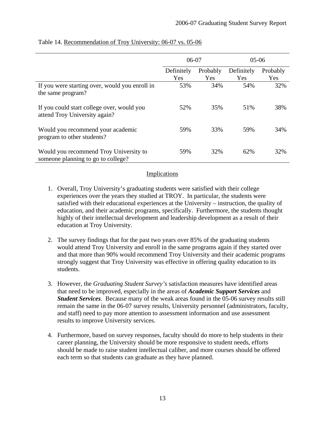|                                                                              | $06-07$                  |                        | $05-06$           |                 |  |  |
|------------------------------------------------------------------------------|--------------------------|------------------------|-------------------|-----------------|--|--|
|                                                                              | Definitely<br><b>Yes</b> | Probably<br><b>Yes</b> | Definitely<br>Yes | Probably<br>Yes |  |  |
| If you were starting over, would you enroll in<br>the same program?          | 53%                      | 34%                    | 54%               | 32%             |  |  |
| If you could start college over, would you<br>attend Troy University again?  | 52%                      | 35%                    | 51%               | 38%             |  |  |
| Would you recommend your academic<br>program to other students?              | 59%                      | 33%                    | 59%               | 34%             |  |  |
| Would you recommend Troy University to<br>someone planning to go to college? | 59%                      | 32%                    | 62%               | 32%             |  |  |

## Table 14. Recommendation of Troy University: 06-07 vs. 05-06

## Implications

- 1. Overall, Troy University's graduating students were satisfied with their college experiences over the years they studied at TROY. In particular, the students were satisfied with their educational experiences at the University – instruction, the quality of education, and their academic programs, specifically. Furthermore, the students thought highly of their intellectual development and leadership development as a result of their education at Troy University.
- 2. The survey findings that for the past two years over 85% of the graduating students would attend Troy University and enroll in the same programs again if they started over and that more than 90% would recommend Troy University and their academic programs strongly suggest that Troy University was effective in offering quality education to its students.
- 3. However, the *Graduating Student Survey's* satisfaction measures have identified areas that need to be improved, especially in the areas of *Academic Support Services* and *Student Services*. Because many of the weak areas found in the 05-06 survey results still remain the same in the 06-07 survey results, University personnel (administrators, faculty, and staff) need to pay more attention to assessment information and use assessment results to improve University services.
- 4. Furthermore, based on survey responses, faculty should do more to help students in their career planning, the University should be more responsive to student needs, efforts should be made to raise student intellectual caliber, and more courses should be offered each term so that students can graduate as they have planned.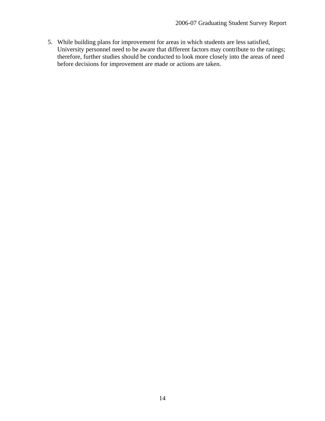5. While building plans for improvement for areas in which students are less satisfied, University personnel need to be aware that different factors may contribute to the ratings; therefore, further studies should be conducted to look more closely into the areas of need before decisions for improvement are made or actions are taken.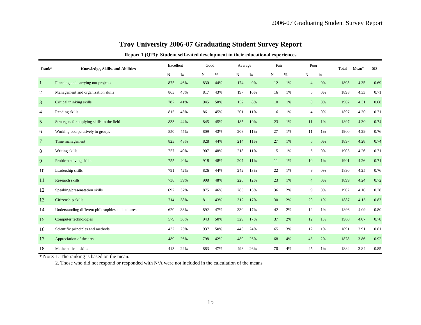# **Troy University 2006-07 Graduating Student Survey Report**

### **Report 1 (Q23): Student self-rated development in their educational experiences**

| Rank*           | <b>Knowledge, Skills, and Abilities</b>           | Excellent   |      | Good      |     | Average |      | Fair          |      | Poor           |      | Total | Mean* | <b>SD</b> |
|-----------------|---------------------------------------------------|-------------|------|-----------|-----|---------|------|---------------|------|----------------|------|-------|-------|-----------|
|                 |                                                   | $\mathbf N$ | $\%$ | ${\bf N}$ | %   | N       | $\%$ | $\mathbf N$   | $\%$ | N              | $\%$ |       |       |           |
| $\mathbf{1}$    | Planning and carrying out projects                | 875         | 46%  | 830       | 44% | 174     | 9%   | 12            | 1%   | $\overline{4}$ | 0%   | 1895  | 4.35  | 0.69      |
| 2               | Management and organization skills                | 863         | 45%  | 817       | 43% | 197     | 10%  | 16            | 1%   | 5              | 0%   | 1898  | 4.33  | 0.71      |
| 3               | Critical thinking skills                          | 787         | 41%  | 945       | 50% | 152     | 8%   | 10            | 1%   | 8              | 0%   | 1902  | 4.31  | 0.68      |
| 4               | Reading skills                                    | 815         | 43%  | 861       | 45% | 201     | 11%  | 16            | 1%   | $\overline{4}$ | 0%   | 1897  | 4.30  | 0.71      |
| 5               | Strategies for applying skills in the field       | 833         | 44%  | 845       | 45% | 185     | 10%  | 23            | 1%   | 11             | 1%   | 1897  | 4.30  | 0.74      |
| 6               | Working coorperatively in groups                  | 850         | 45%  | 809       | 43% | 203     | 11%  | 27            | 1%   | 11             | 1%   | 1900  | 4.29  | 0.76      |
| $7\phantom{.0}$ | Time management                                   | 823         | 43%  | 828       | 44% | 214     | 11%  | 27            | 1%   | 5              | 0%   | 1897  | 4.28  | 0.74      |
| 8               | Writing skills                                    | 757         | 40%  | 907       | 48% | 218     | 11%  | 15            | 1%   | 6              | 0%   | 1903  | 4.26  | 0.71      |
| 9               | Problem solving skills                            | 755         | 40%  | 918       | 48% | 207     | 11%  | <sup>11</sup> | 1%   | 10             | 1%   | 1901  | 4.26  | 0.71      |
| 10              | Leadership skills                                 | 791         | 42%  | 826       | 44% | 242     | 13%  | 22            | 1%   | 9              | 0%   | 1890  | 4.25  | 0.76      |
| 11              | Research skills                                   | 738         | 39%  | 908       | 48% | 226     | 12%  | 23            | 1%   | $\overline{4}$ | 0%   | 1899  | 4.24  | 0.72      |
| 12              | Speaking/presenatation skills                     | 697         | 37%  | 875       | 46% | 285     | 15%  | 36            | 2%   | 9              | 0%   | 1902  | 4.16  | 0.78      |
| 13              | Citizenship skills                                | 714         | 38%  | 811       | 43% | 312     | 17%  | 30            | 2%   | 20             | 1%   | 1887  | 4.15  | 0.83      |
| 14              | Understanding different philosophies and cultures | 620         | 33%  | 892       | 47% | 330     | 17%  | 42            | 2%   | 12             | 1%   | 1896  | 4.09  | 0.80      |
| 15              | Computer technologies                             | 579         | 30%  | 943       | 50% | 329     | 17%  | 37            | 2%   | 12             | 1%   | 1900  | 4.07  | 0.78      |
| 16              | Scientific principles and methods                 | 432         | 23%  | 937       | 50% | 445     | 24%  | 65            | 3%   | 12             | 1%   | 1891  | 3.91  | 0.81      |
| 17              | Appreciation of the arts                          | 489         | 26%  | 798       | 42% | 480     | 26%  | 68            | 4%   | 43             | 2%   | 1878  | 3.86  | 0.92      |
| 18              | Mathematical skills                               | 413         | 22%  | 883       | 47% | 493     | 26%  | 70            | 4%   | 25             | 1%   | 1884  | 3.84  | 0.85      |

\* Note: 1. The ranking is based on the mean.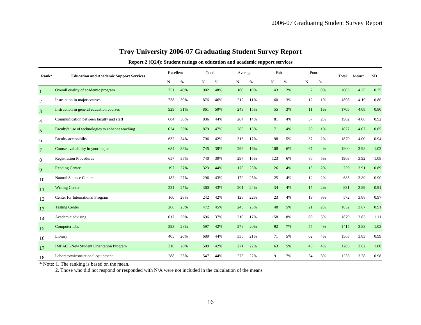# **Troy University 2006-07 Graduating Student Survey Report**

### **Report 2 (Q24): Student ratings on education and academic support services**

| Rank*            | <b>Education and Academic Support Services</b>    | Excellent |      | Good |      | Average |      | Fair |      | Poor           |    | Total | Mean* | <b>SD</b> |
|------------------|---------------------------------------------------|-----------|------|------|------|---------|------|------|------|----------------|----|-------|-------|-----------|
|                  |                                                   | N         | $\%$ | N    | $\%$ | N       | $\%$ | N    | $\%$ | ${\bf N}$      | %  |       |       |           |
| $\mathbf{1}$     | Overall quality of academic program               | 751       | 40%  | 902  | 48%  | 180     | 10%  | 43   | 2%   | $\overline{7}$ | 0% | 1883  | 4.25  | 0.75      |
| $\overline{2}$   | Instruction in major courses                      | 738       | 39%  | 876  | 46%  | 212     | 11%  | 60   | 3%   | 12             | 1% | 1898  | 4.19  | 0.80      |
| 3                | Instruction in general education courses          | 529       | 31%  | 861  | 50%  | 249     | 15%  | 55   | 3%   | 11             | 1% | 1705  | 4.08  | 0.80      |
| 4                | Communication between faculty and staff           | 684       | 36%  | 836  | 44%  | 264     | 14%  | 81   | 4%   | 37             | 2% | 1902  | 4.08  | 0.92      |
| 5                | Faculty's use of technologies to enhance teaching | 624       | 33%  | 879  | 47%  | 283     | 15%  | 71   | 4%   | 20             | 1% | 1877  | 4.07  | 0.85      |
| 6                | Faculty accessibilty                              | 632       | 34%  | 796  | 42%  | 316     | 17%  | 98   | 5%   | 37             | 2% | 1879  | 4.00  | 0.94      |
| $\boldsymbol{7}$ | Course availability in your major                 | 684       | 36%  | 745  | 39%  | 296     | 16%  | 108  | 6%   | 67             | 4% | 1900  | 3.98  | 1.03      |
| 8                | <b>Registration Procedures</b>                    | 657       | 35%  | 740  | 39%  | 297     | 16%  | 123  | 6%   | 86             | 5% | 1903  | 3.92  | 1.08      |
| 9                | <b>Reading Center</b>                             | 197       | 27%  | 323  | 44%  | 170     | 23%  | 26   | 4%   | 13             | 2% | 729   | 3.91  | 0.89      |
| 10               | Natural Science Center                            | 182       | 27%  | 296  | 43%  | 170     | 25%  | 25   | 4%   | 12             | 2% | 685   | 3.89  | 0.90      |
| <sup>11</sup>    | <b>Writing Center</b>                             | 221       | 27%  | 360  | 43%  | 201     | 24%  | 34   | 4%   | 15             | 2% | 831   | 3.89  | 0.91      |
| 12               | Center for International Program                  | 160       | 28%  | 242  | 42%  | 128     | 22%  | 23   | 4%   | 19             | 3% | 572   | 3.88  | 0.97      |
| 13               | <b>Testing Center</b>                             | 268       | 25%  | 472  | 45%  | 243     | 23%  | 48   | 5%   | 21             | 2% | 1052  | 3.87  | 0.91      |
| 14               | Academic advising                                 | 617       | 33%  | 696  | 37%  | 319     | 17%  | 158  | 8%   | 89             | 5% | 1879  | 3.85  | 1.11      |
| 15               | Computer labs                                     | 393       | 28%  | 597  | 42%  | 278     | 20%  | 92   | 7%   | 55             | 4% | 1415  | 3.83  | 1.03      |
| 16               | Library                                           | 405       | 26%  | 689  | 44%  | 336     | 21%  | 71   | 5%   | 62             | 4% | 1563  | 3.83  | 0.99      |
| 17               | <b>IMPACT/New Student Orientation Program</b>     | 316       | 26%  | 509  | 42%  | 271     | 22%  | 63   | 5%   | 46             | 4% | 1205  | 3.82  | 1.00      |
| 18               | Laboratory/instructional equipment                | 288       | 23%  | 547  | 44%  | 273     | 22%  | 91   | 7%   | 34             | 3% | 1233  | 3.78  | 0.98      |

\* Note: 1. The ranking is based on the mean.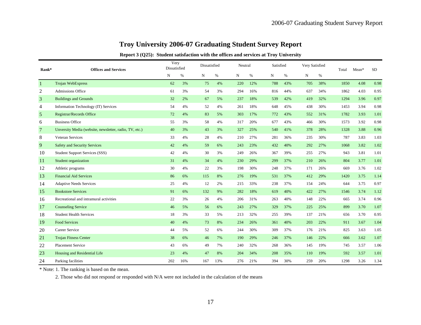| Troy University 2006-07 Graduating Student Survey Report |  |  |  |
|----------------------------------------------------------|--|--|--|
|                                                          |  |  |  |

#### **Report 3 (Q25): Student satisfaction with the offices and services at Troy University**

| Rank*          | <b>Offices and Services</b>                            | Very<br>Dissatisfied |      | Dissatisfied |      | Neutral |      | Satisfied |      | Very Satisfied |      | Total | Mean* | SD   |
|----------------|--------------------------------------------------------|----------------------|------|--------------|------|---------|------|-----------|------|----------------|------|-------|-------|------|
|                |                                                        | N                    | $\%$ | N            | $\%$ | N       | $\%$ | N         | $\%$ | N              | $\%$ |       |       |      |
| $\mathbf{1}$   | <b>Trojan WebExpress</b>                               | 62                   | 3%   | 75           | 4%   | 220     | 12%  | 788       | 43%  | 705            | 38%  | 1850  | 4.08  | 0.98 |
| $\overline{2}$ | <b>Admissions Office</b>                               | 61                   | 3%   | 54           | 3%   | 294     | 16%  | 816       | 44%  | 637            | 34%  | 1862  | 4.03  | 0.95 |
| 3              | <b>Buildings and Grounds</b>                           | 32                   | 2%   | 67           | 5%   | 237     | 18%  | 539       | 42%  | 419            | 32%  | 1294  | 3.96  | 0.97 |
| 4              | Information Technology (IT) Services                   | 54                   | 4%   | 52           | 4%   | 261     | 18%  | 648       | 45%  | 438            | 30%  | 1453  | 3.94  | 0.98 |
| 5              | Registrar/Records Office                               | 72                   | 4%   | 83           | 5%   | 303     | 17%  | 772       | 43%  | 552            | 31%  | 1782  | 3.93  | 1.01 |
| 6              | <b>Business Office</b>                                 | 55                   | 3%   | 58           | 4%   | 317     | 20%  | 677       | 43%  | 466            | 30%  | 1573  | 3.92  | 0.98 |
| 7              | Unversity Media (website, newsletter, radio, TV, etc.) | 40                   | 3%   | 43           | 3%   | 327     | 25%  | 540       | 41%  | 378            | 28%  | 1328  | 3.88  | 0.96 |
| 8              | Veteran Services                                       | 33                   | 4%   | 28           | 4%   | 210     | 27%  | 281       | 36%  | 235            | 30%  | 787   | 3.83  | 1.03 |
| 9              | <b>Safety and Security Services</b>                    | 42                   | 4%   | 59           | 6%   | 243     | 23%  | 432       | 40%  | 292            | 27%  | 1068  | 3.82  | 1.02 |
| 10             | <b>Student Support Services (SSS)</b>                  | 42                   | 4%   | 30           | 3%   | 249     | 26%  | 367       | 39%  | 255            | 27%  | 943   | 3.81  | 1.01 |
| 11             | Student organization                                   | 31                   | 4%   | 34           | 4%   | 230     | 29%  | 299       | 37%  | 210            | 26%  | 804   | 3.77  | 1.01 |
| 12             | Athletic programs                                      | 30                   | 4%   | 22           | 3%   | 198     | 30%  | 248       | 37%  | 171            | 26%  | 669   | 3.76  | 1.02 |
| 13             | <b>Financial Aid Services</b>                          | 86                   | 6%   | 115          | 8%   | 276     | 19%  | 531       | 37%  | 412            | 29%  | 1420  | 3.75  | 1.14 |
| 14             | <b>Adaptive Needs Services</b>                         | 25                   | 4%   | 12           | 2%   | 215     | 33%  | 238       | 37%  | 154            | 24%  | 644   | 3.75  | 0.97 |
| 15             | <b>Bookstore Services</b>                              | 91                   | 6%   | 132          | 9%   | 282     | 18%  | 619       | 40%  | 422            | 27%  | 1546  | 3.74  | 1.12 |
| 16             | Recreational and intramural activities                 | 22                   | 3%   | 26           | 4%   | 206     | 31%  | 263       | 40%  | 148            | 22%  | 665   | 3.74  | 0.96 |
| 17             | <b>Counseling Service</b>                              | 46                   | 5%   | 56           | 6%   | 243     | 27%  | 329       | 37%  | 225            | 25%  | 899   | 3.70  | 1.07 |
| 18             | <b>Student Health Services</b>                         | 18                   | 3%   | 33           | 5%   | 213     | 32%  | 255       | 39%  | 137            | 21%  | 656   | 3.70  | 0.95 |
| 19             | <b>Food Services</b>                                   | 40                   | 4%   | 73           | 8%   | 234     | 26%  | 361       | 40%  | 203            | 22%  | 911   | 3.67  | 1.04 |
| 20             | Career Service                                         | 44                   | 5%   | 52           | 6%   | 244     | 30%  | 309       | 37%  | 176            | 21%  | 825   | 3.63  | 1.05 |
| 21             | <b>Trojan Fitness Center</b>                           | 38                   | 6%   | 46           | 7%   | 190     | 29%  | 246       | 37%  | 146            | 22%  | 666   | 3.62  | 1.07 |
| 22             | <b>Placement Service</b>                               | 43                   | 6%   | 49           | 7%   | 240     | 32%  | 268       | 36%  | 145            | 19%  | 745   | 3.57  | 1.06 |
| 23             | Housing and Residential Life                           | 23                   | 4%   | 47           | 8%   | 204     | 34%  | 208       | 35%  | 110            | 19%  | 592   | 3.57  | 1.01 |
| 24             | Parking facilities                                     | 202                  | 16%  | 167          | 13%  | 276     | 21%  | 394       | 30%  | 259            | 20%  | 1298  | 3.26  | 1.34 |

\* Note: 1. The ranking is based on the mean.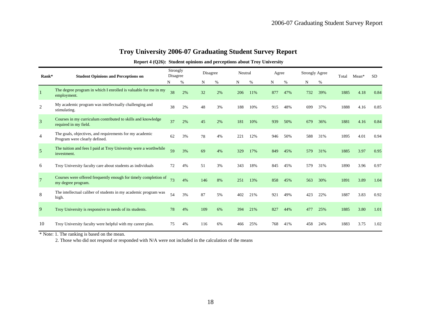# **Troy University 2006-07 Graduating Student Survey Report**

#### **Report 4 (Q26): Student opinions and perceptions about Troy University**

| Rank*          | <b>Student Opinions and Perceptions on</b>                                               | Strongly<br>Disagree |    | Disagree |      | Neutral |     | Agree |      | <b>Strongly Agree</b> |      | Total | Mean* | <b>SD</b> |
|----------------|------------------------------------------------------------------------------------------|----------------------|----|----------|------|---------|-----|-------|------|-----------------------|------|-------|-------|-----------|
|                |                                                                                          | N                    | %  | N        | $\%$ | N       | %   | N     | $\%$ | N                     | $\%$ |       |       |           |
|                | The degree program in which I enrolled is valuable for me in my<br>employment.           | 38                   | 2% | 32       | 2%   | 206     | 11% | 877   | 47%  | 732                   | 39%  | 1885  | 4.18  | 0.84      |
| $\overline{2}$ | My academic program was intellectually challenging and<br>stimulating.                   | 38                   | 2% | 48       | 3%   | 188     | 10% | 915   | 48%  | 699                   | 37%  | 1888  | 4.16  | 0.85      |
| 3              | Courses in my curriculum contributed to skills and knowledge<br>required in my field.    | 37                   | 2% | 45       | 2%   | 181     | 10% | 939   | 50%  | 679                   | 36%  | 1881  | 4.16  | 0.84      |
| $\overline{4}$ | The goals, objectives, and requirements for my academic<br>Program were clearly defined. | 62                   | 3% | 78       | 4%   | 221     | 12% | 946   | 50%  | 588                   | 31%  | 1895  | 4.01  | 0.94      |
| 5              | The tuition and fees I paid at Troy University were a worthwhile<br>investment.          | 59                   | 3% | 69       | 4%   | 329     | 17% | 849   | 45%  | 579                   | 31%  | 1885  | 3.97  | 0.95      |
| 6              | Troy University faculty care about students as individuals                               | 72                   | 4% | 51       | 3%   | 343     | 18% | 845   | 45%  | 579                   | 31%  | 1890  | 3.96  | 0.97      |
| $\overline{7}$ | Courses were offered frequently enough for timely completion of<br>my degree program.    | 73                   | 4% | 146      | 8%   | 251     | 13% | 858   | 45%  | 563                   | 30%  | 1891  | 3.89  | 1.04      |
| 8              | The intellectual caliber of students in my academic program was<br>high.                 | 54                   | 3% | 87       | 5%   | 402     | 21% | 921   | 49%  | 423                   | 22%  | 1887  | 3.83  | 0.92      |
| 9              | Troy University is responsive to needs of its students.                                  | 78                   | 4% | 109      | 6%   | 394     | 21% | 827   | 44%  | 477                   | 25%  | 1885  | 3.80  | 1.01      |
| 10             | Troy University faculty were helpful with my career plan.                                | 75                   | 4% | 116      | 6%   | 466     | 25% | 768   | 41%  | 458                   | 24%  | 1883  | 3.75  | 1.02      |

\* Note: 1. The ranking is based on the mean.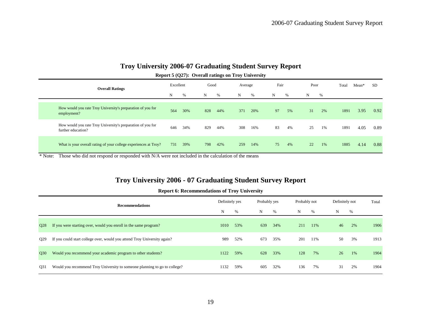|  | Troy University 2006-07 Graduating Student Survey Report |
|--|----------------------------------------------------------|
|--|----------------------------------------------------------|

| <b>Overall Ratings</b>                                                            | Excellent |      |     | Good |   | Average |     |    | Fair |    |   | Poor |    | Total | Mean* | <b>SD</b> |
|-----------------------------------------------------------------------------------|-----------|------|-----|------|---|---------|-----|----|------|----|---|------|----|-------|-------|-----------|
|                                                                                   | N         | $\%$ | N   | $\%$ | N |         | %   | N  | %    |    | N |      | %  |       |       |           |
| How would you rate Troy University's preparation of you for<br>employment?        | 564       | 30%  | 828 | 44%  |   | 371     | 20% | 97 |      | 5% |   | 31   | 2% | 1891  | 3.95  | 0.92      |
| How would you rate Troy University's preparation of you for<br>further education? | 646       | 34%  | 829 | 44%  |   | 308     | 16% | 83 |      | 4% |   | 25   | 1% | 1891  | 4.05  | 0.89      |
| What is your overall rating of your college experiences at Troy?                  | 731       | 39%  | 798 | 42%  |   | 259     | 14% | 75 |      | 4% |   | 22   | 1% | 1885  | 4.14  | 0.88      |

**Report 5 (Q27): Overall ratings on Troy University**

\* Note: Those who did not respond or responded with N/A were not included in the calculation of the means

# **Troy University 2006 - 07 Graduating Student Survey Report**

#### **Report 6: Recommendations of Troy University**

|                 | <b>Recommendations</b>                                                    | Definitely yes |      | Probably yes |      | Probably not |     |             | Definitely not |      |  |
|-----------------|---------------------------------------------------------------------------|----------------|------|--------------|------|--------------|-----|-------------|----------------|------|--|
|                 |                                                                           | N              | $\%$ | $\mathbf N$  | $\%$ | $\mathbf N$  | %   | $\mathbf N$ | %              |      |  |
| O <sub>28</sub> | If you were starting over, would you enroll in the same program?          | 1010           | 53%  | 639          | 34%  | 211          | 11% | 46          | 2%             | 1906 |  |
| Q <sub>29</sub> | If you could start college over, would you attend Troy University again?  | 989            | 52%  | 673          | 35%  | 201          | 11% | 50          | 3%             | 1913 |  |
| Q30             | Would you recommend your academic program to other students?              | 1122           | 59%  | 628          | 33%  | 128          | 7%  | 26          | 1%             | 1904 |  |
| Q31             | Would you recommend Troy University to someone planning to go to college? | 1132           | 59%  | 605          | 32%  | 136          | 7%  | 31          | 2%             | 1904 |  |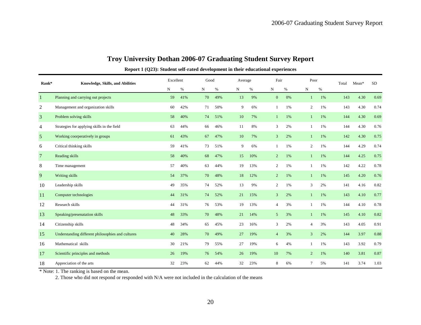### **Report 1 (Q23): Student self-rated development in their educational experiences**

| Rank*          | Knowledge, Skills, and Abilities                  | Excellent |      | Good |      | Average |     | Fair            |      |                | Poor | Total | Mean* | SD   |
|----------------|---------------------------------------------------|-----------|------|------|------|---------|-----|-----------------|------|----------------|------|-------|-------|------|
|                |                                                   | N         | $\%$ | N    | $\%$ | N       | %   | N               | $\%$ | N              | %    |       |       |      |
| $\mathbf{1}$   | Planning and carrying out projects                | 59        | 41%  | 70   | 49%  | 13      | 9%  | $\mathbf{0}$    | 0%   | $\mathbf{1}$   | 1%   | 143   | 4.30  | 0.69 |
| 2              | Management and organization skills                | 60        | 42%  | 71   | 50%  | 9       | 6%  | -1              | 1%   | $\overline{2}$ | 1%   | 143   | 4.30  | 0.74 |
| 3              | Problem solving skills                            | 58        | 40%  | 74   | 51%  | 10      | 7%  | $\mathbf{1}$    | 1%   | -1             | 1%   | 144   | 4.30  | 0.69 |
| 4              | Strategies for applying skills in the field       | 63        | 44%  | 66   | 46%  | 11      | 8%  | 3               | 2%   |                | 1%   | 144   | 4.30  | 0.76 |
| $\sqrt{5}$     | Working coorperatively in groups                  | 61        | 43%  | 67   | 47%  | 10      | 7%  | 3 <sup>1</sup>  | 2%   | $\mathbf{1}$   | 1%   | 142   | 4.30  | 0.75 |
| 6              | Critical thinking skills                          | 59        | 41%  | 73   | 51%  | 9       | 6%  | -1              | 1%   | 2              | 1%   | 144   | 4.29  | 0.74 |
| $\overline{7}$ | Reading skills                                    | 58        | 40%  | 68   | 47%  | 15      | 10% | $\overline{2}$  | 1%   | -1             | 1%   | 144   | 4.25  | 0.75 |
| 8              | Time management                                   | 57        | 40%  | 63   | 44%  | 19      | 13% | 2               | 1%   | $\overline{1}$ | 1%   | 142   | 4.22  | 0.78 |
| 9              | Writing skills                                    | 54        | 37%  | 70   | 48%  | 18      | 12% | $\overline{2}$  | 1%   | 1              | 1%   | 145   | 4.20  | 0.76 |
| 10             | Leadership skills                                 | 49        | 35%  | 74   | 52%  | 13      | 9%  | 2               | 1%   | 3              | 2%   | 141   | 4.16  | 0.82 |
| 11             | Computer technologies                             | 44        | 31%  | 74   | 52%  | 21      | 15% | 3               | 2%   | -1             | 1%   | 143   | 4.10  | 0.77 |
| 12             | Research skills                                   | 44        | 31%  | 76   | 53%  | 19      | 13% | $\overline{4}$  | 3%   | -1             | 1%   | 144   | 4.10  | 0.78 |
| 13             | Speaking/presenatation skills                     | 48        | 33%  | 70   | 48%  | 21      | 14% | $5\overline{)}$ | 3%   | -1             | 1%   | 145   | 4.10  | 0.82 |
| 14             | Citizenship skills                                | 48        | 34%  | 65   | 45%  | 23      | 16% | 3               | 2%   | $\overline{4}$ | 3%   | 143   | 4.05  | 0.91 |
| 15             | Understanding different philosophies and cultures | 40        | 28%  | 70   | 49%  | 27      | 19% | $\overline{4}$  | 3%   | $\mathfrak{Z}$ | 2%   | 144   | 3.97  | 0.88 |
| 16             | Mathematical skills                               | 30        | 21%  | 79   | 55%  | 27      | 19% | 6               | 4%   | $\mathbf{1}$   | 1%   | 143   | 3.92  | 0.79 |
| 17             | Scientific principles and methods                 | 26        | 19%  | 76   | 54%  | 26      | 19% | 10              | 7%   | $\overline{2}$ | 1%   | 140   | 3.81  | 0.87 |
| 18             | Appreciation of the arts                          | 32        | 23%  | 62   | 44%  | 32      | 23% | 8               | 6%   | $\overline{7}$ | 5%   | 141   | 3.74  | 1.03 |

\* Note: 1. The ranking is based on the mean.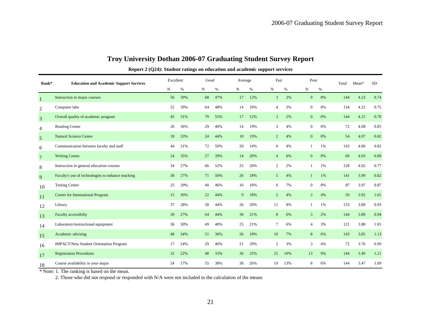|  | Troy University Dothan 2006-07 Graduating Student Survey Report |  |
|--|-----------------------------------------------------------------|--|
|  |                                                                 |  |

**Report 2 (Q24): Student ratings on education and academic support services**

| Rank*          | <b>Education and Academic Support Services</b>    | Excellent |     | Good |     | Average |      | Fair           |     | Poor           |       | Total | Mean* | <b>SD</b> |
|----------------|---------------------------------------------------|-----------|-----|------|-----|---------|------|----------------|-----|----------------|-------|-------|-------|-----------|
|                |                                                   | N         | %   | N    | %   | N       | $\%$ | N              | %   | N              | $\%$  |       |       |           |
| $\mathbf{1}$   | Instruction in major courses                      | 56        | 39% | 68   | 47% | 17      | 12%  | 3              | 2%  | $\overline{0}$ | 0%    | 144   | 4.23  | 0.74      |
| $\overline{c}$ | Computer labs                                     | 52        | 39% | 64   | 48% | 14      | 10%  | $\overline{4}$ | 3%  | $\overline{0}$ | 0%    | 134   | 4.22  | 0.75      |
| 3              | Overall quality of academic program               | 45        | 31% | 79   | 55% | 17      | 12%  | $\mathfrak{Z}$ | 2%  | $\overline{0}$ | 0%    | 144   | 4.15  | 0.70      |
| $\overline{4}$ | <b>Reading Center</b>                             | 26        | 36% | 29   | 40% | 14      | 19%  | 3              | 4%  | $\overline{0}$ | 0%    | 72    | 4.08  | 0.85      |
| 5              | <b>Natural Science Center</b>                     | 18        | 33% | 24   | 44% | 10      | 19%  | $\overline{2}$ | 4%  | $\overline{0}$ | 0%    | 54    | 4.07  | 0.82      |
| 6              | Communication between faculty and staff           | 44        | 31% | 72   | 50% | 20      | 14%  | 6              | 4%  | 1              | $1\%$ | 143   | 4.06  | 0.82      |
| $\overline{7}$ | <b>Writing Center</b>                             | 24        | 35% | 27   | 39% | 14      | 20%  | $\overline{4}$ | 6%  | $\overline{0}$ | 0%    | 69    | 4.03  | 0.89      |
| 8              | Instruction in general education courses          | 34        | 27% | 66   | 52% | 25      | 20%  | 2              | 2%  | 1              | 1%    | 128   | 4.02  | 0.77      |
| 9              | Faculty's use of technologies to enhance teaching | 38        | 27% | 71   | 50% | 26      | 18%  | 5 <sup>5</sup> | 4%  | $\mathbf{1}$   | 1%    | 141   | 3.99  | 0.82      |
| 10             | <b>Testing Center</b>                             | 25        | 29% | 40   | 46% | 16      | 18%  | 6              | 7%  | $\overline{0}$ | 0%    | 87    | 3.97  | 0.87      |
| 11             | <b>Center for International Program</b>           | 15        | 30% | 22   | 44% | 9       | 18%  | $\overline{2}$ | 4%  | $\overline{2}$ | 4%    | 50    | 3.92  | 1.01      |
| 12             | Library                                           | 37        | 28% | 58   | 44% | 26      | 20%  | 11             | 8%  | 1              | 1%    | 133   | 3.89  | 0.93      |
| 13             | Faculty accessibilty                              | 39        | 27% | 64   | 44% | 30      | 21%  | 8              | 6%  | 3              | 2%    | 144   | 3.89  | 0.94      |
| 14             | Laboratory/instructional equipment                | 36        | 30% | 49   | 40% | 25      | 21%  | 7              | 6%  | $\overline{4}$ | 3%    | 121   | 3.88  | 1.01      |
| 15             | Academic advising                                 | 48        | 34% | 51   | 36% | 26      | 18%  | 10             | 7%  | 8              | 6%    | 143   | 3.85  | 1.13      |
| 16             | <b>IMPACT/New Student Orientation Program</b>     | 17        | 24% | 29   | 40% | 21      | 29%  | $\overline{2}$ | 3%  | 3              | 4%    | 72    | 3.76  | 0.99      |
| 17             | <b>Registration Procedures</b>                    | 32        | 22% | 48   | 33% | 36      | 25%  | 15             | 10% | 13             | 9%    | 144   | 3.49  | 1.21      |
| 18             | Course availability in your major                 | 24        | 17% | 55   | 38% | 38      | 26%  | 19             | 13% | 8              | 6%    | 144   | 3.47  | 1.09      |

\* Note: 1. The ranking is based on the mean.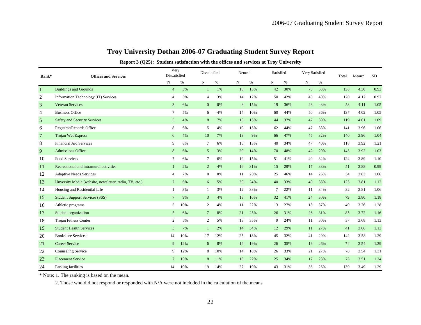|              | $\mathbf{R}$ is $\mathbf{Q}$ is the contraction of the direct and set tices at 110y Chryslery |                      |      |                  |      |           |      |            |      |                |      |       |       |           |
|--------------|-----------------------------------------------------------------------------------------------|----------------------|------|------------------|------|-----------|------|------------|------|----------------|------|-------|-------|-----------|
| Rank*        | <b>Offices and Services</b>                                                                   | Very<br>Dissatisfied |      | Dissatisfied     |      | Neutral   |      | Satisfied  |      | Very Satisfied |      | Total | Mean* | <b>SD</b> |
|              |                                                                                               | N                    | $\%$ | $\mathbf N$      | $\%$ | ${\bf N}$ | $\%$ | $_{\rm N}$ | $\%$ | ${\bf N}$      | $\%$ |       |       |           |
| $\mathbf{1}$ | <b>Buildings and Grounds</b>                                                                  | $\overline{4}$       | 3%   | $\mathbf{1}$     | 1%   | 18        | 13%  | 42         | 30%  | 73             | 53%  | 138   | 4.30  | 0.93      |
| 2            | Information Technology (IT) Services                                                          | $\overline{4}$       | 3%   | $\overline{4}$   | 3%   | 14        | 12%  | 50         | 42%  | 48             | 40%  | 120   | 4.12  | 0.97      |
| 3            | <b>Veteran Services</b>                                                                       | 3                    | 6%   | $\mathbf{0}$     | 0%   | 8         | 15%  | 19         | 36%  | 23             | 43%  | 53    | 4.11  | 1.05      |
| 4            | <b>Business Office</b>                                                                        | 7                    | 5%   | 6                | 4%   | 14        | 10%  | 60         | 44%  | 50             | 36%  | 137   | 4.02  | 1.05      |
| 5            | <b>Safety and Security Services</b>                                                           | 5                    | 4%   | 8                | 7%   | 15        | 13%  | 44         | 37%  | 47             | 39%  | 119   | 4.01  | 1.09      |
| 6            | Registrar/Records Office                                                                      | 8                    | 6%   | 5                | 4%   | 19        | 13%  | 62         | 44%  | 47             | 33%  | 141   | 3.96  | 1.06      |
| 7            | <b>Trojan WebExpress</b>                                                                      | 6                    | 4%   | 10               | 7%   | 13        | 9%   | 66         | 47%  | 45             | 32%  | 140   | 3.96  | 1.04      |
| 8            | <b>Financial Aid Services</b>                                                                 | 9                    | 8%   | $\tau$           | 6%   | 15        | 13%  | 40         | 34%  | 47             | 40%  | 118   | 3.92  | 1.21      |
| 9            | <b>Admissions Office</b>                                                                      | $\,8\,$              | 6%   | $\mathfrak{S}$   | 3%   | 20        | 14%  | 70         | 48%  | 42             | 29%  | 145   | 3.92  | 1.03      |
| 10           | Food Services                                                                                 | $\tau$               | 6%   | $\tau$           | 6%   | 19        | 15%  | 51         | 41%  | 40             | 32%  | 124   | 3.89  | 1.10      |
| 11           | Recreational and intramural activities                                                        | $\mathbf{1}$         | 2%   | $\overline{2}$   | 4%   | 16        | 31%  | 15         | 29%  | 17             | 33%  | 51    | 3.88  | 0.99      |
| 12           | <b>Adaptive Needs Services</b>                                                                | 4                    | 7%   | $\boldsymbol{0}$ | 0%   | 11        | 20%  | 25         | 46%  | 14             | 26%  | 54    | 3.83  | 1.06      |
| 13           | Unversity Media (website, newsletter, radio, TV, etc.)                                        | $\overline{7}$       | 6%   | 6                | 5%   | 30        | 24%  | 40         | 33%  | 40             | 33%  | 123   | 3.81  | 1.12      |
| 14           | Housing and Residential Life                                                                  | 1                    | 3%   | 1                | 3%   | 12        | 38%  |            | 22%  | 11             | 34%  | 32    | 3.81  | 1.06      |
| 15           | <b>Student Support Services (SSS)</b>                                                         | $\overline{7}$       | 9%   | 3                | 4%   | 13        | 16%  | 32         | 41%  | 24             | 30%  | 79    | 3.80  | 1.18      |
| 16           | Athletic programs                                                                             | 5                    | 10%  | 2                | 4%   | 11        | 22%  | 13         | 27%  | 18             | 37%  | 49    | 3.76  | 1.28      |
| 17           | Student organization                                                                          | 5                    | 6%   | $7\phantom{.0}$  | 8%   | 21        | 25%  | 26         | 31%  | 26             | 31%  | 85    | 3.72  | 1.16      |
| 18           | <b>Trojan Fitness Center</b>                                                                  | 2                    | 5%   | $\overline{2}$   | 5%   | 13        | 35%  | 9          | 24%  | 11             | 30%  | 37    | 3.68  | 1.13      |
| 19           | <b>Student Health Services</b>                                                                | 3                    | 7%   | $\mathbf{1}$     | 2%   | 14        | 34%  | 12         | 29%  | 11             | 27%  | 41    | 3.66  | 1.13      |
| 20           | <b>Bookstore Services</b>                                                                     | 14                   | 10%  | 17               | 12%  | 25        | 18%  | 45         | 32%  | 41             | 29%  | 142   | 3.58  | 1.29      |
| 21           | <b>Career Service</b>                                                                         | 9                    | 12%  | 6                | 8%   | 14        | 19%  | 26         | 35%  | 19             | 26%  | 74    | 3.54  | 1.29      |
| 22           | <b>Counseling Service</b>                                                                     | 9                    | 12%  | 8                | 10%  | 14        | 18%  | 26         | 33%  | 21             | 27%  | 78    | 3.54  | 1.31      |
| 23           | <b>Placement Service</b>                                                                      | $\overline{7}$       | 10%  | 8                | 11%  | 16        | 22%  | 25         | 34%  | 17             | 23%  | 73    | 3.51  | 1.24      |
| 24           | Parking facilities                                                                            | 14                   | 10%  | 19               | 14%  | 27        | 19%  | 43         | 31%  | 36             | 26%  | 139   | 3.49  | 1.29      |

## **Troy University Dothan 2006-07 Graduating Student Survey Report**

#### **Report 3 (Q25): Student satisfaction with the offices and services at Troy University**

\* Note: 1. The ranking is based on the mean.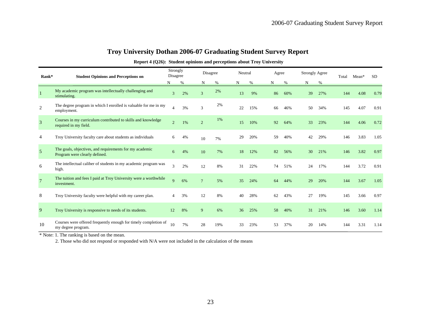# **Troy University Dothan 2006-07 Graduating Student Survey Report**

#### **Report 4 (Q26): Student opinions and perceptions about Troy University**

| Rank*          | <b>Student Opinions and Perceptions on</b>                                               | Strongly<br>Disagree |      | Disagree       |     | Neutral |     | Agree |     | <b>Strongly Agree</b> |     | Total | Mean* | <b>SD</b> |
|----------------|------------------------------------------------------------------------------------------|----------------------|------|----------------|-----|---------|-----|-------|-----|-----------------------|-----|-------|-------|-----------|
|                |                                                                                          | N                    | $\%$ | N              | %   | N       | %   | N     | %   | N                     | %   |       |       |           |
| $\mathbf{1}$   | My academic program was intellectually challenging and<br>stimulating.                   | 3                    | 2%   | 3              | 2%  | 13      | 9%  | 86    | 60% | 39                    | 27% | 144   | 4.08  | 0.79      |
| $\overline{c}$ | The degree program in which I enrolled is valuable for me in my<br>employment.           |                      | 3%   | 3              | 2%  | 22      | 15% | 66    | 46% | 50                    | 34% | 145   | 4.07  | 0.91      |
| 3              | Courses in my curriculum contributed to skills and knowledge<br>required in my field.    | $\overline{2}$       | 1%   | $\overline{2}$ | 1%  | 15      | 10% | 92    | 64% | 33                    | 23% | 144   | 4.06  | 0.72      |
| 4              | Troy University faculty care about students as individuals                               | 6                    | 4%   | 10             | 7%  | 29      | 20% | 59    | 40% | 42                    | 29% | 146   | 3.83  | 1.05      |
| 5              | The goals, objectives, and requirements for my academic<br>Program were clearly defined. | 6                    | 4%   | 10             | 7%  | 18      | 12% | 82    | 56% | 30                    | 21% | 146   | 3.82  | 0.97      |
| 6              | The intellectual caliber of students in my academic program was<br>high.                 | 3                    | 2%   | 12             | 8%  | 31      | 22% | 74    | 51% | 24                    | 17% | 144   | 3.72  | 0.91      |
| $\overline{7}$ | The tuition and fees I paid at Troy University were a worthwhile<br>investment.          | $\mathbf{Q}$         | 6%   | $\overline{7}$ | 5%  | 35      | 24% | 64    | 44% | 29                    | 20% | 144   | 3.67  | 1.05      |
| 8              | Troy University faculty were helpful with my career plan.                                | $\overline{4}$       | 3%   | 12             | 8%  | 40      | 28% | 62    | 43% | 27                    | 19% | 145   | 3.66  | 0.97      |
| 9              | Troy University is responsive to needs of its students.                                  | 12                   | 8%   | 9              | 6%  | 36      | 25% | 58    | 40% | 31                    | 21% | 146   | 3.60  | 1.14      |
| 10             | Courses were offered frequently enough for timely completion of<br>my degree program.    | 10                   | 7%   | 28             | 19% | 33      | 23% | 53    | 37% | 20                    | 14% | 144   | 3.31  | 1.14      |

\* Note: 1. The ranking is based on the mean.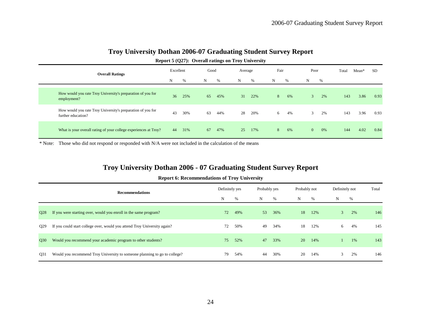| Report $5(027)$ : Overall ratings on Troy University                              |           |     |      |     |         |     |      |    |                |    |       |       |           |
|-----------------------------------------------------------------------------------|-----------|-----|------|-----|---------|-----|------|----|----------------|----|-------|-------|-----------|
| <b>Overall Ratings</b>                                                            | Excellent |     | Good |     | Average |     | Fair |    | Poor           |    | Total | Mean* | <b>SD</b> |
|                                                                                   | N         | %   | N    | %   | N       | %   | N    | %  | N              | %  |       |       |           |
| How would you rate Troy University's preparation of you for<br>employment?        | 36        | 25% | 65   | 45% | 31      | 22% | 8    | 6% | 3              | 2% | 143   | 3.86  | 0.93      |
| How would you rate Troy University's preparation of you for<br>further education? | 43        | 30% | 63   | 44% | 28      | 20% | 6    | 4% | 3              | 2% | 143   | 3.96  | 0.93      |
| What is your overall rating of your college experiences at Troy?                  | 44        | 31% | 67   | 47% | 25      | 17% | 8    | 6% | $\overline{0}$ | 0% | 144   | 4.02  | 0.84      |

## **Troy University Dothan 2006-07 Graduating Student Survey Report**

\* Note: Those who did not respond or responded with N/A were not included in the calculation of the means

# **Troy University Dothan 2006 - 07 Graduating Student Survey Report**

#### **Report 6: Recommendations of Troy University**

|     | <b>Recommendations</b>                                                     | Definitely yes |     | Probably yes |      | Probably not |      | Definitely not |       | Total |
|-----|----------------------------------------------------------------------------|----------------|-----|--------------|------|--------------|------|----------------|-------|-------|
|     |                                                                            | N              | %   | N            | $\%$ | N            | $\%$ | N              | %     |       |
| Q28 | If you were starting over, would you enroll in the same program?           | 72             | 49% | 53           | 36%  | 18           | 12%  | 3              | 2%    | 146   |
| Q29 | If you could start college over, would you attend Troy University again?   | 72             | 50% | 49           | 34%  | 18           | 12%  | 6              | 4%    | 145   |
| Q30 | Would you recommend your academic program to other students?               | 75             | 52% | 47           | 33%  | 20           | 14%  |                | $1\%$ | 143   |
| Q31 | Would you recommend Troy University to some one planning to go to college? | 79             | 54% | 44           | 30%  | 20           | 14%  |                | 2%    | 146   |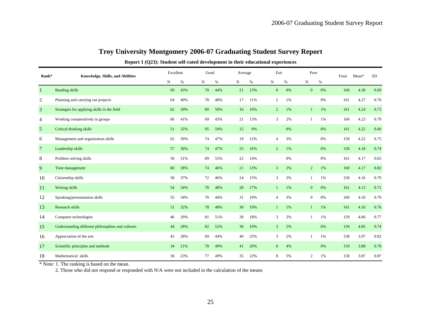| Rank*          | <b>Knowledge, Skills, and Abilities</b>           | Excellent |      | Good |      | Average |      | Fair           |    | Poor           |       | Total | Mean* | <b>SD</b> |
|----------------|---------------------------------------------------|-----------|------|------|------|---------|------|----------------|----|----------------|-------|-------|-------|-----------|
|                |                                                   | N         | $\%$ | N    | $\%$ | N       | $\%$ | N              | %  | $\mathbf N$    | $\%$  |       |       |           |
| $\mathbf{1}$   | Reading skills                                    | 69        | 43%  | 70   | 44%  | 21      | 13%  | $\mathbf{0}$   | 0% | $\overline{0}$ | 0%    | 160   | 4.30  | 0.69      |
| 2              | Planning and carrying out projects                | 64        | 40%  | 78   | 48%  | 17      | 11%  | 2              | 1% |                | 0%    | 161   | 4.27  | 0.70      |
| 3              | Strategies for applying skills in the field       | 62        | 39%  | 80   | 50%  | 16      | 10%  | $\overline{2}$ | 1% | $\mathbf{1}$   | $1\%$ | 161   | 4.24  | 0.73      |
| 4              | Working coorperatively in groups                  | 66        | 41%  | 69   | 43%  | 21      | 13%  | 3              | 2% | -1             | 1%    | 160   | 4.23  | 0.79      |
| 5              | Critical thinking skills                          | 51        | 32%  | 95   | 59%  | 15      | 9%   |                | 0% |                | 0%    | 161   | 4.22  | 0.60      |
| 6              | Management and organization skills                | 62        | 39%  | 74   | 47%  | 19      | 12%  | $\overline{4}$ | 3% |                | 0%    | 159   | 4.22  | 0.75      |
| $\overline{7}$ | Leadership skills                                 | 57        | 36%  | 74   | 47%  | 25      | 16%  | $\overline{2}$ | 1% |                | 0%    | 158   | 4.18  | 0.74      |
| 8              | Problem solving skills                            | 50        | 31%  | 89   | 55%  | 22      | 14%  |                | 0% |                | 0%    | 161   | 4.17  | 0.65      |
| 9              | Time management                                   | 60        | 38%  | 74   | 46%  | 21      | 13%  | 3              | 2% | $\overline{2}$ | 1%    | 160   | 4.17  | 0.82      |
| 10             | Citizenship skills                                | 58        | 37%  | 72   | 46%  | 24      | 15%  | 3              | 2% | 1              | 1%    | 158   | 4.16  | 0.79      |
| 11             | Writing skills                                    | 54        | 34%  | 78   | 48%  | 28      | 17%  | 1              | 1% | $\overline{0}$ | 0%    | 161   | 4.15  | 0.72      |
| 12             | Speaking/presenatation skills                     | 55        | 34%  | 70   | 44%  | 31      | 19%  | 4              | 3% | $\overline{0}$ | 0%    | 160   | 4.10  | 0.79      |
| 13             | Research skills                                   | 51        | 32%  | 78   | 48%  | 30      | 19%  | 1              | 1% | $\mathbf{1}$   | 1%    | 161   | 4.10  | 0.76      |
| 14             | Computer technologies                             | 46        | 29%  | 81   | 51%  | 28      | 18%  | 3              | 2% | $\mathbf{1}$   | 1%    | 159   | 4.06  | 0.77      |
| 15             | Understanding different philosophies and cultures | 44        | 28%  | 82   | 52%  | 30      | 19%  | $\overline{3}$ | 2% |                | 0%    | 159   | 4.05  | 0.74      |
| 16             | Appreciation of the arts                          | 45        | 28%  | 69   | 44%  | 40      | 25%  | 3              | 2% |                | 1%    | 158   | 3.97  | 0.82      |
| 17             | Scientific principles and methods                 | 34        | 21%  | 78   | 49%  | 41      | 26%  | 6              | 4% |                | 0%    | 159   | 3.88  | 0.78      |
| 18             | Mathematical skills                               | 36        | 23%  | 77   | 49%  | 35      | 22%  | 8              | 5% | 2              | 1%    | 158   | 3.87  | 0.87      |

## **Troy University Montgomery 2006-07 Graduating Student Survey Report**

**Report 1 (Q23): Student self-rated development in their educational experiences**

## \* Note: 1. The ranking is based on the mean.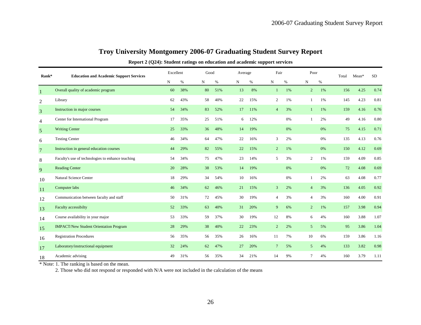| Rank*           | <b>Education and Academic Support Services</b>    | Excellent |      | Good |      | Average |     | Fair            |    | Poor           |    | Total | Mean* | <b>SD</b> |
|-----------------|---------------------------------------------------|-----------|------|------|------|---------|-----|-----------------|----|----------------|----|-------|-------|-----------|
|                 |                                                   | N         | $\%$ | N    | $\%$ | N       | %   | N               | %  | ${\bf N}$      | %  |       |       |           |
| $\mathbf{1}$    | Overall quality of academic program               | 60        | 38%  | 80   | 51%  | 13      | 8%  | $\mathbf{1}$    | 1% | $\overline{2}$ | 1% | 156   | 4.25  | 0.74      |
| $\overline{2}$  | Library                                           | 62        | 43%  | 58   | 40%  | 22      | 15% | 2               | 1% | -1             | 1% | 145   | 4.23  | 0.81      |
| 3               | Instruction in major courses                      | 54        | 34%  | 83   | 52%  | 17      | 11% | $\overline{4}$  | 3% | $\mathbf{1}$   | 1% | 159   | 4.16  | 0.76      |
| 4               | Center for International Program                  | 17        | 35%  | 25   | 51%  | 6       | 12% |                 | 0% | 1              | 2% | 49    | 4.16  | 0.80      |
| $5\phantom{.0}$ | <b>Writing Center</b>                             | 25        | 33%  | 36   | 48%  | 14      | 19% |                 | 0% |                | 0% | 75    | 4.15  | 0.71      |
| 6               | <b>Testing Center</b>                             | 46        | 34%  | 64   | 47%  | 22      | 16% | 3               | 2% |                | 0% | 135   | 4.13  | 0.76      |
| $\overline{7}$  | Instruction in general education courses          | 44        | 29%  | 82   | 55%  | 22      | 15% | $\overline{2}$  | 1% |                | 0% | 150   | 4.12  | 0.69      |
| 8               | Faculty's use of technologies to enhance teaching | 54        | 34%  | 75   | 47%  | 23      | 14% | 5               | 3% | 2              | 1% | 159   | 4.09  | 0.85      |
| 9               | <b>Reading Center</b>                             | 20        | 28%  | 38   | 53%  | 14      | 19% |                 | 0% |                | 0% | 72    | 4.08  | 0.69      |
| 10              | Natural Science Center                            | 18        | 29%  | 34   | 54%  | 10      | 16% |                 | 0% | -1             | 2% | 63    | 4.08  | 0.77      |
| 11              | Computer labs                                     | 46        | 34%  | 62   | 46%  | 21      | 15% | 3               | 2% | $\overline{4}$ | 3% | 136   | 4.05  | 0.92      |
| 12              | Communication between faculty and staff           | 50        | 31%  | 72   | 45%  | 30      | 19% | $\overline{4}$  | 3% | $\overline{4}$ | 3% | 160   | 4.00  | 0.91      |
| 13              | Faculty accessibilty                              | 52        | 33%  | 63   | 40%  | 31      | 20% | 9               | 6% | $\overline{2}$ | 1% | 157   | 3.98  | 0.94      |
| 14              | Course availability in your major                 | 53        | 33%  | 59   | 37%  | 30      | 19% | 12              | 8% | 6              | 4% | 160   | 3.88  | 1.07      |
| 15              | <b>IMPACT/New Student Orientation Program</b>     | 28        | 29%  | 38   | 40%  | 22      | 23% | $\overline{2}$  | 2% | 5 <sup>5</sup> | 5% | 95    | 3.86  | 1.04      |
| 16              | Registration Procedures                           | 56        | 35%  | 56   | 35%  | 26      | 16% | 11              | 7% | 10             | 6% | 159   | 3.86  | 1.16      |
| 17              | Laboratory/instructional equipment                | 32        | 24%  | 62   | 47%  | 27      | 20% | $7\phantom{.0}$ | 5% | $\mathfrak{S}$ | 4% | 133   | 3.82  | 0.98      |
| 18              | Academic advising                                 | 49        | 31%  | 56   | 35%  | 34      | 21% | 14              | 9% | $\tau$         | 4% | 160   | 3.79  | 1.11      |

# **Troy University Montgomery 2006-07 Graduating Student Survey Report Report 2 (Q24): Student ratings on education and academic support services**

## \* Note: 1. The ranking is based on the mean.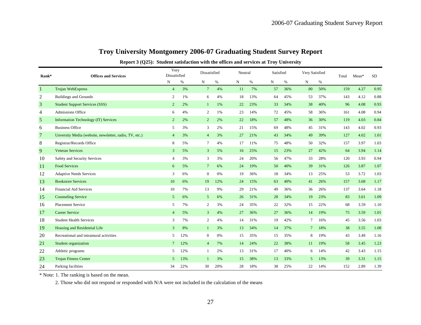| Rank*          | <b>Offices and Services</b>                            | Very<br>Dissatisfied |      | Dissatisfied     |      | Neutral |      | Satisfied |      | Very Satisfied |      | Total | Mean* | <b>SD</b> |
|----------------|--------------------------------------------------------|----------------------|------|------------------|------|---------|------|-----------|------|----------------|------|-------|-------|-----------|
|                |                                                        | N                    | $\%$ | N                | $\%$ | N       | $\%$ | N         | $\%$ | ${\bf N}$      | $\%$ |       |       |           |
| $\mathbf{1}$   | Trojan WebExpress                                      | $\overline{4}$       | 3%   | $7\phantom{.0}$  | 4%   | 11      | 7%   | 57        | 36%  | 80             | 50%  | 159   | 4.27  | 0.95      |
| 2              | <b>Buildings and Grounds</b>                           | 2                    | 1%   | 6                | 4%   | 18      | 13%  | 64        | 45%  | 53             | 37%  | 143   | 4.12  | 0.88      |
| 3              | <b>Student Support Services (SSS)</b>                  | $\overline{2}$       | 2%   | $\mathbf{1}$     | 1%   | 22      | 23%  | 33        | 34%  | 38             | 40%  | 96    | 4.08  | 0.93      |
| $\overline{4}$ | Admissions Office                                      | 6                    | 4%   | $\overline{2}$   | 1%   | 23      | 14%  | 72        | 45%  | 58             | 36%  | 161   | 4.08  | 0.94      |
| 5              | Information Technology (IT) Services                   | $\overline{2}$       | 2%   | $\overline{2}$   | 2%   | 22      | 18%  | 57        | 48%  | 36             | 30%  | 119   | 4.03  | 0.84      |
| 6              | <b>Business Office</b>                                 | 5                    | 3%   | 3                | 2%   | 21      | 15%  | 69        | 48%  | 45             | 31%  | 143   | 4.02  | 0.93      |
| $\overline{7}$ | Unversity Media (website, newsletter, radio, TV, etc.) | $\overline{4}$       | 3%   | $\overline{4}$   | 3%   | 27      | 21%  | 43        | 34%  | 49             | 39%  | 127   | 4.02  | 1.01      |
| 8              | Registrar/Records Office                               | 8                    | 5%   | $\tau$           | 4%   | 17      | 11%  | 75        | 48%  | 50             | 32%  | 157   | 3.97  | 1.03      |
| 9              | <b>Veteran Services</b>                                | 3                    | 5%   | $\mathfrak{Z}$   | 5%   | 16      | 25%  | 15        | 23%  | 27             | 42%  | 64    | 3.94  | 1.14      |
| 10             | Safety and Security Services                           | $\overline{4}$       | 3%   | 3                | 3%   | 24      | 20%  | 56        | 47%  | 33             | 28%  | 120   | 3.93  | 0.94      |
| 11             | <b>Food Services</b>                                   | 6                    | 5%   | $7\phantom{.0}$  | 6%   | 24      | 19%  | 50        | 40%  | 39             | 31%  | 126   | 3.87  | 1.07      |
| 12             | <b>Adaptive Needs Services</b>                         | 3                    | 6%   | $\boldsymbol{0}$ | 0%   | 19      | 36%  | 18        | 34%  | 13             | 25%  | 53    | 3.72  | 1.03      |
| 13             | <b>Bookstore Services</b>                              | 10                   | 6%   | 19               | 12%  | 24      | 15%  | 63        | 40%  | 41             | 26%  | 157   | 3.68  | 1.17      |
| 14             | <b>Financial Aid Services</b>                          | 10                   | 7%   | 13               | 9%   | 29      | 21%  | 49        | 36%  | 36             | 26%  | 137   | 3.64  | 1.18      |
| 15             | <b>Counseling Service</b>                              | 5                    | 6%   | $\mathfrak{S}$   | 6%   | 26      | 31%  | 28        | 34%  | 19             | 23%  | 83    | 3.61  | 1.09      |
| 16             | <b>Placement Service</b>                               | 5                    | 7%   | 2                | 3%   | 24      | 35%  | 22        | 32%  | 15             | 22%  | 68    | 3.59  | 1.10      |
| 17             | <b>Career Service</b>                                  | $\overline{4}$       | 5%   | 3                | 4%   | 27      | 36%  | 27        | 36%  | 14             | 19%  | 75    | 3.59  | 1.01      |
| 18             | <b>Student Health Services</b>                         | 3                    | 7%   | $\overline{2}$   | 4%   | 14      | 31%  | 19        | 42%  | 7              | 16%  | 45    | 3.56  | 1.03      |
| 19             | Housing and Residential Life                           | 3                    | 8%   | $\mathbf{1}$     | 3%   | 13      | 34%  | 14        | 37%  | $\overline{7}$ | 18%  | 38    | 3.55  | 1.08      |
| 20             | Recreational and intramural activities                 | 5                    | 12%  | $\boldsymbol{0}$ | 0%   | 15      | 35%  | 15        | 35%  | 8              | 19%  | 43    | 3.49  | 1.16      |
| 21             | Student organization                                   | 7                    | 12%  | $\overline{4}$   | 7%   | 14      | 24%  | 22        | 38%  | 11             | 19%  | 58    | 3.45  | 1.23      |
| 22             | Athletic programs                                      | 5                    | 12%  | $\mathbf{1}$     | 2%   | 13      | 31%  | 17        | 40%  | 6              | 14%  | 42    | 3.43  | 1.15      |
| 23             | <b>Trojan Fitness Center</b>                           | 5                    | 13%  | $\mathbf{1}$     | 3%   | 15      | 38%  | 13        | 33%  | 5              | 13%  | 39    | 3.31  | 1.15      |
| 24             | Parking facilities                                     | 34                   | 22%  | 30               | 20%  | 28      | 18%  | 38        | 25%  | 22             | 14%  | 152   | 2.89  | 1.39      |

## **Troy University Montgomery 2006-07 Graduating Student Survey Report**

### **Report 3 (Q25): Student satisfaction with the offices and services at Troy University**

\* Note: 1. The ranking is based on the mean.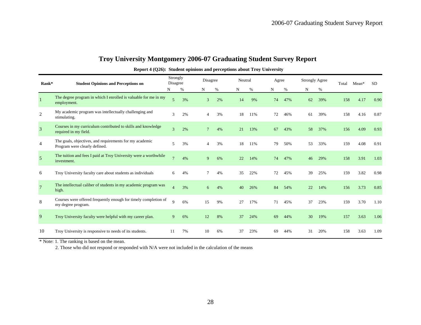# **Troy University Montgomery 2006-07 Graduating Student Survey Report**

| Rank*          | <b>Student Opinions and Perceptions on</b>                                               | Strongly<br>Disagree |      | Disagree |    | Neutral |     | Agree |      | <b>Strongly Agree</b> |      | Total | $Mean*$ | <b>SD</b> |
|----------------|------------------------------------------------------------------------------------------|----------------------|------|----------|----|---------|-----|-------|------|-----------------------|------|-------|---------|-----------|
|                |                                                                                          | N                    | $\%$ | N        | %  | N       | %   | N     | $\%$ | N                     | $\%$ |       |         |           |
|                | The degree program in which I enrolled is valuable for me in my<br>employment.           | 5                    | 3%   | 3        | 2% | 14      | 9%  | 74    | 47%  | 62                    | 39%  | 158   | 4.17    | 0.90      |
| $\overline{c}$ | My academic program was intellectually challenging and<br>stimulating.                   | 3                    | 2%   | 4        | 3% | 18      | 11% | 72    | 46%  | 61                    | 39%  | 158   | 4.16    | 0.87      |
| 3              | Courses in my curriculum contributed to skills and knowledge<br>required in my field.    | 3                    | 2%   |          | 4% | 21      | 13% | 67    | 43%  | 58                    | 37%  | 156   | 4.09    | 0.93      |
| $\overline{4}$ | The goals, objectives, and requirements for my academic<br>Program were clearly defined. | 5                    | 3%   | 4        | 3% | 18      | 11% | 79    | 50%  | 53                    | 33%  | 159   | 4.08    | 0.91      |
| 5              | The tuition and fees I paid at Troy University were a worthwhile<br>investment.          | $\overline{7}$       | 4%   | 9        | 6% | 22      | 14% | 74    | 47%  | 46                    | 29%  | 158   | 3.91    | 1.03      |
| 6              | Troy University faculty care about students as individuals                               | 6                    | 4%   | 7        | 4% | 35      | 22% | 72    | 45%  | 39                    | 25%  | 159   | 3.82    | 0.98      |
| $\overline{7}$ | The intellectual caliber of students in my academic program was<br>high.                 | $\overline{4}$       | 3%   | 6        | 4% | 40      | 26% | 84    | 54%  | 22                    | 14%  | 156   | 3.73    | 0.85      |
| 8              | Courses were offered frequently enough for timely completion of<br>my degree program.    | $\mathbf Q$          | 6%   | 15       | 9% | 27      | 17% | 71    | 45%  | 37                    | 23%  | 159   | 3.70    | 1.10      |
| 9              | Troy University faculty were helpful with my career plan.                                | 9                    | 6%   | 12       | 8% | 37      | 24% | 69    | 44%  | 30                    | 19%  | 157   | 3.63    | 1.06      |
| 10             | Troy University is responsive to needs of its students.                                  | 11                   | 7%   | 10       | 6% | 37      | 23% | 69    | 44%  | 31                    | 20%  | 158   | 3.63    | 1.09      |

**Report 4 (Q26): Student opinions and perceptions about Troy University**

\* Note: 1. The ranking is based on the mean.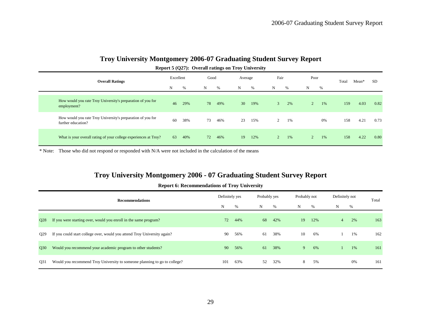## **Report 5 (Q27): Overall ratings on Troy University Troy University Montgomery 2006-07 Graduating Student Survey Report**

| <b>Overall Ratings</b>                                                            | Excellent |     | Good |     | Average |     |              | Fair                 | Poor           |       | Total | Mean* | -SD  |
|-----------------------------------------------------------------------------------|-----------|-----|------|-----|---------|-----|--------------|----------------------|----------------|-------|-------|-------|------|
|                                                                                   | N         | %   | N    | %   | N       | %   | N            | %                    | N              | $\%$  |       |       |      |
| How would you rate Troy University's preparation of you for<br>employment?        | 46        | 29% | 78   | 49% | 30      | 19% | $\mathbf{3}$ | 2%                   | $\overline{2}$ | 1%    | 159   | 4.03  | 0.82 |
| How would you rate Troy University's preparation of you for<br>further education? | 60        | 38% | 73   | 46% | 23      | 15% |              | $\overline{2}$<br>1% |                | 0%    | 158   | 4.21  | 0.73 |
| What is your overall rating of your college experiences at Troy?                  | 63        | 40% | 72   | 46% | 19      | 12% |              | 1%<br>$2^{\circ}$    | $\overline{2}$ | $1\%$ | 158   | 4.22  | 0.80 |

\* Note: Those who did not respond or responded with N/A were not included in the calculation of the means

# **Troy University Montgomery 2006 - 07 Graduating Student Survey Report**

#### **Report 6: Recommendations of Troy University**

|                 | <b>Recommendations</b>                                                    | Definitely yes |     | Probably yes |     | Probably not |     | Definitely not |    | Total |
|-----------------|---------------------------------------------------------------------------|----------------|-----|--------------|-----|--------------|-----|----------------|----|-------|
|                 |                                                                           | N              | %   | N            | %   | N            | %   | N              | %  |       |
| Q28             | If you were starting over, would you enroll in the same program?          | 72             | 44% | 68           | 42% | 19           | 12% | $\overline{4}$ | 2% | 163   |
| Q29             | If you could start college over, would you attend Troy University again?  | 90             | 56% | 61           | 38% | 10           | 6%  |                | 1% | 162   |
| Q30             | Would you recommend your academic program to other students?              | 90             | 56% | 61           | 38% | 9            | 6%  |                | 1% | 161   |
| Q <sub>31</sub> | Would you recommend Troy University to someone planning to go to college? | 101            | 63% | 52           | 32% | 8            | 5%  |                | 0% | 161   |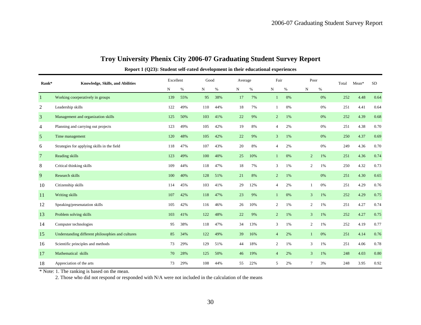| Rank* | <b>Knowledge, Skills, and Abilities</b>     | Excellent |     | Good |     | Average |      |                | Fair |                | Poor | Total | Mean* | <b>SD</b> |
|-------|---------------------------------------------|-----------|-----|------|-----|---------|------|----------------|------|----------------|------|-------|-------|-----------|
|       |                                             | N         | %   | N    | %   | N       | $\%$ | N              | %    | N              | %    |       |       |           |
|       | Working coorperatively in groups            | 139       | 55% | 95   | 38% | 17      | 7%   |                | 0%   |                | 0%   | 252   | 4.48  | 0.64      |
| 2     | Leadership skills                           | 122       | 49% | 110  | 44% | 18      | 7%   |                | 0%   |                | 0%   | 251   | 4.41  | 0.64      |
| 3     | Management and organization skills          | 125       | 50% | 103  | 41% | 22      | 9%   | $\overline{2}$ | 1%   |                | 0%   | 252   | 4.39  | 0.68      |
| 4     | Planning and carrying out projects          | 123       | 49% | 105  | 42% | 19      | 8%   | $\overline{4}$ | 2%   |                | 0%   | 251   | 4.38  | 0.70      |
| 5     | Time management                             | 120       | 48% | 105  | 42% | 22      | 9%   | $\mathfrak{Z}$ | 1%   |                | 0%   | 250   | 4.37  | 0.69      |
| 6     | Strategies for applying skills in the field | 118       | 47% | 107  | 43% | 20      | 8%   | $\overline{4}$ | 2%   |                | 0%   | 249   | 4.36  | 0.70      |
| 7     | Reading skills                              | 123       | 49% | 100  | 40% | 25      | 10%  |                | 0%   | $\overline{2}$ | 1%   | 251   | 4.36  | 0.74      |
| 8     | Critical thinking skills                    | 109       | 44% | 118  | 47% | 18      | 7%   | 3              | 1%   | $\overline{c}$ | 1%   | 250   | 4.32  | 0.73      |
|       |                                             |           |     |      |     |         |      |                |      |                |      |       |       |           |

Research skills 100 40% 128 51% 21 8% 2 1% 0% 251 4.30 0.65

Citizenship skills 114 45% 103 41% 29 12% 4 2% 1 0% 251 4.29 0.76

Writing skills 107 42% 118 47% 23 9% 1 0% 3 1% 252 4.29 0.75

Speaking/presenatation skills 105 42% 116 46% 26 10% 2 1% 2 1% 251 4.27 0.74

Problem solving skills 103 41% 122 48% 22 9% 2 1% 3 1% 252 4.27 0.75

Computer technologies 8 118 38% 118 47% 34 13% 3 1% 2 1% 2 252 4.19 0.77

Understanding different philosophies and cultures 85 34% 122 49% 39 16% 4 2% 1 0% 251 4.14 0.76

Scientific principles and methods **73** 29% 129 51% 44 18% 2 1% 3 1% 251 4.06 0.78

Mathematical skills 70 28% 125 50% 46 19% 4 2% 3 1% 248 4.03 0.80

Appreciation of the arts **73 29%** 108 44% 55 22% 5 29% 7 3% 248 3.95 0.92

## **Troy University Phenix City 2006-07 Graduating Student Survey Report**

**Report 1 (Q23): Student self-rated development in their educational experiences**

\* Note: 1. The ranking is based on the mean.

1

2

3

4

5

6

7

8

9

10

11

12

13

14

15

16

17

18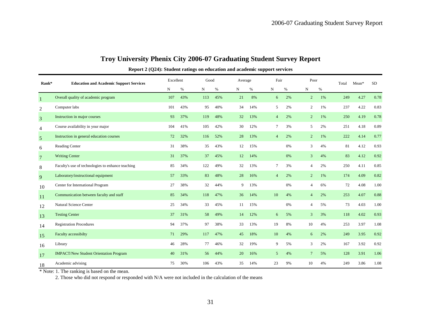|  |  | Troy University Phenix City 2006-07 Graduating Student Survey Report |  |
|--|--|----------------------------------------------------------------------|--|
|  |  |                                                                      |  |

**Report 2 (Q24): Student ratings on education and academic support services**

| Rank*          | <b>Education and Academic Support Services</b>    | Excellent |     | Good |      | Average |      | Fair           |    | Poor            |      | Total | Mean* | <b>SD</b> |
|----------------|---------------------------------------------------|-----------|-----|------|------|---------|------|----------------|----|-----------------|------|-------|-------|-----------|
|                |                                                   | N         | %   | N    | $\%$ | N       | $\%$ | N              | %  | N               | $\%$ |       |       |           |
| $\mathbf{1}$   | Overall quality of academic program               | 107       | 43% | 113  | 45%  | 21      | 8%   | 6              | 2% | $\overline{2}$  | 1%   | 249   | 4.27  | 0.78      |
| $\overline{c}$ | Computer labs                                     | 101       | 43% | 95   | 40%  | 34      | 14%  | 5              | 2% | 2               | 1%   | 237   | 4.22  | 0.83      |
| 3              | Instruction in major courses                      | 93        | 37% | 119  | 48%  | 32      | 13%  | $\overline{4}$ | 2% | $\overline{2}$  | 1%   | 250   | 4.19  | 0.78      |
| $\overline{4}$ | Course availability in your major                 | 104       | 41% | 105  | 42%  | 30      | 12%  | 7              | 3% | 5               | 2%   | 251   | 4.18  | 0.89      |
| $\sqrt{5}$     | Instruction in general education courses          | 72        | 32% | 116  | 52%  | 28      | 13%  | $\overline{4}$ | 2% | $\overline{2}$  | 1%   | 222   | 4.14  | 0.77      |
| 6              | Reading Center                                    | 31        | 38% | 35   | 43%  | 12      | 15%  |                | 0% | 3               | 4%   | 81    | 4.12  | 0.93      |
| $\overline{7}$ | <b>Writing Center</b>                             | 31        | 37% | 37   | 45%  | 12      | 14%  |                | 0% | 3               | 4%   | 83    | 4.12  | 0.92      |
| 8              | Faculty's use of technologies to enhance teaching | 85        | 34% | 122  | 49%  | 32      | 13%  | 7              | 3% | $\overline{4}$  | 2%   | 250   | 4.11  | 0.85      |
| 9              | Laboratory/instructional equipment                | 57        | 33% | 83   | 48%  | 28      | 16%  | $\overline{4}$ | 2% | $\overline{2}$  | 1%   | 174   | 4.09  | 0.82      |
| 10             | Center for International Program                  | 27        | 38% | 32   | 44%  | 9       | 13%  |                | 0% | $\overline{4}$  | 6%   | 72    | 4.08  | 1.00      |
| 11             | Communication between faculty and staff           | 85        | 34% | 118  | 47%  | 36      | 14%  | 10             | 4% | $\overline{4}$  | 2%   | 253   | 4.07  | 0.88      |
| 12             | Natural Science Center                            | 25        | 34% | 33   | 45%  | 11      | 15%  |                | 0% | $\overline{4}$  | 5%   | 73    | 4.03  | 1.00      |
| 13             | <b>Testing Center</b>                             | 37        | 31% | 58   | 49%  | 14      | 12%  | 6              | 5% | 3               | 3%   | 118   | 4.02  | 0.93      |
| 14             | <b>Registration Procedures</b>                    | 94        | 37% | 97   | 38%  | 33      | 13%  | 19             | 8% | 10              | 4%   | 253   | 3.97  | 1.08      |
| 15             | Faculty accessibilty                              | 71        | 29% | 117  | 47%  | 45      | 18%  | 10             | 4% | 6               | 2%   | 249   | 3.95  | 0.92      |
| 16             | Library                                           | 46        | 28% | 77   | 46%  | 32      | 19%  | 9              | 5% | 3               | 2%   | 167   | 3.92  | 0.92      |
| 17             | <b>IMPACT/New Student Orientation Program</b>     | 40        | 31% | 56   | 44%  | 20      | 16%  | 5 <sup>5</sup> | 4% | $7\phantom{.0}$ | 5%   | 128   | 3.91  | 1.06      |
| 18             | Academic advising                                 | 75        | 30% | 106  | 43%  | 35      | 14%  | 23             | 9% | 10              | 4%   | 249   | 3.86  | 1.08      |

\* Note: 1. The ranking is based on the mean.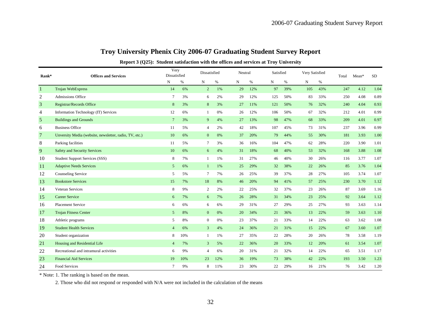| Rank*          | <b>Offices and Services</b>                            | Very<br>Dissatisfied |      |                  | Dissatisfied |           | Neutral |     | Satisfied |            | Very Satisfied |     | Mean* | <b>SD</b> |
|----------------|--------------------------------------------------------|----------------------|------|------------------|--------------|-----------|---------|-----|-----------|------------|----------------|-----|-------|-----------|
|                |                                                        | ${\bf N}$            | $\%$ | $_{\rm N}$       | %            | ${\bf N}$ | $\%$    | N   | $\%$      | $_{\rm N}$ | $\%$           |     |       |           |
| 1              | <b>Trojan WebExpress</b>                               | 14                   | 6%   | 2                | 1%           | 29        | 12%     | 97  | 39%       | 105        | 43%            | 247 | 4.12  | 1.04      |
| $\mathfrak{2}$ | Admissions Office                                      | $\tau$               | 3%   | 6                | 2%           | 29        | 12%     | 125 | 50%       | 83         | 33%            | 250 | 4.08  | 0.89      |
| 3              | Registrar/Records Office                               | 8                    | 3%   | 8                | 3%           | 27        | 11%     | 121 | 50%       | 76         | 32%            | 240 | 4.04  | 0.93      |
| 4              | Information Technology (IT) Services                   | 12                   | 6%   | 1                | 0%           | 26        | 12%     | 106 | 50%       | 67         | 32%            | 212 | 4.01  | 0.99      |
| 5              | <b>Buildings and Grounds</b>                           | $7\phantom{.0}$      | 3%   | 9                | 4%           | 27        | 13%     | 98  | 47%       | 68         | 33%            | 209 | 4.01  | 0.97      |
| 6              | <b>Business Office</b>                                 | 11                   | 5%   | 4                | 2%           | 42        | 18%     | 107 | 45%       | 73         | 31%            | 237 | 3.96  | 0.99      |
| $\overline{7}$ | Unversity Media (website, newsletter, radio, TV, etc.) | 10                   | 6%   | $\mathbf{0}$     | 0%           | 37        | 20%     | 79  | 44%       | 55         | 30%            | 181 | 3.93  | 1.00      |
| 8              | Parking facilities                                     | 11                   | 5%   | $\tau$           | 3%           | 36        | 16%     | 104 | 47%       | 62         | 28%            | 220 | 3.90  | 1.01      |
| 9              | <b>Safety and Security Services</b>                    | 10                   | 6%   | 6                | 4%           | 31        | 18%     | 68  | 40%       | 53         | 32%            | 168 | 3.88  | 1.08      |
| 10             | <b>Student Support Services (SSS)</b>                  | 8                    | 7%   | $\mathbf{1}$     | 1%           | 31        | 27%     | 46  | 40%       | 30         | 26%            | 116 | 3.77  | 1.07      |
| 11             | <b>Adaptive Needs Services</b>                         | 5                    | 6%   | $\mathbf{1}$     | 1%           | 25        | 29%     | 32  | 38%       | 22         | 26%            | 85  | 3.76  | 1.04      |
| 12             | <b>Counseling Service</b>                              | 5                    | 5%   | 7                | 7%           | 26        | 25%     | 39  | 37%       | 28         | 27%            | 105 | 3.74  | 1.07      |
| 13             | <b>Bookstore Services</b>                              | 15                   | 7%   | 18               | 8%           | 46        | 20%     | 94  | 41%       | 57         | 25%            | 230 | 3.70  | 1.12      |
| 14             | <b>Veteran Services</b>                                | 8                    | 9%   | 2                | 2%           | 22        | 25%     | 32  | 37%       | 23         | 26%            | 87  | 3.69  | 1.16      |
| 15             | <b>Career Service</b>                                  | 6                    | 7%   | 6                | 7%           | 26        | 28%     | 31  | 34%       | 23         | 25%            | 92  | 3.64  | 1.12      |
| 16             | <b>Placement Service</b>                               | 6                    | 6%   | 6                | 6%           | 29        | 31%     | 27  | 29%       | 25         | 27%            | 93  | 3.63  | 1.14      |
| 17             | <b>Trojan Fitness Center</b>                           | 5                    | 8%   | $\overline{0}$   | 0%           | 20        | 34%     | 21  | 36%       | 13         | 22%            | 59  | 3.63  | 1.10      |
| 18             | Athletic programs                                      | 5                    | 8%   | $\boldsymbol{0}$ | 0%           | 23        | 37%     | 21  | 33%       | 14         | 22%            | 63  | 3.62  | 1.08      |
| 19             | <b>Student Health Services</b>                         | $\overline{4}$       | 6%   | $\mathfrak{Z}$   | 4%           | 24        | 36%     | 21  | 31%       | 15         | 22%            | 67  | 3.60  | 1.07      |
| 20             | Student organization                                   | 8                    | 10%  | 1                | 1%           | 27        | 35%     | 22  | 28%       | 20         | 26%            | 78  | 3.58  | 1.19      |
| 21             | Housing and Residential Life                           | $\overline{4}$       | 7%   | 3                | 5%           | 22        | 36%     | 20  | 33%       | 12         | 20%            | 61  | 3.54  | 1.07      |
| 22             | Recreational and intramural activities                 | 6                    | 9%   | $\overline{4}$   | 6%           | 20        | 31%     | 21  | 32%       | 14         | 22%            | 65  | 3.51  | 1.17      |
| 23             | <b>Financial Aid Services</b>                          | 19                   | 10%  | 23               | 12%          | 36        | 19%     | 73  | 38%       | 42         | 22%            | 193 | 3.50  | 1.23      |
| 24             | Food Services                                          | $\overline{7}$       | 9%   | 8                | 11%          | 23        | 30%     | 22  | 29%       | 16         | 21%            | 76  | 3.42  | 1.20      |

## **Troy University Phenix City 2006-07 Graduating Student Survey Report**

#### **Report 3 (Q25): Student satisfaction with the offices and services at Troy University**

\* Note: 1. The ranking is based on the mean.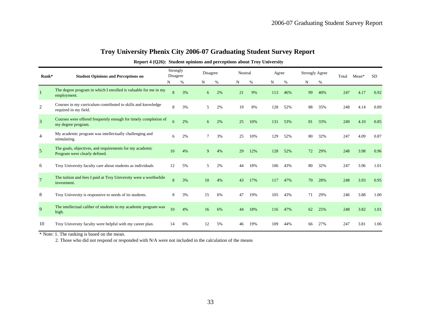# **Troy University Phenix City 2006-07 Graduating Student Survey Report**

#### **Report 4 (Q26): Student opinions and perceptions about Troy University**

| Rank*           | <b>Student Opinions and Perceptions on</b>                                               | Strongly<br>Disagree |               |    | Disagree |    | Neutral |     | Agree |    | <b>Strongly Agree</b> |     | $Mean*$ | <b>SD</b> |
|-----------------|------------------------------------------------------------------------------------------|----------------------|---------------|----|----------|----|---------|-----|-------|----|-----------------------|-----|---------|-----------|
|                 |                                                                                          | N                    | $\frac{0}{0}$ | N  | %        | N  | $\%$    | N   | $\%$  | N  | $\%$                  |     |         |           |
|                 | The degree program in which I enrolled is valuable for me in my<br>employment.           | 8                    | 3%            | 6  | 2%       | 21 | 9%      | 113 | 46%   | 99 | 40%                   | 247 | 4.17    | 0.92      |
| 2               | Courses in my curriculum contributed to skills and knowledge<br>required in my field.    | 8                    | 3%            | 5  | 2%       | 19 | 8%      | 128 | 52%   | 88 | 35%                   | 248 | 4.14    | 0.89      |
| 3               | Courses were offered frequently enough for timely completion of<br>my degree program.    | 6                    | 2%            | 6  | 2%       | 25 | 10%     | 131 | 53%   | 81 | 33%                   | 249 | 4.10    | 0.85      |
| $\overline{4}$  | My academic program was intellectually challenging and<br>stimulating.                   | 6                    | 2%            | 7  | 3%       | 25 | 10%     | 129 | 52%   | 80 | 32%                   | 247 | 4.09    | 0.87      |
| 5               | The goals, objectives, and requirements for my academic<br>Program were clearly defined. | 10                   | 4%            | 9  | 4%       | 29 | 12%     | 128 | 52%   | 72 | 29%                   | 248 | 3.98    | 0.96      |
| 6               | Troy University faculty care about students as individuals                               | 12                   | 5%            | 5  | 2%       | 44 | 18%     | 106 | 43%   | 80 | 32%                   | 247 | 3.96    | 1.01      |
| $7\phantom{.0}$ | The tuition and fees I paid at Troy University were a worthwhile<br>investment.          | 8                    | 3%            | 10 | 4%       | 43 | 17%     | 117 | 47%   | 70 | 28%                   | 248 | 3.93    | 0.95      |
| 8               | Troy University is responsive to needs of its students.                                  | 8                    | 3%            | 15 | 6%       | 47 | 19%     | 105 | 43%   | 71 | 29%                   | 246 | 3.88    | 1.00      |
| 9               | The intellectual caliber of students in my academic program was<br>high.                 | 10                   | 4%            | 16 | 6%       | 44 | 18%     | 116 | 47%   | 62 | 25%                   | 248 | 3.82    | 1.01      |
| 10              | Troy University faculty were helpful with my career plan.                                | 14                   | 6%            | 12 | 5%       | 46 | 19%     | 109 | 44%   | 66 | 27%                   | 247 | 3.81    | 1.06      |

\* Note: 1. The ranking is based on the mean.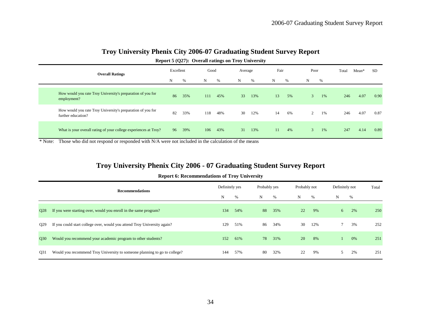| Report $5(Q27)$ : Overall ratings on Troy University                              |           |     |     |      |    |         |    |      |              |      |     |       |           |
|-----------------------------------------------------------------------------------|-----------|-----|-----|------|----|---------|----|------|--------------|------|-----|-------|-----------|
| <b>Overall Ratings</b>                                                            | Excellent |     |     | Good |    | Average |    | Fair |              | Poor |     | Mean* | <b>SD</b> |
|                                                                                   |           | %   | N   | %    | N  | %       | N  | %    | N            | %    |     |       |           |
| How would you rate Troy University's preparation of you for<br>employment?        | 86        | 35% | 111 | 45%  | 33 | 13%     | 13 | 5%   | 3            | 1%   | 246 | 4.07  | 0.90      |
| How would you rate Troy University's preparation of you for<br>further education? | 82        | 33% | 118 | 48%  | 30 | 12%     | 14 | 6%   | 2            | 1%   | 246 | 4.07  | 0.87      |
| What is your overall rating of your college experiences at Troy?                  | 96        | 39% | 106 | 43%  | 31 | 13%     | 11 | 4%   | $\mathbf{3}$ | 1%   | 247 | 4.14  | 0.89      |

## **Troy University Phenix City 2006-07 Graduating Student Survey Report**

\* Note: Those who did not respond or responded with N/A were not included in the calculation of the means

# **Troy University Phenix City 2006 - 07 Graduating Student Survey Report**

#### **Report 6: Recommendations of Troy University**

|     | <b>Recommendations</b>                                                     | Definitely yes |     | Probably yes |     | Probably not |      |    | Definitely not |     |  |
|-----|----------------------------------------------------------------------------|----------------|-----|--------------|-----|--------------|------|----|----------------|-----|--|
|     |                                                                            |                | %   | N            | %   | N            | $\%$ | N  | %              |     |  |
| Q28 | If you were starting over, would you enroll in the same program?           | 134            | 54% | 88           | 35% | 22           | 9%   | 6. | 2%             | 250 |  |
| Q29 | If you could start college over, would you attend Troy University again?   | 129            | 51% | 86           | 34% | 30           | 12%  |    | 3%             | 252 |  |
| Q30 | Would you recommend your academic program to other students?               | 152            | 61% | 78           | 31% | 20           | 8%   |    | 0%             | 251 |  |
| Q31 | Would you recommend Troy University to some one planning to go to college? | 144            | 57% | 80           | 32% | 22           | 9%   |    | 2%             | 251 |  |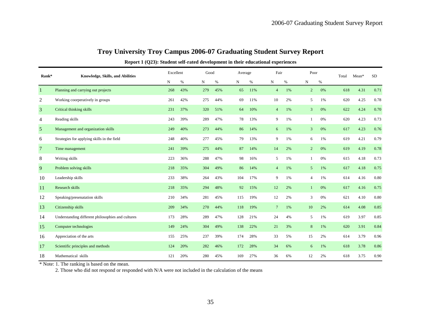| Rank*          | <b>Knowledge, Skills, and Abilities</b>           | Excellent |      |     | Good |     | Average |                | Fair |                | Poor | Total | Mean* | <b>SD</b> |
|----------------|---------------------------------------------------|-----------|------|-----|------|-----|---------|----------------|------|----------------|------|-------|-------|-----------|
|                |                                                   | N         | $\%$ | N   | $\%$ | N   | $\%$    | N              | %    | $\mathbf N$    | $\%$ |       |       |           |
| $\mathbf{1}$   | Planning and carrying out projects                | 268       | 43%  | 279 | 45%  | 65  | 11%     | $\overline{4}$ | 1%   | $\overline{2}$ | 0%   | 618   | 4.31  | 0.71      |
| 2              | Working coorperatively in groups                  | 261       | 42%  | 275 | 44%  | 69  | 11%     | 10             | 2%   | 5              | 1%   | 620   | 4.25  | 0.78      |
| 3              | Critical thinking skills                          | 231       | 37%  | 320 | 51%  | 64  | 10%     | $\overline{4}$ | 1%   | 3              | 0%   | 622   | 4.24  | 0.70      |
| 4              | Reading skills                                    | 243       | 39%  | 289 | 47%  | 78  | 13%     | 9              | 1%   | 1              | 0%   | 620   | 4.23  | 0.73      |
| 5              | Management and organization skills                | 249       | 40%  | 273 | 44%  | 86  | 14%     | 6              | 1%   | 3              | 0%   | 617   | 4.23  | 0.76      |
| 6              | Strategies for applying skills in the field       | 248       | 40%  | 277 | 45%  | 79  | 13%     | 9              | 1%   | 6              | 1%   | 619   | 4.21  | 0.79      |
| $\overline{7}$ | Time management                                   | 241       | 39%  | 275 | 44%  | 87  | 14%     | 14             | 2%   | $\overline{2}$ | 0%   | 619   | 4.19  | 0.78      |
| 8              | Writing skills                                    | 223       | 36%  | 288 | 47%  | 98  | 16%     | 5              | 1%   | 1              | 0%   | 615   | 4.18  | 0.73      |
| 9              | Problem solving skills                            | 218       | 35%  | 304 | 49%  | 86  | 14%     | $\overline{4}$ | 1%   | $\mathfrak{S}$ | 1%   | 617   | 4.18  | 0.75      |
| 10             | Leadership skills                                 | 233       | 38%  | 264 | 43%  | 104 | 17%     | 9              | 1%   | $\overline{4}$ | 1%   | 614   | 4.16  | 0.80      |
| 11             | Research skills                                   | 218       | 35%  | 294 | 48%  | 92  | 15%     | 12             | 2%   | $\mathbf{1}$   | 0%   | 617   | 4.16  | 0.75      |
| 12             | Speaking/presenatation skills                     | 210       | 34%  | 281 | 45%  | 115 | 19%     | 12             | 2%   | 3              | 0%   | 621   | 4.10  | 0.80      |
| 13             | Citizenship skills                                | 209       | 34%  | 270 | 44%  | 118 | 19%     | $\tau$         | 1%   | 10             | 2%   | 614   | 4.08  | 0.85      |
| 14             | Understanding different philosophies and cultures | 173       | 28%  | 289 | 47%  | 128 | 21%     | 24             | 4%   | 5              | 1%   | 619   | 3.97  | 0.85      |
| 15             | Computer technologies                             | 149       | 24%  | 304 | 49%  | 138 | 22%     | 21             | 3%   | 8              | 1%   | 620   | 3.91  | 0.84      |
| 16             | Appreciation of the arts                          | 155       | 25%  | 237 | 39%  | 174 | 28%     | 33             | 5%   | 15             | 2%   | 614   | 3.79  | 0.96      |
| 17             | Scientific principles and methods                 | 124       | 20%  | 282 | 46%  | 172 | 28%     | 34             | 6%   | 6              | 1%   | 618   | 3.78  | 0.86      |
| 18             | Mathematical skills                               | 121       | 20%  | 280 | 45%  | 169 | 27%     | 36             | 6%   | 12             | 2%   | 618   | 3.75  | 0.90      |

# **Troy University Troy Campus 2006-07 Graduating Student Survey Report Report 1 (Q23): Student self-rated development in their educational experiences**

## \* Note: 1. The ranking is based on the mean.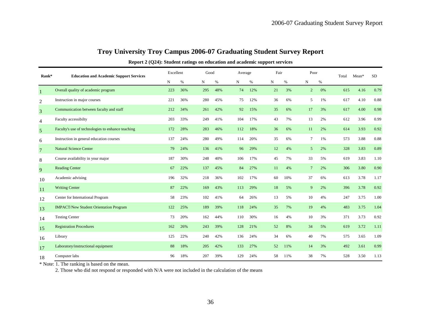| Rank*          | <b>Education and Academic Support Services</b>    | Excellent |      | Good |      | Average |      | Fair |      | Poor            |      | Total | Mean* | <b>SD</b> |
|----------------|---------------------------------------------------|-----------|------|------|------|---------|------|------|------|-----------------|------|-------|-------|-----------|
|                |                                                   | N         | $\%$ | N    | $\%$ | N       | $\%$ | N    | $\%$ | N               | $\%$ |       |       |           |
| $\mathbf{1}$   | Overall quality of academic program               | 223       | 36%  | 295  | 48%  | 74      | 12%  | 21   | 3%   | $\overline{2}$  | 0%   | 615   | 4.16  | 0.79      |
| $\overline{c}$ | Instruction in major courses                      | 221       | 36%  | 280  | 45%  | 75      | 12%  | 36   | 6%   | 5               | 1%   | 617   | 4.10  | 0.88      |
| $\mathfrak{Z}$ | Communication between faculty and staff           | 212       | 34%  | 261  | 42%  | 92      | 15%  | 35   | 6%   | 17              | 3%   | 617   | 4.00  | 0.98      |
| 4              | Faculty accessibilty                              | 203       | 33%  | 249  | 41%  | 104     | 17%  | 43   | 7%   | 13              | 2%   | 612   | 3.96  | 0.99      |
| 5              | Faculty's use of technologies to enhance teaching | 172       | 28%  | 283  | 46%  | 112     | 18%  | 36   | 6%   | 11              | 2%   | 614   | 3.93  | 0.92      |
| 6              | Instruction in general education courses          | 137       | 24%  | 280  | 49%  | 114     | 20%  | 35   | 6%   | $\tau$          | 1%   | 573   | 3.88  | 0.88      |
| $\overline{7}$ | <b>Natural Science Center</b>                     | 79        | 24%  | 136  | 41%  | 96      | 29%  | 12   | 4%   | 5 <sup>5</sup>  | 2%   | 328   | 3.83  | 0.89      |
| $\,8\,$        | Course availability in your major                 | 187       | 30%  | 248  | 40%  | 106     | 17%  | 45   | 7%   | 33              | 5%   | 619   | 3.83  | 1.10      |
| 9              | <b>Reading Center</b>                             | 67        | 22%  | 137  | 45%  | 84      | 27%  | 11   | 4%   | $7\phantom{.0}$ | 2%   | 306   | 3.80  | 0.90      |
| 10             | Academic advising                                 | 196       | 32%  | 218  | 36%  | 102     | 17%  | 60   | 10%  | 37              | 6%   | 613   | 3.78  | 1.17      |
| 11             | <b>Writing Center</b>                             | 87        | 22%  | 169  | 43%  | 113     | 29%  | 18   | 5%   | 9               | 2%   | 396   | 3.78  | 0.92      |
| 12             | Center for International Program                  | 58        | 23%  | 102  | 41%  | 64      | 26%  | 13   | 5%   | 10              | 4%   | 247   | 3.75  | 1.00      |
| 13             | <b>IMPACT/New Student Orientation Program</b>     | 122       | 25%  | 189  | 39%  | 118     | 24%  | 35   | 7%   | 19              | 4%   | 483   | 3.75  | 1.04      |
| 14             | <b>Testing Center</b>                             | 73        | 20%  | 162  | 44%  | 110     | 30%  | 16   | 4%   | 10              | 3%   | 371   | 3.73  | 0.92      |
| 15             | <b>Registration Procedures</b>                    | 162       | 26%  | 243  | 39%  | 128     | 21%  | 52   | 8%   | 34              | 5%   | 619   | 3.72  | 1.11      |
| 16             | Library                                           | 125       | 22%  | 240  | 42%  | 136     | 24%  | 34   | 6%   | 40              | 7%   | 575   | 3.65  | 1.09      |
| 17             | Laboratory/instructional equipment                | 88        | 18%  | 205  | 42%  | 133     | 27%  | 52   | 11%  | 14              | 3%   | 492   | 3.61  | 0.99      |
| 18             | Computer labs                                     | 96        | 18%  | 207  | 39%  | 129     | 24%  | 58   | 11%  | 38              | 7%   | 528   | 3.50  | 1.13      |

#### **Report 2 (Q24): Student ratings on education and academic support services**

\* Note: 1. The ranking is based on the mean.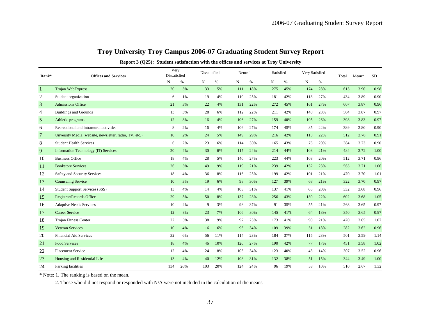| Rank*          | <b>Offices and Services</b>                            | Very<br>Dissatisfied |      | Dissatisfied |     | Neutral |      |   | Satisfied |      | Very Satisfied |      | Total | Mean* | <b>SD</b> |
|----------------|--------------------------------------------------------|----------------------|------|--------------|-----|---------|------|---|-----------|------|----------------|------|-------|-------|-----------|
|                |                                                        | N                    | $\%$ | N            | %   | N       | $\%$ | N |           | $\%$ | N              | $\%$ |       |       |           |
| $\mathbf{1}$   | Trojan WebExpress                                      | 20                   | 3%   | 33           | 5%  | 111     | 18%  |   | 275       | 45%  | 174            | 28%  | 613   | 3.90  | 0.98      |
| 2              | Student organization                                   | 6                    | 1%   | 19           | 4%  | 110     | 25%  |   | 181       | 42%  | 118            | 27%  | 434   | 3.89  | 0.90      |
| 3              | <b>Admissions Office</b>                               | 21                   | 3%   | 22           | 4%  | 131     | 22%  |   | 272       | 45%  | 161            | 27%  | 607   | 3.87  | 0.96      |
| 4              | <b>Buildings and Grounds</b>                           | 13                   | 3%   | 28           | 6%  | 112     | 22%  |   | 211       | 42%  | 140            | 28%  | 504   | 3.87  | 0.97      |
| 5              | Athletic programs                                      | 12                   | 3%   | 16           | 4%  | 106     | 27%  |   | 159       | 40%  | 105            | 26%  | 398   | 3.83  | 0.97      |
| 6              | Recreational and intramural activities                 | 8                    | 2%   | 16           | 4%  | 106     | 27%  |   | 174       | 45%  | 85             | 22%  | 389   | 3.80  | 0.90      |
| $\overline{7}$ | Unversity Media (website, newsletter, radio, TV, etc.) | 10                   | 2%   | 24           | 5%  | 149     | 29%  |   | 216       | 42%  | 113            | 22%  | 512   | 3.78  | 0.91      |
| 8              | <b>Student Health Services</b>                         | 6                    | 2%   | 23           | 6%  | 114     | 30%  |   | 165       | 43%  | 76             | 20%  | 384   | 3.73  | 0.90      |
| 9              | Information Technology (IT) Services                   | 20                   | 4%   | 30           | 6%  | 117     | 24%  |   | 214       | 44%  | 103            | 21%  | 484   | 3.72  | 1.00      |
| 10             | <b>Business Office</b>                                 | 18                   | 4%   | 28           | 5%  | 140     | 27%  |   | 223       | 44%  | 103            | 20%  | 512   | 3.71  | 0.96      |
| 11             | <b>Bookstore Services</b>                              | 26                   | 5%   | 49           | 9%  | 119     | 21%  |   | 239       | 42%  | 132            | 23%  | 565   | 3.71  | 1.06      |
| 12             | Safety and Security Services                           | 18                   | 4%   | 36           | 8%  | 116     | 25%  |   | 199       | 42%  | 101            | 21%  | 470   | 3.70  | 1.01      |
| 13             | <b>Counseling Service</b>                              | 10                   | 3%   | 19           | 6%  | 98      | 30%  |   | 127       | 39%  | 68             | 21%  | 322   | 3.70  | 0.97      |
| 14             | <b>Student Support Services (SSS)</b>                  | 13                   | 4%   | 14           | 4%  | 103     | 31%  |   | 137       | 41%  | 65             | 20%  | 332   | 3.68  | 0.96      |
| 15             | Registrar/Records Office                               | 29                   | 5%   | 50           | 8%  | 137     | 23%  |   | 256       | 43%  | 130            | 22%  | 602   | 3.68  | 1.05      |
| 16             | <b>Adaptive Needs Services</b>                         | 10                   | 4%   | 9            | 3%  | 98      | 37%  |   | 91        | 35%  | 55             | 21%  | 263   | 3.65  | 0.97      |
| 17             | <b>Career Service</b>                                  | 12                   | 3%   | 23           | 7%  | 106     | 30%  |   | 145       | 41%  | 64             | 18%  | 350   | 3.65  | 0.97      |
| 18             | <b>Trojan Fitness Center</b>                           | 22                   | 5%   | 38           | 9%  | 97      | 23%  |   | 173       | 41%  | 90             | 21%  | 420   | 3.65  | 1.07      |
| 19             | <b>Veteran Services</b>                                | 10                   | 4%   | 16           | 6%  | 96      | 34%  |   | 109       | 39%  | 51             | 18%  | 282   | 3.62  | 0.96      |
| 20             | <b>Financial Aid Services</b>                          | 32                   | 6%   | 56           | 11% | 114     | 23%  |   | 184       | 37%  | 115            | 23%  | 501   | 3.59  | 1.14      |
| 21             | <b>Food Services</b>                                   | 18                   | 4%   | 46           | 10% | 120     | 27%  |   | 190       | 42%  | 77             | 17%  | 451   | 3.58  | 1.02      |
| 22             | <b>Placement Service</b>                               | 12                   | 4%   | 24           | 8%  | 105     | 34%  |   | 123       | 40%  | 43             | 14%  | 307   | 3.52  | 0.96      |
| 23             | Housing and Residential Life                           | 13                   | 4%   | 40           | 12% | 108     | 31%  |   | 132       | 38%  | 51             | 15%  | 344   | 3.49  | 1.00      |
| 24             | Parking facilities                                     | 134                  | 26%  | 103          | 20% | 124     | 24%  |   | 96        | 19%  | 53             | 10%  | 510   | 2.67  | 1.32      |

# **Report 3 (Q25): Student satisfaction with the offices and services at Troy University**

\* Note: 1. The ranking is based on the mean.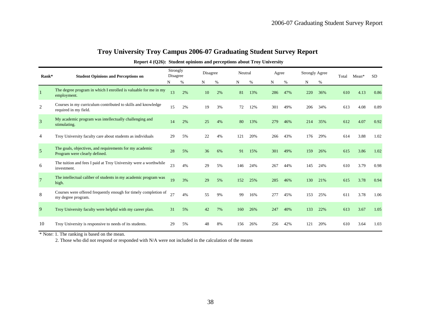#### **Report 4 (Q26): Student opinions and perceptions about Troy University**

| Rank*          | <b>Student Opinions and Perceptions on</b>                                               | Strongly<br>Disagree |      | Disagree |      | Neutral |     | Agree |      | <b>Strongly Agree</b> |     | Total | Mean* | <b>SD</b> |
|----------------|------------------------------------------------------------------------------------------|----------------------|------|----------|------|---------|-----|-------|------|-----------------------|-----|-------|-------|-----------|
|                |                                                                                          | N                    | $\%$ | N        | $\%$ | N       | %   | N     | $\%$ | N                     | %   |       |       |           |
| 1              | The degree program in which I enrolled is valuable for me in my<br>employment.           | 13                   | 2%   | 10       | 2%   | 81      | 13% | 286   | 47%  | 220                   | 36% | 610   | 4.13  | 0.86      |
| $\overline{c}$ | Courses in my curriculum contributed to skills and knowledge<br>required in my field.    | 15                   | 2%   | 19       | 3%   | 72      | 12% | 301   | 49%  | 206                   | 34% | 613   | 4.08  | 0.89      |
| $\mathfrak{Z}$ | My academic program was intellectually challenging and<br>stimulating.                   | 14                   | 2%   | 25       | 4%   | 80      | 13% | 279   | 46%  | 214                   | 35% | 612   | 4.07  | 0.92      |
| 4              | Troy University faculty care about students as individuals                               | 29                   | 5%   | 22       | 4%   | 121     | 20% | 266   | 43%  | 176                   | 29% | 614   | 3.88  | 1.02      |
| 5              | The goals, objectives, and requirements for my academic<br>Program were clearly defined. | 28                   | 5%   | 36       | 6%   | 91      | 15% | 301   | 49%  | 159                   | 26% | 615   | 3.86  | 1.02      |
| 6              | The tuition and fees I paid at Troy University were a worthwhile<br>investment.          | 23                   | 4%   | 29       | 5%   | 146     | 24% | 267   | 44%  | 145                   | 24% | 610   | 3.79  | 0.98      |
| $\overline{7}$ | The intellectual caliber of students in my academic program was<br>high.                 | 19                   | 3%   | 29       | 5%   | 152     | 25% | 285   | 46%  | 130                   | 21% | 615   | 3.78  | 0.94      |
| 8              | Courses were offered frequently enough for timely completion of<br>my degree program.    | 27                   | 4%   | 55       | 9%   | 99      | 16% | 277   | 45%  | 153                   | 25% | 611   | 3.78  | 1.06      |
| 9              | Troy University faculty were helpful with my career plan.                                | 31                   | 5%   | 42       | 7%   | 160     | 26% | 247   | 40%  | 133                   | 22% | 613   | 3.67  | 1.05      |
| 10             | Troy University is responsive to needs of its students.                                  | 29                   | 5%   | 48       | 8%   | 156     | 26% | 256   | 42%  | 121                   | 20% | 610   | 3.64  | 1.03      |

\* Note: 1. The ranking is based on the mean.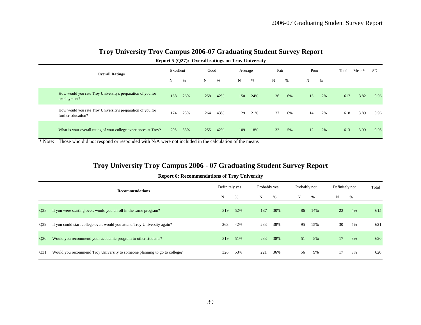|                                                                                   |           |     |      |     | <b>Report 5 (Q27): Overall ratings on Troy University</b> |     |      |    |      |    |       |       |           |
|-----------------------------------------------------------------------------------|-----------|-----|------|-----|-----------------------------------------------------------|-----|------|----|------|----|-------|-------|-----------|
| <b>Overall Ratings</b>                                                            | Excellent |     | Good |     | Average                                                   |     | Fair |    | Poor |    | Total | Mean* | <b>SD</b> |
|                                                                                   | N         | %   | N    | %   | N                                                         | %   | N    | %  | N    | %  |       |       |           |
| How would you rate Troy University's preparation of you for<br>employment?        | 158       | 26% | 258  | 42% | 150                                                       | 24% | 36   | 6% | 15   | 2% | 617   | 3.82  | 0.96      |
| How would you rate Troy University's preparation of you for<br>further education? | 174       | 28% | 264  | 43% | 129                                                       | 21% | 37   | 6% | 14   | 2% | 618   | 3.89  | 0.96      |
| What is your overall rating of your college experiences at Troy?                  | 205       | 33% | 255  | 42% | 109                                                       | 18% | 32   | 5% | 12   | 2% | 613   | 3.99  | 0.95      |

\* Note: Those who did not respond or responded with N/A were not included in the calculation of the means

# **Troy University Troy Campus 2006 - 07 Graduating Student Survey Report**

#### **Report 6: Recommendations of Troy University**

|     | <b>Recommendations</b>                                                     | Definitely yes |      | Probably yes |     | Probably not |     | Definitely not |    | Total |
|-----|----------------------------------------------------------------------------|----------------|------|--------------|-----|--------------|-----|----------------|----|-------|
|     |                                                                            | N              | $\%$ | N            | %   | $\mathbf N$  | %   | N              | %  |       |
| Q28 | If you were starting over, would you enroll in the same program?           | 319            | 52%  | 187          | 30% | 86           | 14% | 23             | 4% | 615   |
| Q29 | If you could start college over, would you attend Troy University again?   | 263            | 42%  | 233          | 38% | 95           | 15% | 30             | 5% | 621   |
| Q30 | Would you recommend your academic program to other students?               | 319            | 51%  | 233          | 38% | 51           | 8%  | 17             | 3% | 620   |
| Q31 | Would you recommend Troy University to some one planning to go to college? | 326            | 53%  | 221          | 36% | 56           | 9%  | 17             | 3% | 620   |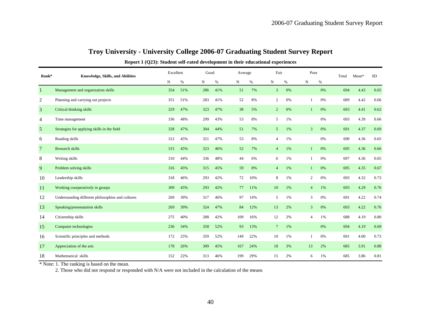|       | Report 1 (Q23): Student self-rated development in their educational experiences |           |      |           |      |         |      |                |      |                |       |       |       |           |
|-------|---------------------------------------------------------------------------------|-----------|------|-----------|------|---------|------|----------------|------|----------------|-------|-------|-------|-----------|
| Rank* | Knowledge, Skills, and Abilities                                                | Excellent |      | Good      |      | Average |      | Fair           |      |                | Poor  | Total | Mean* | <b>SD</b> |
|       |                                                                                 | N         | $\%$ | ${\bf N}$ | $\%$ | N       | $\%$ | ${\bf N}$      | $\%$ | N              | $\%$  |       |       |           |
| 1     | Management and organization skills                                              | 354       | 51%  | 286       | 41%  | 51      | 7%   | $\mathfrak{Z}$ | 0%   |                | 0%    | 694   | 4.43  | 0.65      |
| 2     | Planning and carrying out projects                                              | 351       | 51%  | 283       | 41%  | 52      | 8%   | $\overline{c}$ | 0%   | 1              | 0%    | 689   | 4.42  | 0.66      |
| 3     | Critical thinking skills                                                        | 329       | 47%  | 323       | 47%  | 38      | 5%   | $\overline{2}$ | 0%   | 1              | 0%    | 693   | 4.41  | 0.62      |
| 4     | Time management                                                                 | 336       | 48%  | 299       | 43%  | 53      | 8%   | 5              | 1%   |                | 0%    | 693   | 4.39  | 0.66      |
| 5     | Strategies for applying skills in the field                                     | 328       | 47%  | 304       | 44%  | 51      | 7%   | 5              | 1%   | 3              | 0%    | 691   | 4.37  | 0.69      |
| 6     | Reading skills                                                                  | 312       | 45%  | 321       | 47%  | 53      | 8%   | 4              | 1%   |                | 0%    | 690   | 4.36  | 0.65      |
| 7     | Research skills                                                                 | 315       | 45%  | 323       | 46%  | 52      | 7%   | $\overline{4}$ | 1%   | 1              | 0%    | 695   | 4.36  | 0.66      |
| 8     | Writing skills                                                                  | 310       | 44%  | 336       | 48%  | 44      | 6%   | 6              | 1%   | 1              | 0%    | 697   | 4.36  | 0.65      |
| 9     | Problem solving skills                                                          | 316       | 45%  | 315       | 45%  | 59      | 8%   | $\overline{4}$ | 1%   | 1              | 0%    | 695   | 4.35  | 0.67      |
| 10    | Leadership skills                                                               | 318       | 46%  | 293       | 42%  | 72      | 10%  | 8              | 1%   | 2              | 0%    | 693   | 4.32  | 0.73      |
| 11    | Working coorperatively in groups                                                | 309       | 45%  | 293       | 42%  | 77      | 11%  | 10             | 1%   | $\overline{4}$ | 1%    | 693   | 4.29  | 0.76      |
| 12    | Understanding different philosophies and cultures                               | 269       | 39%  | 317       | 46%  | 97      | 14%  | 5              | 1%   | 3              | 0%    | 691   | 4.22  | 0.74      |
| 13    | Speaking/presenatation skills                                                   | 269       | 39%  | 324       | 47%  | 84      | 12%  | 13             | 2%   | $\mathbf{3}$   | 0%    | 693   | 4.22  | 0.76      |
| 14    | Citizenship skills                                                              | 275       | 40%  | 288       | 42%  | 109     | 16%  | 12             | 2%   | $\overline{4}$ | 1%    | 688   | 4.19  | 0.80      |
| 15    | Computer technologies                                                           | 236       | 34%  | 358       | 52%  | 93      | 13%  | 7              | 1%   |                | 0%    | 694   | 4.19  | 0.69      |
| 16    | Scientific principles and methods                                               | 172       | 25%  | 359       | 52%  | 149     | 22%  | 10             | 1%   | 1              | $0\%$ | 691   | 4.00  | 0.73      |
| 17    | Appreciation of the arts                                                        | 178       | 26%  | 309       | 45%  | 167     | 24%  | 18             | 3%   | 13             | 2%    | 685   | 3.91  | 0.88      |
| 18    | Mathematical skills                                                             | 152       | 22%  | 313       | 46%  | 199     | 29%  | 15             | 2%   | 6              | 1%    | 685   | 3.86  | 0.81      |

# **Troy University - University College 2006-07 Graduating Student Survey Report**

\* Note: 1. The ranking is based on the mean.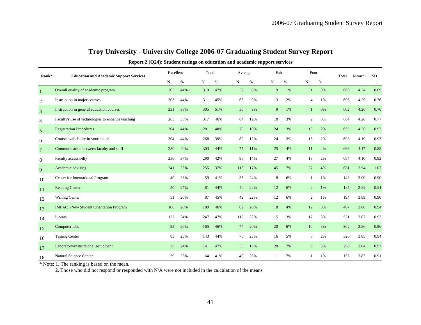| Rank*                   | <b>Education and Academic Support Services</b>    | Excellent |      | Good |     | Average |      | Fair |      | Poor           |      | Total | Mean* | <b>SD</b> |
|-------------------------|---------------------------------------------------|-----------|------|------|-----|---------|------|------|------|----------------|------|-------|-------|-----------|
|                         |                                                   | N         | $\%$ | N    | %   | N       | $\%$ | N    | $\%$ | N              | $\%$ |       |       |           |
| $\mathbf{1}$            | Overall quality of academic program               | 305       | 44%  | 319  | 47% | 52      | 8%   | 9    | 1%   | $\mathbf{1}$   | 0%   | 686   | 4.34  | 0.69      |
| $\overline{c}$          | Instruction in major courses                      | 303       | 44%  | 311  | 45% | 65      | 9%   | 13   | 2%   | $\overline{4}$ | 1%   | 696   | 4.29  | 0.76      |
| $\overline{\mathbf{3}}$ | Instruction in general education courses          | 231       | 38%  | 305  | 51% | 56      | 9%   | 9    | 1%   | $\mathbf{1}$   | 0%   | 602   | 4.26  | 0.70      |
| 4                       | Faculty's use of technologies to enhance teaching | 263       | 38%  | 317  | 46% | 84      | 12%  | 18   | 3%   | 2              | 0%   | 684   | 4.20  | 0.77      |
| 5                       | <b>Registration Procedures</b>                    | 304       | 44%  | 281  | 40% | 70      | 10%  | 24   | 3%   | 16             | 2%   | 695   | 4.20  | 0.92      |
| 6                       | Course availability in your major                 | 304       | 44%  | 268  | 39% | 82      | 12%  | 24   | 3%   | 15             | 2%   | 693   | 4.19  | 0.93      |
| $\overline{7}$          | Communication between faculty and staff           | 280       | 40%  | 303  | 44% | 77      | 11%  | 25   | 4%   | 11             | 2%   | 696   | 4.17  | 0.88      |
| 8                       | Faculty accessibilty                              | 256       | 37%  | 290  | 42% | 98      | 14%  | 27   | 4%   | 13             | 2%   | 684   | 4.10  | 0.92      |
| 9                       | Academic advising                                 | 241       | 35%  | 255  | 37% | 113     | 17%  | 45   | 7%   | 27             | 4%   | 681   | 3.94  | 1.07      |
| 10                      | Center for International Program                  | 40        | 28%  | 59   | 41% | 35      | 24%  | 8    | 6%   | -1             | 1%   | 143   | 3.90  | 0.90      |
| 11                      | <b>Reading Center</b>                             | 50        | 27%  | 81   | 44% | 40      | 22%  | 12   | 6%   | $\overline{2}$ | 1%   | 185   | 3.89  | 0.91      |
| 12                      | <b>Writing Center</b>                             | 51        | 26%  | 87   | 45% | 42      | 22%  | 12   | 6%   | $\overline{c}$ | 1%   | 194   | 3.89  | 0.90      |
| 13                      | <b>IMPACT/New Student Orientation Program</b>     | 106       | 26%  | 189  | 46% | 82      | 20%  | 18   | 4%   | 12             | 3%   | 407   | 3.88  | 0.94      |
| 14                      | Library                                           | 127       | 24%  | 247  | 47% | 115     | 22%  | 15   | 3%   | 17             | 3%   | 521   | 3.87  | 0.93      |
| 15                      | Computer labs                                     | 93        | 26%  | 165  | 46% | 74      | 20%  | 20   | 6%   | 10             | 3%   | 362   | 3.86  | 0.96      |
| 16                      | <b>Testing Center</b>                             | 83        | 25%  | 143  | 44% | 76      | 23%  | 16   | 5%   | 8              | 2%   | 326   | 3.85  | 0.94      |
| 17                      | Laboratory/instructional equipment                | 73        | 24%  | 141  | 47% | 55      | 18%  | 20   | 7%   | 9              | 3%   | 298   | 3.84  | 0.97      |
| 18                      | Natural Science Center                            | 39        | 25%  | 64   | 41% | 40      | 26%  | 11   | 7%   |                | 1%   | 155   | 3.83  | 0.91      |

# **Troy University - University College 2006-07 Graduating Student Survey Report**

#### **Report 2 (Q24): Student ratings on education and academic support services**

\* Note: 1. The ranking is based on the mean.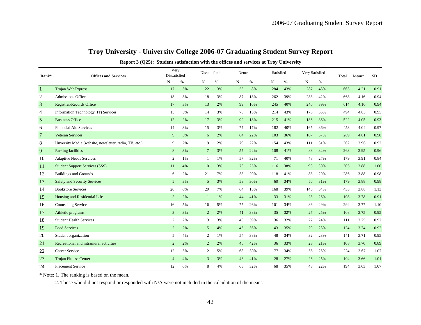| Rank*          | <b>Offices and Services</b>                            | Very<br>Dissatisfied |      | Dissatisfied    |      | Neutral |      |     | Satisfied | Very Satisfied |      | Total | Mean* | <b>SD</b> |
|----------------|--------------------------------------------------------|----------------------|------|-----------------|------|---------|------|-----|-----------|----------------|------|-------|-------|-----------|
|                |                                                        | N                    | $\%$ | N               | $\%$ | N       | $\%$ | N   | $\%$      | N              | $\%$ |       |       |           |
| $\mathbf{1}$   | Trojan WebExpress                                      | 17                   | 3%   | 22              | 3%   | 53      | 8%   | 284 | 43%       | 287            | 43%  | 663   | 4.21  | 0.91      |
| 2              | <b>Admissions Office</b>                               | 18                   | 3%   | 18              | 3%   | 87      | 13%  | 262 | 39%       | 283            | 42%  | 668   | 4.16  | 0.94      |
| 3              | Registrar/Records Office                               | 17                   | 3%   | 13              | 2%   | 99      | 16%  | 245 | 40%       | 240            | 39%  | 614   | 4.10  | 0.94      |
| 4              | Information Technology (IT) Services                   | 15                   | 3%   | 14              | 3%   | 76      | 15%  | 214 | 43%       | 175            | 35%  | 494   | 4.05  | 0.95      |
| 5              | <b>Business Office</b>                                 | 12                   | 2%   | 17              | 3%   | 92      | 18%  | 215 | 41%       | 186            | 36%  | 522   | 4.05  | 0.93      |
| 6              | <b>Financial Aid Services</b>                          | 14                   | 3%   | 15              | 3%   | 77      | 17%  | 182 | 40%       | 165            | 36%  | 453   | 4.04  | 0.97      |
| $\overline{7}$ | <b>Veteran Services</b>                                | 9                    | 3%   | 6               | 2%   | 64      | 22%  | 103 | 36%       | 107            | 37%  | 289   | 4.01  | 0.98      |
| 8              | Unversity Media (website, newsletter, radio, TV, etc.) | 9                    | 2%   | 9               | 2%   | 79      | 22%  | 154 | 43%       | 111            | 31%  | 362   | 3.96  | 0.92      |
| 9              | Parking facilities                                     | 8                    | 3%   | $7\overline{ }$ | 3%   | 57      | 22%  | 108 | 41%       | 83             | 32%  | 263   | 3.95  | 0.96      |
| 10             | <b>Adaptive Needs Services</b>                         | 2                    | 1%   | 1               | 1%   | 57      | 32%  | 71  | 40%       | 48             | 27%  | 179   | 3.91  | 0.84      |
| 11             | <b>Student Support Services (SSS)</b>                  | 11                   | 4%   | 10              | 3%   | 76      | 25%  | 116 | 38%       | 93             | 30%  | 306   | 3.88  | 1.00      |
| 12             | <b>Buildings and Grounds</b>                           | 6                    | 2%   | 21              | 7%   | 58      | 20%  | 118 | 41%       | 83             | 29%  | 286   | 3.88  | 0.98      |
| 13             | <b>Safety and Security Services</b>                    | $\mathfrak{S}$       | 3%   | $\mathfrak{S}$  | 3%   | 53      | 30%  | 60  | 34%       | 56             | 31%  | 179   | 3.88  | 0.98      |
| 14             | <b>Bookstore Services</b>                              | 26                   | 6%   | 29              | 7%   | 64      | 15%  | 168 | 39%       | 146            | 34%  | 433   | 3.88  | 1.13      |
| 15             | Housing and Residential Life                           | $\overline{2}$       | 2%   | $\mathbf{1}$    | 1%   | 44      | 41%  | 33  | 31%       | 28             | 26%  | 108   | 3.78  | 0.91      |
| 16             | Counseling Service                                     | 16                   | 5%   | 16              | 5%   | 75      | 26%  | 101 | 34%       | 86             | 29%  | 294   | 3.77  | 1.10      |
| 17             | Athletic programs                                      | 3                    | 3%   | $\overline{2}$  | 2%   | 41      | 38%  | 35  | 32%       | 27             | 25%  | 108   | 3.75  | 0.95      |
| 18             | <b>Student Health Services</b>                         | 2                    | 2%   | 3               | 3%   | 43      | 39%  | 36  | 32%       | 27             | 24%  | 111   | 3.75  | 0.92      |
| 19             | Food Services                                          | $\overline{2}$       | 2%   | 5 <sup>5</sup>  | 4%   | 45      | 36%  | 43  | 35%       | 29             | 23%  | 124   | 3.74  | 0.92      |
| 20             | Student organization                                   | 5                    | 4%   | 2               | 1%   | 54      | 38%  | 48  | 34%       | 32             | 23%  | 141   | 3.71  | 0.95      |
| 21             | Recreational and intramural activities                 | $\overline{2}$       | 2%   | $\overline{2}$  | 2%   | 45      | 42%  | 36  | 33%       | 23             | 21%  | 108   | 3.70  | 0.89      |
| 22             | Career Service                                         | 12                   | 5%   | 12              | 5%   | 68      | 30%  | 77  | 34%       | 55             | 25%  | 224   | 3.67  | 1.07      |
| 23             | <b>Trojan Fitness Center</b>                           | $\overline{4}$       | 4%   | 3               | 3%   | 43      | 41%  | 28  | 27%       | 26             | 25%  | 104   | 3.66  | 1.01      |
| 24             | <b>Placement Service</b>                               | 12                   | 6%   | 8               | 4%   | 63      | 32%  | 68  | 35%       | 43             | 22%  | 194   | 3.63  | 1.07      |

# **Troy University - University College 2006-07 Graduating Student Survey Report Report 3 (Q25): Student satisfaction with the offices and services at Troy University**

\* Note: 1. The ranking is based on the mean.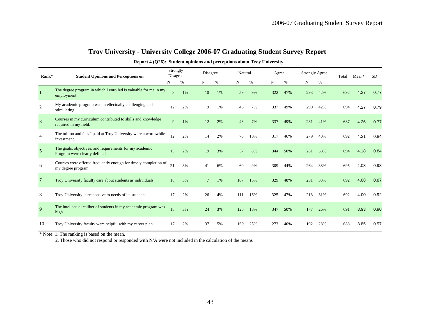# **Troy University - University College 2006-07 Graduating Student Survey Report**

| Rank*          | <b>Student Opinions and Perceptions on</b>                                               | Strongly<br>Disagree |         | Disagree |         | Neutral |         | Agree    |          | <b>Strongly Agree</b> |          | Total | Mean* | <b>SD</b> |
|----------------|------------------------------------------------------------------------------------------|----------------------|---------|----------|---------|---------|---------|----------|----------|-----------------------|----------|-------|-------|-----------|
|                | The degree program in which I enrolled is valuable for me in my<br>employment.           | N<br>8               | %<br>1% | N<br>10  | %<br>1% | N<br>59 | %<br>9% | N<br>322 | %<br>47% | N<br>293              | %<br>42% | 692   | 4.27  | 0.77      |
| $\overline{2}$ | My academic program was intellectually challenging and<br>stimulating.                   | 12                   | 2%      | 9        | 1%      | 46      | 7%      | 337      | 49%      | 290                   | 42%      | 694   | 4.27  | 0.79      |
| $\overline{3}$ | Courses in my curriculum contributed to skills and knowledge<br>required in my field.    | 9                    | 1%      | 12       | 2%      | 48      | 7%      | 337      | 49%      | 281                   | 41%      | 687   | 4.26  | 0.77      |
| 4              | The tuition and fees I paid at Troy University were a worthwhile<br>investment.          | 12                   | 2%      | 14       | 2%      | 70      | 10%     | 317      | 46%      | 279                   | 40%      | 692   | 4.21  | 0.84      |
| 5              | The goals, objectives, and requirements for my academic<br>Program were clearly defined. | 13                   | 2%      | 19       | 3%      | 57      | 8%      | 344      | 50%      | 261                   | 38%      | 694   | 4.18  | 0.84      |
| 6              | Courses were offered frequently enough for timely completion of<br>my degree program.    | 2.1                  | 3%      | 41       | 6%      | 60      | 9%      | 309      | 44%      | 264                   | 38%      | 695   | 4.08  | 0.98      |
| $\overline{7}$ | Troy University faculty care about students as individuals                               | 18                   | 3%      | $\tau$   | 1%      | 107     | 15%     | 329      | 48%      | 231                   | 33%      | 692   | 4.08  | 0.87      |
| 8              | Troy University is responsive to needs of its students.                                  | 17                   | 2%      | 26       | 4%      | 111     | 16%     | 325      | 47%      | 213                   | 31%      | 692   | 4.00  | 0.92      |
| 9              | The intellectual caliber of students in my academic program was<br>high.                 | 18                   | 3%      | 24       | 3%      | 125     | 18%     | 347      | 50%      | 177                   | 26%      | 691   | 3.93  | 0.90      |
| 10             | Troy University faculty were helpful with my career plan.                                | 17                   | 2%      | 37       | 5%      | 169     | 25%     | 273      | 40%      | 192                   | 28%      | 688   | 3.85  | 0.97      |

#### **Report 4 (Q26): Student opinions and perceptions about Troy University**

\* Note: 1. The ranking is based on the mean.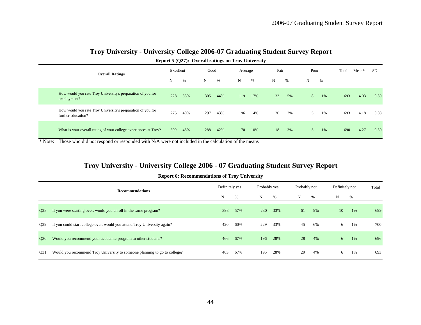|                                                                                   |           |     |      |     | <b>Report 5 (Q27): Overall ratings on Troy University</b> |     |             |    |             |    |       |       |           |
|-----------------------------------------------------------------------------------|-----------|-----|------|-----|-----------------------------------------------------------|-----|-------------|----|-------------|----|-------|-------|-----------|
| <b>Overall Ratings</b>                                                            | Excellent |     | Good |     | Average                                                   |     | Fair        |    | Poor        |    | Total | Mean* | <b>SD</b> |
|                                                                                   | N         | %   | N    | %   | N                                                         | %   | $\mathbf N$ | %  | N           | %  |       |       |           |
| How would you rate Troy University's preparation of you for<br>employment?        | 228       | 33% | 305  | 44% | 119                                                       | 17% | 33          | 5% | 8           | 1% | 693   | 4.03  | 0.89      |
| How would you rate Troy University's preparation of you for<br>further education? | 275       | 40% | 297  | 43% | 96                                                        | 14% | 20          | 3% | 5           | 1% | 693   | 4.18  | 0.83      |
| What is your overall rating of your college experiences at Troy?                  | 309       | 45% | 288  | 42% | 70                                                        | 10% | 18          | 3% | $5^{\circ}$ | 1% | 690   | 4.27  | 0.80      |

## **Troy University - University College 2006-07 Graduating Student Survey Report**

\* Note: Those who did not respond or responded with N/A were not included in the calculation of the means

# **Troy University - University College 2006 - 07 Graduating Student Survey Report**

#### **Report 6: Recommendations of Troy University**

|     | <b>Recommendations</b>                                                     | Definitely yes |     | Probably yes |     |    | Probably not | Definitely not |       | Total |
|-----|----------------------------------------------------------------------------|----------------|-----|--------------|-----|----|--------------|----------------|-------|-------|
|     |                                                                            | N              | %   | N            | %   | N  | $\%$         | N              | %     |       |
| Q28 | If you were starting over, would you enroll in the same program?           | 398            | 57% | 230          | 33% | 61 | 9%           | 10             | 1%    | 699   |
| Q29 | If you could start college over, would you attend Troy University again?   | 420            | 60% | 229          | 33% | 45 | 6%           | 6              | 1%    | 700   |
| Q30 | Would you recommend your academic program to other students?               | 466            | 67% | 196          | 28% | 28 | 4%           | 6              | $1\%$ | 696   |
| Q31 | Would you recommend Troy University to some one planning to go to college? | 463            | 67% | 195          | 28% | 29 | 4%           | 6              | 1%    | 693   |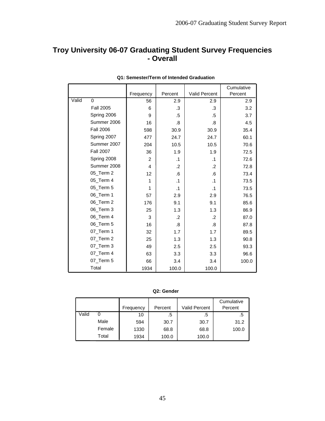# **Troy University 06-07 Graduating Student Survey Frequencies - Overall**

|       |                  |                   |           |               | Cumulative |
|-------|------------------|-------------------|-----------|---------------|------------|
|       |                  | Frequency         | Percent   | Valid Percent | Percent    |
| Valid | $\Omega$         | 56                | 2.9       | 2.9           | 2.9        |
|       | <b>Fall 2005</b> | 6                 | .3        | .3            | 3.2        |
|       | Spring 2006      | 9                 | .5        | .5            | 3.7        |
|       | Summer 2006      | 16                | .8        | .8            | 4.5        |
|       | <b>Fall 2006</b> | 598               | 30.9      | 30.9          | 35.4       |
|       | Spring 2007      | 477               | 24.7      | 24.7          | 60.1       |
|       | Summer 2007      | 204               | 10.5      | 10.5          | 70.6       |
|       | <b>Fall 2007</b> | 36                | 1.9       | 1.9           | 72.5       |
|       | Spring 2008      | $\overline{2}$    | $\cdot$ 1 | $\cdot$ 1     | 72.6       |
|       | Summer 2008      | 4                 | $\cdot$   | $\cdot$       | 72.8       |
|       | 05_Term 2        | $12 \overline{ }$ | .6        | .6            | 73.4       |
|       | 05_Term 4        | 1                 | $\cdot$ 1 | $\cdot$ 1     | 73.5       |
|       | 05 Term 5        | 1                 | $\cdot$ 1 | .1            | 73.5       |
|       | 06_Term 1        | 57                | 2.9       | 2.9           | 76.5       |
|       | 06_Term 2        | 176               | 9.1       | 9.1           | 85.6       |
|       | 06_Term 3        | 25                | 1.3       | 1.3           | 86.9       |
|       | 06_Term 4        | 3                 | $\cdot$   | $\cdot$       | 87.0       |
|       | 06_Term 5        | 16                | .8        | .8            | 87.8       |
|       | 07_Term 1        | 32                | 1.7       | 1.7           | 89.5       |
|       | 07 Term 2        | 25                | 1.3       | 1.3           | 90.8       |
|       | 07_Term 3        | 49                | 2.5       | 2.5           | 93.3       |
|       | 07_Term 4        | 63                | 3.3       | 3.3           | 96.6       |
|       | 07_Term 5        | 66                | 3.4       | 3.4           | 100.0      |
|       | Total            | 1934              | 100.0     | 100.0         |            |

#### **Q1: Semester/Term of Intended Graduation**

**Q2: Gender**

|       |        | Frequency | Percent | <b>Valid Percent</b> | Cumulative<br>Percent |
|-------|--------|-----------|---------|----------------------|-----------------------|
| Valid | 0      | 10        | .5      | .5                   | .5                    |
|       | Male   | 594       | 30.7    | 30.7                 | 31.2                  |
|       | Female | 1330      | 68.8    | 68.8                 | 100.0                 |
|       | Total  | 1934      | 100.0   | 100.0                |                       |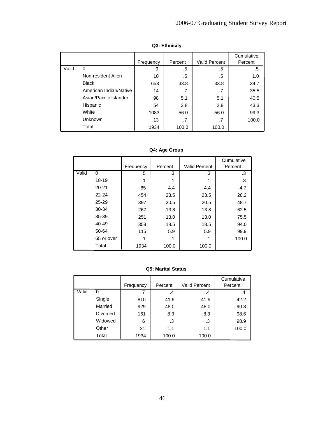|       |                        | Frequency | Percent | <b>Valid Percent</b> | Cumulative<br>Percent |
|-------|------------------------|-----------|---------|----------------------|-----------------------|
| Valid | 0                      | 9         | .5      | .5                   | .5                    |
|       | Non-resident Alien     | 10        | .5      | .5                   | 1.0                   |
|       | <b>Black</b>           | 653       | 33.8    | 33.8                 | 34.7                  |
|       | American Indian/Native | 14        | .7      | .7                   | 35.5                  |
|       | Asian/Pacific Islander | 98        | 5.1     | 5.1                  | 40.5                  |
|       | Hispanic               | 54        | 2.8     | 2.8                  | 43.3                  |
|       | White                  | 1083      | 56.0    | 56.0                 | 99.3                  |
|       | Unknown                | 13        | .7      | .7                   | 100.0                 |
|       | Total                  | 1934      | 100.0   | 100.0                |                       |

## **Q3: Ethnicity**

## **Q4: Age Group**

|       |            |           |         |                      | Cumulative |
|-------|------------|-----------|---------|----------------------|------------|
|       |            | Frequency | Percent | <b>Valid Percent</b> | Percent    |
| Valid | 0          | 5         | .3      | .3                   | .3         |
|       | $18 - 19$  | 1         | .1      | .1                   | .3         |
|       | $20 - 21$  | 85        | 4.4     | 4.4                  | 4.7        |
|       | $22 - 24$  | 454       | 23.5    | 23.5                 | 28.2       |
|       | 25-29      | 397       | 20.5    | 20.5                 | 48.7       |
|       | 30-34      | 267       | 13.8    | 13.8                 | 62.5       |
|       | 35-39      | 251       | 13.0    | 13.0                 | 75.5       |
|       | 40-49      | 358       | 18.5    | 18.5                 | 94.0       |
|       | 50-64      | 115       | 5.9     | 5.9                  | 99.9       |
|       | 65 or over |           | .1      | .1                   | 100.0      |
|       | Total      | 1934      | 100.0   | 100.0                |            |

#### **Q5: Marital Status**

|       |                 |           |         |                      | Cumulative |
|-------|-----------------|-----------|---------|----------------------|------------|
|       |                 | Frequency | Percent | <b>Valid Percent</b> | Percent    |
| Valid | 0               |           | .4      | .4                   | $\cdot$    |
|       | Single          | 810       | 41.9    | 41.9                 | 42.2       |
|       | Married         | 929       | 48.0    | 48.0                 | 90.3       |
|       | <b>Divorced</b> | 161       | 8.3     | 8.3                  | 98.6       |
|       | Widowed         | 6         | .3      | .3                   | 98.9       |
|       | Other           | 21        | 1.1     | 1.1                  | 100.0      |
|       | Total           | 1934      | 100.0   | 100.0                |            |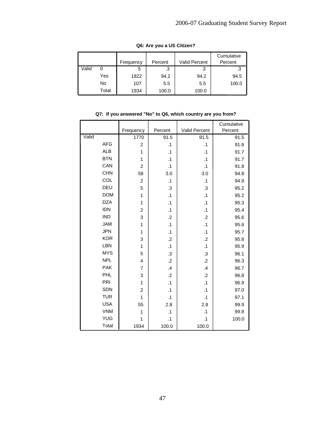|       |       | Frequency | Percent | Valid Percent | Cumulative<br>Percent |
|-------|-------|-----------|---------|---------------|-----------------------|
| Valid | 0     | 5         | .3      | .3            | .3                    |
|       | Yes   | 1822      | 94.2    | 94.2          | 94.5                  |
|       | No    | 107       | 5.5     | 5.5           | 100.0                 |
|       | Total | 1934      | 100.0   | 100.0         |                       |

**Q6: Are you a US Citizen?**

|       |            |                |            |               | Cumulative |
|-------|------------|----------------|------------|---------------|------------|
|       |            | Frequency      | Percent    | Valid Percent | Percent    |
| Valid |            | 1770           | 91.5       | 91.5          | 91.5       |
|       | <b>AFG</b> | $\overline{c}$ | $\cdot$ 1  | $\cdot$ 1     | 91.6       |
|       | <b>ALB</b> | 1              | .1         | .1            | 91.7       |
|       | <b>BTN</b> | 1              | $\cdot$ 1  | $\cdot$ 1     | 91.7       |
|       | CAN        | $\overline{c}$ | $\cdot$ 1  | $\cdot$ 1     | 91.8       |
|       | <b>CHN</b> | 58             | 3.0        | 3.0           | 94.8       |
|       | <b>COL</b> | $\overline{c}$ | .1         | $\cdot$ 1     | 94.9       |
|       | <b>DEU</b> | 5              | .3         | .3            | 95.2       |
|       | <b>DOM</b> | 1              | $\cdot$ 1  | $\cdot$ 1     | 95.2       |
|       | <b>DZA</b> | 1              | $\cdot$ 1  | $\cdot$ 1     | 95.3       |
|       | <b>IDN</b> | $\overline{c}$ | $\cdot$ 1  | $\cdot$ 1     | 95.4       |
|       | <b>IND</b> | 3              | $\cdot$ .2 | $\cdot$ .2    | 95.6       |
|       | <b>JAM</b> | 1              | $\cdot$ 1  | $\cdot$ 1     | 95.6       |
|       | <b>JPN</b> | $\mathbf 1$    | $\cdot$ 1  | $\cdot$ 1     | 95.7       |
|       | <b>KOR</b> | 3              | $\cdot$ .2 | $\cdot$ .2    | 95.8       |
|       | LBN        | 1              | $\cdot$ 1  | $\cdot$ 1     | 95.9       |
|       | <b>MYS</b> | 5              | .3         | .3            | 96.1       |
|       | <b>NPL</b> | $\overline{4}$ | $\cdot$ .2 | $\cdot$ .2    | 96.3       |
|       | <b>PAK</b> | $\overline{7}$ | $\cdot$    | $\cdot$       | 96.7       |
|       | PHL        | 3              | $\cdot$ .2 | .2            | 96.8       |
|       | PRI        | 1              | $\cdot$ 1  | $\cdot$ 1     | 96.9       |
|       | <b>SDN</b> | $\overline{c}$ | $\cdot$ 1  | $\cdot$ 1     | 97.0       |
|       | <b>TUR</b> | $\mathbf{1}$   | $\cdot$ 1  | $\cdot$ 1     | 97.1       |
|       | <b>USA</b> | 55             | 2.8        | 2.8           | 99.9       |
|       | <b>VNM</b> | 1              | .1         | .1            | 99.9       |
|       | <b>YUG</b> | 1              | $\cdot$ 1  | .1            | 100.0      |
|       | Total      | 1934           | 100.0      | 100.0         |            |

## **Q7: If you answered "No" to Q6, which country are you from?**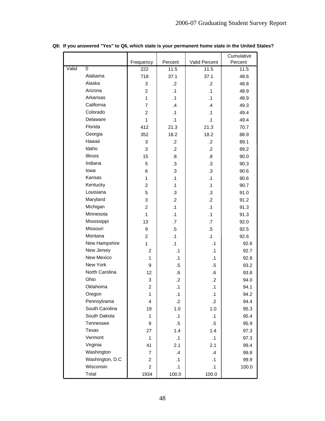|       |                   |                |               |               | Cumulative |
|-------|-------------------|----------------|---------------|---------------|------------|
|       |                   | Frequency      | Percent       | Valid Percent | Percent    |
| Valid | $\overline{0}$    | 222            | 11.5          | 11.5          | 11.5       |
|       | Alabama           | 718            | 37.1          | 37.1          | 48.6       |
|       | Alaska            | 3              | $\cdot$       | $\cdot$ .2    | 48.8       |
|       | Arizona           | $\overline{c}$ | $\cdot$ 1     | $\cdot$ 1     | 48.9       |
|       | Arkansas          | 1              | $\cdot$ 1     | $\cdot$ 1     | 48.9       |
|       | California        | 7              | $\mathbf{.4}$ | .4            | 49.3       |
|       | Colorado          | $\overline{c}$ | $\cdot$ 1     | $\cdot$ 1     | 49.4       |
|       | Delaware          | $\mathbf{1}$   | $\cdot$ 1     | $\cdot$ 1     | 49.4       |
|       | Florida           | 412            | 21.3          | 21.3          | 70.7       |
|       | Georgia           | 352            | 18.2          | 18.2          | 88.9       |
|       | Hawaii            | 3              | $\cdot$       | $\cdot$       | 89.1       |
|       | Idaho             | 3              | $\cdot$ .2    | $\cdot$ .2    | 89.2       |
|       | Illinois          | 15             | 8.5           | 8.5           | 90.0       |
|       | Indiana           | 5              | .3            | $\cdot$ 3     | 90.3       |
|       | lowa              | 6              | $\cdot$ 3     | $\cdot$ 3     | 90.6       |
|       | Kansas            | $\mathbf 1$    | $\cdot$ 1     | $\cdot$ 1     | 90.6       |
|       | Kentucky          | $\overline{c}$ | $\cdot$ 1     | $\cdot$ 1     | 90.7       |
|       | Louisiana         | 5              | .3            | $\cdot$ 3     | 91.0       |
|       | Maryland          | 3              | $\cdot$ .2    | $\cdot$ .2    | 91.2       |
|       | Michigan          | $\overline{c}$ | $\cdot$ 1     | $\cdot$ 1     | 91.3       |
|       | Minnesota         | $\mathbf{1}$   | $\cdot$ 1     | $\cdot$ 1     | 91.3       |
|       | Mississippi       | 13             | $\cdot$ 7     | .7            | 92.0       |
|       | Missouri          | 9              | $.5\,$        | $.5\,$        | 92.5       |
|       | Montana           | $\overline{c}$ | $\cdot$ 1     | $\cdot$ 1     | 92.6       |
|       | New Hampshire     | $\mathbf{1}$   | $\cdot$ 1     | $\cdot$ 1     | 92.6       |
|       | New Jersey        | $\overline{2}$ | .1            | $\cdot$ 1     | 92.7       |
|       | <b>New Mexico</b> | $\mathbf{1}$   | $\cdot$ 1     | $\cdot$ 1     | 92.8       |
|       | New York          | 9              | $.5\,$        | $.5\,$        | 93.2       |
|       | North Carolina    | 12             | .6            | .6            | 93.8       |
|       | Ohio              | 3              | $\cdot$ .2    | $\cdot$ .2    | 94.0       |
|       | Oklahoma          | $\overline{2}$ | $\cdot$ 1     | $\cdot$ 1     | 94.1       |
|       | Oregon            | $\mathbf{1}$   | $\cdot$ 1     | $\cdot$ 1     | 94.2       |
|       | Pennsylvania      | $\overline{4}$ | $\cdot$ .2    | $\cdot$       | 94.4       |
|       | South Carolina    | 19             | 1.0           | 1.0           | 95.3       |
|       | South Dakota      | $\mathbf{1}$   | $\cdot$ 1     | $\cdot$ 1     | 95.4       |
|       | Tennessee         | 9              | $.5\,$        | $.5\,$        | 95.9       |
|       | Texas             | 27             | 1.4           | 1.4           | 97.3       |
|       | Vermont           | $\mathbf{1}$   | $\cdot$ 1     | $\cdot$ 1     | 97.3       |
|       | Virginia          | 41             | 2.1           | 2.1           | 99.4       |
|       | Washington        | $\overline{7}$ | $\mathcal{A}$ | $\mathcal{A}$ | 99.8       |
|       | Washington, D.C   | $\overline{2}$ | $\cdot$ 1     | $\cdot$ 1     | 99.9       |
|       | Wisconsin         | $\overline{2}$ | $\cdot$ 1     | $\cdot$ 1     | 100.0      |
|       | Total             | 1934           | 100.0         | 100.0         |            |

## **Q8: If you answered "Yes" to Q6, which state is your permanent home state in the United States?**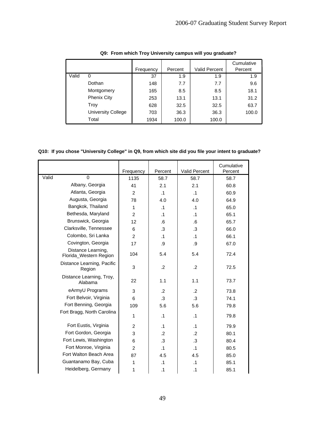|       |                    | Frequency | Percent | <b>Valid Percent</b> | Cumulative<br>Percent |
|-------|--------------------|-----------|---------|----------------------|-----------------------|
| Valid | 0                  | 37        | 1.9     | 1.9                  | 1.9                   |
|       | Dothan             | 148       | 7.7     | 7.7                  | 9.6                   |
|       | Montgomery         | 165       | 8.5     | 8.5                  | 18.1                  |
|       | <b>Phenix City</b> | 253       | 13.1    | 13.1                 | 31.2                  |
|       | Troy               | 628       | 32.5    | 32.5                 | 63.7                  |
|       | University College | 703       | 36.3    | 36.3                 | 100.0                 |
|       | Total              | 1934      | 100.0   | 100.0                |                       |

**Q9: From which Troy University campus will you graduate?**

**Q10: If you chose "University College" in Q9, from which site did you file your intent to graduate?** 

|       |                                              | Frequency      | Percent   | Valid Percent | Cumulative<br>Percent |
|-------|----------------------------------------------|----------------|-----------|---------------|-----------------------|
| Valid | $\Omega$                                     | 1135           | 58.7      | 58.7          | 58.7                  |
|       | Albany, Georgia                              | 41             | 2.1       | 2.1           | 60.8                  |
|       | Atlanta, Georgia                             | 2              | $\cdot$ 1 | $\cdot$ 1     | 60.9                  |
|       | Augusta, Georgia                             | 78             | 4.0       | 4.0           | 64.9                  |
|       | Bangkok, Thailand                            | 1              | $\cdot$ 1 | $\cdot$ 1     | 65.0                  |
|       | Bethesda, Maryland                           | $\overline{2}$ | $\cdot$ 1 | $\cdot$ 1     | 65.1                  |
|       | Brunswick, Georgia                           | 12             | .6        | .6            | 65.7                  |
|       | Clarksville, Tennessee                       | 6              | .3        | .3            | 66.0                  |
|       | Colombo, Sri Lanka                           | $\overline{2}$ | $\cdot$ 1 | $\cdot$ 1     | 66.1                  |
|       | Covington, Georgia                           | 17             | .9        | .9            | 67.0                  |
|       | Distance Learning,<br>Florida_Western Region | 104            | 5.4       | 5.4           | 72.4                  |
|       | Distance Learning, Pacific<br>Region         | 3              | $\cdot$   | $\cdot$       | 72.5                  |
|       | Distance Learning, Troy,<br>Alabama          | 22             | 1.1       | 1.1           | 73.7                  |
|       | eArmyU Programs                              | 3              | $\cdot$   | $\cdot$       | 73.8                  |
|       | Fort Belvoir, Virginia                       | 6              | .3        | .3            | 74.1                  |
|       | Fort Benning, Georgia                        | 109            | 5.6       | 5.6           | 79.8                  |
|       | Fort Bragg, North Carolina                   | 1              | .1        | $\cdot$ 1     | 79.8                  |
|       | Fort Eustis, Virginia                        | $\overline{c}$ | $\cdot$ 1 | $\cdot$ 1     | 79.9                  |
|       | Fort Gordon, Georgia                         | 3              | .2        | $\cdot$       | 80.1                  |
|       | Fort Lewis, Washington                       | 6              | .3        | $\cdot$ 3     | 80.4                  |
|       | Fort Monroe, Virginia                        | $\overline{2}$ | $\cdot$ 1 | $\cdot$ 1     | 80.5                  |
|       | Fort Walton Beach Area                       | 87             | 4.5       | 4.5           | 85.0                  |
|       | Guantanamo Bay, Cuba                         | 1              | $\cdot$ 1 | $\cdot$ 1     | 85.1                  |
|       | Heidelberg, Germany                          | 1              | $\cdot$ 1 | $\cdot$ 1     | 85.1                  |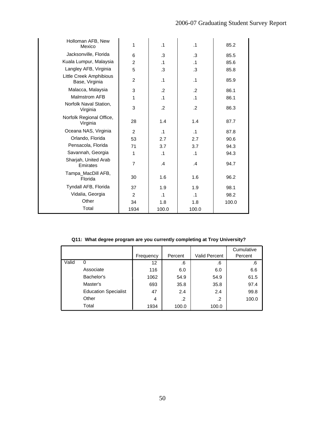| Holloman AFB, New<br>Mexico               | 1              | $\cdot$ 1 | $\cdot$ 1      | 85.2  |
|-------------------------------------------|----------------|-----------|----------------|-------|
| Jacksonville, Florida                     | 6              | .3        | .3             | 85.5  |
| Kuala Lumpur, Malaysia                    | $\overline{2}$ | $\cdot$ 1 | $\cdot$ 1      | 85.6  |
| Langley AFB, Virginia                     | 5              | .3        | .3             | 85.8  |
| Little Creek Amphibious<br>Base, Virginia | $\overline{2}$ | $\cdot$ 1 | $\cdot$ 1      | 85.9  |
| Malacca, Malaysia                         | 3              | $\cdot$   | $\cdot$        | 86.1  |
| Malmstrom AFB                             | 1              | $\cdot$ 1 | $\cdot$ 1      | 86.1  |
| Norfolk Naval Station,<br>Virginia        | 3              | $\cdot$   | $\overline{2}$ | 86.3  |
| Norfolk Regional Office,<br>Virginia      | 28             | 1.4       | 1.4            | 87.7  |
| Oceana NAS, Virginia                      | $\overline{2}$ | $\cdot$ 1 | $\cdot$ 1      | 87.8  |
| Orlando, Florida                          | 53             | 2.7       | 2.7            | 90.6  |
| Pensacola, Florida                        | 71             | 3.7       | 3.7            | 94.3  |
| Savannah, Georgia                         | 1              | $\cdot$ 1 | $\cdot$ 1      | 94.3  |
| Sharjah, United Arab<br>Emirates          | $\overline{7}$ | .4        | .4             | 94.7  |
| Tampa_MacDill AFB,<br>Florida             | 30             | 1.6       | 1.6            | 96.2  |
| Tyndall AFB, Florida                      | 37             | 1.9       | 1.9            | 98.1  |
| Vidalia, Georgia                          | $\overline{2}$ | $\cdot$ 1 | $\cdot$ 1      | 98.2  |
| Other                                     | 34             | 1.8       | 1.8            | 100.0 |
| Total                                     | 1934           | 100.0     | 100.0          |       |

## **Q11: What degree program are you currently completing at Troy University?**

|       |                             | Frequency | Percent | <b>Valid Percent</b> | Cumulative<br>Percent |
|-------|-----------------------------|-----------|---------|----------------------|-----------------------|
| Valid | 0                           | 12        | .6      | .6                   | .6                    |
|       | Associate                   | 116       | 6.0     | 6.0                  | 6.6                   |
|       | Bachelor's                  | 1062      | 54.9    | 54.9                 | 61.5                  |
|       | Master's                    | 693       | 35.8    | 35.8                 | 97.4                  |
|       | <b>Education Specialist</b> | 47        | 2.4     | 2.4                  | 99.8                  |
|       | Other                       | 4         | .2      | .2                   | 100.0                 |
|       | Total                       | 1934      | 100.0   | 100.0                |                       |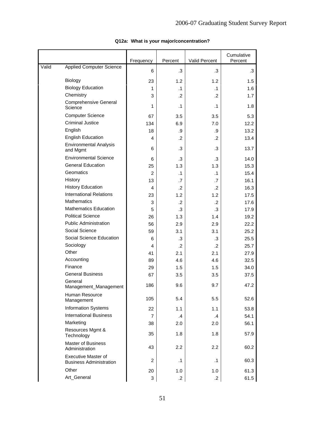|       |                                                              | Frequency      | Percent   | Valid Percent | Cumulative<br>Percent |
|-------|--------------------------------------------------------------|----------------|-----------|---------------|-----------------------|
| Valid | <b>Applied Computer Science</b>                              | 6              | .3        | .3            | .3                    |
|       | Biology                                                      | 23             | 1.2       | 1.2           | 1.5                   |
|       | <b>Biology Education</b>                                     | 1              | $\cdot$ 1 | $\cdot$ 1     | 1.6                   |
|       | Chemistry                                                    | 3              | $\cdot$   | $\cdot$ .2    | 1.7                   |
|       | <b>Comprehensive General</b><br>Science                      | 1              | $\cdot$ 1 | .1            | 1.8                   |
|       | <b>Computer Science</b>                                      | 67             | 3.5       | 3.5           | 5.3                   |
|       | <b>Criminal Justice</b>                                      | 134            | 6.9       | 7.0           | 12.2                  |
|       | English                                                      | 18             | .9        | .9            | 13.2                  |
|       | <b>English Education</b>                                     | 4              | .2        | $\cdot$       | 13.4                  |
|       | <b>Environmental Analysis</b><br>and Mgmt                    | 6              | .3        | .3            | 13.7                  |
|       | <b>Environmental Science</b>                                 | 6              | .3        | .3            | 14.0                  |
|       | <b>General Education</b>                                     | 25             | 1.3       | 1.3           | 15.3                  |
|       | Geomatics                                                    | 2              | $\cdot$ 1 | $\cdot$ 1     | 15.4                  |
|       | History                                                      | 13             | $\cdot$ 7 | .7            | 16.1                  |
|       | <b>History Education</b>                                     | 4              | $\cdot$   | $\cdot$ .2    | 16.3                  |
|       | <b>International Relations</b>                               | 23             | 1.2       | 1.2           | 17.5                  |
|       | <b>Mathematics</b>                                           | 3              | $\cdot$   | $\cdot$ .2    | 17.6                  |
|       | <b>Mathematics Education</b>                                 | 5              | .3        | .3            | 17.9                  |
|       | <b>Political Science</b>                                     | 26             | 1.3       | 1.4           | 19.2                  |
|       | <b>Public Administration</b>                                 | 56             | 2.9       | 2.9           | 22.2                  |
|       | Social Science                                               | 59             | 3.1       | 3.1           | 25.2                  |
|       | Social Science Education                                     | 6              | .3        | .3            | 25.5                  |
|       | Sociology                                                    | $\overline{4}$ | $\cdot$   | $\cdot$       | 25.7                  |
|       | Other                                                        | 41             | 2.1       | 2.1           | 27.9                  |
|       | Accounting                                                   | 89             | 4.6       | 4.6           | 32.5                  |
|       | Finance                                                      | 29             | 1.5       | 1.5           | 34.0                  |
|       | <b>General Business</b>                                      | 67             | 3.5       | 3.5           | 37.5                  |
|       | General<br>Management_Management                             | 186            | 9.6       | 9.7           | 47.2                  |
|       | Human Resource<br>Management                                 | 105            | 5.4       | 5.5           | 52.6                  |
|       | <b>Information Systems</b>                                   | 22             | 1.1       | 1.1           | 53.8                  |
|       | <b>International Business</b>                                | $\overline{7}$ | .4        | .4            | 54.1                  |
|       | Marketing                                                    | 38             | 2.0       | 2.0           | 56.1                  |
|       | Resources Mgmt &<br>Technology                               | 35             | 1.8       | 1.8           | 57.9                  |
|       | <b>Master of Business</b><br>Administration                  | 43             | 2.2       | 2.2           | 60.2                  |
|       | <b>Executive Master of</b><br><b>Business Administration</b> | $\overline{c}$ | $\cdot$ 1 | $\cdot$ 1     | 60.3                  |
|       | Other                                                        | 20             | 1.0       | 1.0           | 61.3                  |
|       | Art_General                                                  | 3              | $\cdot$   | $\cdot$       | 61.5                  |

## **Q12a: What is your major/concentration?**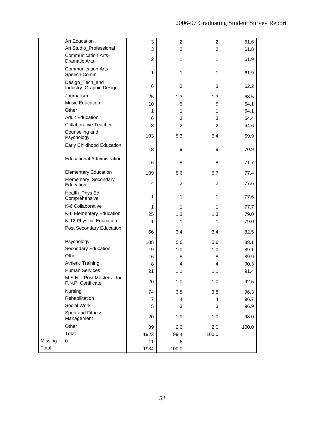| <b>Art Education</b>                               | 3              | $\cdot$ .2        | $\cdot$    | 61.6  |
|----------------------------------------------------|----------------|-------------------|------------|-------|
| Art Studio_Professional                            | 3              | $\cdot$           | $\cdot$    | 61.8  |
| <b>Communication Arts-</b><br><b>Dramatic Arts</b> | $\overline{2}$ | $\cdot$ 1         | $\cdot$ 1  | 61.9  |
| <b>Communication Arts-</b><br>Speech Comm          | 1              | $\cdot$ 1         | $\cdot$ 1  | 61.9  |
| Design_Tech_and<br>Industry_Graphic Design         | 6              | .3                | .3         | 62.2  |
| Journalism                                         | 25             | 1.3               | 1.3        | 63.5  |
| <b>Music Education</b>                             | 10             | $.5\,$            | .5         | 64.1  |
| Other                                              | 1              | $\cdot$ 1         | .1         | 64.1  |
| <b>Adult Education</b>                             | 6              | .3                | .3         | 64.4  |
| <b>Collaborative Teacher</b>                       | 3              | $\cdot$ .2        | $\cdot$ .2 | 64.6  |
| Counseling and<br>Psychology                       | 103            | 5.3               | 5.4        | 69.9  |
| Early Childhood Education                          | 18             | .9                | .9         | 70.9  |
| <b>Educational Administration</b>                  | 16             | .8                | .8         | 71.7  |
| <b>Elementary Education</b>                        | 109            | 5.6               | 5.7        | 77.4  |
| Elementary_Secondary<br>Education                  | 4              | $\cdot$           | $\cdot$    | 77.6  |
| Health_Phys Ed<br>Comprehensive                    | 1              | $\cdot$ 1         | .1         | 77.6  |
| K-6 Collaborative                                  | 1              | $\cdot$ 1         | $\cdot$ 1  | 77.7  |
| K-6 Elementary Education                           | 25             | 1.3               | 1.3        | 79.0  |
| N-12 Physical Education                            | 1              | $\cdot$ 1         | $\cdot$ 1  | 79.0  |
| Post Secondary Education                           | 66             | 3.4               | 3.4        | 82.5  |
| Psychology                                         | 108            | 5.6               | 5.6        | 88.1  |
| Secondary Education                                | 19             | 1.0               | 1.0        | 89.1  |
| Other                                              | 16             | $\boldsymbol{.8}$ | 8.5        | 89.9  |
| <b>Athletic Training</b>                           | 8              | $\cdot$           | $\cdot$    | 90.3  |
| <b>Human Services</b>                              | 21             | 1.1               | 1.1        | 91.4  |
| M.S.N. - Post Masters - for<br>F.N.P. Certificate  | 20             | 1.0               | 1.0        | 92.5  |
| Nursing                                            | 74             | 3.8               | 3.8        | 96.3  |
| Rehabilitation                                     | 7              | .4                | $\cdot$    | 96.7  |
| Social Work                                        | 5              | .3                | .3         | 96.9  |
| Sport and Fitness<br>Management                    | 20             | 1.0               | 1.0        | 98.0  |
| Other                                              | 39             | 2.0               | 2.0        | 100.0 |
| Total                                              | 1923           | 99.4              | 100.0      |       |
| Missing<br>$\,0\,$                                 | 11             | .6                |            |       |
| Total                                              | 1934           | 100.0             |            |       |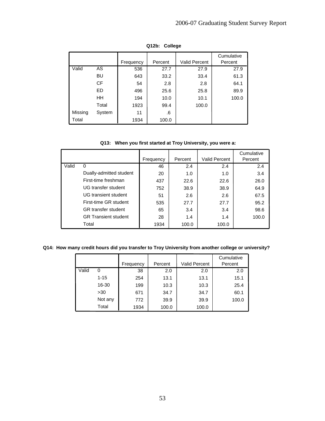|         |           | Frequency | Percent | <b>Valid Percent</b> | Cumulative<br>Percent |
|---------|-----------|-----------|---------|----------------------|-----------------------|
| Valid   | AS.       | 536       | 27.7    | 27.9                 | 27.9                  |
|         | BU        | 643       | 33.2    | 33.4                 | 61.3                  |
|         | <b>CF</b> | 54        | 2.8     | 2.8                  | 64.1                  |
|         | <b>ED</b> | 496       | 25.6    | 25.8                 | 89.9                  |
|         | HH        | 194       | 10.0    | 10.1                 | 100.0                 |
|         | Total     | 1923      | 99.4    | 100.0                |                       |
| Missing | System    | 11        | .6      |                      |                       |
| Total   |           | 1934      | 100.0   |                      |                       |

**Q12b: College**

**Q13: When you first started at Troy University, you were a:**

|       |                             |           |         |                      | Cumulative |
|-------|-----------------------------|-----------|---------|----------------------|------------|
|       |                             | Frequency | Percent | <b>Valid Percent</b> | Percent    |
| Valid | 0                           | 46        | 2.4     | 2.4                  | 2.4        |
|       | Dually-admitted student     | 20        | 1.0     | 1.0                  | 3.4        |
|       | First-time freshman         | 437       | 22.6    | 22.6                 | 26.0       |
|       | UG transfer student         | 752       | 38.9    | 38.9                 | 64.9       |
|       | UG transient student        | 51        | 2.6     | 2.6                  | 67.5       |
|       | First-time GR student       | 535       | 27.7    | 27.7                 | 95.2       |
|       | <b>GR</b> transfer student  | 65        | 3.4     | 3.4                  | 98.6       |
|       | <b>GR Transient student</b> | 28        | 1.4     | 1.4                  | 100.0      |
|       | Total                       | 1934      | 100.0   | 100.0                |            |

**Q14: How many credit hours did you transfer to Troy University from another college or university?** 

|       |          | Frequency | Percent | <b>Valid Percent</b> | Cumulative<br>Percent |
|-------|----------|-----------|---------|----------------------|-----------------------|
| Valid | 0        | 38        | 2.0     | 2.0                  | 2.0                   |
|       | $1 - 15$ | 254       | 13.1    | 13.1                 | 15.1                  |
|       | 16-30    | 199       | 10.3    | 10.3                 | 25.4                  |
|       | >30      | 671       | 34.7    | 34.7                 | 60.1                  |
|       | Not any  | 772       | 39.9    | 39.9                 | 100.0                 |
|       | Total    | 1934      | 100.0   | 100.0                |                       |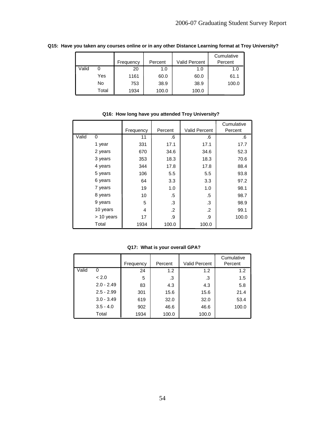|       |       |           |         |                      | Cumulative |
|-------|-------|-----------|---------|----------------------|------------|
|       |       | Frequency | Percent | <b>Valid Percent</b> | Percent    |
| Valid |       | 20        | 1.0     | 1.0                  | 1.0        |
|       | Yes   | 1161      | 60.0    | 60.0                 | 61.1       |
|       | No    | 753       | 38.9    | 38.9                 | 100.0      |
|       | Total | 1934      | 100.0   | 100.0                |            |

**Q15: Have you taken any courses online or in any other Distance Learning format at Troy University?**

|       |            |           |         |                      | Cumulative |
|-------|------------|-----------|---------|----------------------|------------|
|       |            | Frequency | Percent | <b>Valid Percent</b> | Percent    |
| Valid | $\Omega$   | 11        | .6      | .6                   | .6         |
|       | 1 year     | 331       | 17.1    | 17.1                 | 17.7       |
|       | 2 years    | 670       | 34.6    | 34.6                 | 52.3       |
|       | 3 years    | 353       | 18.3    | 18.3                 | 70.6       |
|       | 4 years    | 344       | 17.8    | 17.8                 | 88.4       |
|       | 5 years    | 106       | 5.5     | 5.5                  | 93.8       |
|       | 6 years    | 64        | 3.3     | 3.3                  | 97.2       |
|       | 7 years    | 19        | 1.0     | 1.0                  | 98.1       |
|       | 8 years    | 10        | .5      | .5                   | 98.7       |
|       | 9 years    | 5         | .3      | .3                   | 98.9       |
|       | 10 years   | 4         | $\cdot$ | $\cdot$              | 99.1       |
|       | > 10 years | 17        | .9      | .9                   | 100.0      |
|       | Total      | 1934      | 100.0   | 100.0                |            |

#### **Q16: How long have you attended Troy University?**

**Q17: What is your overall GPA?**

|       |              |           |         |               | Cumulative    |
|-------|--------------|-----------|---------|---------------|---------------|
|       |              | Frequency | Percent | Valid Percent | Percent       |
| Valid | 0            | 24        | 1.2     | 1.2           | $1.2^{\circ}$ |
|       | < 2.0        | 5         | .3      | .3            | 1.5           |
|       | $2.0 - 2.49$ | 83        | 4.3     | 4.3           | 5.8           |
|       | $2.5 - 2.99$ | 301       | 15.6    | 15.6          | 21.4          |
|       | $3.0 - 3.49$ | 619       | 32.0    | 32.0          | 53.4          |
|       | $3.5 - 4.0$  | 902       | 46.6    | 46.6          | 100.0         |
|       | Total        | 1934      | 100.0   | 100.0         |               |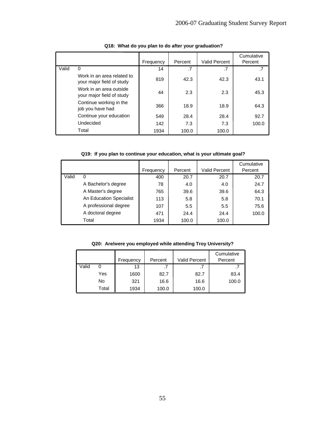|       |                                                         | Frequency | Percent | <b>Valid Percent</b> | Cumulative<br>Percent |
|-------|---------------------------------------------------------|-----------|---------|----------------------|-----------------------|
| Valid | 0                                                       | 14        | .7      | .7                   | .7                    |
|       | Work in an area related to<br>your major field of study | 819       | 42.3    | 42.3                 | 43.1                  |
|       | Work in an area outside<br>your major field of study    | 44        | 2.3     | 2.3                  | 45.3                  |
|       | Continue working in the<br>job you have had             | 366       | 18.9    | 18.9                 | 64.3                  |
|       | Continue your education                                 | 549       | 28.4    | 28.4                 | 92.7                  |
|       | Undecided                                               | 142       | 7.3     | 7.3                  | 100.0                 |
|       | Total                                                   | 1934      | 100.0   | 100.0                |                       |

#### **Q18: What do you plan to do after your graduation?**

### **Q19: If you plan to continue your education, what is your ultimate goal?**

|       |                         |           |         |               | Cumulative |
|-------|-------------------------|-----------|---------|---------------|------------|
|       |                         | Frequency | Percent | Valid Percent | Percent    |
| Valid | 0                       | 400       | 20.7    | 20.7          | 20.7       |
|       | A Bachelor's degree     | 78        | 4.0     | 4.0           | 24.7       |
|       | A Master's degree       | 765       | 39.6    | 39.6          | 64.3       |
|       | An Education Specialist | 113       | 5.8     | 5.8           | 70.1       |
|       | A professional degree   | 107       | 5.5     | 5.5           | 75.6       |
|       | A doctoral degree       | 471       | 24.4    | 24.4          | 100.0      |
|       | Total                   | 1934      | 100.0   | 100.0         |            |

#### **Q20: Are/were you employed while attending Troy University?**

|       |       |           |         |                      | Cumulative |
|-------|-------|-----------|---------|----------------------|------------|
|       |       | Frequency | Percent | <b>Valid Percent</b> | Percent    |
| Valid | 0     | 13        |         |                      |            |
|       | Yes   | 1600      | 82.7    | 82.7                 | 83.4       |
|       | No    | 321       | 16.6    | 16.6                 | 100.0      |
|       | Total | 1934      | 100.0   | 100.0                |            |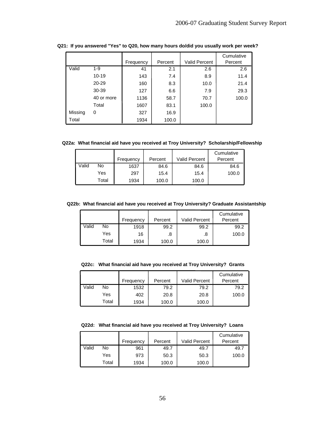|         |            | Frequency | Percent | <b>Valid Percent</b> | Cumulative<br>Percent |
|---------|------------|-----------|---------|----------------------|-----------------------|
| Valid   | $1 - 9$    | 41        | 2.1     | 2.6                  | 2.6                   |
|         | $10 - 19$  | 143       | 7.4     | 8.9                  | 11.4                  |
|         | 20-29      | 160       | 8.3     | 10.0                 | 21.4                  |
|         | 30-39      | 127       | 6.6     | 7.9                  | 29.3                  |
|         | 40 or more | 1136      | 58.7    | 70.7                 | 100.0                 |
|         | Total      | 1607      | 83.1    | 100.0                |                       |
| Missing | 0          | 327       | 16.9    |                      |                       |
| Total   |            | 1934      | 100.0   |                      |                       |

#### **Q21: If you answered "Yes" to Q20, how many hours do/did you usually work per week?**

**Q22a: What financial aid have you received at Troy University? Scholarship/Fellowship**

|       |       | Frequency | Percent | <b>Valid Percent</b> | Cumulative<br>Percent |
|-------|-------|-----------|---------|----------------------|-----------------------|
| Valid | No    | 1637      | 84.6    | 84.6                 | 84.6                  |
|       | Yes   | 297       | 15.4    | 15.4                 | 100.0                 |
|       | Total | 1934      | 100.0   | 100.0                |                       |

**Q22b: What financial aid have you received at Troy University? Graduate Assistantship**

|       |       | Frequency | Percent | <b>Valid Percent</b> | Cumulative<br>Percent |
|-------|-------|-----------|---------|----------------------|-----------------------|
| Valid | No.   | 1918      | 99.2    | 99.2                 | 99.2                  |
|       | Yes   | 16        | .8      | 8.                   | 100.0                 |
|       | Total | 1934      | 100.0   | 100.0                |                       |

**Q22c: What financial aid have you received at Troy University? Grants**

|       |       |           |         |                      | Cumulative |
|-------|-------|-----------|---------|----------------------|------------|
|       |       | Frequency | Percent | <b>Valid Percent</b> | Percent    |
| Valid | No    | 1532      | 79.2    | 79.2                 | 79.2       |
|       | Yes   | 402       | 20.8    | 20.8                 | 100.0      |
|       | Total | 1934      | 100.0   | 100.0                |            |

**Q22d: What financial aid have you received at Troy University? Loans**

|       |       | Frequency | Percent | Valid Percent | Cumulative<br>Percent |
|-------|-------|-----------|---------|---------------|-----------------------|
| Valid | No    | 961       | 49.7    | 49.7          | 49.7                  |
|       | Yes   | 973       | 50.3    | 50.3          | 100.0                 |
|       | Total | 1934      | 100.0   | 100.0         |                       |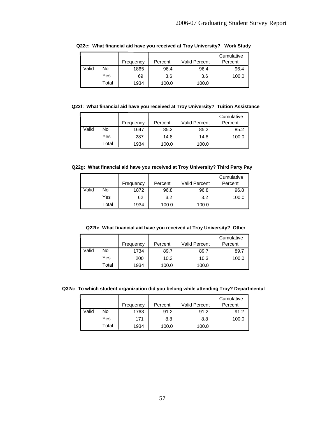|       |       | Frequency | Percent | Valid Percent | Cumulative<br>Percent |
|-------|-------|-----------|---------|---------------|-----------------------|
| Valid | No    | 1865      | 96.4    | 96.4          | 96.4                  |
|       | Yes   | 69        | 3.6     | 3.6           | 100.0                 |
|       | Total | 1934      | 100.0   | 100.0         |                       |

**Q22e: What financial aid have you received at Troy University? Work Study**

**Q22f: What financial aid have you received at Troy University? Tuition Assistance**

|       |       | Frequency | Percent | <b>Valid Percent</b> | Cumulative<br>Percent |
|-------|-------|-----------|---------|----------------------|-----------------------|
| Valid | No    | 1647      | 85.2    | 85.2                 | 85.2                  |
|       | Yes   | 287       | 14.8    | 14.8                 | 100.0                 |
|       | Total | 1934      | 100.0   | 100.0                |                       |

**Q22g: What financial aid have you received at Troy University? Third Party Pay**

|       |       | Frequency | Percent | <b>Valid Percent</b> | Cumulative<br>Percent |
|-------|-------|-----------|---------|----------------------|-----------------------|
| Valid | No    | 1872      | 96.8    | 96.8                 | 96.8                  |
|       | Yes   | 62        | 3.2     | 3.2                  | 100.0                 |
|       | Total | 1934      | 100.0   | 100.0                |                       |

**Q22h: What financial aid have you received at Troy University? Other**

|       |       |           |         |                      | Cumulative |
|-------|-------|-----------|---------|----------------------|------------|
|       |       | Frequency | Percent | <b>Valid Percent</b> | Percent    |
| Valid | No    | 1734      | 89.7    | 89.7                 | 89.7       |
|       | Yes   | 200       | 10.3    | 10.3                 | 100.0      |
|       | Total | 1934      | 100.0   | 100.0                |            |

**Q32a: To which student organization did you belong while attending Troy? Departmental**

|       |       |           |         |               | Cumulative |
|-------|-------|-----------|---------|---------------|------------|
|       |       | Frequency | Percent | Valid Percent | Percent    |
| Valid | No    | 1763      | 91.2    | 91.2          | 91.2       |
|       | Yes   | 171       | 8.8     | 8.8           | 100.0      |
|       | Total | 1934      | 100.0   | 100.0         |            |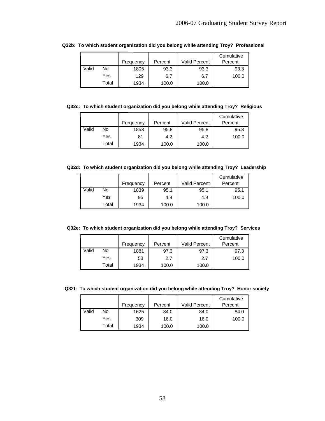|       |       | Frequency | Percent | <b>Valid Percent</b> | Cumulative<br>Percent |
|-------|-------|-----------|---------|----------------------|-----------------------|
| Valid | No    | 1805      | 93.3    | 93.3                 | 93.3                  |
|       | Yes   | 129       | 6.7     | 6.7                  | 100.0                 |
|       | Total | 1934      | 100.0   | 100.0                |                       |

#### **Q32b: To which student organization did you belong while attending Troy? Professional**

**Q32c: To which student organization did you belong while attending Troy? Religious**

|       |       | Frequency | Percent | Valid Percent | Cumulative<br>Percent |
|-------|-------|-----------|---------|---------------|-----------------------|
| Valid | No    | 1853      | 95.8    | 95.8          | 95.8                  |
|       | Yes   | 81        | 4.2     | 4.2           | 100.0                 |
|       | Total | 1934      | 100.0   | 100.0         |                       |

**Q32d: To which student organization did you belong while attending Troy? Leadership**

|       |       | Frequency | Percent | Valid Percent | Cumulative<br>Percent |
|-------|-------|-----------|---------|---------------|-----------------------|
| Valid | No    | 1839      | 95.1    | 95.1          | 95.1                  |
|       | Yes   | 95        | 4.9     | 4.9           | 100.0                 |
|       | Total | 1934      | 100.0   | 100.0         |                       |

**Q32e: To which student organization did you belong while attending Troy? Services**

|       |       | Frequency | Percent | <b>Valid Percent</b> | Cumulative<br>Percent |
|-------|-------|-----------|---------|----------------------|-----------------------|
| Valid | No    | 1881      | 97.3    | 97.3                 | 97.3                  |
|       | Yes   | 53        | 2.7     | 2.7                  | 100.0                 |
|       | Total | 1934      | 100.0   | 100.0                |                       |

**Q32f: To which student organization did you belong while attending Troy? Honor society**

|       |       |           |         |                      | Cumulative |
|-------|-------|-----------|---------|----------------------|------------|
|       |       | Frequency | Percent | <b>Valid Percent</b> | Percent    |
| Valid | No    | 1625      | 84.0    | 84.0                 | 84.0       |
|       | Yes   | 309       | 16.0    | 16.0                 | 100.0      |
|       | Total | 1934      | 100.0   | 100.0                |            |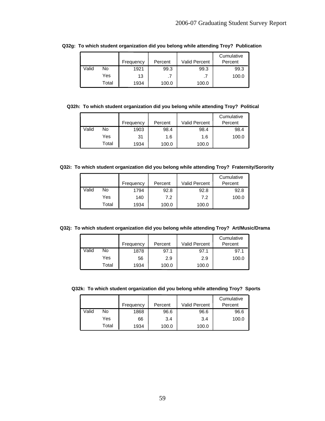|       |       | Frequency | Percent | <b>Valid Percent</b> | Cumulative<br>Percent |
|-------|-------|-----------|---------|----------------------|-----------------------|
| Valid | No    | 1921      | 99.3    | 99.3                 | 99.3                  |
|       | Yes   | 13        | .7      |                      | 100.0                 |
|       | Total | 1934      | 100.0   | 100.0                |                       |

#### **Q32g: To which student organization did you belong while attending Troy? Publication**

**Q32h: To which student organization did you belong while attending Troy? Political**

|       |       | Frequency | Percent | Valid Percent | Cumulative<br>Percent |
|-------|-------|-----------|---------|---------------|-----------------------|
| Valid | No    | 1903      | 98.4    | 98.4          | 98.4                  |
|       | Yes   | 31        | 1.6     | 1.6           | 100.0                 |
|       | Total | 1934      | 100.0   | 100.0         |                       |

**Q32i: To which student organization did you belong while attending Troy? Fraternity/Sorority**

|       |       | Frequency | Percent | Valid Percent | Cumulative<br>Percent |
|-------|-------|-----------|---------|---------------|-----------------------|
| Valid | No    | 1794      | 92.8    | 92.8          | 92.8                  |
|       | Yes   | 140       | 7.2     | 7.2           | 100.0                 |
|       | Total | 1934      | 100.0   | 100.0         |                       |

**Q32j: To which student organization did you belong while attending Troy? Art/Music/Drama**

|       |       | Frequency | Percent | <b>Valid Percent</b> | Cumulative<br>Percent |
|-------|-------|-----------|---------|----------------------|-----------------------|
|       |       |           |         |                      |                       |
| Valid | No    | 1878      | 97.1    | 97.1                 | 97.1                  |
|       | Yes   | 56        | 2.9     | 2.9                  | 100.0                 |
|       | Total | 1934      | 100.0   | 100.0                |                       |

**Q32k: To which student organization did you belong while attending Troy? Sports**

|       |       |           |         |                      | Cumulative |
|-------|-------|-----------|---------|----------------------|------------|
|       |       | Frequency | Percent | <b>Valid Percent</b> | Percent    |
| Valid | No    | 1868      | 96.6    | 96.6                 | 96.6       |
|       | Yes   | 66        | 3.4     | 3.4                  | 100.0      |
|       | Total | 1934      | 100.0   | 100.0                |            |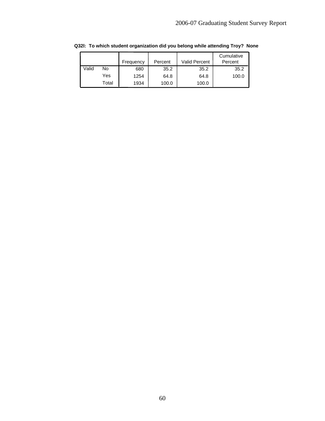|       |       | Frequency | Percent | Valid Percent | Cumulative<br>Percent |
|-------|-------|-----------|---------|---------------|-----------------------|
| Valid | No    | 680       | 35.2    | 35.2          | 35.2                  |
|       | Yes   | 1254      | 64.8    | 64.8          | 100.0                 |
|       | Total | 1934      | 100.0   | 100.0         |                       |

**Q32l: To which student organization did you belong while attending Troy? None**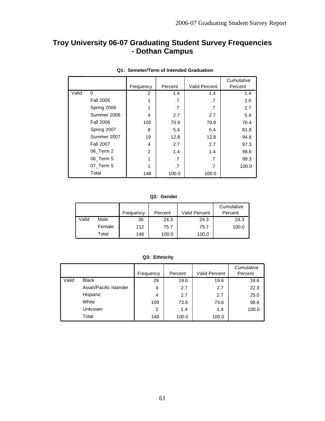# **Troy University 06-07 Graduating Student Survey Frequencies - Dothan Campus**

|       |                  |                |         |               | Cumulative |
|-------|------------------|----------------|---------|---------------|------------|
|       |                  | Frequency      | Percent | Valid Percent | Percent    |
| Valid | 0                | 2              | 1.4     | 1.4           | 1.4        |
|       | <b>Fall 2005</b> | 1              | .7      | .7            | 2.0        |
|       | Spring 2006      |                | .7      | .7            | 2.7        |
|       | Summer 2006      | 4              | 2.7     | 2.7           | 5.4        |
|       | <b>Fall 2006</b> | 105            | 70.9    | 70.9          | 76.4       |
|       | Spring 2007      | 8              | 5.4     | 5.4           | 81.8       |
|       | Summer 2007      | 19             | 12.8    | 12.8          | 94.6       |
|       | <b>Fall 2007</b> | 4              | 2.7     | 2.7           | 97.3       |
|       | 06 Term 2        | $\overline{2}$ | 1.4     | 1.4           | 98.6       |
|       | 06_Term 5        | 1              | .7      | .7            | 99.3       |
|       | 07 Term 5        |                | .7      | .7            | 100.0      |
|       | Total            | 148            | 100.0   | 100.0         |            |

#### **Q1: Semeter/Term of Intended Graduation**

**Q2: Gender**

|       |        | Frequency | Percent | Valid Percent | Cumulative<br>Percent |
|-------|--------|-----------|---------|---------------|-----------------------|
| Valid | Male   | 36        | 24.3    | 24.3          | 24.3                  |
|       | Female | 112       | 75.7    | 75.7          | 100.0                 |
|       | Total  | 148       | 100.0   | 100.0         |                       |

**Q3: Ethnicity**

|       |                        | Frequency | Percent | <b>Valid Percent</b> | Cumulative<br>Percent |
|-------|------------------------|-----------|---------|----------------------|-----------------------|
| Valid | <b>Black</b>           | 29        | 19.6    | 19.6                 | 19.6                  |
|       | Asian/Pacific Islander | 4         | 2.7     | 2.7                  | 22.3                  |
|       | Hispanic               | 4         | 2.7     | 2.7                  | 25.0                  |
|       | White                  | 109       | 73.6    | 73.6                 | 98.6                  |
|       | <b>Unknown</b>         | 2         | 1.4     | 1.4                  | 100.0                 |
|       | Total                  | 148       | 100.0   | 100.0                |                       |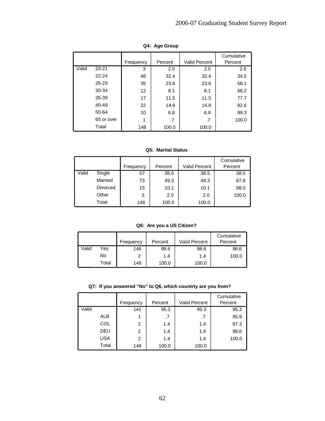|       |            | Frequency | Percent | <b>Valid Percent</b> | Cumulative<br>Percent |
|-------|------------|-----------|---------|----------------------|-----------------------|
| Valid | $20 - 21$  | 3         | 2.0     | 2.0                  | 2.0                   |
|       | $22 - 24$  | 48        | 32.4    | 32.4                 | 34.5                  |
|       | 25-29      | 35        | 23.6    | 23.6                 | 58.1                  |
|       | 30-34      | 12        | 8.1     | 8.1                  | 66.2                  |
|       | 35-39      | 17        | 11.5    | 11.5                 | 77.7                  |
|       | 40-49      | 22        | 14.9    | 14.9                 | 92.6                  |
|       | 50-64      | 10        | 6.8     | 6.8                  | 99.3                  |
|       | 65 or over |           | .7      | .7                   | 100.0                 |
|       | Total      | 148       | 100.0   | 100.0                |                       |

#### **Q4: Age Group**

#### **Q5: Marital Status**

|       |                 | Frequency | Percent | <b>Valid Percent</b> | Cumulative<br>Percent |
|-------|-----------------|-----------|---------|----------------------|-----------------------|
| Valid | Single          | 57        | 38.5    | 38.5                 | 38.5                  |
|       | Married         | 73        | 49.3    | 49.3                 | 87.8                  |
|       | <b>Divorced</b> | 15        | 10.1    | 10.1                 | 98.0                  |
|       | Other           | 3         | 2.0     | 2.0                  | 100.0                 |
|       | Total           | 148       | 100.0   | 100.0                |                       |

### **Q6: Are you a US Citizen?**

|       |       | Frequency | Percent | Valid Percent | Cumulative<br>Percent |
|-------|-------|-----------|---------|---------------|-----------------------|
| Valid | Yes   | 146       | 98.6    | 98.6          | 98.6                  |
|       | No    |           | 1.4     | 1.4           | 100.0                 |
|       | Total | 148       | 100.0   | 100.0         |                       |

## **Q7: If you answered "No" to Q6, which countrty are you from?**

|       |            | Frequency      | Percent | <b>Valid Percent</b> | Cumulative<br>Percent |
|-------|------------|----------------|---------|----------------------|-----------------------|
| Valid |            | 141            | 95.3    | 95.3                 | 95.3                  |
|       | <b>ALB</b> |                | .7      | .7                   | 95.9                  |
|       | COL        | $\overline{2}$ | 1.4     | 1.4                  | 97.3                  |
|       | DEU        | 2              | 1.4     | 1.4                  | 98.6                  |
|       | <b>USA</b> | 2              | 1.4     | 1.4                  | 100.0                 |
|       | Total      | 148            | 100.0   | 100.0                |                       |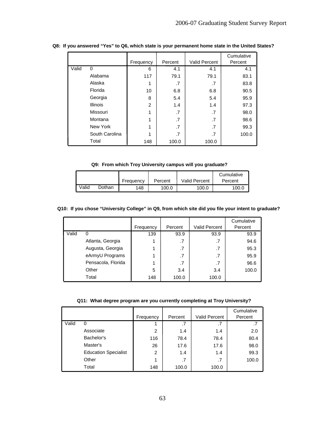|       |                 |                |           |               | Cumulative |
|-------|-----------------|----------------|-----------|---------------|------------|
|       |                 | Frequency      | Percent   | Valid Percent | Percent    |
| Valid | 0               | 6              | 4.1       | 4.1           | 4.1        |
|       | Alabama         | 117            | 79.1      | 79.1          | 83.1       |
|       | Alaska          |                | .7        | .7            | 83.8       |
|       | Florida         | 10             | 6.8       | 6.8           | 90.5       |
|       | Georgia         | 8              | 5.4       | 5.4           | 95.9       |
|       | <b>Illinois</b> | $\overline{2}$ | 1.4       | 1.4           | 97.3       |
|       | Missouri        | 1              | .7        | .7            | 98.0       |
|       | Montana         |                | .7        | .7            | 98.6       |
|       | New York        |                | .7        | .7            | 99.3       |
|       | South Carolina  |                | $\cdot$ 7 | $\cdot$ 7     | 100.0      |
|       | Total           | 148            | 100.0     | 100.0         |            |

#### **Q8: If you answered "Yes" to Q6, which state is your permanent home state in the United States?**

#### **Q9: From which Troy University campus will you graduate?**

|       |        |           |         |                      | Cumulative |
|-------|--------|-----------|---------|----------------------|------------|
|       |        | Frequency | Percent | <b>Valid Percent</b> | Percent    |
| Valid | Dothan | 148       | 100.0   | 100.0                | 100.0      |

### **Q10: If you chose "University College" in Q9, from which site did you file your intent to graduate?**

|       |                    |           |         |               | Cumulative |
|-------|--------------------|-----------|---------|---------------|------------|
|       |                    | Frequency | Percent | Valid Percent | Percent    |
| Valid | 0                  | 139       | 93.9    | 93.9          | 93.9       |
|       | Atlanta, Georgia   | 1         | .7      | .7            | 94.6       |
|       | Augusta, Georgia   |           | .7      | .7            | 95.3       |
|       | eArmyU Programs    |           | .7      | .7            | 95.9       |
|       | Pensacola, Florida |           | .7      |               | 96.6       |
|       | Other              | 5         | 3.4     | 3.4           | 100.0      |
|       | Total              | 148       | 100.0   | 100.0         |            |

#### **Q11: What degree program are you currently completing at Troy University?**

|       |                             | Frequency | Percent | Valid Percent | Cumulative<br>Percent |
|-------|-----------------------------|-----------|---------|---------------|-----------------------|
| Valid | 0                           |           | .7      | .7            | .7                    |
|       | Associate                   | 2         | 1.4     | 1.4           | 2.0                   |
|       | Bachelor's                  | 116       | 78.4    | 78.4          | 80.4                  |
|       | Master's                    | 26        | 17.6    | 17.6          | 98.0                  |
|       | <b>Education Specialist</b> | 2         | 1.4     | 1.4           | 99.3                  |
|       | Other                       |           | .7      | .7            | 100.0                 |
|       | Total                       | 148       | 100.0   | 100.0         |                       |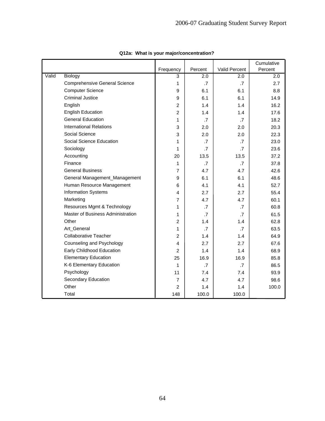|       |                                      |                |                 |                 | Cumulative |
|-------|--------------------------------------|----------------|-----------------|-----------------|------------|
|       |                                      | Frequency      | Percent         | Valid Percent   | Percent    |
| Valid | Biology                              | 3              | 2.0             | 2.0             | 2.0        |
|       | <b>Comprehensive General Science</b> | 1              | .7              | .7              | 2.7        |
|       | <b>Computer Science</b>              | 9              | 6.1             | 6.1             | 8.8        |
|       | <b>Criminal Justice</b>              | 9              | 6.1             | 6.1             | 14.9       |
|       | English                              | $\overline{2}$ | 1.4             | 1.4             | 16.2       |
|       | <b>English Education</b>             | $\overline{2}$ | 1.4             | 1.4             | 17.6       |
|       | <b>General Education</b>             | 1              | $\overline{.7}$ | $\overline{.7}$ | 18.2       |
|       | <b>International Relations</b>       | 3              | 2.0             | 2.0             | 20.3       |
|       | Social Science                       | 3              | 2.0             | 2.0             | 22.3       |
|       | Social Science Education             | 1              | $\cdot$ 7       | $\cdot$ 7       | 23.0       |
|       | Sociology                            | 1              | .7              | $\overline{.7}$ | 23.6       |
|       | Accounting                           | 20             | 13.5            | 13.5            | 37.2       |
|       | Finance                              | 1              | $\cdot$ 7       | $\cdot$ 7       | 37.8       |
|       | <b>General Business</b>              | $\overline{7}$ | 4.7             | 4.7             | 42.6       |
|       | General Management_Management        | 9              | 6.1             | 6.1             | 48.6       |
|       | Human Resource Management            | 6              | 4.1             | 4.1             | 52.7       |
|       | <b>Information Systems</b>           | 4              | 2.7             | 2.7             | 55.4       |
|       | Marketing                            | $\overline{7}$ | 4.7             | 4.7             | 60.1       |
|       | Resources Mgmt & Technology          | 1              | $\cdot$ 7       | $\cdot$ 7       | 60.8       |
|       | Master of Business Administration    | 1              | $\cdot$ 7       | .7              | 61.5       |
|       | Other                                | $\overline{2}$ | 1.4             | 1.4             | 62.8       |
|       | Art_General                          | 1              | .7              | .7              | 63.5       |
|       | <b>Collaborative Teacher</b>         | $\overline{2}$ | 1.4             | 1.4             | 64.9       |
|       | Counseling and Psychology            | $\overline{4}$ | 2.7             | 2.7             | 67.6       |
|       | Early Childhood Education            | $\overline{2}$ | 1.4             | 1.4             | 68.9       |
|       | <b>Elementary Education</b>          | 25             | 16.9            | 16.9            | 85.8       |
|       | K-6 Elementary Education             | 1              | $\overline{.7}$ | $\overline{.7}$ | 86.5       |
|       | Psychology                           | 11             | 7.4             | 7.4             | 93.9       |
|       | Secondary Education                  | $\overline{7}$ | 4.7             | 4.7             | 98.6       |
|       | Other                                | $\overline{2}$ | 1.4             | 1.4             | 100.0      |
|       | Total                                | 148            | 100.0           | 100.0           |            |

### **Q12a: What is your major/concentration?**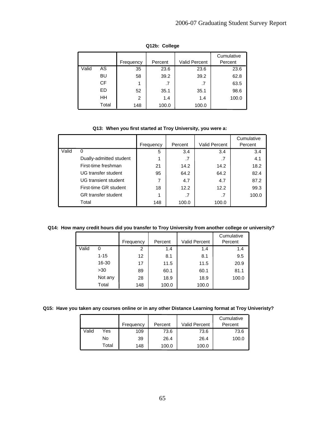|       |           | Frequency | Percent | <b>Valid Percent</b> | Cumulative<br>Percent |
|-------|-----------|-----------|---------|----------------------|-----------------------|
| Valid | AS.       | 35        | 23.6    | 23.6                 | 23.6                  |
|       | BU        | 58        | 39.2    | 39.2                 | 62.8                  |
|       | CF        |           | .7      | .7                   | 63.5                  |
|       | ED        | 52        | 35.1    | 35.1                 | 98.6                  |
|       | <b>HH</b> | 2         | 1.4     | 1.4                  | 100.0                 |
|       | Total     | 148       | 100.0   | 100.0                |                       |

**Q12b: College**

#### **Q13: When you first started at Troy University, you were a:**

|       |                            | Frequency | Percent | <b>Valid Percent</b> | Cumulative<br>Percent |
|-------|----------------------------|-----------|---------|----------------------|-----------------------|
| Valid | 0                          | 5         | 3.4     | 3.4                  | 3.4                   |
|       | Dually-admitted student    | 1         | .7      | .7                   | 4.1                   |
|       | First-time freshman        | 21        | 14.2    | 14.2                 | 18.2                  |
|       | UG transfer student        | 95        | 64.2    | 64.2                 | 82.4                  |
|       | UG transient student       | 7         | 4.7     | 4.7                  | 87.2                  |
|       | First-time GR student      | 18        | 12.2    | 12.2                 | 99.3                  |
|       | <b>GR</b> transfer student | 1         | .7      | .7                   | 100.0                 |
|       | Total                      | 148       | 100.0   | 100.0                |                       |

**Q14: How many credit hours did you transfer to Troy University from another college or university?**

|       |          | Frequency         | Percent | <b>Valid Percent</b> | Cumulative<br>Percent |
|-------|----------|-------------------|---------|----------------------|-----------------------|
|       |          |                   |         |                      |                       |
| Valid | 0        | $\overline{2}$    | 1.4     | 1.4                  | 1.4                   |
|       | $1 - 15$ | $12 \overline{ }$ | 8.1     | 8.1                  | 9.5                   |
|       | 16-30    | 17                | 11.5    | 11.5                 | 20.9                  |
|       | >30      | 89                | 60.1    | 60.1                 | 81.1                  |
|       | Not any  | 28                | 18.9    | 18.9                 | 100.0                 |
|       | Total    | 148               | 100.0   | 100.0                |                       |

**Q15: Have you taken any courses online or in any other Distance Learning format at Troy Univeristy?**

|       |       | Frequency | Percent | <b>Valid Percent</b> | Cumulative<br>Percent |
|-------|-------|-----------|---------|----------------------|-----------------------|
| Valid | Yes   | 109       | 73.6    | 73.6                 | 73.6                  |
|       | No    | 39        | 26.4    | 26.4                 | 100.0                 |
|       | Total | 148       | 100.0   | 100.0                |                       |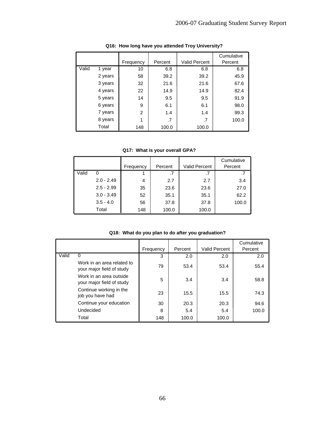|       |         | Frequency | Percent | <b>Valid Percent</b> | Cumulative<br>Percent |
|-------|---------|-----------|---------|----------------------|-----------------------|
| Valid | 1 year  | 10        | 6.8     | 6.8                  | 6.8                   |
|       | 2 years | 58        | 39.2    | 39.2                 | 45.9                  |
|       | 3 years | 32        | 21.6    | 21.6                 | 67.6                  |
|       | 4 years | 22        | 14.9    | 14.9                 | 82.4                  |
|       | 5 years | 14        | 9.5     | 9.5                  | 91.9                  |
|       | 6 years | 9         | 6.1     | 6.1                  | 98.0                  |
|       | 7 years | 2         | 1.4     | 1.4                  | 99.3                  |
|       | 8 years | 1         | .7      | .7                   | 100.0                 |
|       | Total   | 148       | 100.0   | 100.0                |                       |

#### **Q16: How long have you attended Troy University?**

**Q17: What is your overall GPA?**

|       |              | Frequency | Percent | <b>Valid Percent</b> | Cumulative<br>Percent |
|-------|--------------|-----------|---------|----------------------|-----------------------|
| Valid |              |           | .7      | .7                   | .7                    |
|       | $2.0 - 2.49$ | 4         | 2.7     | 2.7                  | 3.4                   |
|       | $2.5 - 2.99$ | 35        | 23.6    | 23.6                 | 27.0                  |
|       | $3.0 - 3.49$ | 52        | 35.1    | 35.1                 | 62.2                  |
|       | $3.5 - 4.0$  | 56        | 37.8    | 37.8                 | 100.0                 |
|       | Total        | 148       | 100.0   | 100.0                |                       |

**Q18: What do you plan to do after you graduation?**

|       |                                                         | Frequency | Percent | <b>Valid Percent</b> | Cumulative<br>Percent |
|-------|---------------------------------------------------------|-----------|---------|----------------------|-----------------------|
| Valid | 0                                                       | 3         | 2.0     | 2.0                  | 2.0                   |
|       | Work in an area related to<br>your major field of study | 79        | 53.4    | 53.4                 | 55.4                  |
|       | Work in an area outside<br>your major field of study    | 5         | 3.4     | 3.4                  | 58.8                  |
|       | Continue working in the<br>job you have had             | 23        | 15.5    | 15.5                 | 74.3                  |
|       | Continue your education                                 | 30        | 20.3    | 20.3                 | 94.6                  |
|       | Undecided                                               | 8         | 5.4     | 5.4                  | 100.0                 |
|       | Total                                                   | 148       | 100.0   | 100.0                |                       |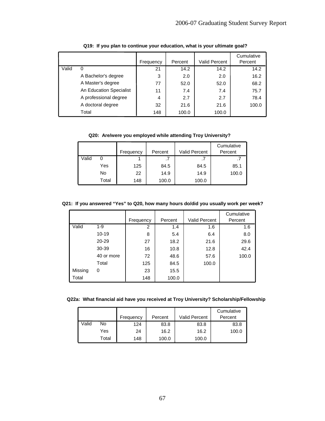|       |                         | Frequency | Percent | Valid Percent | Cumulative<br>Percent |
|-------|-------------------------|-----------|---------|---------------|-----------------------|
| Valid | 0                       | 21        | 14.2    | 14.2          | 14.2                  |
|       | A Bachelor's degree     | 3         | 2.0     | 2.0           | 16.2                  |
|       | A Master's degree       | 77        | 52.0    | 52.0          | 68.2                  |
|       | An Education Specialist | 11        | 7.4     | 7.4           | 75.7                  |
|       | A professional degree   | 4         | 2.7     | 2.7           | 78.4                  |
|       | A doctoral degree       | 32        | 21.6    | 21.6          | 100.0                 |
|       | Total                   | 148       | 100.0   | 100.0         |                       |

#### **Q19: If you plan to continue your education, what is your ultimate goal?**

#### **Q20: Are/were you employed while attending Troy University?**

|       |       | Frequency | Percent | Valid Percent | Cumulative<br>Percent |
|-------|-------|-----------|---------|---------------|-----------------------|
| Valid | 0     |           |         |               |                       |
|       | Yes   | 125       | 84.5    | 84.5          | 85.1                  |
|       | No    | 22        | 14.9    | 14.9          | 100.0                 |
|       | Total | 148       | 100.0   | 100.0         |                       |

#### **Q21: If you answered "Yes" to Q20, how many hours do/did you usually work per week?**

|         |            |           |         |                      | Cumulative |
|---------|------------|-----------|---------|----------------------|------------|
|         |            | Frequency | Percent | <b>Valid Percent</b> | Percent    |
| Valid   | $1 - 9$    | 2         | 1.4     | 1.6                  | 1.6        |
|         | $10 - 19$  | 8         | 5.4     | 6.4                  | 8.0        |
|         | 20-29      | 27        | 18.2    | 21.6                 | 29.6       |
|         | 30-39      | 16        | 10.8    | 12.8                 | 42.4       |
|         | 40 or more | 72        | 48.6    | 57.6                 | 100.0      |
|         | Total      | 125       | 84.5    | 100.0                |            |
| Missing | 0          | 23        | 15.5    |                      |            |
| Total   |            | 148       | 100.0   |                      |            |

**Q22a: What financial aid have you received at Troy University? Scholarship/Fellowship**

|       |       | Frequency | Percent | <b>Valid Percent</b> | Cumulative<br>Percent |
|-------|-------|-----------|---------|----------------------|-----------------------|
| Valid | No    | 124       | 83.8    | 83.8                 | 83.8                  |
|       | Yes   | 24        | 16.2    | 16.2                 | 100.0                 |
|       | Total | 148       | 100.0   | 100.0                |                       |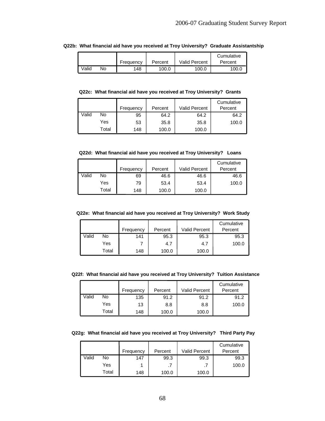|       |    | Frequency | Percent | <b>Valid Percent</b> | Cumulative<br>Percent |
|-------|----|-----------|---------|----------------------|-----------------------|
| √alid | N٥ | 148       | 100.0   | 100.0                | 100.0                 |

#### **Q22b: What financial aid have you received at Troy University? Graduate Assistantship**

**Q22c: What financial aid have you received at Troy University? Grants**

|       |       |           |         |               | Cumulative |
|-------|-------|-----------|---------|---------------|------------|
|       |       | Frequency | Percent | Valid Percent | Percent    |
| Valid | No    | 95        | 64.2    | 64.2          | 64.2       |
|       | Yes   | 53        | 35.8    | 35.8          | 100.0      |
|       | Total | 148       | 100.0   | 100.0         |            |

**Q22d: What financial aid have you received at Troy University? Loans**

|       |       | Frequency | Percent | <b>Valid Percent</b> | Cumulative<br>Percent |
|-------|-------|-----------|---------|----------------------|-----------------------|
| Valid | No    | 69        | 46.6    | 46.6                 | 46.6                  |
|       | Yes   | 79        | 53.4    | 53.4                 | 100.0                 |
|       | Total | 148       | 100.0   | 100.0                |                       |

**Q22e: What financial aid have you received at Troy University? Work Study**

|       |       | Frequency | Percent | Valid Percent | Cumulative<br>Percent |
|-------|-------|-----------|---------|---------------|-----------------------|
|       |       |           |         |               |                       |
| Valid | No    | 141       | 95.3    | 95.3          | 95.3                  |
|       | Yes   |           | 4.7     | 4.7           | 100.0                 |
|       | Total | 148       | 100.0   | 100.0         |                       |

**Q22f: What financial aid have you received at Troy University? Tuition Assistance**

|       |       |           |         |                      | Cumulative |
|-------|-------|-----------|---------|----------------------|------------|
|       |       | Frequency | Percent | <b>Valid Percent</b> | Percent    |
| Valid | No    | 135       | 91.2    | 91.2                 | 91.2       |
|       | Yes   | 13        | 8.8     | 8.8                  | 100.0      |
|       | Total | 148       | 100.0   | 100.0                |            |

**Q22g: What financial aid have you received at Troy University? Third Party Pay**

|       |       |           |         |                      | Cumulative |
|-------|-------|-----------|---------|----------------------|------------|
|       |       | Frequency | Percent | <b>Valid Percent</b> | Percent    |
| Valid | No    | 147       | 99.3    | 99.3                 | 99.3       |
|       | Yes   |           |         |                      | 100.0      |
|       | Total | 148       | 100.0   | 100.0                |            |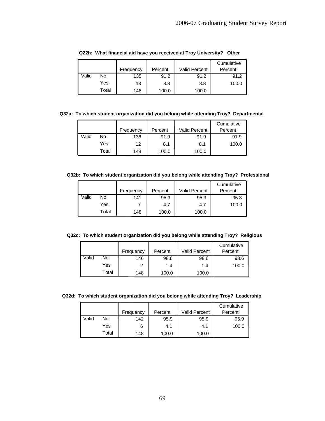|       |       | Frequency | Percent | <b>Valid Percent</b> | Cumulative<br>Percent |
|-------|-------|-----------|---------|----------------------|-----------------------|
| Valid | No    | 135       | 91.2    | 91.2                 | 91.2                  |
|       | Yes   | 13        | 8.8     | 8.8                  | 100.0                 |
|       | Total | 148       | 100.0   | 100.0                |                       |

**Q22h: What financial aid have you received at Troy University? Other**

**Q32a: To which student organization did you belong while attending Troy? Departmental**

|       |       | Frequency | Percent | <b>Valid Percent</b> | Cumulative<br>Percent |
|-------|-------|-----------|---------|----------------------|-----------------------|
| Valid | No    | 136       | 91.9    | 91.9                 | 91.9                  |
|       | Yes   | 12        | 8.1     | 8.1                  | 100.0                 |
|       | Total | 148       | 100.0   | 100.0                |                       |

**Q32b: To which student organization did you belong while attending Troy? Professional**

|       |       | Frequency | Percent | <b>Valid Percent</b> | Cumulative<br>Percent |
|-------|-------|-----------|---------|----------------------|-----------------------|
| Valid | No    | 141       | 95.3    | 95.3                 | 95.3                  |
|       | Yes   |           | 4.7     | 4.7                  | 100.0                 |
|       | Total | 148       | 100.0   | 100.0                |                       |

**Q32c: To which student organization did you belong while attending Troy? Religious**

|       |       |           |         |                      | Cumulative |
|-------|-------|-----------|---------|----------------------|------------|
|       |       | Frequency | Percent | <b>Valid Percent</b> | Percent    |
| Valid | No    | 146       | 98.6    | 98.6                 | 98.6       |
|       | Yes   | າ         | 1.4     | 1.4                  | 100.0      |
|       | Total | 148       | 100.0   | 100.0                |            |

**Q32d: To which student organization did you belong while attending Troy? Leadership**

|       |       | Frequency | Percent | <b>Valid Percent</b> | Cumulative<br>Percent |
|-------|-------|-----------|---------|----------------------|-----------------------|
| Valid | No    | 142       | 95.9    | 95.9                 | 95.9                  |
|       | Yes   |           | 4.1     | 4.1                  | 100.0                 |
|       | Total | 148       | 100.0   | 100.0                |                       |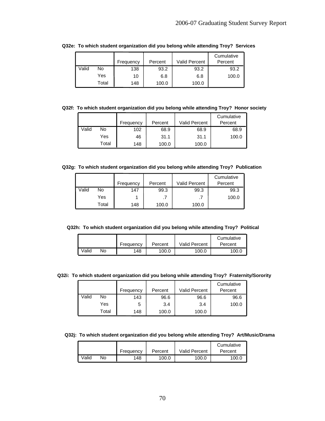|       |       | Frequency | Percent | <b>Valid Percent</b> | Cumulative<br>Percent |
|-------|-------|-----------|---------|----------------------|-----------------------|
| Valid | No    | 138       | 93.2    | 93.2                 | 93.2                  |
|       | Yes   | 10        | 6.8     | 6.8                  | 100.0                 |
|       | Total | 148       | 100.0   | 100.0                |                       |

**Q32e: To which student organization did you belong while attending Troy? Services**

**Q32f: To which student organization did you belong while attending Troy? Honor society**

|       |       | Frequency | Percent | <b>Valid Percent</b> | Cumulative<br>Percent |
|-------|-------|-----------|---------|----------------------|-----------------------|
|       |       |           |         |                      |                       |
| Valid | No    | 102       | 68.9    | 68.9                 | 68.9                  |
|       | Yes   | 46        | 31.1    | 31.1                 | 100.0                 |
|       | Total | 148       | 100.0   | 100.0                |                       |

**Q32g: To which student organization did you belong while attending Troy? Publication**

|       |       | Frequency | Percent | <b>Valid Percent</b> | Cumulative<br>Percent |
|-------|-------|-----------|---------|----------------------|-----------------------|
| Valid | No    | 147       | 99.3    | 99.3                 | 99.3                  |
|       | Yes   |           |         |                      | 100.0                 |
|       | Total | 148       | 100.0   | 100.0                |                       |

**Q32h: To which student organization did you belong while attending Troy? Political**

|       |    |           |         |                      | Cumulative |
|-------|----|-----------|---------|----------------------|------------|
|       |    | Frequency | Percent | <b>Valid Percent</b> | Percent    |
| Valid | No | 148       | 100.0   | 100.0                | 100.0      |

**Q32i: To which student organization did you belong while attending Troy? Fraternity/Sorority**

|       |       | Frequency | Percent | Valid Percent | Cumulative<br>Percent |
|-------|-------|-----------|---------|---------------|-----------------------|
|       |       |           |         |               |                       |
| Valid | No    | 143       | 96.6    | 96.6          | 96.6                  |
|       | Yes   | 5         | 3.4     | 3.4           | 100.0                 |
|       | Total | 148       | 100.0   | 100.0         |                       |

**Q32j: To which student organization did you belong while attending Troy? Art/Music/Drama**

|       |    |           |         |                      | Cumulative |
|-------|----|-----------|---------|----------------------|------------|
|       |    | Frequency | Percent | <b>Valid Percent</b> | Percent    |
| Valid | No | 148       | 100.0   | 100.0                | 100.0      |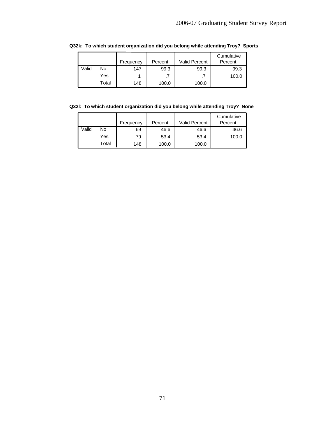|       |       | Frequency | Percent | <b>Valid Percent</b> | Cumulative<br>Percent |
|-------|-------|-----------|---------|----------------------|-----------------------|
| Valid | No    | 147       | 99.3    | 99.3                 | 99.3                  |
|       | Yes   |           |         |                      | 100.0                 |
|       | Total | 148       | 100.0   | 100.0                |                       |

**Q32k: To which student organization did you belong while attending Troy? Sports**

**Q32l: To which student organization did you belong while attending Troy? None**

|       |       | Frequency | Percent | Valid Percent | Cumulative<br>Percent |
|-------|-------|-----------|---------|---------------|-----------------------|
| Valid | No    | 69        | 46.6    | 46.6          | 46.6                  |
|       | Yes   | 79        | 53.4    | 53.4          | 100.0                 |
|       | Total | 148       | 100.0   | 100.0         |                       |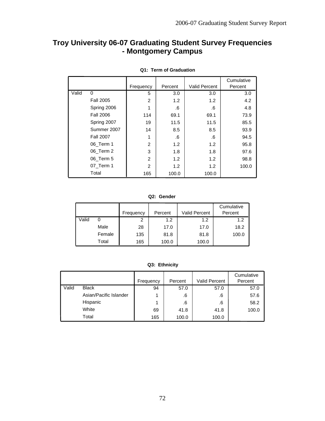# **Troy University 06-07 Graduating Student Survey Frequencies - Montgomery Campus**

|       |                  |                |         |               | Cumulative |
|-------|------------------|----------------|---------|---------------|------------|
|       |                  | Frequency      | Percent | Valid Percent | Percent    |
| Valid | 0                | 5              | 3.0     | 3.0           | 3.0        |
|       | <b>Fall 2005</b> | 2              | 1.2     | 1.2           | 4.2        |
|       | Spring 2006      | 1              | .6      | .6            | 4.8        |
|       | <b>Fall 2006</b> | 114            | 69.1    | 69.1          | 73.9       |
|       | Spring 2007      | 19             | 11.5    | 11.5          | 85.5       |
|       | Summer 2007      | 14             | 8.5     | 8.5           | 93.9       |
|       | <b>Fall 2007</b> | 1              | .6      | .6            | 94.5       |
|       | 06 Term 1        | $\overline{2}$ | 1.2     | 1.2           | 95.8       |
|       | 06 Term 2        | 3              | 1.8     | 1.8           | 97.6       |
|       | 06 Term 5        | $\overline{2}$ | 1.2     | 1.2           | 98.8       |
|       | 07 Term 1        | $\overline{2}$ | 1.2     | 1.2           | 100.0      |
|       | Total            | 165            | 100.0   | 100.0         |            |

#### **Q1: Term of Graduation**

#### **Q2: Gender**

|       |        | Frequency | Percent | Valid Percent | Cumulative<br>Percent |
|-------|--------|-----------|---------|---------------|-----------------------|
| Valid | 0      |           | 1.2     | 1.2           | 1.2                   |
|       | Male   | 28        | 17.0    | 17.0          | 18.2                  |
|       | Female | 135       | 81.8    | 81.8          | 100.0                 |
|       | Total  | 165       | 100.0   | 100.0         |                       |

**Q3: Ethnicity**

|       |                        | Frequency | Percent | <b>Valid Percent</b> | Cumulative<br>Percent |
|-------|------------------------|-----------|---------|----------------------|-----------------------|
| Valid | <b>Black</b>           | 94        | 57.0    | 57.0                 | 57.0                  |
|       | Asian/Pacific Islander |           | .6      | .6                   | 57.6                  |
|       | Hispanic               |           | .6      | .6                   | 58.2                  |
|       | White                  | 69        | 41.8    | 41.8                 | 100.0                 |
|       | Total                  | 165       | 100.0   | 100.0                |                       |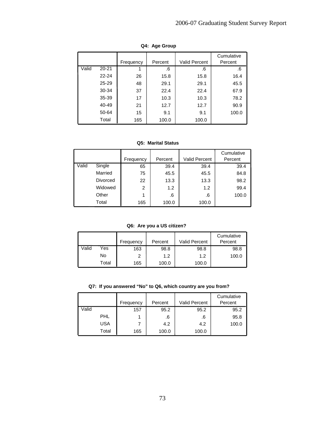|       |           | Frequency | Percent | <b>Valid Percent</b> | Cumulative<br>Percent |
|-------|-----------|-----------|---------|----------------------|-----------------------|
| Valid | $20 - 21$ |           | .6      | .6                   | .6                    |
|       | $22 - 24$ | 26        | 15.8    | 15.8                 | 16.4                  |
|       | 25-29     | 48        | 29.1    | 29.1                 | 45.5                  |
|       | 30-34     | 37        | 22.4    | 22.4                 | 67.9                  |
|       | 35-39     | 17        | 10.3    | 10.3                 | 78.2                  |
|       | 40-49     | 21        | 12.7    | 12.7                 | 90.9                  |
|       | 50-64     | 15        | 9.1     | 9.1                  | 100.0                 |
|       | Total     | 165       | 100.0   | 100.0                |                       |

**Q4: Age Group**

**Q5: Marital Status**

|       |                 | Frequency | Percent | Valid Percent | Cumulative<br>Percent |
|-------|-----------------|-----------|---------|---------------|-----------------------|
| Valid | Single          | 65        | 39.4    | 39.4          | 39.4                  |
|       | Married         | 75        | 45.5    | 45.5          | 84.8                  |
|       | <b>Divorced</b> | 22        | 13.3    | 13.3          | 98.2                  |
|       | Widowed         | 2         | 1.2     | 1.2           | 99.4                  |
|       | Other           |           | .6      | .6            | 100.0                 |
|       | Total           | 165       | 100.0   | 100.0         |                       |

**Q6: Are you a US citizen?**

|       |       | Frequency | Percent | <b>Valid Percent</b> | Cumulative<br>Percent |
|-------|-------|-----------|---------|----------------------|-----------------------|
| Valid | Yes   | 163       | 98.8    | 98.8                 | 98.8                  |
|       | No    | 2         | 1.2     | 1.2                  | 100.0                 |
|       | Total | 165       | 100.0   | 100.0                |                       |

**Q7: If you answered "No" to Q6, which country are you from?**

|       |            | Frequency | Percent | Valid Percent | Cumulative<br>Percent |
|-------|------------|-----------|---------|---------------|-----------------------|
| Valid |            | 157       | 95.2    | 95.2          | 95.2                  |
|       | <b>PHL</b> |           | .6      | .6            | 95.8                  |
|       | <b>USA</b> |           | 4.2     | 4.2           | 100.0                 |
|       | Total      | 165       | 100.0   | 100.0         |                       |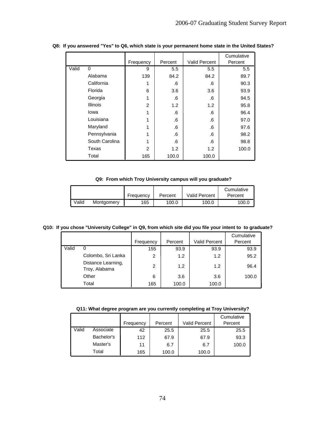|       |                |                |         |               | Cumulative |
|-------|----------------|----------------|---------|---------------|------------|
|       |                | Frequency      | Percent | Valid Percent | Percent    |
| Valid | $\Omega$       | 9              | 5.5     | 5.5           | 5.5        |
|       | Alabama        | 139            | 84.2    | 84.2          | 89.7       |
|       | California     | 1              | .6      | .6            | 90.3       |
|       | Florida        | 6              | 3.6     | 3.6           | 93.9       |
|       | Georgia        | 1              | .6      | .6            | 94.5       |
|       | Illinois       | $\overline{2}$ | 1.2     | 1.2           | 95.8       |
|       | lowa           | 1              | .6      | .6            | 96.4       |
|       | Louisiana      | 1              | .6      | .6            | 97.0       |
|       | Maryland       | 1              | .6      | .6            | 97.6       |
|       | Pennsylvania   | 1              | .6      | .6            | 98.2       |
|       | South Carolina | 1              | .6      | .6            | 98.8       |
|       | Texas          | $\overline{2}$ | 1.2     | 1.2           | 100.0      |
|       | Total          | 165            | 100.0   | 100.0         |            |

### **Q8: If you answered "Yes" to Q6, which state is your permanent home state in the United States?**

### **Q9: From which Troy University campus will you graduate?**

|       |            |           |         |                      | Cumulative |
|-------|------------|-----------|---------|----------------------|------------|
|       |            | Frequency | Percent | <b>Valid Percent</b> | Percent    |
| Valid | Montgomery | 165       | 100.0   | 100.0                | 100.0      |

### **Q10: If you chose "University College" in Q9, from which site did you file your intent to to graduate?**

|       |                                     |                |         |                      | Cumulative |
|-------|-------------------------------------|----------------|---------|----------------------|------------|
|       |                                     | Frequency      | Percent | <b>Valid Percent</b> | Percent    |
| Valid | 0                                   | 155            | 93.9    | 93.9                 | 93.9       |
|       | Colombo, Sri Lanka                  | $\overline{2}$ | 1.2     | 1.2                  | 95.2       |
|       | Distance Learning,<br>Troy, Alabama | $\overline{2}$ | 1.2     | 1.2                  | 96.4       |
|       | Other                               | 6              | 3.6     | 3.6                  | 100.0      |
|       | Total                               | 165            | 100.0   | 100.0                |            |

#### **Q11: What degree program are you currently completing at Troy University?**

|       |            |           |         |                      | Cumulative |
|-------|------------|-----------|---------|----------------------|------------|
|       |            | Frequency | Percent | <b>Valid Percent</b> | Percent    |
| Valid | Associate  | 42        | 25.5    | 25.5                 | 25.5       |
|       | Bachelor's | 112       | 67.9    | 67.9                 | 93.3       |
|       | Master's   | 11        | 6.7     | 6.7                  | 100.0      |
|       | Total      | 165       | 100.0   | 100.0                |            |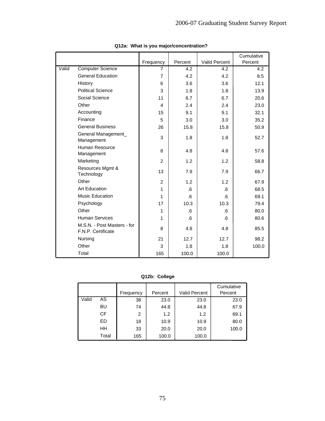|       |                                                   |                |         |               | Cumulative |
|-------|---------------------------------------------------|----------------|---------|---------------|------------|
|       |                                                   | Frequency      | Percent | Valid Percent | Percent    |
| Valid | <b>Computer Science</b>                           | $\overline{7}$ | 4.2     | 4.2           | 4.2        |
|       | <b>General Education</b>                          | $\overline{7}$ | 4.2     | 4.2           | 8.5        |
|       | History                                           | 6              | 3.6     | 3.6           | 12.1       |
|       | <b>Political Science</b>                          | 3              | 1.8     | 1.8           | 13.9       |
|       | Social Science                                    | 11             | 6.7     | 6.7           | 20.6       |
|       | Other                                             | $\overline{4}$ | 2.4     | 2.4           | 23.0       |
|       | Accounting                                        | 15             | 9.1     | 9.1           | 32.1       |
|       | Finance                                           | 5              | 3.0     | 3.0           | 35.2       |
|       | <b>General Business</b>                           | 26             | 15.8    | 15.8          | 50.9       |
|       | General Management_<br>Management                 | 3              | 1.8     | 1.8           | 52.7       |
|       | Human Resource<br>Management                      | 8              | 4.8     | 4.8           | 57.6       |
|       | Marketing                                         | 2              | 1.2     | 1.2           | 58.8       |
|       | Resources Mgmt &<br>Technology                    | 13             | 7.9     | 7.9           | 66.7       |
|       | Other                                             | $\overline{2}$ | 1.2     | 1.2           | 67.9       |
|       | <b>Art Education</b>                              | 1              | .6      | 6.6           | 68.5       |
|       | <b>Music Education</b>                            | 1              | .6      | 6.6           | 69.1       |
|       | Psychology                                        | 17             | 10.3    | 10.3          | 79.4       |
|       | Other                                             | 1              | .6      | .6            | 80.0       |
|       | <b>Human Services</b>                             | 1              | .6      | .6            | 80.6       |
|       | M.S.N. - Post Masters - for<br>F.N.P. Certificate | 8              | 4.8     | 4.8           | 85.5       |
|       | Nursing                                           | 21             | 12.7    | 12.7          | 98.2       |
|       | Other                                             | 3              | 1.8     | 1.8           | 100.0      |
|       | Total                                             | 165            | 100.0   | 100.0         |            |

# **Q12a: What is you major/concentration?**

**Q12b: College**

|       |           | Frequency | Percent | <b>Valid Percent</b> | Cumulative<br>Percent |
|-------|-----------|-----------|---------|----------------------|-----------------------|
| Valid | AS        | 38        | 23.0    | 23.0                 | 23.0                  |
|       | BU        | 74        | 44.8    | 44.8                 | 67.9                  |
|       | <b>CF</b> | 2         | 1.2     | 1.2                  | 69.1                  |
|       | ED        | 18        | 10.9    | 10.9                 | 80.0                  |
|       | HH        | 33        | 20.0    | 20.0                 | 100.0                 |
|       | Total     | 165       | 100.0   | 100.0                |                       |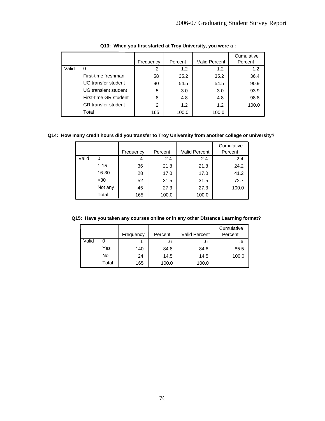|       |                            | Frequency | Percent | Valid Percent | Cumulative<br>Percent |
|-------|----------------------------|-----------|---------|---------------|-----------------------|
| Valid | 0                          | 2         | 1.2     | 1.2           | 1.2                   |
|       | First-time freshman        | 58        | 35.2    | 35.2          | 36.4                  |
|       | UG transfer student        | 90        | 54.5    | 54.5          | 90.9                  |
|       | UG transient student       | 5         | 3.0     | 3.0           | 93.9                  |
|       | First-time GR student      | 8         | 4.8     | 4.8           | 98.8                  |
|       | <b>GR</b> transfer student | 2         | 1.2     | 1.2           | 100.0                 |
|       | Total                      | 165       | 100.0   | 100.0         |                       |

### **Q13: When you first started at Troy University, you were a :**

## **Q14: How many credit hours did you transfer to Troy University from another college or university?**

|       |          | Frequency | Percent | <b>Valid Percent</b> | Cumulative<br>Percent |
|-------|----------|-----------|---------|----------------------|-----------------------|
| Valid |          | 4         | 2.4     | 2.4                  | 2.4                   |
|       | $1 - 15$ | 36        | 21.8    | 21.8                 | 24.2                  |
|       | 16-30    | 28        | 17.0    | 17.0                 | 41.2                  |
|       | >30      | 52        | 31.5    | 31.5                 | 72.7                  |
|       | Not any  | 45        | 27.3    | 27.3                 | 100.0                 |
|       | Total    | 165       | 100.0   | 100.0                |                       |

**Q15: Have you taken any courses online or in any other Distance Learning format?**

|       |       |           |         |                      | Cumulative |
|-------|-------|-----------|---------|----------------------|------------|
|       |       | Frequency | Percent | <b>Valid Percent</b> | Percent    |
| Valid | 0     |           | .6      | .6                   | .6         |
|       | Yes   | 140       | 84.8    | 84.8                 | 85.5       |
|       | No    | 24        | 14.5    | 14.5                 | 100.0      |
|       | Total | 165       | 100.0   | 100.0                |            |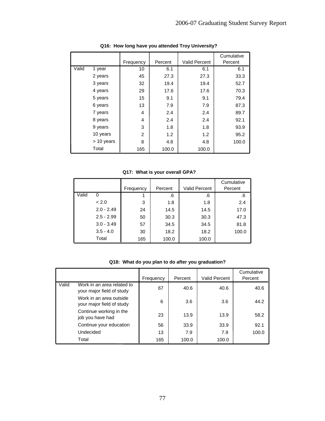|       |              |           |         |                      | Cumulative |
|-------|--------------|-----------|---------|----------------------|------------|
|       |              | Frequency | Percent | <b>Valid Percent</b> | Percent    |
| Valid | 1 year       | 10        | 6.1     | 6.1                  | 6.1        |
|       | 2 years      | 45        | 27.3    | 27.3                 | 33.3       |
|       | 3 years      | 32        | 19.4    | 19.4                 | 52.7       |
|       | 4 years      | 29        | 17.6    | 17.6                 | 70.3       |
|       | 5 years      | 15        | 9.1     | 9.1                  | 79.4       |
|       | 6 years      | 13        | 7.9     | 7.9                  | 87.3       |
|       | 7 years      | 4         | 2.4     | 2.4                  | 89.7       |
|       | 8 years      | 4         | 2.4     | 2.4                  | 92.1       |
|       | 9 years      | 3         | 1.8     | 1.8                  | 93.9       |
|       | 10 years     | 2         | 1.2     | 1.2                  | 95.2       |
|       | $> 10$ years | 8         | 4.8     | 4.8                  | 100.0      |
|       | Total        | 165       | 100.0   | 100.0                |            |

**Q16: How long have you attended Troy University?**

**Q17: What is your overall GPA?**

|       |              | Frequency | Percent | <b>Valid Percent</b> | Cumulative<br>Percent |
|-------|--------------|-----------|---------|----------------------|-----------------------|
| Valid | 0            |           | .6      | .6                   | .6                    |
|       | < 2.0        | 3         | 1.8     | 1.8                  | 2.4                   |
|       | $2.0 - 2.49$ | 24        | 14.5    | 14.5                 | 17.0                  |
|       | $2.5 - 2.99$ | 50        | 30.3    | 30.3                 | 47.3                  |
|       | $3.0 - 3.49$ | 57        | 34.5    | 34.5                 | 81.8                  |
|       | $3.5 - 4.0$  | 30        | 18.2    | 18.2                 | 100.0                 |
|       | Total        | 165       | 100.0   | 100.0                |                       |

**Q18: What do you plan to do after you graduation?**

|       |                                                         | Frequency | Percent | Valid Percent | Cumulative<br>Percent |
|-------|---------------------------------------------------------|-----------|---------|---------------|-----------------------|
| Valid | Work in an area related to<br>your major field of study | 67        | 40.6    | 40.6          | 40.6                  |
|       | Work in an area outside<br>your major field of study    | 6         | 3.6     | 3.6           | 44.2                  |
|       | Continue working in the<br>job you have had             | 23        | 13.9    | 13.9          | 58.2                  |
|       | Continue your education                                 | 56        | 33.9    | 33.9          | 92.1                  |
|       | Undecided                                               | 13        | 7.9     | 7.9           | 100.0                 |
|       | Total                                                   | 165       | 100.0   | 100.0         |                       |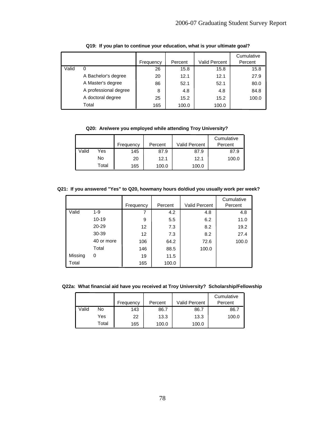|       |                       | Frequency | Percent | Valid Percent | Cumulative<br>Percent |
|-------|-----------------------|-----------|---------|---------------|-----------------------|
| Valid | 0                     | 26        | 15.8    | 15.8          | 15.8                  |
|       | A Bachelor's degree   | 20        | 12.1    | 12.1          | 27.9                  |
|       | A Master's degree     | 86        | 52.1    | 52.1          | 80.0                  |
|       | A professional degree | 8         | 4.8     | 4.8           | 84.8                  |
|       | A doctoral degree     | 25        | 15.2    | 15.2          | 100.0                 |
|       | Total                 | 165       | 100.0   | 100.0         |                       |

### **Q19: If you plan to continue your education, what is your ultimate goal?**

**Q20: Are/were you employed while attending Troy University?**

|       |       | Frequency | Percent | <b>Valid Percent</b> | Cumulative<br>Percent |
|-------|-------|-----------|---------|----------------------|-----------------------|
| Valid | Yes   | 145       | 87.9    | 87.9                 | 87.9                  |
|       | No    | 20        | 12.1    | 12.1                 | 100.0                 |
|       | Total | 165       | 100.0   | 100.0                |                       |

### **Q21: If you answered "Yes" to Q20, howmany hours do/diud you usually work per week?**

|         |            |                   |         |                      | Cumulative |
|---------|------------|-------------------|---------|----------------------|------------|
|         |            | Frequency         | Percent | <b>Valid Percent</b> | Percent    |
| Valid   | $1 - 9$    | 7                 | 4.2     | 4.8                  | 4.8        |
|         | $10 - 19$  | 9                 | 5.5     | 6.2                  | 11.0       |
|         | 20-29      | 12                | 7.3     | 8.2                  | 19.2       |
|         | 30-39      | $12 \overline{ }$ | 7.3     | 8.2                  | 27.4       |
|         | 40 or more | 106               | 64.2    | 72.6                 | 100.0      |
|         | Total      | 146               | 88.5    | 100.0                |            |
| Missing | 0          | 19                | 11.5    |                      |            |
| Total   |            | 165               | 100.0   |                      |            |

|  |  |  |  |  | Q22a: What financial aid have you received at Troy University? Scholarship/Fellowship |
|--|--|--|--|--|---------------------------------------------------------------------------------------|
|--|--|--|--|--|---------------------------------------------------------------------------------------|

|       |       | Frequency | Percent | Valid Percent | Cumulative<br>Percent |
|-------|-------|-----------|---------|---------------|-----------------------|
| Valid | No    | 143       | 86.7    | 86.7          | 86.7                  |
|       | Yes   | 22        | 13.3    | 13.3          | 100.0                 |
|       | Total | 165       | 100.0   | 100.0         |                       |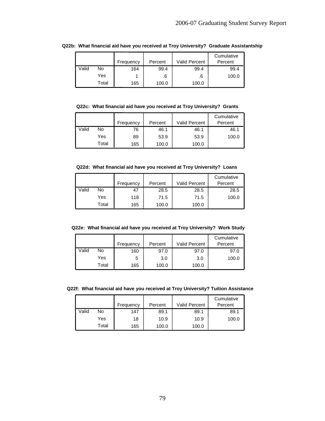|       |       | Frequency | Percent | <b>Valid Percent</b> | Cumulative<br>Percent |
|-------|-------|-----------|---------|----------------------|-----------------------|
| Valid | No    | 164       | 99.4    | 99.4                 | 99.4                  |
|       | Yes   |           | .6      | .6                   | 100.0                 |
|       | Total | 165       | 100.0   | 100.0                |                       |

**Q22b: What financial aid have you received at Troy University? Graduate Assistantship**

**Q22c: What financial aid have you received at Troy University? Grants**

|       |       |           |         |               | Cumulative |
|-------|-------|-----------|---------|---------------|------------|
|       |       | Frequency | Percent | Valid Percent | Percent    |
| Valid | No    | 76        | 46.1    | 46.1          | 46.1       |
|       | Yes   | 89        | 53.9    | 53.9          | 100.0      |
|       | Total | 165       | 100.0   | 100.0         |            |

**Q22d: What financial aid have you received at Troy University? Loans**

|       |       | Frequency | Percent | Valid Percent | Cumulative<br>Percent |
|-------|-------|-----------|---------|---------------|-----------------------|
| Valid | No    | 47        | 28.5    | 28.5          | 28.5                  |
|       | Yes   | 118       | 71.5    | 71.5          | 100.0                 |
|       | Total | 165       | 100.0   | 100.0         |                       |

**Q22e: What financial aid have you received at Troy University? Work Study**

|       |       |           |         |               | Cumulative |
|-------|-------|-----------|---------|---------------|------------|
|       |       | Frequency | Percent | Valid Percent | Percent    |
| Valid | No    | 160       | 97.0    | 97.0          | 97.0       |
|       | Yes   | 5         | 3.0     | 3.0           | 100.0      |
|       | Total | 165       | 100.0   | 100.0         |            |

**Q22f: What financial aid have you received at Troy University? Tuition Assistance**

|       |       | Frequency | Percent | <b>Valid Percent</b> | Cumulative<br>Percent |
|-------|-------|-----------|---------|----------------------|-----------------------|
| Valid | No    | 147       | 89.1    | 89.1                 | 89.1                  |
|       | Yes   | 18        | 10.9    | 10.9                 | 100.0                 |
|       | Total | 165       | 100.0   | 100.0                |                       |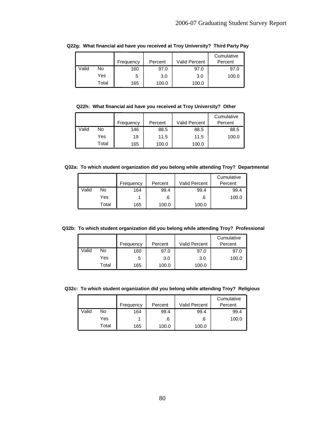|       |       | Frequency | Percent | <b>Valid Percent</b> | Cumulative<br>Percent |
|-------|-------|-----------|---------|----------------------|-----------------------|
| Valid | No    | 160       | 97.0    | 97.0                 | 97.0                  |
|       | Yes   | 5         | 3.0     | 3.0                  | 100.0                 |
|       | Total | 165       | 100.0   | 100.0                |                       |

**Q22g: What financial aid have you received at Troy University? Third Party Pay**

**Q22h: What financial aid have you received at Troy University? Other**

|       |       |           |         |               | Cumulative |
|-------|-------|-----------|---------|---------------|------------|
|       |       | Frequency | Percent | Valid Percent | Percent    |
| Valid | No    | 146       | 88.5    | 88.5          | 88.5       |
|       | Yes   | 19        | 11.5    | 11.5          | 100.0      |
|       | Total | 165       | 100.0   | 100.0         |            |

**Q32a: To which student organization did you belong while attending Troy? Departmental**

|       |       | Frequency | Percent | <b>Valid Percent</b> | Cumulative<br>Percent |
|-------|-------|-----------|---------|----------------------|-----------------------|
| Valid | No    | 164       | 99.4    | 99.4                 | 99.4                  |
|       | Yes   |           | .6      | .6                   | 100.0                 |
|       | Total | 165       | 100.0   | 100.0                |                       |

**Q32b: To which student organization did you belong while attending Troy? Professional**

|       |       |           |         |               | Cumulative |
|-------|-------|-----------|---------|---------------|------------|
|       |       | Frequency | Percent | Valid Percent | Percent    |
| Valid | No    | 160       | 97.0    | 97.0          | 97.0       |
|       | Yes   | 5         | 3.0     | 3.0           | 100.0      |
|       | Total | 165       | 100.0   | 100.0         |            |

**Q32c: To which student organization did you belong while attending Troy? Religious**

|       |       |           |         |                      | Cumulative |
|-------|-------|-----------|---------|----------------------|------------|
|       |       | Frequency | Percent | <b>Valid Percent</b> | Percent    |
| Valid | No    | 164       | 99.4    | 99.4                 | 99.4       |
|       | Yes   |           | .6      | .6                   | 100.0      |
|       | Total | 165       | 100.0   | 100.0                |            |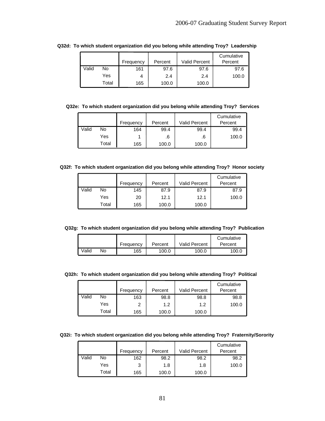|       |       | Frequency | Percent | Valid Percent | Cumulative<br>Percent |
|-------|-------|-----------|---------|---------------|-----------------------|
| Valid | No    | 161       | 97.6    | 97.6          | 97.6                  |
|       | Yes   |           | 2.4     | 2.4           | 100.0                 |
|       | Total | 165       | 100.0   | 100.0         |                       |

#### **Q32d: To which student organization did you belong while attending Troy? Leadership**

 **Q32e: To which student organization did you belong while attending Troy? Services**

|       |       | Frequency | Percent | <b>Valid Percent</b> | Cumulative<br>Percent |
|-------|-------|-----------|---------|----------------------|-----------------------|
| Valid | No    | 164       | 99.4    | 99.4                 | 99.4                  |
|       | Yes   |           | .6      | .6                   | 100.0                 |
|       | Total | 165       | 100.0   | 100.0                |                       |

**Q32f: To which student organization did you belong while attending Troy? Honor society**

|       |       | Frequency | Percent | <b>Valid Percent</b> | Cumulative<br>Percent |
|-------|-------|-----------|---------|----------------------|-----------------------|
| Valid | No    | 145       | 87.9    | 87.9                 | 87.9                  |
|       | Yes   | 20        | 12.1    | 12.1                 | 100.0                 |
|       | Total | 165       | 100.0   | 100.0                |                       |

**Q32g: To which student organization did you belong while attending Troy? Publication**

|       |     |           |         |                      | Cumulative |
|-------|-----|-----------|---------|----------------------|------------|
|       |     | Frequency | Percent | <b>Valid Percent</b> | Percent    |
| /alid | No. | 165       | 100.0   | 100.0                | 100.0      |

**Q32h: To which student organization did you belong while attending Troy? Political**

|       |       |           |         |                      | Cumulative |
|-------|-------|-----------|---------|----------------------|------------|
|       |       | Frequency | Percent | <b>Valid Percent</b> | Percent    |
| Valid | No    | 163       | 98.8    | 98.8                 | 98.8       |
|       | Yes   |           | 1.2     | 1.2                  | 100.0      |
|       | Total | 165       | 100.0   | 100.0                |            |

**Q32i: To which student organization did you belong while attending Troy? Fraternity/Sorority**

|       |       |           |         |               | Cumulative |
|-------|-------|-----------|---------|---------------|------------|
|       |       | Frequency | Percent | Valid Percent | Percent    |
| Valid | No    | 162       | 98.2    | 98.2          | 98.2       |
|       | Yes   | 3         | 1.8     | 1.8           | 100.0      |
|       | Total | 165       | 100.0   | 100.0         |            |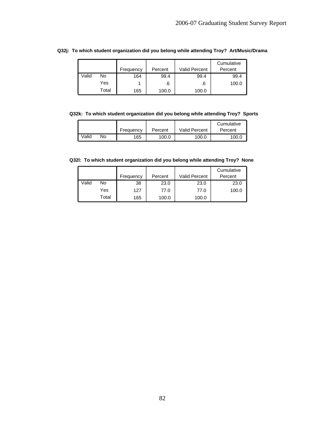|       |       |           |         |               | Cumulative |
|-------|-------|-----------|---------|---------------|------------|
|       |       | Frequency | Percent | Valid Percent | Percent    |
| Valid | No    | 164       | 99.4    | 99.4          | 99.4       |
|       | Yes   |           | .6      | .6            | 100.0      |
|       | Total | 165       | 100.0   | 100.0         |            |

### **Q32j: To which student organization did you belong while attending Troy? Art/Music/Drama**

**Q32k: To which student organization did you belong while attending Troy? Sports**

|       |    |           |         |                      | Cumulative |
|-------|----|-----------|---------|----------------------|------------|
|       |    | Frequency | Percent | <b>Valid Percent</b> | Percent    |
| √alid | No | 165       | 100.0   | 100.0                | 100.0      |

**Q32l: To which student organization did you belong while attending Troy? None**

|       |       |           |         |               | Cumulative |
|-------|-------|-----------|---------|---------------|------------|
|       |       | Frequency | Percent | Valid Percent | Percent    |
| Valid | No    | 38        | 23.0    | 23.0          | 23.0       |
|       | Yes   | 127       | 77.0    | 77.0          | 100.0      |
|       | Total | 165       | 100.0   | 100.0         |            |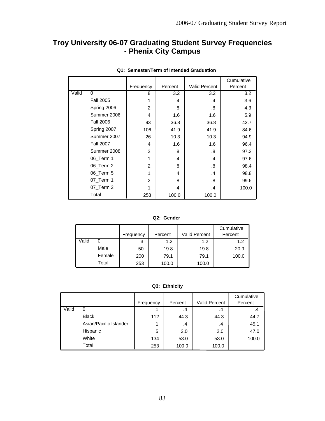# **Troy University 06-07 Graduating Student Survey Frequencies - Phenix City Campus**

|       |                  |                |         |               | Cumulative |
|-------|------------------|----------------|---------|---------------|------------|
|       |                  | Frequency      | Percent | Valid Percent | Percent    |
| Valid | $\Omega$         | 8              | 3.2     | 3.2           | 3.2        |
|       | <b>Fall 2005</b> | 1              | .4      | .4            | 3.6        |
|       | Spring 2006      | $\overline{2}$ | .8      | .8            | 4.3        |
|       | Summer 2006      | 4              | 1.6     | 1.6           | 5.9        |
|       | <b>Fall 2006</b> | 93             | 36.8    | 36.8          | 42.7       |
|       | Spring 2007      | 106            | 41.9    | 41.9          | 84.6       |
|       | Summer 2007      | 26             | 10.3    | 10.3          | 94.9       |
|       | <b>Fall 2007</b> | 4              | 1.6     | 1.6           | 96.4       |
|       | Summer 2008      | $\overline{2}$ | .8      | .8            | 97.2       |
|       | 06_Term 1        | 1              | .4      | .4            | 97.6       |
|       | 06 Term 2        | 2              | .8      | .8            | 98.4       |
|       | 06_Term 5        | 1              | $\cdot$ | $\cdot$       | 98.8       |
|       | 07_Term 1        | $\overline{2}$ | .8      | .8            | 99.6       |
|       | 07_Term 2        | 1              | .4      | .4            | 100.0      |
|       | Total            | 253            | 100.0   | 100.0         |            |

**Q1: Semester/Term of Intended Graduation**

**Q2: Gender**

|       |        | Frequency | Percent | <b>Valid Percent</b> | Cumulative<br>Percent |
|-------|--------|-----------|---------|----------------------|-----------------------|
| Valid |        | 3         | 1.2     | 1.2                  | 1.2 <sub>2</sub>      |
|       | Male   | 50        | 19.8    | 19.8                 | 20.9                  |
|       | Female | 200       | 79.1    | 79.1                 | 100.0                 |
|       | Total  | 253       | 100.0   | 100.0                |                       |

**Q3: Ethnicity**

|       |                        | Frequency | Percent | <b>Valid Percent</b> | Cumulative<br>Percent |
|-------|------------------------|-----------|---------|----------------------|-----------------------|
| Valid | 0                      |           | .4      | .4                   | .4                    |
|       | <b>Black</b>           | 112       | 44.3    | 44.3                 | 44.7                  |
|       | Asian/Pacific Islander |           | .4      | .4                   | 45.1                  |
|       | Hispanic               | 5         | 2.0     | 2.0                  | 47.0                  |
|       | White                  | 134       | 53.0    | 53.0                 | 100.0                 |
|       | Total                  | 253       | 100.0   | 100.0                |                       |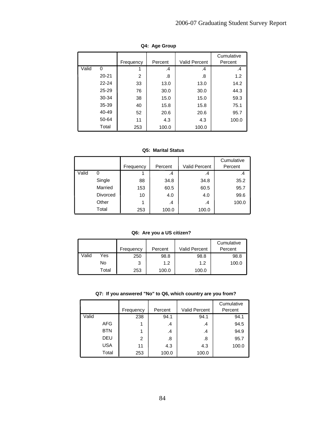|       |           | Frequency      | Percent | <b>Valid Percent</b> | Cumulative<br>Percent |
|-------|-----------|----------------|---------|----------------------|-----------------------|
| Valid | 0         |                | .4      | .4                   | .4                    |
|       | $20 - 21$ | $\overline{2}$ | .8      | .8                   | 1.2                   |
|       | $22 - 24$ | 33             | 13.0    | 13.0                 | 14.2                  |
|       | 25-29     | 76             | 30.0    | 30.0                 | 44.3                  |
|       | 30-34     | 38             | 15.0    | 15.0                 | 59.3                  |
|       | 35-39     | 40             | 15.8    | 15.8                 | 75.1                  |
|       | 40-49     | 52             | 20.6    | 20.6                 | 95.7                  |
|       | 50-64     | 11             | 4.3     | 4.3                  | 100.0                 |
|       | Total     | 253            | 100.0   | 100.0                |                       |

### **Q4: Age Group**

|  | <b>Q5: Marital Status</b> |  |
|--|---------------------------|--|
|--|---------------------------|--|

|       |                 | Frequency | Percent | <b>Valid Percent</b> | Cumulative<br>Percent |
|-------|-----------------|-----------|---------|----------------------|-----------------------|
| Valid | 0               | 1         | .4      | .4                   | .4                    |
|       | Single          | 88        | 34.8    | 34.8                 | 35.2                  |
|       | Married         | 153       | 60.5    | 60.5                 | 95.7                  |
|       | <b>Divorced</b> | 10        | 4.0     | 4.0                  | 99.6                  |
|       | Other           | 1         | .4      | .4                   | 100.0                 |
|       | Total           | 253       | 100.0   | 100.0                |                       |

# **Q6: Are you a US citizen?**

|       |       |           |         |               | Cumulative |
|-------|-------|-----------|---------|---------------|------------|
|       |       | Frequency | Percent | Valid Percent | Percent    |
| Valid | Yes   | 250       | 98.8    | 98.8          | 98.8       |
|       | No    | 3         | 1.2     | 1.2           | 100.0      |
|       | Total | 253       | 100.0   | 100.0         |            |

## **Q7: If you answered "No" to Q6, which country are you from?**

|       |            |           |         |                      | Cumulative |
|-------|------------|-----------|---------|----------------------|------------|
|       |            | Frequency | Percent | <b>Valid Percent</b> | Percent    |
| Valid |            | 238       | 94.1    | 94.1                 | 94.1       |
|       | <b>AFG</b> |           | .4      | .4                   | 94.5       |
|       | <b>BTN</b> |           | .4      | .4                   | 94.9       |
|       | <b>DEU</b> | 2         | .8      | .8                   | 95.7       |
|       | <b>USA</b> | 11        | 4.3     | 4.3                  | 100.0      |
|       | Total      | 253       | 100.0   | 100.0                |            |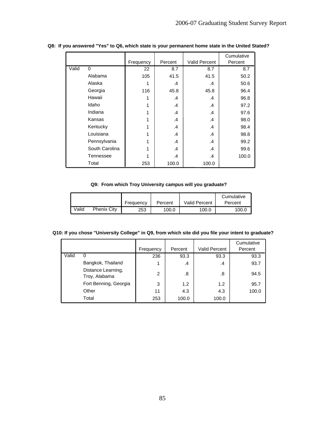|       |                |           |         |                      | Cumulative |
|-------|----------------|-----------|---------|----------------------|------------|
|       |                | Frequency | Percent | <b>Valid Percent</b> | Percent    |
| Valid | 0              | 22        | 8.7     | 8.7                  | 8.7        |
|       | Alabama        | 105       | 41.5    | 41.5                 | 50.2       |
|       | Alaska         | 1         | .4      | $\cdot$              | 50.6       |
|       | Georgia        | 116       | 45.8    | 45.8                 | 96.4       |
|       | Hawaii         | 1         | .4      | .4                   | 96.8       |
|       | Idaho          | 1         | .4      | .4                   | 97.2       |
|       | Indiana        | 1         | .4      | .4                   | 97.6       |
|       | Kansas         | 1         | .4      | .4                   | 98.0       |
|       | Kentucky       | 1         | $\cdot$ | .4                   | 98.4       |
|       | Louisiana      | 1         | .4      | .4                   | 98.8       |
|       | Pennsylvania   | 1         | .4      | .4                   | 99.2       |
|       | South Carolina | 1         | $\cdot$ | .4                   | 99.6       |
|       | Tennessee      | 1         | .4      | .4                   | 100.0      |
|       | Total          | 253       | 100.0   | 100.0                |            |

### **Q8: If you answered "Yes" to Q6, which state is your permanent home state in the United Stated?**

### **Q9: From which Troy University campus will you graduate?**

|       |                    |           |         |                      | Cumulative |
|-------|--------------------|-----------|---------|----------------------|------------|
|       |                    | Frequency | Percent | <b>Valid Percent</b> | Percent    |
| Valid | <b>Phenix City</b> | 253       | 100.0   | 100.0                | 100.0      |

### **Q10: If you chose "University College" in Q9, from which site did you file your intent to graduate?**

|       |                                     | Frequency | Percent | <b>Valid Percent</b> | Cumulative<br>Percent |
|-------|-------------------------------------|-----------|---------|----------------------|-----------------------|
| Valid | 0                                   | 236       | 93.3    | 93.3                 | 93.3                  |
|       | Bangkok, Thailand                   |           | .4      | .4                   | 93.7                  |
|       | Distance Learning,<br>Troy, Alabama | 2         | .8      | .8                   | 94.5                  |
|       | Fort Benning, Georgia               | 3         | 1.2     | 1.2                  | 95.7                  |
|       | Other                               | 11        | 4.3     | 4.3                  | 100.0                 |
|       | Total                               | 253       | 100.0   | 100.0                |                       |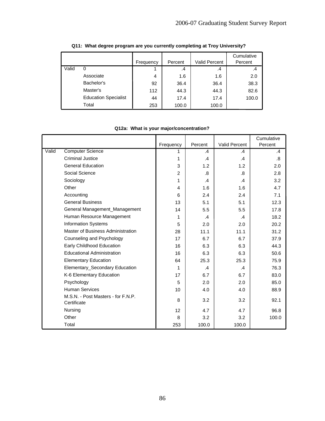|       |                             | Frequency | Percent | <b>Valid Percent</b> | Cumulative<br>Percent |
|-------|-----------------------------|-----------|---------|----------------------|-----------------------|
| Valid | 0                           |           | .4      | .4                   | .4                    |
|       | Associate                   | 4         | 1.6     | 1.6                  | 2.0                   |
|       | Bachelor's                  | 92        | 36.4    | 36.4                 | 38.3                  |
|       | Master's                    | 112       | 44.3    | 44.3                 | 82.6                  |
|       | <b>Education Specialist</b> | 44        | 17.4    | 17.4                 | 100.0                 |
|       | Total                       | 253       | 100.0   | 100.0                |                       |

# **Q11: What degree program are you currently completing at Troy University?**

|  |  |  | Q12a: What is your major/concentration? |
|--|--|--|-----------------------------------------|
|--|--|--|-----------------------------------------|

|       |                                                   |                |               |               | Cumulative |
|-------|---------------------------------------------------|----------------|---------------|---------------|------------|
|       |                                                   | Frequency      | Percent       | Valid Percent | Percent    |
| Valid | <b>Computer Science</b>                           | 1              | $\mathcal{A}$ | $\mathcal{A}$ | .4         |
|       | Criminal Justice                                  | 1              | $\mathbf{A}$  | $\mathbf{A}$  | .8         |
|       | <b>General Education</b>                          | 3              | 1.2           | 1.2           | 2.0        |
|       | Social Science                                    | $\overline{c}$ | .8            | .8            | 2.8        |
|       | Sociology                                         | 1              | .4            | $\mathcal{A}$ | 3.2        |
|       | Other                                             | 4              | 1.6           | 1.6           | 4.7        |
|       | Accounting                                        | 6              | 2.4           | 2.4           | 7.1        |
|       | <b>General Business</b>                           | 13             | 5.1           | 5.1           | 12.3       |
|       | General Management_Management                     | 14             | 5.5           | 5.5           | 17.8       |
|       | Human Resource Management                         | 1              | .4            | $\mathcal{A}$ | 18.2       |
|       | <b>Information Systems</b>                        | 5              | 2.0           | 2.0           | 20.2       |
|       | Master of Business Administration                 | 28             | 11.1          | 11.1          | 31.2       |
|       | Counseling and Psychology                         | 17             | 6.7           | 6.7           | 37.9       |
|       | Early Childhood Education                         | 16             | 6.3           | 6.3           | 44.3       |
|       | <b>Educational Administration</b>                 | 16             | 6.3           | 6.3           | 50.6       |
|       | <b>Elementary Education</b>                       | 64             | 25.3          | 25.3          | 75.9       |
|       | Elementary_Secondary Education                    | 1              | $\mathcal{A}$ | $\mathcal{A}$ | 76.3       |
|       | K-6 Elementary Education                          | 17             | 6.7           | 6.7           | 83.0       |
|       | Psychology                                        | 5              | 2.0           | 2.0           | 85.0       |
|       | <b>Human Services</b>                             | 10             | 4.0           | 4.0           | 88.9       |
|       | M.S.N. - Post Masters - for F.N.P.<br>Certificate | 8              | 3.2           | 3.2           | 92.1       |
|       | Nursing                                           | 12             | 4.7           | 4.7           | 96.8       |
|       | Other                                             | 8              | 3.2           | 3.2           | 100.0      |
|       | Total                                             | 253            | 100.0         | 100.0         |            |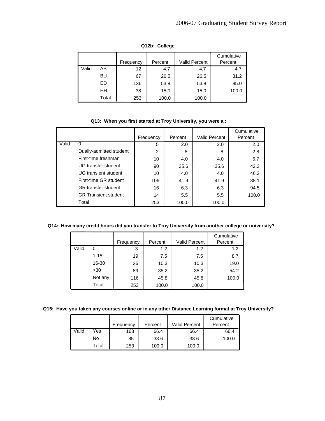|       |       |           |         |                      | Cumulative |
|-------|-------|-----------|---------|----------------------|------------|
|       |       | Frequency | Percent | <b>Valid Percent</b> | Percent    |
| Valid | AS.   | 12        | 4.7     | 4.7                  | 4.7        |
|       | BU    | 67        | 26.5    | 26.5                 | 31.2       |
|       | ED    | 136       | 53.8    | 53.8                 | 85.0       |
|       | HH    | 38        | 15.0    | 15.0                 | 100.0      |
|       | Total | 253       | 100.0   | 100.0                |            |

**Q12b: College**

### **Q13: When you first started at Troy University, you were a :**

|       |                             |           |         |                      | Cumulative |
|-------|-----------------------------|-----------|---------|----------------------|------------|
|       |                             | Frequency | Percent | <b>Valid Percent</b> | Percent    |
| Valid | 0                           | 5         | 2.0     | 2.0                  | 2.0        |
|       | Dually-admitted student     | 2         | .8      | .8                   | 2.8        |
|       | First-time freshman         | 10        | 4.0     | 4.0                  | 6.7        |
|       | UG transfer student         | 90        | 35.6    | 35.6                 | 42.3       |
|       | UG transient student        | 10        | 4.0     | 4.0                  | 46.2       |
|       | First-time GR student       | 106       | 41.9    | 41.9                 | 88.1       |
|       | <b>GR</b> transfer student  | 16        | 6.3     | 6.3                  | 94.5       |
|       | <b>GR Transient student</b> | 14        | 5.5     | 5.5                  | 100.0      |
|       | Total                       | 253       | 100.0   | 100.0                |            |

## **Q14: How many credit hours did you transfer to Troy University from another college or university?**

|       |          | Frequency | Percent | <b>Valid Percent</b> | Cumulative<br>Percent |
|-------|----------|-----------|---------|----------------------|-----------------------|
| Valid | 0        | 3         | 1.2     | 1.2                  | 1.2                   |
|       | $1 - 15$ | 19        | 7.5     | 7.5                  | 8.7                   |
|       | 16-30    | 26        | 10.3    | 10.3                 | 19.0                  |
|       | >30      | 89        | 35.2    | 35.2                 | 54.2                  |
|       | Not any  | 116       | 45.8    | 45.8                 | 100.0                 |
|       | Total    | 253       | 100.0   | 100.0                |                       |

### **Q15: Have you taken any courses online or in any other Distance Learning format at Troy University?**

|       |       | Frequency | Percent | <b>Valid Percent</b> | Cumulative<br>Percent |
|-------|-------|-----------|---------|----------------------|-----------------------|
| Valid | Yes   | 168       | 66.4    | 66.4                 | 66.4                  |
|       | No    | 85        | 33.6    | 33.6                 | 100.0                 |
|       | Total | 253       | 100.0   | 100.0                |                       |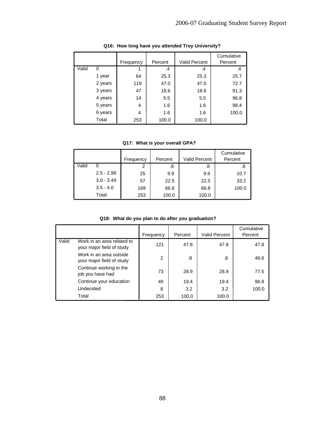|       |         | Frequency | Percent | <b>Valid Percent</b> | Cumulative<br>Percent |
|-------|---------|-----------|---------|----------------------|-----------------------|
| Valid | 0       | 1         | .4      | .4                   | .4                    |
|       | 1 year  | 64        | 25.3    | 25.3                 | 25.7                  |
|       | 2 years | 119       | 47.0    | 47.0                 | 72.7                  |
|       | 3 years | 47        | 18.6    | 18.6                 | 91.3                  |
|       | 4 years | 14        | 5.5     | 5.5                  | 96.8                  |
|       | 5 years | 4         | 1.6     | 1.6                  | 98.4                  |
|       | 6 years | 4         | 1.6     | 1.6                  | 100.0                 |
|       | Total   | 253       | 100.0   | 100.0                |                       |

### **Q16: How long have you attended Troy University?**

**Q17: What is your overall GPA?**

|       |              | Frequency | Percent | <b>Valid Percent</b> | Cumulative<br>Percent |
|-------|--------------|-----------|---------|----------------------|-----------------------|
| Valid |              | 2         | .8      | .8                   | .8                    |
|       | $2.5 - 2.99$ | 25        | 9.9     | 9.9                  | 10.7                  |
|       | $3.0 - 3.49$ | 57        | 22.5    | 22.5                 | 33.2                  |
|       | $3.5 - 4.0$  | 169       | 66.8    | 66.8                 | 100.0                 |
|       | Total        | 253       | 100.0   | 100.0                |                       |

**Q18: What do you plan to do after you graduation?**

|       |                                                         | Frequency      | Percent | <b>Valid Percent</b> | Cumulative<br>Percent |
|-------|---------------------------------------------------------|----------------|---------|----------------------|-----------------------|
| Valid | Work in an area related to<br>your major field of study | 121            | 47.8    | 47.8                 | 47.8                  |
|       | Work in an area outside<br>your major field of study    | $\mathfrak{p}$ | .8      | .8                   | 48.6                  |
|       | Continue working in the<br>job you have had             | 73             | 28.9    | 28.9                 | 77.5                  |
|       | Continue your education                                 | 49             | 19.4    | 19.4                 | 96.8                  |
|       | Undecided                                               | 8              | 3.2     | 3.2                  | 100.0                 |
|       | Total                                                   | 253            | 100.0   | 100.0                |                       |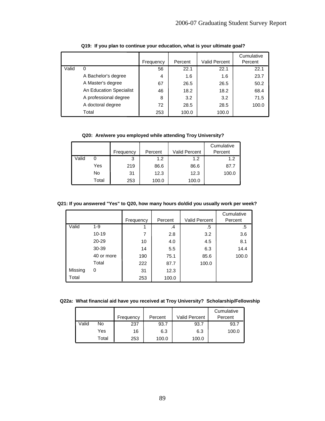|       |                         | Frequency | Percent | <b>Valid Percent</b> | Cumulative<br>Percent |
|-------|-------------------------|-----------|---------|----------------------|-----------------------|
| Valid | 0                       | 56        | 22.1    | 22.1                 | 22.1                  |
|       | A Bachelor's degree     | 4         | 1.6     | 1.6                  | 23.7                  |
|       | A Master's degree       | 67        | 26.5    | 26.5                 | 50.2                  |
|       | An Education Specialist | 46        | 18.2    | 18.2                 | 68.4                  |
|       | A professional degree   | 8         | 3.2     | 3.2                  | 71.5                  |
|       | A doctoral degree       | 72        | 28.5    | 28.5                 | 100.0                 |
|       | Total                   | 253       | 100.0   | 100.0                |                       |

## **Q19: If you plan to continue your education, what is your ultimate goal?**

### **Q20: Are/were you employed while attending Troy University?**

|       |       |           |         |                      | Cumulative |
|-------|-------|-----------|---------|----------------------|------------|
|       |       | Frequency | Percent | <b>Valid Percent</b> | Percent    |
| Valid | 0     | 3         | 1.2     | 1.2                  | 1.2        |
|       | Yes   | 219       | 86.6    | 86.6                 | 87.7       |
|       | No    | 31        | 12.3    | 12.3                 | 100.0      |
|       | Total | 253       | 100.0   | 100.0                |            |

#### **Q21: If you answered "Yes" to Q20, how many hours do/did you usually work per week?**

|         |            | Frequency | Percent | <b>Valid Percent</b> | Cumulative<br>Percent |
|---------|------------|-----------|---------|----------------------|-----------------------|
| Valid   | $1 - 9$    |           | .4      | .5                   | .5                    |
|         | $10 - 19$  | 7         | 2.8     | 3.2                  | 3.6                   |
|         | 20-29      | 10        | 4.0     | 4.5                  | 8.1                   |
|         | 30-39      | 14        | 5.5     | 6.3                  | 14.4                  |
|         | 40 or more | 190       | 75.1    | 85.6                 | 100.0                 |
|         | Total      | 222       | 87.7    | 100.0                |                       |
| Missing | 0          | 31        | 12.3    |                      |                       |
| Total   |            | 253       | 100.0   |                      |                       |

**Q22a: What financial aid have you received at Troy University? Scholarship/Fellowship**

|       |       |           |         |               | Cumulative |
|-------|-------|-----------|---------|---------------|------------|
|       |       | Frequency | Percent | Valid Percent | Percent    |
| Valid | No    | 237       | 93.7    | 93.7          | 93.7       |
|       | Yes   | 16        | 6.3     | 6.3           | 100.0      |
|       | Total | 253       | 100.0   | 100.0         |            |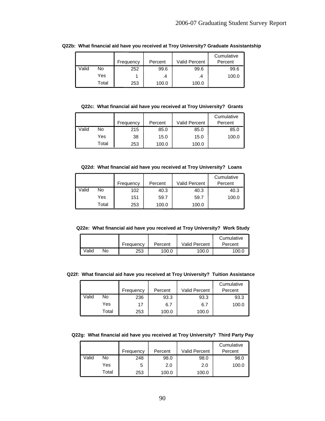|       |       | Frequency | Percent | <b>Valid Percent</b> | Cumulative<br>Percent |
|-------|-------|-----------|---------|----------------------|-----------------------|
| Valid | No    | 252       | 99.6    | 99.6                 | 99.6                  |
|       | Yes   |           | .4      | $\cdot$              | 100.0                 |
|       | Total | 253       | 100.0   | 100.0                |                       |

**Q22b: What financial aid have you received at Troy University? Graduate Assistantship**

**Q22c: What financial aid have you received at Troy University? Grants**

|       |       |           |         |               | Cumulative |
|-------|-------|-----------|---------|---------------|------------|
|       |       | Frequency | Percent | Valid Percent | Percent    |
| Valid | No    | 215       | 85.0    | 85.0          | 85.0       |
|       | Yes   | 38        | 15.0    | 15.0          | 100.0      |
|       | Total | 253       | 100.0   | 100.0         |            |

**Q22d: What financial aid have you received at Troy University? Loans**

|       |       | Frequency | Percent | Valid Percent | Cumulative<br>Percent |
|-------|-------|-----------|---------|---------------|-----------------------|
| Valid | No    | 102       | 40.3    | 40.3          | 40.3                  |
|       | Yes   | 151       | 59.7    | 59.7          | 100.0                 |
|       | Total | 253       | 100.0   | 100.0         |                       |

**Q22e: What financial aid have you received at Troy University? Work Study**

|         |     |           |         |                      | Cumulative |
|---------|-----|-----------|---------|----------------------|------------|
|         |     | Frequency | Percent | <b>Valid Percent</b> | Percent    |
| l Valid | No. | 253       | 100.0   | 100.0                | 100.0      |

**Q22f: What financial aid have you received at Troy University? Tuition Assistance**

|       |       | Frequency | Percent | Valid Percent | Cumulative<br>Percent |
|-------|-------|-----------|---------|---------------|-----------------------|
| Valid | No    | 236       | 93.3    | 93.3          | 93.3                  |
|       | Yes   | 17        | 6.7     | 6.7           | 100.0                 |
|       | Total | 253       | 100.0   | 100.0         |                       |

**Q22g: What financial aid have you received at Troy University? Third Party Pay**

|       |       |           |         |                      | Cumulative |
|-------|-------|-----------|---------|----------------------|------------|
|       |       | Frequency | Percent | <b>Valid Percent</b> | Percent    |
| Valid | No    | 248       | 98.0    | 98.0                 | 98.0       |
|       | Yes   | 5         | 2.0     | 2.0                  | 100.0      |
|       | Total | 253       | 100.0   | 100.0                |            |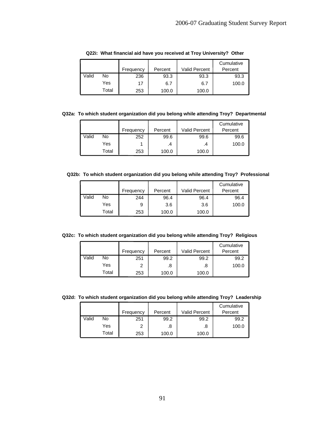|       |       | Frequency | Percent | <b>Valid Percent</b> | Cumulative<br>Percent |
|-------|-------|-----------|---------|----------------------|-----------------------|
| Valid | No    | 236       | 93.3    | 93.3                 | 93.3                  |
|       | Yes   | 17        | 6.7     | 6.7                  | 100.0                 |
|       | Total | 253       | 100.0   | 100.0                |                       |

**Q22i: What financial aid have you received at Troy University? Other**

**Q32a: To which student organization did you belong while attending Troy? Departmental**

|       |       | Frequency | Percent | <b>Valid Percent</b> | Cumulative<br>Percent |
|-------|-------|-----------|---------|----------------------|-----------------------|
| Valid | No    | 252       | 99.6    | 99.6                 | 99.6                  |
|       | Yes   |           | .4      | .4                   | 100.0                 |
|       | Total | 253       | 100.0   | 100.0                |                       |

**Q32b: To which student organization did you belong while attending Troy? Professional**

|       |       |           |         |               | Cumulative |
|-------|-------|-----------|---------|---------------|------------|
|       |       | Frequency | Percent | Valid Percent | Percent    |
| Valid | No    | 244       | 96.4    | 96.4          | 96.4       |
|       | Yes   | 9         | 3.6     | 3.6           | 100.0      |
|       | Total | 253       | 100.0   | 100.0         |            |

**Q32c: To which student organization did you belong while attending Troy? Religious**

|       |       |           |         |                      | Cumulative |
|-------|-------|-----------|---------|----------------------|------------|
|       |       | Frequency | Percent | <b>Valid Percent</b> | Percent    |
| Valid | No    | 251       | 99.2    | 99.2                 | 99.2       |
|       | Yes   |           | .8      | .8                   | 100.0      |
|       | Total | 253       | 100.0   | 100.0                |            |

**Q32d: To which student organization did you belong while attending Troy? Leadership**

|       |       | Frequency | Percent | <b>Valid Percent</b> | Cumulative<br>Percent |
|-------|-------|-----------|---------|----------------------|-----------------------|
| Valid | No    | 251       | 99.2    | 99.2                 | 99.2                  |
|       | Yes   |           | .8      | .8                   | 100.0                 |
|       | Total | 253       | 100.0   | 100.0                |                       |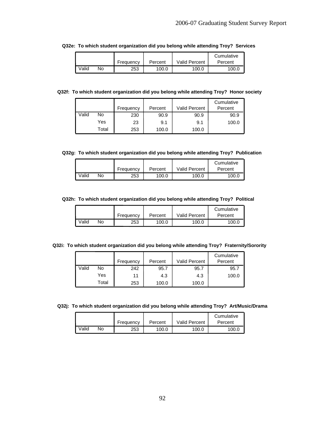|       |    | Frequency | Percent | <b>Valid Percent</b> | Cumulative<br>Percent |
|-------|----|-----------|---------|----------------------|-----------------------|
| Valid | No | 253       | 100.0   | 100.0                | 100.0                 |

#### **Q32e: To which student organization did you belong while attending Troy? Services**

### **Q32f: To which student organization did you belong while attending Troy? Honor society**

|       |       |           |         |                      | Cumulative |
|-------|-------|-----------|---------|----------------------|------------|
|       |       | Frequency | Percent | <b>Valid Percent</b> | Percent    |
| Valid | No    | 230       | 90.9    | 90.9                 | 90.9       |
|       | Yes   | 23        | 9.1     | 9.1                  | 100.0      |
|       | Total | 253       | 100.0   | 100.0                |            |

**Q32g: To which student organization did you belong while attending Troy? Publication**

|       |    |           |         |                      | Cumulative |
|-------|----|-----------|---------|----------------------|------------|
|       |    | Frequency | Percent | <b>Valid Percent</b> | Percent    |
| /alid | No | 253       | 100.0   | 100.0                | 100.0      |

**Q32h: To which student organization did you belong while attending Troy? Political**

|       |    |           |         |                      | Cumulative |
|-------|----|-----------|---------|----------------------|------------|
|       |    | Frequency | Percent | <b>Valid Percent</b> | Percent    |
| Valid | No | 253       | 100.0   | 100.0                | 100.0      |

**Q32i: To which student organization did you belong while attending Troy? Fraternity/Sorority**

|       |       |           |         |                      | Cumulative |
|-------|-------|-----------|---------|----------------------|------------|
|       |       | Frequency | Percent | <b>Valid Percent</b> | Percent    |
| Valid | No    | 242       | 95.7    | 95.7                 | 95.7       |
|       | Yes   | 11        | 4.3     | 4.3                  | 100.0      |
|       | Total | 253       | 100.0   | 100.0                |            |

**Q32j: To which student organization did you belong while attending Troy? Art/Music/Drama**

|       |     |           |         |                      | Cumulative |
|-------|-----|-----------|---------|----------------------|------------|
|       |     | Frequency | Percent | <b>Valid Percent</b> | Percent    |
| Valid | No. | 253       | 100.0   | 100.0                | 100.0      |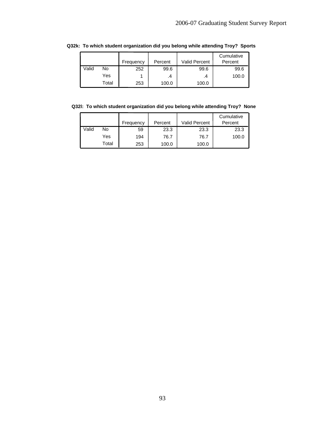|       |       | Frequency | Percent | <b>Valid Percent</b> | Cumulative<br>Percent |
|-------|-------|-----------|---------|----------------------|-----------------------|
| Valid | No    | 252       | 99.6    | 99.6                 | 99.6                  |
|       | Yes   |           | .4      | .4                   | 100.0                 |
|       | Total | 253       | 100.0   | 100.0                |                       |

**Q32k: To which student organization did you belong while attending Troy? Sports**

**Q32l: To which student organization did you belong while attending Troy? None**

|       |       |           |         |                      | Cumulative |
|-------|-------|-----------|---------|----------------------|------------|
|       |       | Frequency | Percent | <b>Valid Percent</b> | Percent    |
| Valid | No    | 59        | 23.3    | 23.3                 | 23.3       |
|       | Yes   | 194       | 76.7    | 76.7                 | 100.0      |
|       | Total | 253       | 100.0   | 100.0                |            |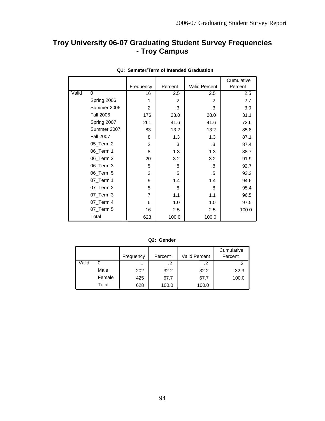# **Troy University 06-07 Graduating Student Survey Frequencies - Troy Campus**

|       |                  |                |            |                      | Cumulative |
|-------|------------------|----------------|------------|----------------------|------------|
|       |                  | Frequency      | Percent    | <b>Valid Percent</b> | Percent    |
| Valid | 0                | 16             | 2.5        | 2.5                  | 2.5        |
|       | Spring 2006      | 1              | $\cdot$ .2 | $\cdot$              | 2.7        |
|       | Summer 2006      | $\overline{2}$ | $\cdot$ 3  | .3                   | 3.0        |
|       | <b>Fall 2006</b> | 176            | 28.0       | 28.0                 | 31.1       |
|       | Spring 2007      | 261            | 41.6       | 41.6                 | 72.6       |
|       | Summer 2007      | 83             | 13.2       | 13.2                 | 85.8       |
|       | <b>Fall 2007</b> | 8              | 1.3        | 1.3                  | 87.1       |
|       | 05_Term 2        | 2              | .3         | .3                   | 87.4       |
|       | 06_Term 1        | 8              | 1.3        | 1.3                  | 88.7       |
|       | 06_Term 2        | 20             | 3.2        | 3.2                  | 91.9       |
|       | 06_Term 3        | 5              | .8         | .8                   | 92.7       |
|       | 06_Term 5        | 3              | .5         | .5                   | 93.2       |
|       | 07_Term 1        | 9              | 1.4        | 1.4                  | 94.6       |
|       | 07_Term 2        | 5              | .8         | .8                   | 95.4       |
|       | 07_Term 3        | 7              | 1.1        | 1.1                  | 96.5       |
|       | 07_Term 4        | 6              | 1.0        | 1.0                  | 97.5       |
|       | 07_Term 5        | 16             | 2.5        | 2.5                  | 100.0      |
|       | Total            | 628            | 100.0      | 100.0                |            |

**Q1: Semeter/Term of Intended Graduation**

**Q2: Gender**

|       |        | Frequency | Percent | Valid Percent | Cumulative<br>Percent |
|-------|--------|-----------|---------|---------------|-----------------------|
| Valid | 0      |           | .2      | .2            | $\cdot$ .2            |
|       | Male   | 202       | 32.2    | 32.2          | 32.3                  |
|       | Female | 425       | 67.7    | 67.7          | 100.0                 |
|       | Total  | 628       | 100.0   | 100.0         |                       |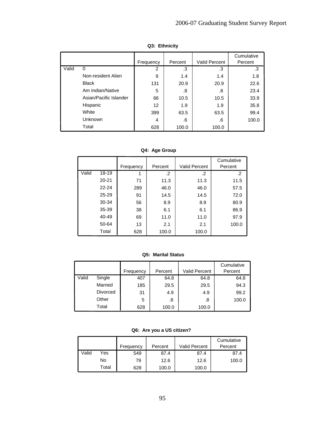|       |                        | Frequency      | Percent | <b>Valid Percent</b> | Cumulative<br>Percent |
|-------|------------------------|----------------|---------|----------------------|-----------------------|
| Valid | 0                      | $\overline{c}$ | .3      | .3                   | .3                    |
|       | Non-resident Alien     | 9              | 1.4     | 1.4                  | 1.8                   |
|       | <b>Black</b>           | 131            | 20.9    | 20.9                 | 22.6                  |
|       | Am Indian/Native       | 5              | .8      | .8                   | 23.4                  |
|       | Asian/Pacific Islander | 66             | 10.5    | 10.5                 | 33.9                  |
|       | Hispanic               | 12             | 1.9     | 1.9                  | 35.8                  |
|       | White                  | 399            | 63.5    | 63.5                 | 99.4                  |
|       | Unknown                | 4              | .6      | .6                   | 100.0                 |
|       | Total                  | 628            | 100.0   | 100.0                |                       |

**Q3: Ethnicity**

**Q4: Age Group**

|       |           |           |         |                      | Cumulative |
|-------|-----------|-----------|---------|----------------------|------------|
|       |           | Frequency | Percent | <b>Valid Percent</b> | Percent    |
| Valid | 18-19     |           | .2      | .2                   | .2         |
|       | $20 - 21$ | 71        | 11.3    | 11.3                 | 11.5       |
|       | $22 - 24$ | 289       | 46.0    | 46.0                 | 57.5       |
|       | 25-29     | 91        | 14.5    | 14.5                 | 72.0       |
|       | 30-34     | 56        | 8.9     | 8.9                  | 80.9       |
|       | 35-39     | 38        | 6.1     | 6.1                  | 86.9       |
|       | 40-49     | 69        | 11.0    | 11.0                 | 97.9       |
|       | 50-64     | 13        | 2.1     | 2.1                  | 100.0      |
|       | Total     | 628       | 100.0   | 100.0                |            |

### **Q5: Marital Status**

|       |          |           |         |                      | Cumulative |
|-------|----------|-----------|---------|----------------------|------------|
|       |          | Frequency | Percent | <b>Valid Percent</b> | Percent    |
| Valid | Single   | 407       | 64.8    | 64.8                 | 64.8       |
|       | Married  | 185       | 29.5    | 29.5                 | 94.3       |
|       | Divorced | 31        | 4.9     | 4.9                  | 99.2       |
|       | Other    | 5         | .8      | .8                   | 100.0      |
|       | Total    | 628       | 100.0   | 100.0                |            |

## **Q6: Are you a US citizen?**

|       |       | Frequency | Percent | <b>Valid Percent</b> | Cumulative<br>Percent |
|-------|-------|-----------|---------|----------------------|-----------------------|
| Valid | Yes   | 549       | 87.4    | 87.4                 | 87.4                  |
|       | No    | 79        | 12.6    | 12.6                 | 100.0                 |
|       | Total | 628       | 100.0   | 100.0                |                       |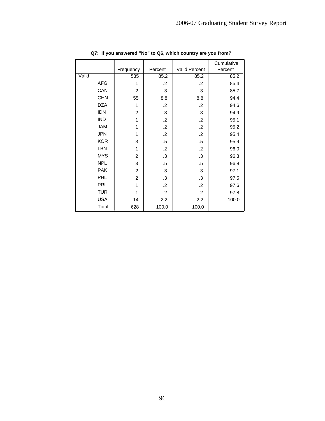|       |            |                |                 |                      | Cumulative |
|-------|------------|----------------|-----------------|----------------------|------------|
|       |            | Frequency      | Percent         | <b>Valid Percent</b> | Percent    |
| Valid |            | 535            | 85.2            | 85.2                 | 85.2       |
|       | <b>AFG</b> | 1              | .2              | $\cdot$              | 85.4       |
|       | CAN        | $\overline{c}$ | .3              | .3                   | 85.7       |
|       | <b>CHN</b> | 55             | 8.8             | 8.8                  | 94.4       |
|       | <b>DZA</b> | 1              | $\cdot$         | $\cdot$              | 94.6       |
|       | <b>IDN</b> | 2              | .3              | .3                   | 94.9       |
|       | <b>IND</b> | 1              | $\cdot$ .2      | $\cdot$ .2           | 95.1       |
|       | <b>JAM</b> | 1              | $.2\phantom{0}$ | $\cdot$ .2           | 95.2       |
|       | <b>JPN</b> | 1              | $\cdot$ .2      | $\cdot$ .2           | 95.4       |
|       | <b>KOR</b> | 3              | $.5\,$          | $.5\,$               | 95.9       |
|       | <b>LBN</b> | 1              | $\cdot$         | $\cdot$              | 96.0       |
|       | <b>MYS</b> | 2              | .3              | .3                   | 96.3       |
|       | <b>NPL</b> | 3              | $.5\,$          | $.5\,$               | 96.8       |
|       | <b>PAK</b> | 2              | .3              | .3                   | 97.1       |
|       | <b>PHL</b> | $\overline{2}$ | .3              | .3                   | 97.5       |
|       | PRI        | 1              | $.2\phantom{0}$ | $\cdot$ .2           | 97.6       |
|       | <b>TUR</b> | 1              | $\cdot$         | $\cdot$              | 97.8       |
|       | <b>USA</b> | 14             | 2.2             | 2.2                  | 100.0      |
|       | Total      | 628            | 100.0           | 100.0                |            |

**Q7: If you answered "No" to Q6, which country are you from?**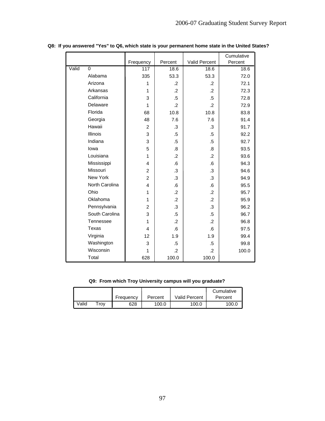|       |                |                |                |                | Cumulative |
|-------|----------------|----------------|----------------|----------------|------------|
|       |                | Frequency      | Percent        | Valid Percent  | Percent    |
| Valid | $\overline{0}$ | 117            | 18.6           | 18.6           | 18.6       |
|       | Alabama        | 335            | 53.3           | 53.3           | 72.0       |
|       | Arizona        | 1              | .2             | $\cdot$        | 72.1       |
|       | Arkansas       | $\mathbf{1}$   | $\cdot$        | $\cdot$        | 72.3       |
|       | California     | 3              | $.5\,$         | $.5\,$         | 72.8       |
|       | Delaware       | 1              | $\overline{2}$ | $\overline{2}$ | 72.9       |
|       | Florida        | 68             | 10.8           | 10.8           | 83.8       |
|       | Georgia        | 48             | 7.6            | 7.6            | 91.4       |
|       | Hawaii         | $\overline{c}$ | .3             | .3             | 91.7       |
|       | Illinois       | 3              | .5             | .5             | 92.2       |
|       | Indiana        | 3              | .5             | .5             | 92.7       |
|       | lowa           | 5              | .8             | 8.5            | 93.5       |
|       | Louisiana      | 1              | $\cdot$ .2     | $\overline{2}$ | 93.6       |
|       | Mississippi    | 4              | .6             | .6             | 94.3       |
|       | Missouri       | $\overline{2}$ | .3             | $\cdot$ 3      | 94.6       |
|       | New York       | $\overline{2}$ | .3             | .3             | 94.9       |
|       | North Carolina | 4              | .6             | .6             | 95.5       |
|       | Ohio           | 1              | $\cdot$        | $\cdot$ .2     | 95.7       |
|       | Oklahoma       | 1              | $\cdot$        | $\cdot$        | 95.9       |
|       | Pennsylvania   | $\overline{c}$ | .3             | $\cdot$ 3      | 96.2       |
|       | South Carolina | 3              | .5             | $.5\,$         | 96.7       |
|       | Tennessee      | 1              | $\cdot$        | $\cdot$        | 96.8       |
|       | <b>Texas</b>   | 4              | .6             | .6             | 97.5       |
|       | Virginia       | 12             | 1.9            | 1.9            | 99.4       |
|       | Washington     | 3              | .5             | .5             | 99.8       |
|       | Wisconsin      | 1              | $\cdot$ .2     | $\cdot$ .2     | 100.0      |
|       | Total          | 628            | 100.0          | 100.0          |            |

# **Q8: If you answered "Yes" to Q6, which state is your permanent home state in the United States?**

**Q9: From which Troy University campus will you graduate?**

|       |            |           |         |               | Cumulative |
|-------|------------|-----------|---------|---------------|------------|
|       |            | Frequency | Percent | Valid Percent | Percent    |
| Valid | $\tau$ rov | 628       | 100.0   | 100.0         | 100.0      |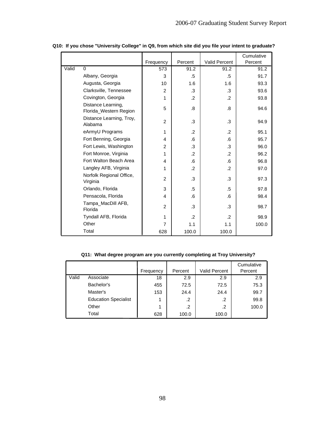|       |                                              |                |                |                      | Cumulative |
|-------|----------------------------------------------|----------------|----------------|----------------------|------------|
|       |                                              | Frequency      | Percent        | <b>Valid Percent</b> | Percent    |
| Valid | $\overline{0}$                               | 573            | 91.2           | 91.2                 | 91.2       |
|       | Albany, Georgia                              | 3              | .5             | $.5\,$               | 91.7       |
|       | Augusta, Georgia                             | 10             | 1.6            | 1.6                  | 93.3       |
|       | Clarksville, Tennessee                       | 2              | .3             | .3                   | 93.6       |
|       | Covington, Georgia                           | 1              | $\overline{2}$ | $\cdot$              | 93.8       |
|       | Distance Learning,<br>Florida_Western Region | 5              | 8.             | .8                   | 94.6       |
|       | Distance Learning, Troy,<br>Alabama          | $\overline{2}$ | .3             | .3                   | 94.9       |
|       | eArmyU Programs                              | 1              | $\cdot$        | $\overline{2}$       | 95.1       |
|       | Fort Benning, Georgia                        | 4              | .6             | .6                   | 95.7       |
|       | Fort Lewis, Washington                       | 2              | $\cdot$ 3      | .3                   | 96.0       |
|       | Fort Monroe, Virginia                        | 1              | $\cdot$        | $\cdot$              | 96.2       |
|       | Fort Walton Beach Area                       | 4              | 6.6            | 6.6                  | 96.8       |
|       | Langley AFB, Virginia                        | 1              | $\overline{2}$ | $\overline{2}$       | 97.0       |
|       | Norfolk Regional Office,<br>Virginia         | 2              | .3             | .3                   | 97.3       |
|       | Orlando, Florida                             | 3              | .5             | .5                   | 97.8       |
|       | Pensacola, Florida                           | 4              | .6             | .6                   | 98.4       |
|       | Tampa_MacDill AFB,<br>Florida                | $\overline{2}$ | .3             | .3                   | 98.7       |
|       | Tyndall AFB, Florida                         | 1              | $\cdot$        | $\cdot$              | 98.9       |
|       | Other                                        | $\overline{7}$ | 1.1            | 1.1                  | 100.0      |
|       | Total                                        | 628            | 100.0          | 100.0                |            |

# **Q10: If you chose "University College" in Q9, from which site did you file your intent to graduate?**

### **Q11: What degree program are you currently completing at Troy University?**

|       |                             | Frequency | Percent | Valid Percent | Cumulative<br>Percent |
|-------|-----------------------------|-----------|---------|---------------|-----------------------|
| Valid | Associate                   | 18        | 2.9     | 2.9           | 2.9                   |
|       | Bachelor's                  | 455       | 72.5    | 72.5          | 75.3                  |
|       | Master's                    | 153       | 24.4    | 24.4          | 99.7                  |
|       | <b>Education Specialist</b> |           | .2      | .2            | 99.8                  |
|       | Other                       |           | .2      | .2            | 100.0                 |
|       | Total                       | 628       | 100.0   | 100.0         |                       |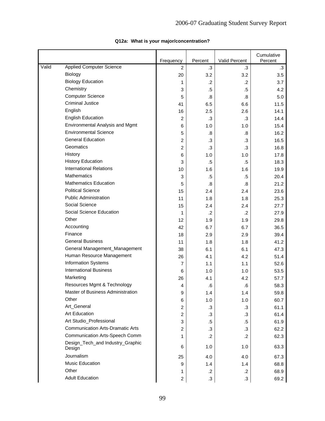|       |                                            | Frequency      | Percent           | Valid Percent     | Cumulative<br>Percent |
|-------|--------------------------------------------|----------------|-------------------|-------------------|-----------------------|
| Valid | <b>Applied Computer Science</b>            | $\overline{c}$ | $\cdot$ 3         | .3                | $\cdot$ 3             |
|       | Biology                                    | 20             | 3.2               | 3.2               | 3.5                   |
|       | <b>Biology Education</b>                   | 1              | $\cdot$           | $\cdot$           | 3.7                   |
|       | Chemistry                                  | 3              | $.5\,$            | $.5\,$            | 4.2                   |
|       | <b>Computer Science</b>                    | 5              | $\boldsymbol{.8}$ | .8                | 5.0                   |
|       | <b>Criminal Justice</b>                    | 41             | 6.5               | 6.6               | 11.5                  |
|       | English                                    | 16             | 2.5               | 2.6               | 14.1                  |
|       | <b>English Education</b>                   | 2              | .3                | .3                | 14.4                  |
|       | <b>Environmental Analysis and Mgmt</b>     | 6              | 1.0               | 1.0               | 15.4                  |
|       | <b>Environmental Science</b>               | 5              | $\boldsymbol{.8}$ | $\boldsymbol{.8}$ | 16.2                  |
|       | <b>General Education</b>                   | 2              | .3                | .3                | 16.5                  |
|       | Geomatics                                  | 2              | .3                | .3                | 16.8                  |
|       | History                                    | 6              | 1.0               | 1.0               | 17.8                  |
|       | <b>History Education</b>                   | 3              | .5                | .5                | 18.3                  |
|       | <b>International Relations</b>             | 10             | 1.6               | 1.6               | 19.9                  |
|       | Mathematics                                | 3              | $.5\,$            | $.5\,$            | 20.4                  |
|       | <b>Mathematics Education</b>               | 5              | $\boldsymbol{.8}$ | .8                | 21.2                  |
|       | <b>Political Science</b>                   | 15             | 2.4               | 2.4               | 23.6                  |
|       | <b>Public Administration</b>               | 11             | 1.8               | 1.8               | 25.3                  |
|       | Social Science                             | 15             | 2.4               | 2.4               | 27.7                  |
|       | Social Science Education                   | 1              | $\cdot$ .2        | $\cdot$ .2        | 27.9                  |
|       | Other                                      | 12             | 1.9               | 1.9               | 29.8                  |
|       | Accounting                                 | 42             | 6.7               | 6.7               | 36.5                  |
|       | Finance                                    | 18             | 2.9               | 2.9               | 39.4                  |
|       | <b>General Business</b>                    | 11             | 1.8               | 1.8               | 41.2                  |
|       | General Management_Management              | 38             | 6.1               | 6.1               | 47.3                  |
|       | Human Resource Management                  | 26             | 4.1               | 4.2               | 51.4                  |
|       | Information Systems                        | 7              | 1.1               | 1.1               | 52.6                  |
|       | <b>International Business</b>              | 6              | 1.0               | 1.0               | 53.5                  |
|       | Marketing                                  | 26             | 4.1               | 4.2               | 57.7                  |
|       | Resources Mgmt & Technology                | 4              | .6                | $\cdot 6$         | 58.3                  |
|       | Master of Business Administration          | 9              | 1.4               | 1.4               | 59.8                  |
|       | Other                                      | 6              | 1.0               | 1.0               | 60.7                  |
|       | Art_General                                | 2              | .3                | .3                | 61.1                  |
|       | <b>Art Education</b>                       | 2              | .3                | .3                | 61.4                  |
|       | Art Studio_Professional                    | 3              | .5                | $.5\,$            | 61.9                  |
|       | <b>Communication Arts-Dramatic Arts</b>    | 2              | $\cdot$ 3         | .3                | 62.2                  |
|       | <b>Communication Arts-Speech Comm</b>      | 1              | $\cdot$           | $\cdot$           | 62.3                  |
|       | Design_Tech_and Industry_Graphic<br>Design | 6              | 1.0               | 1.0               | 63.3                  |
|       | Journalism                                 | 25             | 4.0               | 4.0               | 67.3                  |
|       | <b>Music Education</b>                     | 9              | 1.4               | 1.4               | 68.8                  |
|       | Other                                      | 1              | $\cdot$ .2        | $\cdot$           | 68.9                  |
|       | <b>Adult Education</b>                     | 2              | $\cdot$ 3         | $\cdot$ 3         | 69.2                  |

# **Q12a: What is your major/concentration?**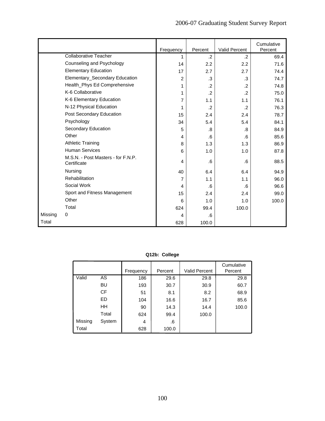|         |                                                   | Frequency | Percent        | Valid Percent | Cumulative<br>Percent |
|---------|---------------------------------------------------|-----------|----------------|---------------|-----------------------|
|         | <b>Collaborative Teacher</b>                      | 1         | $\overline{2}$ | $\cdot$       | 69.4                  |
|         | Counseling and Psychology                         | 14        | 2.2            | 2.2           | 71.6                  |
|         | <b>Elementary Education</b>                       | 17        | 2.7            | 2.7           | 74.4                  |
|         | Elementary_Secondary Education                    | 2         | .3             | .3            | 74.7                  |
|         | Health_Phys Ed Comprehensive                      | 1         | $\cdot$        | $\cdot$       | 74.8                  |
|         | K-6 Collaborative                                 | 1         | $\overline{2}$ | $\cdot$       | 75.0                  |
|         | K-6 Elementary Education                          | 7         | 1.1            | 1.1           | 76.1                  |
|         | N-12 Physical Education                           | 1         | $\cdot$        | $\cdot$       | 76.3                  |
|         | Post Secondary Education                          | 15        | 2.4            | 2.4           | 78.7                  |
|         | Psychology                                        | 34        | 5.4            | 5.4           | 84.1                  |
|         | Secondary Education                               | 5         | .8             | .8            | 84.9                  |
|         | Other                                             | 4         | .6             | .6            | 85.6                  |
|         | <b>Athletic Training</b>                          | 8         | 1.3            | 1.3           | 86.9                  |
|         | <b>Human Services</b>                             | 6         | 1.0            | 1.0           | 87.8                  |
|         | M.S.N. - Post Masters - for F.N.P.<br>Certificate | 4         | .6             | .6            | 88.5                  |
|         | Nursing                                           | 40        | 6.4            | 6.4           | 94.9                  |
|         | Rehabilitation                                    | 7         | 1.1            | 1.1           | 96.0                  |
|         | Social Work                                       | 4         | .6             | .6            | 96.6                  |
|         | Sport and Fitness Management                      | 15        | 2.4            | 2.4           | 99.0                  |
|         | Other                                             | 6         | 1.0            | 1.0           | 100.0                 |
|         | Total                                             | 624       | 99.4           | 100.0         |                       |
| Missing | 0                                                 | 4         | .6             |               |                       |
| Total   |                                                   | 628       | 100.0          |               |                       |

**Q12b: College**

|         |           | Frequency | Percent | Valid Percent | Cumulative<br>Percent |
|---------|-----------|-----------|---------|---------------|-----------------------|
| Valid   | AS        | 186       | 29.6    | 29.8          | 29.8                  |
|         | BU        | 193       | 30.7    | 30.9          | 60.7                  |
|         | <b>CF</b> | 51        | 8.1     | 8.2           | 68.9                  |
|         | <b>ED</b> | 104       | 16.6    | 16.7          | 85.6                  |
|         | HH        | 90        | 14.3    | 14.4          | 100.0                 |
|         | Total     | 624       | 99.4    | 100.0         |                       |
| Missing | System    | 4         | .6      |               |                       |
| Total   |           | 628       | 100.0   |               |                       |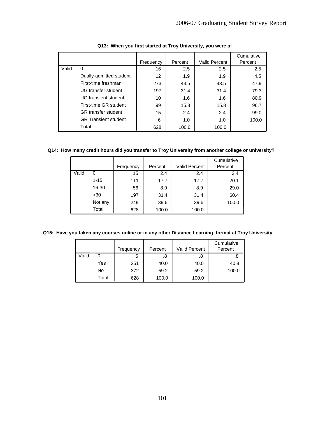|       |                             | Frequency | Percent | <b>Valid Percent</b> | Cumulative<br>Percent |
|-------|-----------------------------|-----------|---------|----------------------|-----------------------|
| Valid | $\Omega$                    | 16        | 2.5     | 2.5                  | 2.5                   |
|       | Dually-admitted student     | 12        | 1.9     | 1.9                  | 4.5                   |
|       | First-time freshman         | 273       | 43.5    | 43.5                 | 47.9                  |
|       | UG transfer student         | 197       | 31.4    | 31.4                 | 79.3                  |
|       | UG transient student        | 10        | 1.6     | 1.6                  | 80.9                  |
|       | First-time GR student       | 99        | 15.8    | 15.8                 | 96.7                  |
|       | <b>GR</b> transfer student  | 15        | 2.4     | 2.4                  | 99.0                  |
|       | <b>GR Transient student</b> | 6         | 1.0     | 1.0                  | 100.0                 |
|       | Total                       | 628       | 100.0   | 100.0                |                       |

|  |  |  |  |  |  | Q13: When you first started at Troy University, you were a: |
|--|--|--|--|--|--|-------------------------------------------------------------|
|--|--|--|--|--|--|-------------------------------------------------------------|

## **Q14: How many credit hours did you transfer to Troy University from another college or university?**

|       |          | Frequency | Percent | <b>Valid Percent</b> | Cumulative<br>Percent |
|-------|----------|-----------|---------|----------------------|-----------------------|
| Valid | 0        | 15        | 2.4     | 2.4                  | 2.4                   |
|       | $1 - 15$ | 111       | 17.7    | 17.7                 | 20.1                  |
|       | 16-30    | 56        | 8.9     | 8.9                  | 29.0                  |
|       | >30      | 197       | 31.4    | 31.4                 | 60.4                  |
|       | Not any  | 249       | 39.6    | 39.6                 | 100.0                 |
|       | Total    | 628       | 100.0   | 100.0                |                       |

### **Q15: Have you taken any courses online or in any other Distance Learning format at Troy University**

|       |       |           |         |                      | Cumulative |
|-------|-------|-----------|---------|----------------------|------------|
|       |       | Frequency | Percent | <b>Valid Percent</b> | Percent    |
| Valid | 0     | 5         | .8      | .8                   |            |
|       | Yes   | 251       | 40.0    | 40.0                 | 40.8       |
|       | No    | 372       | 59.2    | 59.2                 | 100.0      |
|       | Total | 628       | 100.0   | 100.0                |            |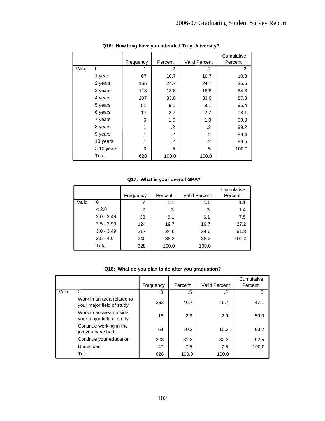|       |              | Frequency | Percent    | <b>Valid Percent</b> | Cumulative<br>Percent |
|-------|--------------|-----------|------------|----------------------|-----------------------|
| Valid | $\Omega$     | 1         | .2         | .2                   | $\cdot$ .2            |
|       | 1 year       | 67        | 10.7       | 10.7                 | 10.8                  |
|       | 2 years      | 155       | 24.7       | 24.7                 | 35.5                  |
|       | 3 years      | 118       | 18.8       | 18.8                 | 54.3                  |
|       | 4 years      | 207       | 33.0       | 33.0                 | 87.3                  |
|       | 5 years      | 51        | 8.1        | 8.1                  | 95.4                  |
|       | 6 years      | 17        | 2.7        | 2.7                  | 98.1                  |
|       | 7 years      | 6         | 1.0        | 1.0                  | 99.0                  |
|       | 8 years      | 1         | $\cdot$    | $\cdot$ .2           | 99.2                  |
|       | 9 years      | 1         | $\cdot$ .2 | $\cdot$ .2           | 99.4                  |
|       | 10 years     | 1         | $\cdot$    | $\cdot$              | 99.5                  |
|       | $> 10$ years | 3         | .5         | .5                   | 100.0                 |
|       | Total        | 628       | 100.0      | 100.0                |                       |

**Q16: How long have you attended Troy University?**

### **Q17: What is your overall GPA?**

|       |              |                |         |                      | Cumulative |
|-------|--------------|----------------|---------|----------------------|------------|
|       |              | Frequency      | Percent | <b>Valid Percent</b> | Percent    |
| Valid | 0            |                | 1.1     | 1.1                  | 1.1        |
|       | < 2.0        | $\overline{2}$ | .3      | .3                   | 1.4        |
|       | $2.0 - 2.49$ | 38             | 6.1     | 6.1                  | 7.5        |
|       | $2.5 - 2.99$ | 124            | 19.7    | 19.7                 | 27.2       |
|       | $3.0 - 3.49$ | 217            | 34.6    | 34.6                 | 61.8       |
|       | $3.5 - 4.0$  | 240            | 38.2    | 38.2                 | 100.0      |
|       | Total        | 628            | 100.0   | 100.0                |            |

### **Q18: What do you plan to do after you graduation?**

|       |                                                         | Frequency | Percent | <b>Valid Percent</b> | Cumulative<br>Percent |
|-------|---------------------------------------------------------|-----------|---------|----------------------|-----------------------|
| Valid | $\Omega$                                                | 3         | .5      | .5                   | .5                    |
|       | Work in an area related to<br>your major field of study | 293       | 46.7    | 46.7                 | 47.1                  |
|       | Work in an area outside<br>your major field of study    | 18        | 2.9     | 2.9                  | 50.0                  |
|       | Continue working in the<br>job you have had             | 64        | 10.2    | 10.2                 | 60.2                  |
|       | Continue your education                                 | 203       | 32.3    | 32.3                 | 92.5                  |
|       | Undecided                                               | 47        | 7.5     | 7.5                  | 100.0                 |
|       | Total                                                   | 628       | 100.0   | 100.0                |                       |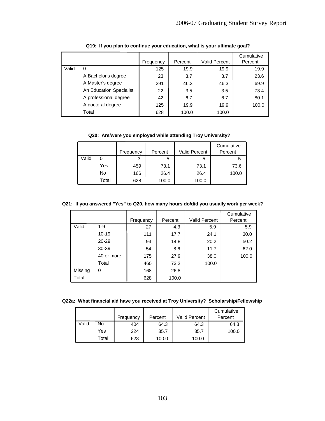|       |                         | Frequency | Percent | Valid Percent | Cumulative<br>Percent |
|-------|-------------------------|-----------|---------|---------------|-----------------------|
| Valid | 0                       | 125       | 19.9    | 19.9          | 19.9                  |
|       | A Bachelor's degree     | 23        | 3.7     | 3.7           | 23.6                  |
|       | A Master's degree       | 291       | 46.3    | 46.3          | 69.9                  |
|       | An Education Specialist | 22        | 3.5     | 3.5           | 73.4                  |
|       | A professional degree   | 42        | 6.7     | 6.7           | 80.1                  |
|       | A doctoral degree       | 125       | 19.9    | 19.9          | 100.0                 |
|       | Total                   | 628       | 100.0   | 100.0         |                       |

#### **Q19: If you plan to continue your education, what is your ultimate goal?**

### **Q20: Are/were you employed while attending Troy University?**

|       |       | Frequency | Percent | Valid Percent | Cumulative<br>Percent |
|-------|-------|-----------|---------|---------------|-----------------------|
| Valid | 0     | 3         | .5      | .5            | .5                    |
|       | Yes   | 459       | 73.1    | 73.1          | 73.6                  |
|       | No    | 166       | 26.4    | 26.4          | 100.0                 |
|       | Total | 628       | 100.0   | 100.0         |                       |

#### **Q21: If you answered "Yes" to Q20, how many hours do/did you usually work per week?**

|         |            |           |         |                      | Cumulative |
|---------|------------|-----------|---------|----------------------|------------|
|         |            | Frequency | Percent | <b>Valid Percent</b> | Percent    |
| Valid   | $1 - 9$    | 27        | 4.3     | 5.9                  | 5.9        |
|         | $10 - 19$  | 111       | 17.7    | 24.1                 | 30.0       |
|         | 20-29      | 93        | 14.8    | 20.2                 | 50.2       |
|         | 30-39      | 54        | 8.6     | 11.7                 | 62.0       |
|         | 40 or more | 175       | 27.9    | 38.0                 | 100.0      |
|         | Total      | 460       | 73.2    | 100.0                |            |
| Missing | 0          | 168       | 26.8    |                      |            |
| Total   |            | 628       | 100.0   |                      |            |

**Q22a: What financial aid have you received at Troy University? Scholarship/Fellowship**

|       |       | Frequency | Percent | <b>Valid Percent</b> | Cumulative<br>Percent |
|-------|-------|-----------|---------|----------------------|-----------------------|
| Valid | No    | 404       | 64.3    | 64.3                 | 64.3                  |
|       | Yes   | 224       | 35.7    | 35.7                 | 100.0                 |
|       | Total | 628       | 100.0   | 100.0                |                       |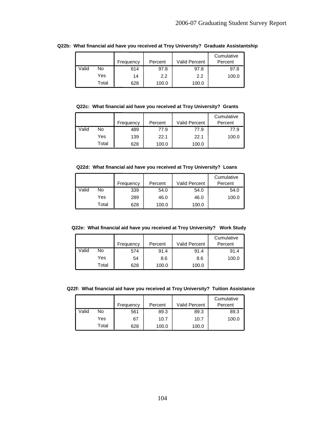|       |       | Frequency | Percent | <b>Valid Percent</b> | Cumulative<br>Percent |
|-------|-------|-----------|---------|----------------------|-----------------------|
| Valid | No    | 614       | 97.8    | 97.8                 | 97.8                  |
|       | Yes   | 14        | 2.2     | 2.2                  | 100.0                 |
|       | Total | 628       | 100.0   | 100.0                |                       |

**Q22b: What financial aid have you received at Troy University? Graduate Assistantship**

**Q22c: What financial aid have you received at Troy University? Grants**

|       |       | Frequency | Percent | <b>Valid Percent</b> | Cumulative<br>Percent |
|-------|-------|-----------|---------|----------------------|-----------------------|
| Valid | No    | 489       | 77.9    | 77.9                 | 77.9                  |
|       | Yes   | 139       | 22.1    | 22.1                 | 100.0                 |
|       | Total | 628       | 100.0   | 100.0                |                       |

**Q22d: What financial aid have you received at Troy University? Loans**

|       |       | Frequency | Percent | <b>Valid Percent</b> | Cumulative<br>Percent |
|-------|-------|-----------|---------|----------------------|-----------------------|
| Valid | No    | 339       | 54.0    | 54.0                 | 54.0                  |
|       | Yes   | 289       | 46.0    | 46.0                 | 100.0                 |
|       | Total | 628       | 100.0   | 100.0                |                       |

**Q22e: What financial aid have you received at Troy University? Work Study**

|       |       | Frequency | Percent | <b>Valid Percent</b> | Cumulative<br>Percent |
|-------|-------|-----------|---------|----------------------|-----------------------|
| Valid | No    | 574       | 91.4    | 91.4                 | 91.4                  |
|       | Yes   | 54        | 8.6     | 8.6                  | 100.0                 |
|       | Total | 628       | 100.0   | 100.0                |                       |

**Q22f: What financial aid have you received at Troy University? Tuition Assistance**

|       |       |           |         |               | Cumulative |
|-------|-------|-----------|---------|---------------|------------|
|       |       | Frequency | Percent | Valid Percent | Percent    |
| Valid | No    | 561       | 89.3    | 89.3          | 89.3       |
|       | Yes   | 67        | 10.7    | 10.7          | 100.0      |
|       | Total | 628       | 100.0   | 100.0         |            |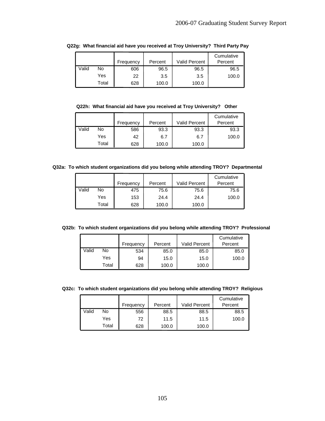|       |       | Frequency | Percent | <b>Valid Percent</b> | Cumulative<br>Percent |
|-------|-------|-----------|---------|----------------------|-----------------------|
| Valid | No    | 606       | 96.5    | 96.5                 | 96.5                  |
|       | Yes   | 22        | 3.5     | 3.5                  | 100.0                 |
|       | Total | 628       | 100.0   | 100.0                |                       |

**Q22g: What financial aid have you received at Troy University? Third Party Pay**

**Q22h: What financial aid have you received at Troy University? Other**

|       |       |           |         |                      | Cumulative |
|-------|-------|-----------|---------|----------------------|------------|
|       |       | Frequency | Percent | <b>Valid Percent</b> | Percent    |
| Valid | No    | 586       | 93.3    | 93.3                 | 93.3       |
|       | Yes   | 42        | 6.7     | 6.7                  | 100.0      |
|       | Total | 628       | 100.0   | 100.0                |            |

**Q32a: To which student organizations did you belong while attending TROY? Departmental**

|       |       | Frequency | Percent | <b>Valid Percent</b> | Cumulative<br>Percent |
|-------|-------|-----------|---------|----------------------|-----------------------|
| Valid | No    | 475       | 75.6    | 75.6                 | 75.6                  |
|       | Yes   | 153       | 24.4    | 24.4                 | 100.0                 |
|       | Total | 628       | 100.0   | 100.0                |                       |

**Q32b: To which student organizations did you belong while attending TROY? Professional**

|       |       |           |         |                      | Cumulative |
|-------|-------|-----------|---------|----------------------|------------|
|       |       | Frequency | Percent | <b>Valid Percent</b> | Percent    |
| Valid | No    | 534       | 85.0    | 85.0                 | 85.0       |
|       | Yes   | 94        | 15.0    | 15.0                 | 100.0      |
|       | Total | 628       | 100.0   | 100.0                |            |

**Q32c: To which student organizations did you belong while attending TROY? Religious**

|       |       |           |         |                      | Cumulative |
|-------|-------|-----------|---------|----------------------|------------|
|       |       | Frequency | Percent | <b>Valid Percent</b> | Percent    |
| Valid | No    | 556       | 88.5    | 88.5                 | 88.5       |
|       | Yes   | 72        | 11.5    | 11.5                 | 100.0      |
|       | Total | 628       | 100.0   | 100.0                |            |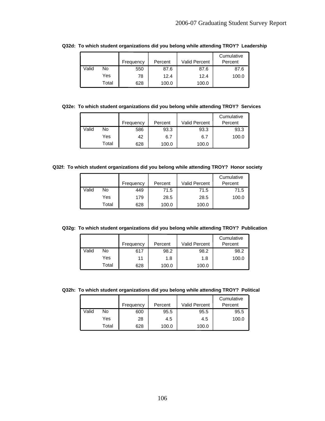|       |       | Frequency | Percent | Valid Percent | Cumulative<br>Percent |
|-------|-------|-----------|---------|---------------|-----------------------|
| Valid | No    | 550       | 87.6    | 87.6          | 87.6                  |
|       | Yes   | 78        | 12.4    | 12.4          | 100.0                 |
|       | Total | 628       | 100.0   | 100.0         |                       |

### **Q32d: To which student organizations did you belong while attending TROY? Leadership**

**Q32e: To which student organizations did you belong while attending TROY? Services**

|       |       | Frequency | Percent | <b>Valid Percent</b> | Cumulative<br>Percent |
|-------|-------|-----------|---------|----------------------|-----------------------|
| Valid | No    | 586       | 93.3    | 93.3                 | 93.3                  |
|       | Yes   | 42        | 6.7     | 6.7                  | 100.0                 |
|       | Total | 628       | 100.0   | 100.0                |                       |

**Q32f: To which student organizations did you belong while attending TROY? Honor society**

|       |       |           |         |                      | Cumulative |
|-------|-------|-----------|---------|----------------------|------------|
|       |       | Frequency | Percent | <b>Valid Percent</b> | Percent    |
| Valid | No    | 449       | 71.5    | 71.5                 | 71.5       |
|       | Yes   | 179       | 28.5    | 28.5                 | 100.0      |
|       | Total | 628       | 100.0   | 100.0                |            |

**Q32g: To which student organizations did you belong while attending TROY? Publication**

|       |       | Frequency | Percent | <b>Valid Percent</b> | Cumulative<br>Percent |
|-------|-------|-----------|---------|----------------------|-----------------------|
| Valid | No    | 617       | 98.2    | 98.2                 | 98.2                  |
|       | Yes   | 11        | 1.8     | 1.8                  | 100.0                 |
|       | Total | 628       | 100.0   | 100.0                |                       |

**Q32h: To which student organizations did you belong while attending TROY? Political**

|       |       |           |         |                      | Cumulative |
|-------|-------|-----------|---------|----------------------|------------|
|       |       | Frequency | Percent | <b>Valid Percent</b> | Percent    |
| Valid | No    | 600       | 95.5    | 95.5                 | 95.5       |
|       | Yes   | 28        | 4.5     | 4.5                  | 100.0      |
|       | Total | 628       | 100.0   | 100.0                |            |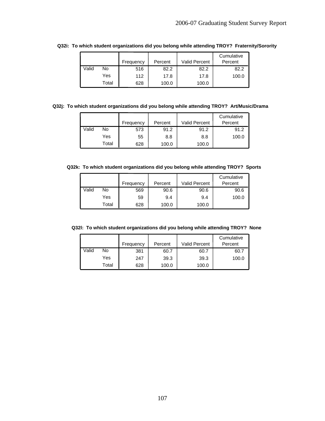|       |       | Frequency | Percent | <b>Valid Percent</b> | Cumulative<br>Percent |
|-------|-------|-----------|---------|----------------------|-----------------------|
| Valid | No    | 516       | 82.2    | 82.2                 | 82.2                  |
|       | Yes   | 112       | 17.8    | 17.8                 | 100.0                 |
|       | Total | 628       | 100.0   | 100.0                |                       |

### **Q32i: To which student organizations did you belong while attending TROY? Fraternity/Sorority**

### **Q32j: To which student organizations did you belong while attending TROY? Art/Music/Drama**

|       |       | Frequency | Percent | <b>Valid Percent</b> | Cumulative<br>Percent |
|-------|-------|-----------|---------|----------------------|-----------------------|
| Valid | No    | 573       | 91.2    | 91.2                 | 91.2                  |
|       | Yes   | 55        | 8.8     | 8.8                  | 100.0                 |
|       | Total | 628       | 100.0   | 100.0                |                       |

**Q32k: To which student organizations did you belong while attending TROY? Sports**

|       |       | Frequency | Percent | <b>Valid Percent</b> | Cumulative<br>Percent |
|-------|-------|-----------|---------|----------------------|-----------------------|
| Valid | No    | 569       | 90.6    | 90.6                 | 90.6                  |
|       | Yes   | 59        | 9.4     | 9.4                  | 100.0                 |
|       | Total | 628       | 100.0   | 100.0                |                       |

**Q32l: To which student organizations did you belong while attending TROY? None**

|       |       | Frequency | Percent | Valid Percent | Cumulative<br>Percent |
|-------|-------|-----------|---------|---------------|-----------------------|
| Valid | No    | 381       | 60.7    | 60.7          | 60.7                  |
|       | Yes   | 247       | 39.3    | 39.3          | 100.0                 |
|       | Total | 628       | 100.0   | 100.0         |                       |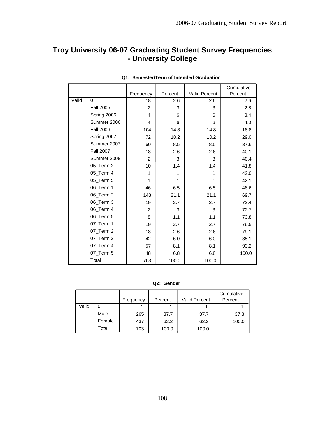## **Troy University 06-07 Graduating Student Survey Frequencies - University College**

|       |                  |                |           |               | Cumulative |
|-------|------------------|----------------|-----------|---------------|------------|
|       |                  | Frequency      | Percent   | Valid Percent | Percent    |
| Valid | $\Omega$         | 18             | 2.6       | 2.6           | 2.6        |
|       | <b>Fall 2005</b> | $\overline{c}$ | .3        | .3            | 2.8        |
|       | Spring 2006      | 4              | .6        | .6            | 3.4        |
|       | Summer 2006      | 4              | .6        | .6            | 4.0        |
|       | <b>Fall 2006</b> | 104            | 14.8      | 14.8          | 18.8       |
|       | Spring 2007      | 72             | 10.2      | 10.2          | 29.0       |
|       | Summer 2007      | 60             | 8.5       | 8.5           | 37.6       |
|       | <b>Fall 2007</b> | 18             | 2.6       | 2.6           | 40.1       |
|       | Summer 2008      | 2              | .3        | .3            | 40.4       |
|       | 05_Term 2        | 10             | 1.4       | 1.4           | 41.8       |
|       | 05_Term 4        | 1              | $\cdot$ 1 | $\cdot$ 1     | 42.0       |
|       | 05_Term 5        | 1              | $\cdot$ 1 | $\cdot$ 1     | 42.1       |
|       | 06_Term 1        | 46             | 6.5       | 6.5           | 48.6       |
|       | 06_Term 2        | 148            | 21.1      | 21.1          | 69.7       |
|       | 06_Term 3        | 19             | 2.7       | 2.7           | 72.4       |
|       | 06_Term 4        | $\overline{2}$ | .3        | .3            | 72.7       |
|       | 06_Term 5        | 8              | 1.1       | 1.1           | 73.8       |
|       | 07_Term 1        | 19             | 2.7       | 2.7           | 76.5       |
|       | 07_Term 2        | 18             | 2.6       | 2.6           | 79.1       |
|       | 07_Term 3        | 42             | 6.0       | 6.0           | 85.1       |
|       | 07_Term 4        | 57             | 8.1       | 8.1           | 93.2       |
|       | 07_Term 5        | 48             | 6.8       | 6.8           | 100.0      |
|       | Total            | 703            | 100.0     | 100.0         |            |

#### **Q1: Semester/Term of Intended Graduation**

**Q2: Gender**

|       |        | Frequency | Percent | <b>Valid Percent</b> | Cumulative<br>Percent |
|-------|--------|-----------|---------|----------------------|-----------------------|
| Valid | 0      |           |         |                      |                       |
|       | Male   | 265       | 37.7    | 37.7                 | 37.8                  |
|       | Female | 437       | 62.2    | 62.2                 | 100.0                 |
|       | Total  | 703       | 100.0   | 100.0                |                       |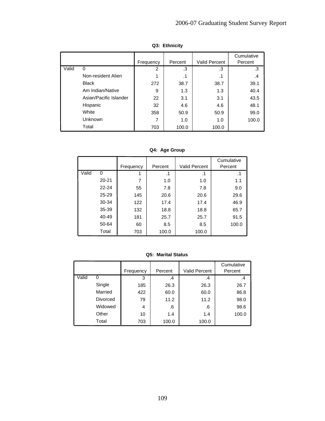|       |                        | Frequency | Percent | <b>Valid Percent</b> | Cumulative<br>Percent |
|-------|------------------------|-----------|---------|----------------------|-----------------------|
| Valid | 0                      | 2         | .3      | .3                   | .3                    |
|       | Non-resident Alien     |           | .1      | .1                   | .4                    |
|       | <b>Black</b>           | 272       | 38.7    | 38.7                 | 39.1                  |
|       | Am Indian/Native       | 9         | 1.3     | 1.3                  | 40.4                  |
|       | Asian/Pacific Islander | 22        | 3.1     | 3.1                  | 43.5                  |
|       | Hispanic               | 32        | 4.6     | 4.6                  | 48.1                  |
|       | White                  | 358       | 50.9    | 50.9                 | 99.0                  |
|       | Unknown                | 7         | 1.0     | 1.0                  | 100.0                 |
|       | Total                  | 703       | 100.0   | 100.0                |                       |

**Q3: Ethnicity**

**Q4: Age Group**

|       |           |           |         |                      | Cumulative |
|-------|-----------|-----------|---------|----------------------|------------|
|       |           | Frequency | Percent | <b>Valid Percent</b> | Percent    |
| Valid | 0         |           | .1      | .1                   | .1         |
|       | $20 - 21$ | 7         | 1.0     | 1.0                  | 1.1        |
|       | $22 - 24$ | 55        | 7.8     | 7.8                  | 9.0        |
|       | $25 - 29$ | 145       | 20.6    | 20.6                 | 29.6       |
|       | 30-34     | 122       | 17.4    | 17.4                 | 46.9       |
|       | 35-39     | 132       | 18.8    | 18.8                 | 65.7       |
|       | 40-49     | 181       | 25.7    | 25.7                 | 91.5       |
|       | 50-64     | 60        | 8.5     | 8.5                  | 100.0      |
|       | Total     | 703       | 100.0   | 100.0                |            |

|       |                 | Frequency | Percent | <b>Valid Percent</b> | Cumulative<br>Percent |
|-------|-----------------|-----------|---------|----------------------|-----------------------|
| Valid | 0               | 3         | .4      | .4                   | .4                    |
|       | Single          | 185       | 26.3    | 26.3                 | 26.7                  |
|       | Married         | 422       | 60.0    | 60.0                 | 86.8                  |
|       | <b>Divorced</b> | 79        | 11.2    | 11.2                 | 98.0                  |
|       | Widowed         | 4         | .6      | .6                   | 98.6                  |
|       | Other           | 10        | 1.4     | 1.4                  | 100.0                 |
|       | Total           | 703       | 100.0   | 100.0                |                       |

**Q5: Marital Status**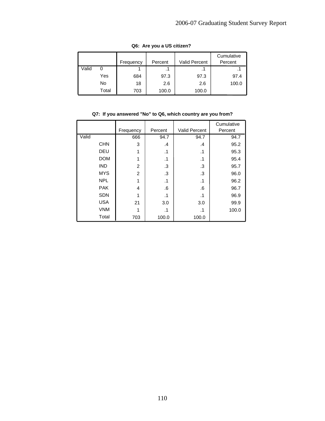|       |       | Frequency | Percent | Valid Percent | Cumulative<br>Percent |
|-------|-------|-----------|---------|---------------|-----------------------|
| Valid | 0     |           |         | . .           |                       |
|       | Yes   | 684       | 97.3    | 97.3          | 97.4                  |
|       | No    | 18        | 2.6     | 2.6           | 100.0                 |
|       | Total | 703       | 100.0   | 100.0         |                       |

**Q6: Are you a US citizen?**

|       |            | Frequency      | Percent   | <b>Valid Percent</b> | Cumulative<br>Percent |
|-------|------------|----------------|-----------|----------------------|-----------------------|
| Valid |            | 666            | 94.7      | 94.7                 | 94.7                  |
|       | <b>CHN</b> | 3              | .4        | $\cdot$              | 95.2                  |
|       | <b>DEU</b> |                | $\cdot$ 1 | .1                   | 95.3                  |
|       | <b>DOM</b> |                | $\cdot$ 1 | $\cdot$ 1            | 95.4                  |
|       | <b>IND</b> | $\overline{2}$ | .3        | .3                   | 95.7                  |
|       | <b>MYS</b> | $\overline{2}$ | .3        | .3                   | 96.0                  |
|       | <b>NPL</b> | 1              | $\cdot$ 1 | $\cdot$ 1            | 96.2                  |
|       | <b>PAK</b> | 4              | .6        | .6                   | 96.7                  |
|       | <b>SDN</b> |                | $\cdot$ 1 | $\cdot$ 1            | 96.9                  |
|       | <b>USA</b> | 21             | 3.0       | 3.0                  | 99.9                  |
|       | <b>VNM</b> |                | .1        | .1                   | 100.0                 |
|       | Total      | 703            | 100.0     | 100.0                |                       |

### **Q7: If you answered "No" to Q6, which country are you from?**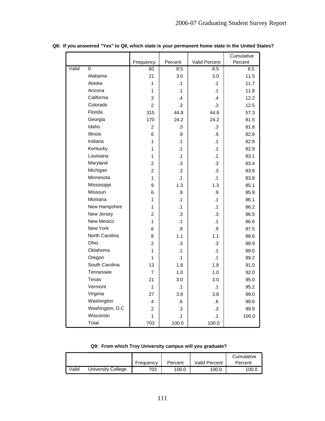|       |                 |                |                |                      | Cumulative |
|-------|-----------------|----------------|----------------|----------------------|------------|
|       |                 | Frequency      | Percent        | <b>Valid Percent</b> | Percent    |
| Valid | $\overline{0}$  | 60             | 8.5            | 8.5                  | 8.5        |
|       | Alabama         | 21             | 3.0            | 3.0                  | 11.5       |
|       | Alaska          | 1              | $\cdot$ 1      | $\cdot$ 1            | 11.7       |
|       | Arizona         | 1              | $\cdot$ 1      | $\cdot$ 1            | 11.8       |
|       | California      | 3              | $\overline{A}$ | $\mathcal{A}$        | 12.2       |
|       | Colorado        | $\overline{c}$ | $\cdot$ 3      | .3                   | 12.5       |
|       | Florida         | 315            | 44.8           | 44.8                 | 57.3       |
|       | Georgia         | 170            | 24.2           | 24.2                 | 81.5       |
|       | Idaho           | $\overline{2}$ | .3             | .3                   | 81.8       |
|       | Illinois        | 6              | .9             | .9                   | 82.6       |
|       | Indiana         | 1              | $\cdot$ 1      | $\cdot$ 1            | 82.8       |
|       | Kentucky        | 1              | $\cdot$ 1      | $\cdot$ 1            | 82.9       |
|       | Louisiana       | 1              | $\cdot$ 1      | $\cdot$ 1            | 83.1       |
|       | Maryland        | $\overline{2}$ | $\cdot$ 3      | .3                   | 83.4       |
|       | Michigan        | $\overline{2}$ | .3             | .3                   | 83.6       |
|       | Minnesota       | 1              | $\cdot$ 1      | $\cdot$ 1            | 83.8       |
|       | Mississippi     | 9              | 1.3            | 1.3                  | 85.1       |
|       | Missouri        | 6              | .9             | .9                   | 85.9       |
|       | Montana         | 1              | $\cdot$ 1      | $\cdot$ 1            | 86.1       |
|       | New Hampshire   | $\overline{1}$ | $\cdot$ 1      | $\cdot$ 1            | 86.2       |
|       | New Jersey      | $\overline{2}$ | $\overline{3}$ | $\cdot$ 3            | 86.5       |
|       | New Mexico      | 1              | $\cdot$ 1      | $\cdot$ 1            | 86.6       |
|       | New York        | 6              | .9             | .9                   | 87.5       |
|       | North Carolina  | 8              | 1.1            | 1.1                  | 88.6       |
|       | Ohio            | $\overline{c}$ | .3             | .3                   | 88.9       |
|       | Oklahoma        | $\overline{1}$ | $\cdot$ 1      | $\cdot$ 1            | 89.0       |
|       | Oregon          | 1              | $\cdot$ 1      | $\cdot$ 1            | 89.2       |
|       | South Carolina  | 13             | 1.8            | 1.8                  | 91.0       |
|       | Tennessee       | $\overline{7}$ | 1.0            | 1.0                  | 92.0       |
|       | <b>Texas</b>    | 21             | 3.0            | 3.0                  | 95.0       |
|       | Vermont         | 1              | $\cdot$ 1      | $\cdot$ 1            | 95.2       |
|       | Virginia        | 27             | 3.8            | 3.8                  | 99.0       |
|       | Washington      | 4              | .6             | .6                   | 99.6       |
|       | Washington, D.C | $\overline{c}$ | .3             | .3                   | 99.9       |
|       | Wisconsin       | 1              | $\cdot$ 1      | $\cdot$ 1            | 100.0      |
|       | Total           | 703            | 100.0          | 100.0                |            |

## **Q8: If you answered "Yes" to Q6, which state is your permanent home state in the United States?**

### **Q9: From which Troy University campus will you graduate?**

|       |                    |           |         |               | Cumulative |
|-------|--------------------|-----------|---------|---------------|------------|
|       |                    | Frequency | Percent | Valid Percent | Percent    |
| Valid | University College | 703       | 100.0   | 100.0         | 100.0      |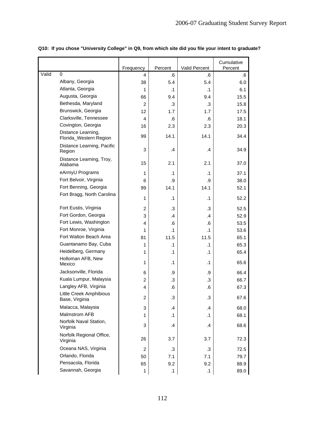|       |                                              | Frequency      | Percent       | Valid Percent | Cumulative<br>Percent |
|-------|----------------------------------------------|----------------|---------------|---------------|-----------------------|
| Valid | $\Omega$                                     | 4              | .6            | .6            | .6                    |
|       | Albany, Georgia                              | 38             | 5.4           | 5.4           | 6.0                   |
|       | Atlanta, Georgia                             | 1              | $\cdot$ 1     | $\cdot$ 1     | 6.1                   |
|       | Augusta, Georgia                             | 66             | 9.4           | 9.4           | 15.5                  |
|       | Bethesda, Maryland                           | $\overline{2}$ | .3            | .3            | 15.8                  |
|       | Brunswick, Georgia                           | 12             | 1.7           | 1.7           | 17.5                  |
|       | Clarksville, Tennessee                       | 4              | .6            | .6            | 18.1                  |
|       | Covington, Georgia                           | 16             | 2.3           | 2.3           | 20.3                  |
|       | Distance Learning,<br>Florida_Western Region | 99             | 14.1          | 14.1          | 34.4                  |
|       | Distance Learning, Pacific<br>Region         | 3              | $\mathcal{A}$ | $\cdot$       | 34.9                  |
|       | Distance Learning, Troy,<br>Alabama          | 15             | 2.1           | 2.1           | 37.0                  |
|       | eArmyU Programs                              | 1              | $\cdot$ 1     | $\cdot$ 1     | 37.1                  |
|       | Fort Belvoir, Virginia                       | 6              | .9            | .9            | 38.0                  |
|       | Fort Benning, Georgia                        | 99             | 14.1          | 14.1          | 52.1                  |
|       | Fort Bragg, North Carolina                   | 1              | $\cdot$ 1     | $\cdot$ 1     | 52.2                  |
|       | Fort Eustis, Virginia                        | $\overline{2}$ | .3            | .3            | 52.5                  |
|       | Fort Gordon, Georgia                         | 3              | .4            | $\cdot$       | 52.9                  |
|       | Fort Lewis, Washington                       | 4              | .6            | .6            | 53.5                  |
|       | Fort Monroe, Virginia                        | 1              | .1            | $\cdot$ 1     | 53.6                  |
|       | Fort Walton Beach Area                       | 81             | 11.5          | 11.5          | 65.1                  |
|       | Guantanamo Bay, Cuba                         | 1              | .1            | $\cdot$ 1     | 65.3                  |
|       | Heidelberg, Germany                          | 1              | .1            | $\cdot$ 1     | 65.4                  |
|       | Holloman AFB, New<br>Mexico                  | 1              | $\cdot$ 1     | $\cdot$ 1     | 65.6                  |
|       | Jacksonville, Florida                        | 6              | .9            | .9            | 66.4                  |
|       | Kuala Lumpur, Malaysia                       | 2              | .3            | .3            | 66.7                  |
|       | Langley AFB, Virginia                        | 4              | .6            | .6            | 67.3                  |
|       | Little Creek Amphibious<br>Base, Virginia    | 2              | .3            | .3            | 67.6                  |
|       | Malacca, Malaysia                            | 3              | $\mathbf{.4}$ | $\mathbf{.4}$ | 68.0                  |
|       | Malmstrom AFB                                | 1              | $\cdot$ 1     | $\cdot$ 1     | 68.1                  |
|       | Norfolk Naval Station,<br>Virginia           | 3              | $\cdot$       | $\mathcal{A}$ | 68.6                  |
|       | Norfolk Regional Office,<br>Virginia         | 26             | 3.7           | 3.7           | 72.3                  |
|       | Oceana NAS, Virginia                         | 2              | .3            | .3            | 72.5                  |
|       | Orlando, Florida                             | 50             | 7.1           | 7.1           | 79.7                  |
|       | Pensacola, Florida                           | 65             | 9.2           | 9.2           | 88.9                  |
|       | Savannah, Georgia                            | $\mathbf{1}$   | $\cdot$ 1     | $\cdot$ 1     | 89.0                  |

## **Q10: If you chose "University College" in Q9, from which site did you file your intent to graduate?**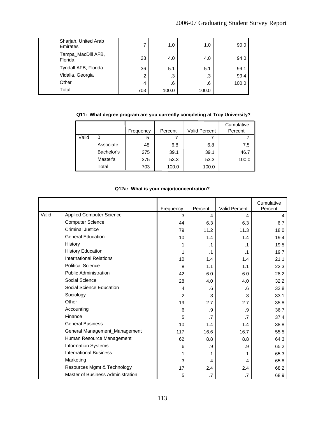## 2006-07 Graduating Student Survey Report

| Sharjah, United Arab<br>Emirates | ⇁   | 1.0   | 1.0    | 90.0  |
|----------------------------------|-----|-------|--------|-------|
| Tampa_MacDill AFB,<br>Florida    | 28  | 4.0   | 4.0    | 94.0  |
| Tyndall AFB, Florida             | 36  | 5.1   | 5.1    | 99.1  |
| Vidalia, Georgia                 | 2   | .3    | $.3\,$ | 99.4  |
| Other                            | 4   | .6    | .6     | 100.0 |
| Total                            | 703 | 100.0 | 100.0  |       |

## **Q11: What degree program are you currently completing at Troy University?**

|       |            | Frequency | Percent | <b>Valid Percent</b> | Cumulative<br>Percent |
|-------|------------|-----------|---------|----------------------|-----------------------|
| Valid |            | 5         | .7      | .7                   |                       |
|       | Associate  | 48        | 6.8     | 6.8                  | 7.5                   |
|       | Bachelor's | 275       | 39.1    | 39.1                 | 46.7                  |
|       | Master's   | 375       | 53.3    | 53.3                 | 100.0                 |
|       | Total      | 703       | 100.0   | 100.0                |                       |

### **Q12a: What is your major/concentration?**

|       |                                   | Frequency | Percent         | <b>Valid Percent</b> | Cumulative<br>Percent |
|-------|-----------------------------------|-----------|-----------------|----------------------|-----------------------|
| Valid | <b>Applied Computer Science</b>   | 3         | $\cdot$         | .4                   | .4                    |
|       | <b>Computer Science</b>           | 44        | 6.3             | 6.3                  | 6.7                   |
|       | Criminal Justice                  | 79        | 11.2            | 11.3                 | 18.0                  |
|       | <b>General Education</b>          | 10        | 1.4             | 1.4                  | 19.4                  |
|       | History                           |           | $\cdot$ 1       | $\cdot$ 1            | 19.5                  |
|       | <b>History Education</b>          |           | $\cdot$ 1       | $\cdot$ 1            | 19.7                  |
|       | <b>International Relations</b>    | 10        | 1.4             | 1.4                  | 21.1                  |
|       | <b>Political Science</b>          | 8         | 1.1             | 1.1                  | 22.3                  |
|       | <b>Public Administration</b>      | 42        | 6.0             | 6.0                  | 28.2                  |
|       | Social Science                    | 28        | 4.0             | 4.0                  | 32.2                  |
|       | Social Science Education          | 4         | .6              | .6                   | 32.8                  |
|       | Sociology                         | 2         | .3              | .3                   | 33.1                  |
|       | Other                             | 19        | 2.7             | 2.7                  | 35.8                  |
|       | Accounting                        | 6         | .9              | .9                   | 36.7                  |
|       | Finance                           | 5         | $\overline{.7}$ | $\overline{.7}$      | 37.4                  |
|       | <b>General Business</b>           | 10        | 1.4             | 1.4                  | 38.8                  |
|       | General Management_Management     | 117       | 16.6            | 16.7                 | 55.5                  |
|       | Human Resource Management         | 62        | 8.8             | 8.8                  | 64.3                  |
|       | <b>Information Systems</b>        | 6         | .9              | .9                   | 65.2                  |
|       | <b>International Business</b>     | 1         | $\cdot$ 1       | $\cdot$ 1            | 65.3                  |
|       | Marketing                         | 3         | .4              | $\cdot$              | 65.8                  |
|       | Resources Mgmt & Technology       | 17        | 2.4             | 2.4                  | 68.2                  |
|       | Master of Business Administration | 5         | .7              | .7                   | 68.9                  |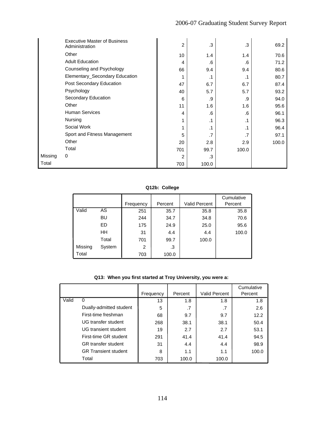|         | <b>Executive Master of Business</b><br>Administration | $\overline{2}$  | .3        | .3        | 69.2  |
|---------|-------------------------------------------------------|-----------------|-----------|-----------|-------|
|         | Other                                                 | 10 <sup>1</sup> | 1.4       | 1.4       | 70.6  |
|         | <b>Adult Education</b>                                | 4               | .6        | .6        | 71.2  |
|         | Counseling and Psychology                             | 66              | 9.4       | 9.4       | 80.6  |
|         | Elementary_Secondary Education                        |                 | .1        | $\cdot$ 1 | 80.7  |
|         | Post Secondary Education                              | 47              | 6.7       | 6.7       | 87.4  |
|         | Psychology                                            | 40              | 5.7       | 5.7       | 93.2  |
|         | Secondary Education                                   | 6               | .9        | .9        | 94.0  |
|         | Other                                                 | 11              | 1.6       | 1.6       | 95.6  |
|         | <b>Human Services</b>                                 | 4               | .6        | .6        | 96.1  |
|         | Nursing                                               |                 | $\cdot$ 1 | $\cdot$ 1 | 96.3  |
|         | Social Work                                           |                 | .1        | $\cdot$ 1 | 96.4  |
|         | Sport and Fitness Management                          | 5               | .7        | .7        | 97.1  |
|         | Other                                                 | 20              | 2.8       | 2.9       | 100.0 |
|         | Total                                                 | 701             | 99.7      | 100.0     |       |
| Missing | 0                                                     | 2               | .3        |           |       |
| Total   |                                                       | 703             | 100.0     |           |       |

**Q12b: College**

|         |        | Frequency | Percent | Valid Percent | Cumulative<br>Percent |
|---------|--------|-----------|---------|---------------|-----------------------|
| Valid   | AS.    | 251       | 35.7    | 35.8          | 35.8                  |
|         | BU     | 244       | 34.7    | 34.8          | 70.6                  |
|         | ED     | 175       | 24.9    | 25.0          | 95.6                  |
|         | HH     | 31        | 4.4     | 4.4           | 100.0                 |
|         | Total  | 701       | 99.7    | 100.0         |                       |
| Missing | System | 2         | .3      |               |                       |
| Total   |        | 703       | 100.0   |               |                       |

**Q13: When you first started at Troy University, you were a:**

|       |                             |           |         |                      | Cumulative |
|-------|-----------------------------|-----------|---------|----------------------|------------|
|       |                             | Frequency | Percent | <b>Valid Percent</b> | Percent    |
| Valid | 0                           | 13        | 1.8     | 1.8                  | 1.8        |
|       | Dually-admitted student     | 5         | .7      | .7                   | 2.6        |
|       | First-time freshman         | 68        | 9.7     | 9.7                  | 12.2       |
|       | UG transfer student         | 268       | 38.1    | 38.1                 | 50.4       |
|       | UG transient student        | 19        | 2.7     | 2.7                  | 53.1       |
|       | First-time GR student       | 291       | 41.4    | 41.4                 | 94.5       |
|       | <b>GR</b> transfer student  | 31        | 4.4     | 4.4                  | 98.9       |
|       | <b>GR Transient student</b> | 8         | 1.1     | 1.1                  | 100.0      |
|       | Total                       | 703       | 100.0   | 100.0                |            |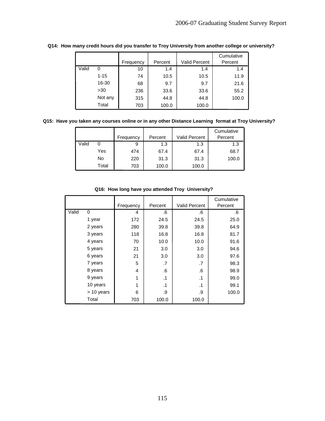|       |          | Frequency | Percent | <b>Valid Percent</b> | Cumulative<br>Percent |
|-------|----------|-----------|---------|----------------------|-----------------------|
| Valid | 0        | 10        | 1.4     | 1.4                  | 1.4                   |
|       | $1 - 15$ | 74        | 10.5    | 10.5                 | 11.9                  |
|       | 16-30    | 68        | 9.7     | 9.7                  | 21.6                  |
|       | >30      | 236       | 33.6    | 33.6                 | 55.2                  |
|       | Not any  | 315       | 44.8    | 44.8                 | 100.0                 |
|       | Total    | 703       | 100.0   | 100.0                |                       |

#### **Q14: How many credit hours did you transfer to Troy University from another college or university?**

#### **Q15: Have you taken any courses online or in any other Distance Learning format at Troy University?**

|       |       | Frequency | Percent | <b>Valid Percent</b> | Cumulative<br>Percent |
|-------|-------|-----------|---------|----------------------|-----------------------|
| Valid | 0     | 9         | 1.3     | 1.3                  | 1.3                   |
|       | Yes   | 474       | 67.4    | 67.4                 | 68.7                  |
|       | No    | 220       | 31.3    | 31.3                 | 100.0                 |
|       | Total | 703       | 100.0   | 100.0                |                       |

|       |              |           |           |                      | Cumulative |
|-------|--------------|-----------|-----------|----------------------|------------|
|       |              | Frequency | Percent   | <b>Valid Percent</b> | Percent    |
| Valid | $\Omega$     | 4         | .6        | .6                   | .6         |
|       | 1 year       | 172       | 24.5      | 24.5                 | 25.0       |
|       | 2 years      | 280       | 39.8      | 39.8                 | 64.9       |
|       | 3 years      | 118       | 16.8      | 16.8                 | 81.7       |
|       | 4 years      | 70        | 10.0      | 10.0                 | 91.6       |
|       | 5 years      | 21        | 3.0       | 3.0                  | 94.6       |
|       | 6 years      | 21        | 3.0       | 3.0                  | 97.6       |
|       | 7 years      | 5         | .7        | .7                   | 98.3       |
|       | 8 years      | 4         | .6        | .6                   | 98.9       |
|       | 9 years      | 1         | $\cdot$ 1 | $\cdot$ 1            | 99.0       |
|       | 10 years     | 1         | .1        | .1                   | 99.1       |
|       | $> 10$ years | 6         | .9        | .9                   | 100.0      |
|       | Total        | 703       | 100.0     | 100.0                |            |

#### **Q16: How long have you attended Troy University?**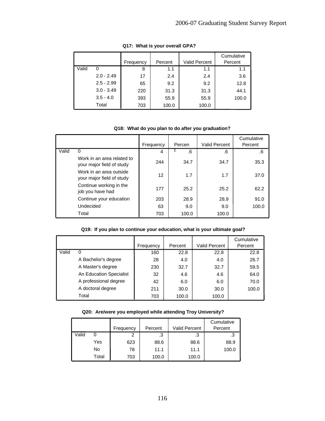|       |              | Frequency | Percent | <b>Valid Percent</b> | Cumulative<br>Percent |
|-------|--------------|-----------|---------|----------------------|-----------------------|
| Valid |              | 8         | 1.1     | 1.1                  | 1.1                   |
|       | $2.0 - 2.49$ | 17        | 2.4     | 2.4                  | 3.6                   |
|       | $2.5 - 2.99$ | 65        | 9.2     | 9.2                  | 12.8                  |
|       | $3.0 - 3.49$ | 220       | 31.3    | 31.3                 | 44.1                  |
|       | $3.5 - 4.0$  | 393       | 55.9    | 55.9                 | 100.0                 |
|       | Total        | 703       | 100.0   | 100.0                |                       |

#### **Q17: What is your overall GPA?**

#### **Q18: What do you plan to do after you graduation?**

|       |                                                         |           |        |                      | Cumulative |
|-------|---------------------------------------------------------|-----------|--------|----------------------|------------|
|       |                                                         | Frequency | Percen | <b>Valid Percent</b> | Percent    |
| Valid | n                                                       | 4         | .6     | .6                   | .6         |
|       | Work in an area related to<br>your major field of study | 244       | 34.7   | 34.7                 | 35.3       |
|       | Work in an area outside<br>your major field of study    | 12        | 1.7    | 1.7                  | 37.0       |
|       | Continue working in the<br>job you have had             | 177       | 25.2   | 25.2                 | 62.2       |
|       | Continue your education                                 | 203       | 28.9   | 28.9                 | 91.0       |
|       | Undecided                                               | 63        | 9.0    | 9.0                  | 100.0      |
|       | Total                                                   | 703       | 100.0  | 100.0                |            |

#### **Q19: If you plan to continue your education, what is your ultimate goal?**

|       |                         |           |         |               | Cumulative |
|-------|-------------------------|-----------|---------|---------------|------------|
|       |                         | Frequency | Percent | Valid Percent | Percent    |
| Valid | 0                       | 160       | 22.8    | 22.8          | 22.8       |
|       | A Bachelor's degree     | 28        | 4.0     | 4.0           | 26.7       |
|       | A Master's degree       | 230       | 32.7    | 32.7          | 59.5       |
|       | An Education Specialist | 32        | 4.6     | 4.6           | 64.0       |
|       | A professional degree   | 42        | 6.0     | 6.0           | 70.0       |
|       | A doctoral degree       | 211       | 30.0    | 30.0          | 100.0      |
|       | Total                   | 703       | 100.0   | 100.0         |            |

#### **Q20: Are/were you employed while attending Troy University?**

|       |       |           |         |                      | Cumulative |
|-------|-------|-----------|---------|----------------------|------------|
|       |       | Frequency | Percent | <b>Valid Percent</b> | Percent    |
| Valid | 0     |           | .3      | .3                   | .3         |
|       | Yes   | 623       | 88.6    | 88.6                 | 88.9       |
|       | No    | 78        | 11.1    | 11.1                 | 100.0      |
|       | Total | 703       | 100.0   | 100.0                |            |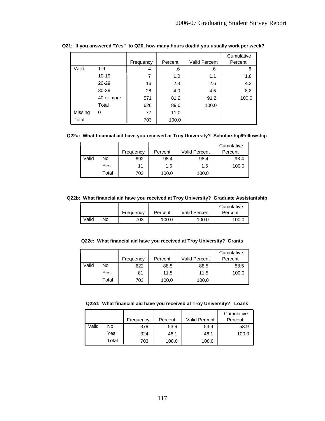|         |            | Frequency | Percent | Valid Percent | Cumulative<br>Percent |
|---------|------------|-----------|---------|---------------|-----------------------|
| Valid   | $1 - 9$    | 4         | .6      | .6            | .6                    |
|         | $10 - 19$  | 7         | 1.0     | 1.1           | 1.8                   |
|         | 20-29      | 16        | 2.3     | 2.6           | 4.3                   |
|         | 30-39      | 28        | 4.0     | 4.5           | 8.8                   |
|         | 40 or more | 571       | 81.2    | 91.2          | 100.0                 |
|         | Total      | 626       | 89.0    | 100.0         |                       |
| Missing | 0          | 77        | 11.0    |               |                       |
| Total   |            | 703       | 100.0   |               |                       |

#### **Q21: If you answered "Yes" to Q20, how many hours do/did you usually work per week?**

#### **Q22a: What financial aid have you received at Troy University? Scholarship/Fellowship**

|       |       |           |         |                      | Cumulative |
|-------|-------|-----------|---------|----------------------|------------|
|       |       | Frequency | Percent | <b>Valid Percent</b> | Percent    |
| Valid | No    | 692       | 98.4    | 98.4                 | 98.4       |
|       | Yes   | 11        | 1.6     | 1.6                  | 100.0      |
|       | Total | 703       | 100.0   | 100.0                |            |

#### **Q22b: What financial aid have you received at Troy University? Graduate Assistantship**

|       |    |           |         |               | Cumulative |
|-------|----|-----------|---------|---------------|------------|
|       |    | Frequency | Percent | Valid Percent | Percent    |
| Valid | No | 703       | 100.0   | 100.0         | 100.0      |

#### **Q22c: What financial aid have you received at Troy University? Grants**

|       |       | Frequency | Percent | <b>Valid Percent</b> | Cumulative<br>Percent |
|-------|-------|-----------|---------|----------------------|-----------------------|
| Valid | No    | 622       | 88.5    | 88.5                 | 88.5                  |
|       | Yes   | 81        | 11.5    | 11.5                 | 100.0                 |
|       | Total | 703       | 100.0   | 100.0                |                       |

**Q22d: What financial aid have you received at Troy University? Loans**

|       |       |           | Percent | <b>Valid Percent</b> | Cumulative<br>Percent |
|-------|-------|-----------|---------|----------------------|-----------------------|
|       |       | Frequency |         |                      |                       |
| Valid | No    | 379       | 53.9    | 53.9                 | 53.9                  |
|       | Yes   | 324       | 46.1    | 46.1                 | 100.0                 |
|       | Total | 703       | 100.0   | 100.0                |                       |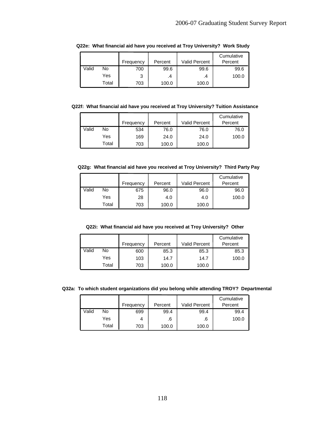|       |       | Frequency | Percent | <b>Valid Percent</b> | Cumulative<br>Percent |
|-------|-------|-----------|---------|----------------------|-----------------------|
| Valid | No    | 700       | 99.6    | 99.6                 | 99.6                  |
|       | Yes   | 3         | .4      | .4                   | 100.0                 |
|       | Total | 703       | 100.0   | 100.0                |                       |

**Q22e: What financial aid have you received at Troy University? Work Study**

**Q22f: What financial aid have you received at Troy University? Tuition Assistance**

|       |       | Frequency | Percent | Valid Percent | Cumulative<br>Percent |
|-------|-------|-----------|---------|---------------|-----------------------|
| Valid | No    | 534       | 76.0    | 76.0          | 76.0                  |
|       | Yes   | 169       | 24.0    | 24.0          | 100.0                 |
|       | Total | 703       | 100.0   | 100.0         |                       |

 **Q22g: What financial aid have you received at Troy University? Third Party Pay**

|       |       | Frequency | Percent | Valid Percent | Cumulative<br>Percent |
|-------|-------|-----------|---------|---------------|-----------------------|
| Valid | No    | 675       | 96.0    | 96.0          | 96.0                  |
|       | Yes   | 28        | 4.0     | 4.0           | 100.0                 |
|       | Total | 703       | 100.0   | 100.0         |                       |

**Q22i: What financial aid have you received at Troy University? Other**

|       |       |           |         |               | Cumulative |
|-------|-------|-----------|---------|---------------|------------|
|       |       | Frequency | Percent | Valid Percent | Percent    |
| Valid | No    | 600       | 85.3    | 85.3          | 85.3       |
|       | Yes   | 103       | 14.7    | 14.7          | 100.0      |
|       | Total | 703       | 100.0   | 100.0         |            |

**Q32a: To which student organizations did you belong while attending TROY? Departmental**

|       |       |           |         |                      | Cumulative |
|-------|-------|-----------|---------|----------------------|------------|
|       |       | Frequency | Percent | <b>Valid Percent</b> | Percent    |
| Valid | No    | 699       | 99.4    | 99.4                 | 99.4       |
|       | Yes   |           | .6      | .6                   | 100.0      |
|       | Total | 703       | 100.0   | 100.0                |            |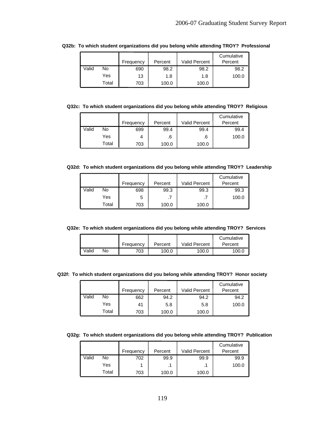|       |       | Frequency | Percent | <b>Valid Percent</b> | Cumulative<br>Percent |
|-------|-------|-----------|---------|----------------------|-----------------------|
| Valid | No    | 690       | 98.2    | 98.2                 | 98.2                  |
|       | Yes   | 13        | 1.8     | 1.8                  | 100.0                 |
|       | Total | 703       | 100.0   | 100.0                |                       |

#### **Q32b: To which student organizations did you belong while attending TROY? Professional**

**Q32c: To which student organizations did you belong while attending TROY? Religious**

|       |       |           |         |                      | Cumulative |
|-------|-------|-----------|---------|----------------------|------------|
|       |       | Frequency | Percent | <b>Valid Percent</b> | Percent    |
| Valid | No    | 699       | 99.4    | 99.4                 | 99.4       |
|       | Yes   |           | .6      | .6                   | 100.0      |
|       | Total | 703       | 100.0   | 100.0                |            |

**Q32d: To which student organizations did you belong while attending TROY? Leadership**

|       |       | Frequency | Percent | <b>Valid Percent</b> | Cumulative<br>Percent |
|-------|-------|-----------|---------|----------------------|-----------------------|
| Valid | No    | 698       | 99.3    | 99.3                 | 99.3                  |
|       | Yes   | 5         |         |                      | 100.0                 |
|       | Total | 703       | 100.0   | 100.0                |                       |

**Q32e: To which student organizations did you belong while attending TROY? Services**

|       |    |           |         |                      | Cumulative |
|-------|----|-----------|---------|----------------------|------------|
|       |    | Frequency | Percent | <b>Valid Percent</b> | Percent    |
| ∕alid | No | 703       | 100.0   | 100.0                | 100.0      |

**Q32f: To which student organizations did you belong while attending TROY? Honor society**

|       |       |           |         |                      | Cumulative |
|-------|-------|-----------|---------|----------------------|------------|
|       |       | Frequency | Percent | <b>Valid Percent</b> | Percent    |
| Valid | No    | 662       | 94.2    | 94.2                 | 94.2       |
|       | Yes   | 41        | 5.8     | 5.8                  | 100.0      |
|       | Total | 703       | 100.0   | 100.0                |            |

**Q32g: To which student organizations did you belong while attending TROY? Publication**

|       |       |           |         |                      | Cumulative |
|-------|-------|-----------|---------|----------------------|------------|
|       |       | Frequency | Percent | <b>Valid Percent</b> | Percent    |
| Valid | No    | 702       | 99.9    | 99.9                 | 99.9       |
|       | Yes   |           | . 1     |                      | 100.0      |
|       | Total | 703       | 100.0   | 100.0                |            |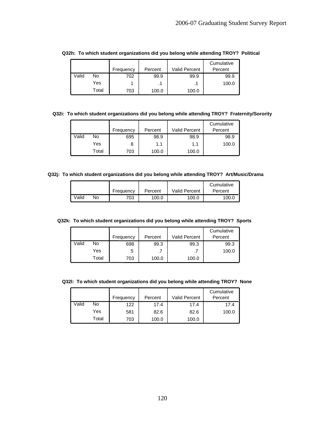|       |       | Frequency | Percent | Valid Percent | Cumulative<br>Percent |
|-------|-------|-----------|---------|---------------|-----------------------|
| Valid | No    | 702       | 99.9    | 99.9          | 99.9                  |
|       | Yes   |           | .1      |               | 100.0                 |
|       | Total | 703       | 100.0   | 100.0         |                       |

**Q32h: To which student organizations did you belong while attending TROY? Political**

#### **Q32i: To which student organizations did you belong while attending TROY? Fraternity/Sorority**

|       |       | Frequency | Percent | <b>Valid Percent</b> | Cumulative<br>Percent |
|-------|-------|-----------|---------|----------------------|-----------------------|
| Valid | No    | 695       | 98.9    | 98.9                 | 98.9                  |
|       | Yes   |           | 1.1     | 1.1                  | 100.0                 |
|       | Total | 703       | 100.0   | 100.0                |                       |

### **Q32j: To which student organizations did you belong while attending TROY? Art/Music/Drama**

|       |    |           |         |                      | Cumulative |
|-------|----|-----------|---------|----------------------|------------|
|       |    | Frequency | Percent | <b>Valid Percent</b> | Percent    |
| Valid | No | 703       | 100.0   | 100.0                | 100.0      |

**Q32k: To which student organizations did you belong while attending TROY? Sports**

|       |       |           |           |               | Cumulative |
|-------|-------|-----------|-----------|---------------|------------|
|       |       | Frequency | Percent   | Valid Percent | Percent    |
| Valid | No    | 698       | 99.3      | 99.3          | 99.3       |
|       | Yes   | 5         | $\cdot$ 7 |               | 100.0      |
|       | Total | 703       | 100.0     | 100.0         |            |

**Q32l: To which student organizations did you belong while attending TROY? None**

|       |       | Frequency | Percent | <b>Valid Percent</b> | Cumulative<br>Percent |
|-------|-------|-----------|---------|----------------------|-----------------------|
| Valid | No    | 122       | 17.4    | 17.4                 | 17.4                  |
|       | Yes   | 581       | 82.6    | 82.6                 | 100.0                 |
|       | Total | 703       | 100.0   | 100.0                |                       |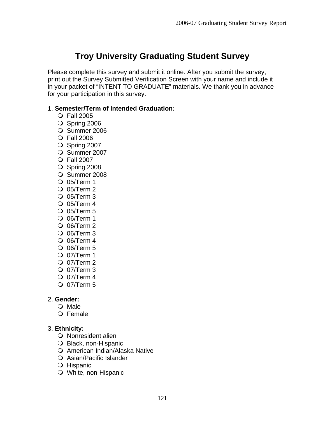# **Troy University Graduating Student Survey**

Please complete this survey and submit it online. After you submit the survey, print out the Survey Submitted Verification Screen with your name and include it in your packet of "INTENT TO GRADUATE" materials. We thank you in advance for your participation in this survey.

## 1. **Semester/Term of Intended Graduation:**

- Fall 2005
- $\bigcirc$  Spring 2006
- O Summer 2006
- Fall 2006
- O Spring 2007
- O Summer 2007
- Fall 2007
- O Spring 2008
- O Summer 2008
- $Q$  05/Term 1
- $\bigcirc$  05/Term 2
- $\bigcirc$  05/Term 3
- $\bigcirc$  05/Term 4
- $\bigcirc$  05/Term 5
- $Q$  06/Term 1
- 06/Term 2
- $\bigcirc$  06/Term 3
- $Q$  06/Term 4
- $\bigcirc$  06/Term 5
- $Q$  07/Term 1
- $Q$  07/Term 2
- $Q$  07/Term 3
- $Q$  07/Term 4
- $Q$  07/Term 5

## 2. **Gender:**

- O Male
- Female

## 3. **Ethnicity:**

- O Nonresident alien
- O Black, non-Hispanic
- O American Indian/Alaska Native
- Q Asian/Pacific Islander
- O Hispanic
- White, non-Hispanic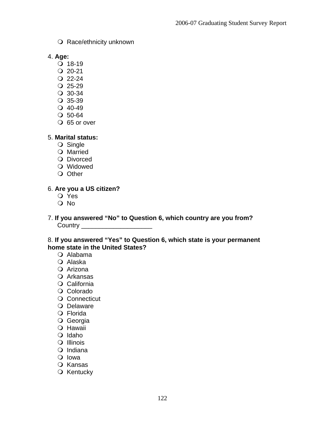- O Race/ethnicity unknown
- 4. **Age:** 
	- $Q$  18-19
	- $Q$  20-21
	- $Q$  22-24
	- $Q$  25-29
	- 30-34
	- $Q$  35-39
	- $Q$  40-49
	- $O$  50-64
	- O 65 or over

### 5. **Marital status:**

- O Single
- O Married
- O Divorced
- Widowed
- O Other

### 6. **Are you a US citizen?**

- Yes
- O No

### 7. **If you answered "No" to Question 6, which country are you from?** Country **Executive Country**

### 8. **If you answered "Yes" to Question 6, which state is your permanent home state in the United States?**

- Alabama
- Alaska
- O Arizona
- Arkansas
- O California
- O Colorado
- O Connecticut
- O Delaware
- Florida
- O Georgia
- O Hawaii
- O Idaho
- Q Illinois
- $\bigcirc$  Indiana
- O lowa
- O Kansas
- O Kentucky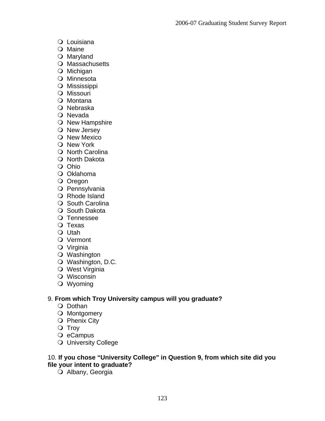- Louisiana
- O Maine
- Maryland
- O Massachusetts
- O Michigan
- O Minnesota
- Mississippi
- Missouri
- O Montana
- O Nebraska
- O Nevada
- O New Hampshire
- O New Jersey
- O New Mexico
- O New York
- O North Carolina
- O North Dakota
- Ohio
- Oklahoma
- O Oregon
- O Pennsylvania
- Rhode Island
- O South Carolina
- O South Dakota
- O Tennessee
- O Texas
- Utah
- Vermont
- Virginia
- Washington
- Washington, D.C.
- West Virginia
- Wisconsin
- Wyoming

## 9. **From which Troy University campus will you graduate?**

- O Dothan
- O Montgomery
- O Phenix City
- O Troy
- O eCampus
- University College

## 10. **If you chose "University College" in Question 9, from which site did you file your intent to graduate?**

O Albany, Georgia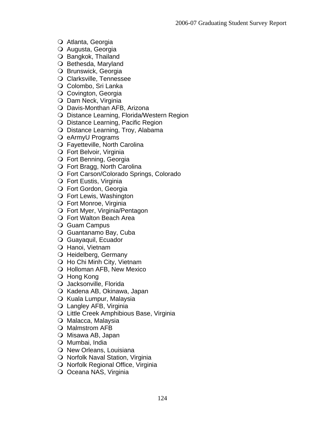- O Atlanta, Georgia
- Augusta, Georgia
- O Bangkok, Thailand
- O Bethesda, Maryland
- O Brunswick, Georgia
- Clarksville, Tennessee
- O Colombo, Sri Lanka
- O Covington, Georgia
- O Dam Neck, Virginia
- O Davis-Monthan AFB, Arizona
- O Distance Learning, Florida/Western Region
- O Distance Learning, Pacific Region
- O Distance Learning, Troy, Alabama
- O eArmyU Programs
- Fayetteville, North Carolina
- Fort Belvoir, Virginia
- Fort Benning, Georgia
- Fort Bragg, North Carolina
- Fort Carson/Colorado Springs, Colorado
- Fort Eustis, Virginia
- Fort Gordon, Georgia
- Fort Lewis, Washington
- Fort Monroe, Virginia
- Fort Myer, Virginia/Pentagon
- Fort Walton Beach Area
- O Guam Campus
- O Guantanamo Bay, Cuba
- Guayaquil, Ecuador
- Hanoi, Vietnam
- O Heidelberg, Germany
- O Ho Chi Minh City, Vietnam
- O Holloman AFB, New Mexico
- Hong Kong
- O Jacksonville, Florida
- O Kadena AB, Okinawa, Japan
- O Kuala Lumpur, Malaysia
- Langley AFB, Virginia
- O Little Creek Amphibious Base, Virginia
- $\bigcirc$  Malacca, Malaysia
- O Malmstrom AFB
- $\bigcirc$  Misawa AB, Japan
- $\bigcirc$  Mumbai, India
- O New Orleans, Louisiana
- O Norfolk Naval Station, Virginia
- O Norfolk Regional Office, Virginia
- O Oceana NAS, Virginia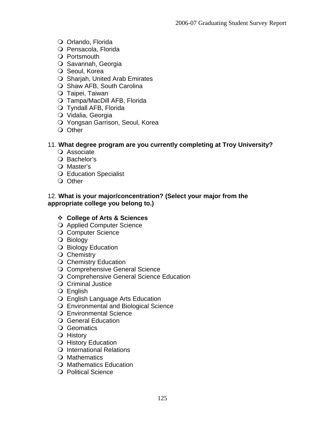- O Orlando, Florida
- O Pensacola, Florida
- O Portsmouth
- O Savannah, Georgia
- O Seoul, Korea
- O Sharjah, United Arab Emirates
- O Shaw AFB, South Carolina
- O Taipei, Taiwan
- Tampa/MacDill AFB, Florida
- Tyndall AFB, Florida
- Vidalia, Georgia
- Yongsan Garrison, Seoul, Korea
- O Other

## 11. **What degree program are you currently completing at Troy University?**

- O Associate
- O Bachelor's
- O Master's
- Education Specialist
- O Other

## 12. **What is your major/concentration? (Select your major from the appropriate college you belong to.)**

## **College of Arts & Sciences**

- O Applied Computer Science
- O Computer Science
- O Biology
- O Biology Education
- O Chemistry
- O Chemistry Education
- O Comprehensive General Science
- O Comprehensive General Science Education
- O Criminal Justice
- O English
- English Language Arts Education
- Environmental and Biological Science
- Environmental Science
- O General Education
- O Geomatics
- O History
- **O** History Education
- O International Relations
- O Mathematics
- O Mathematics Education
- O Political Science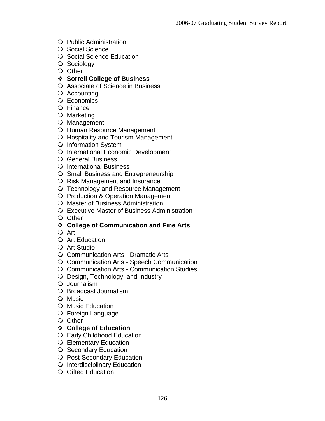- Public Administration
- O Social Science
- O Social Science Education
- O Sociology
- O Other
- **Sorrell College of Business**
- O Associate of Science in Business
- O Accounting
- O Economics
- O Finance
- O Marketing
- O Management
- O Human Resource Management
- O Hospitality and Tourism Management
- O Information System
- O International Economic Development
- General Business
- O International Business
- O Small Business and Entrepreneurship
- O Risk Management and Insurance
- O Technology and Resource Management
- O Production & Operation Management
- O Master of Business Administration
- Executive Master of Business Administration
- O Other
- **College of Communication and Fine Arts**
- O Art
- O Art Education
- Art Studio
- O Communication Arts Dramatic Arts
- Communication Arts Speech Communication
- O Communication Arts Communication Studies
- O Design, Technology, and Industry
- O Journalism
- O Broadcast Journalism
- O Music
- O Music Education
- Foreign Language
- O Other

## **College of Education**

- O Early Childhood Education
- Elementary Education
- O Secondary Education
- O Post-Secondary Education
- O Interdisciplinary Education
- Gifted Education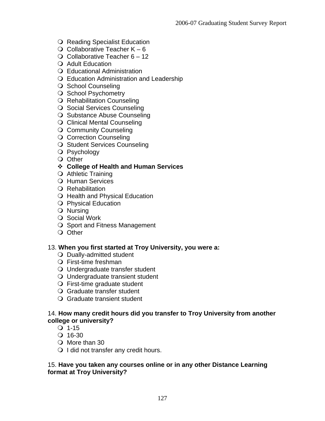- O Reading Specialist Education
- $\overline{Q}$  Collaborative Teacher K 6
- $\overline{O}$  Collaborative Teacher 6 12
- O Adult Education
- Educational Administration
- Education Administration and Leadership
- O School Counseling
- O School Psychometry
- O Rehabilitation Counseling
- O Social Services Counseling
- O Substance Abuse Counseling
- O Clinical Mental Counseling
- O Community Counseling
- O Correction Counseling
- O Student Services Counseling
- O Psychology
- O Other

## **College of Health and Human Services**

- O Athletic Training
- Human Services
- O Rehabilitation
- O Health and Physical Education
- O Physical Education
- O Nursing
- O Social Work
- O Sport and Fitness Management
- O Other

#### 13. **When you first started at Troy University, you were a:**

- O Dually-admitted student
- First-time freshman
- Undergraduate transfer student
- Undergraduate transient student
- First-time graduate student
- Graduate transfer student
- Graduate transient student

### 14. **How many credit hours did you transfer to Troy University from another college or university?**

- $O$  1-15
- $\bigcirc$  16-30
- O More than 30
- O I did not transfer any credit hours.

## 15. **Have you taken any courses online or in any other Distance Learning format at Troy University?**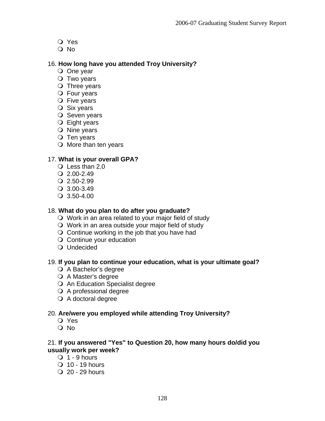- Yes
- O No

## 16. **How long have you attended Troy University?**

- O One year
- O Two years
- O Three years
- O Four years
- O Five years
- O Six years
- $\bigcirc$  Seven years
- Eight years
- $\bigcirc$  Nine years
- $\bigcirc$  Ten years
- $\bigcirc$  More than ten years

## 17. **What is your overall GPA?**

- Less than 2.0
- $Q$  2.00-2.49
- $Q$  2.50-2.99
- $Q$  3.00-3.49
- 3.50-4.00

## 18. **What do you plan to do after you graduate?**

- $\bigcirc$  Work in an area related to your major field of study
- $\bigcirc$  Work in an area outside your major field of study
- O Continue working in the job that you have had
- O Continue your education
- Undecided

## 19. **If you plan to continue your education, what is your ultimate goal?**

- A Bachelor's degree
- A Master's degree
- O An Education Specialist degree
- A professional degree
- O A doctoral degree

## 20. **Are/were you employed while attending Troy University?**

- Yes
- O No

## 21. **If you answered "Yes" to Question 20, how many hours do/did you usually work per week?**

- $\bigcirc$  1 9 hours
- $\overline{O}$  10 19 hours
- $Q$  20 29 hours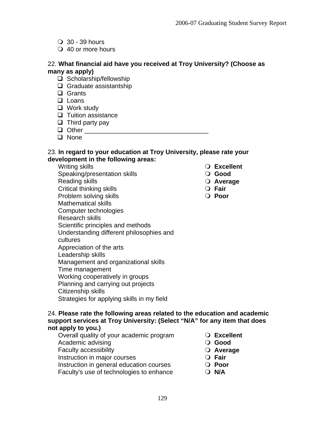- $\bigcirc$  30 39 hours
- 40 or more hours

### 22. **What financial aid have you received at Troy University? (Choose as many as apply)**

- $\Box$  Scholarship/fellowship
- $\Box$  Graduate assistantship
- □ Grants
- $\Box$  Loans
- □ Work study
- $\Box$  Tuition assistance
- $\Box$  Third party pay
- Other \_\_\_\_\_\_\_\_\_\_\_\_\_\_\_\_\_\_\_\_\_\_\_\_\_\_\_\_\_\_\_\_\_\_\_
- □ None

### 23. **In regard to your education at Troy University, please rate your development in the following areas:**

Writing skills Speaking/presentation skills Reading skills Critical thinking skills Problem solving skills Mathematical skills Computer technologies Research skills Scientific principles and methods Understanding different philosophies and cultures Appreciation of the arts Leadership skills Management and organizational skills Time management Working cooperatively in groups Planning and carrying out projects Citizenship skills Strategies for applying skills in my field

- **Excellent**
- **Good**
- **Average**
- **Fair**
- **Poor**

## 24. **Please rate the following areas related to the education and academic support services at Troy University: (Select "N/A" for any item that does not apply to you.)**

Overall quality of your academic program Academic advising Faculty accessibility Instruction in major courses Instruction in general education courses Faculty's use of technologies to enhance  $\bigcirc$  **N/A Excellent Good Average Fair Poor**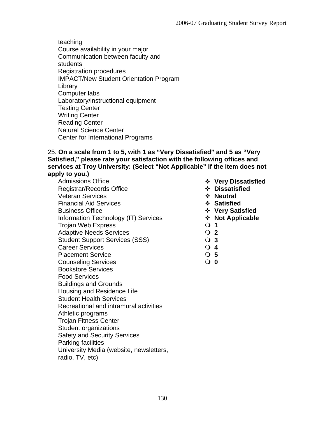teaching Course availability in your major Communication between faculty and students Registration procedures IMPACT/New Student Orientation Program Library Computer labs Laboratory/instructional equipment Testing Center Writing Center Reading Center Natural Science Center Center for International Programs

25. **On a scale from 1 to 5, with 1 as "Very Dissatisfied" and 5 as "Very Satisfied," please rate your satisfaction with the following offices and services at Troy University: (Select "Not Applicable" if the item does not apply to you.)** 

- Admissions Office Registrar/Records Office Veteran Services Financial Aid Services Business Office Information Technology (IT) Services Trojan Web Express Adaptive Needs Services Student Support Services (SSS) Career Services Placement Service Counseling Services Bookstore Services Food Services Buildings and Grounds Housing and Residence Life Student Health Services Recreational and intramural activities Athletic programs Trojan Fitness Center Student organizations Safety and Security Services Parking facilities University Media (website, newsletters, radio, TV, etc)
- **Very Dissatisfied**
- **Dissatisfied**
- **Neutral**
- **Satisfied**
- **Very Satisfied**
- **❖ Not Applicable**
- **1**
- **2**
- **3**
- **4**
- **5**
- **0**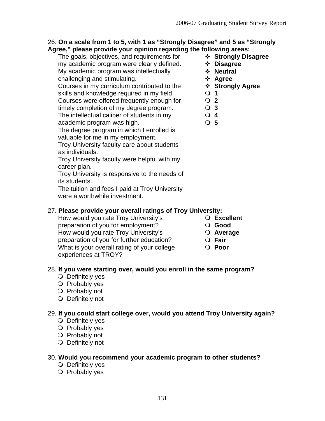## 26. **On a scale from 1 to 5, with 1 as "Strongly Disagree" and 5 as "Strongly Agree," please provide your opinion regarding the following areas:**

The goals, objectives, and requirements for my academic program were clearly defined. My academic program was intellectually challenging and stimulating.

Courses in my curriculum contributed to the skills and knowledge required in my field. Courses were offered frequently enough for

timely completion of my degree program.

The intellectual caliber of students in my academic program was high.

The degree program in which I enrolled is valuable for me in my employment.

Troy University faculty care about students as individuals.

Troy University faculty were helpful with my career plan.

Troy University is responsive to the needs of its students.

The tuition and fees I paid at Troy University were a worthwhile investment.

## 27. **Please provide your overall ratings of Troy University:**

How would you rate Troy University's preparation of you for employment? How would you rate Troy University's preparation of you for further education? What is your overall rating of your college experiences at TROY?

- **Strongly Disagree**
- **Disagree**
- **Neutral**
- **Agree**
- **Strongly Agree**
- **1**
- **2**
- **3**
- **4**
- **5**

- **Excellent Good**
	- **Average**
	- **Fair**
	- **Poor**

## 28. **If you were starting over, would you enroll in the same program?**

- $\bigcirc$  Definitely yes
- $\bigcirc$  Probably yes
- O Probably not
- $\bigcirc$  Definitely not

## 29. **If you could start college over, would you attend Troy University again?**

- $\bigcirc$  Definitely yes
- $\bigcirc$  Probably yes
- $\bigcirc$  Probably not
- O Definitely not

## 30. **Would you recommend your academic program to other students?**

- O Definitely yes
- $\bigcirc$  Probably yes